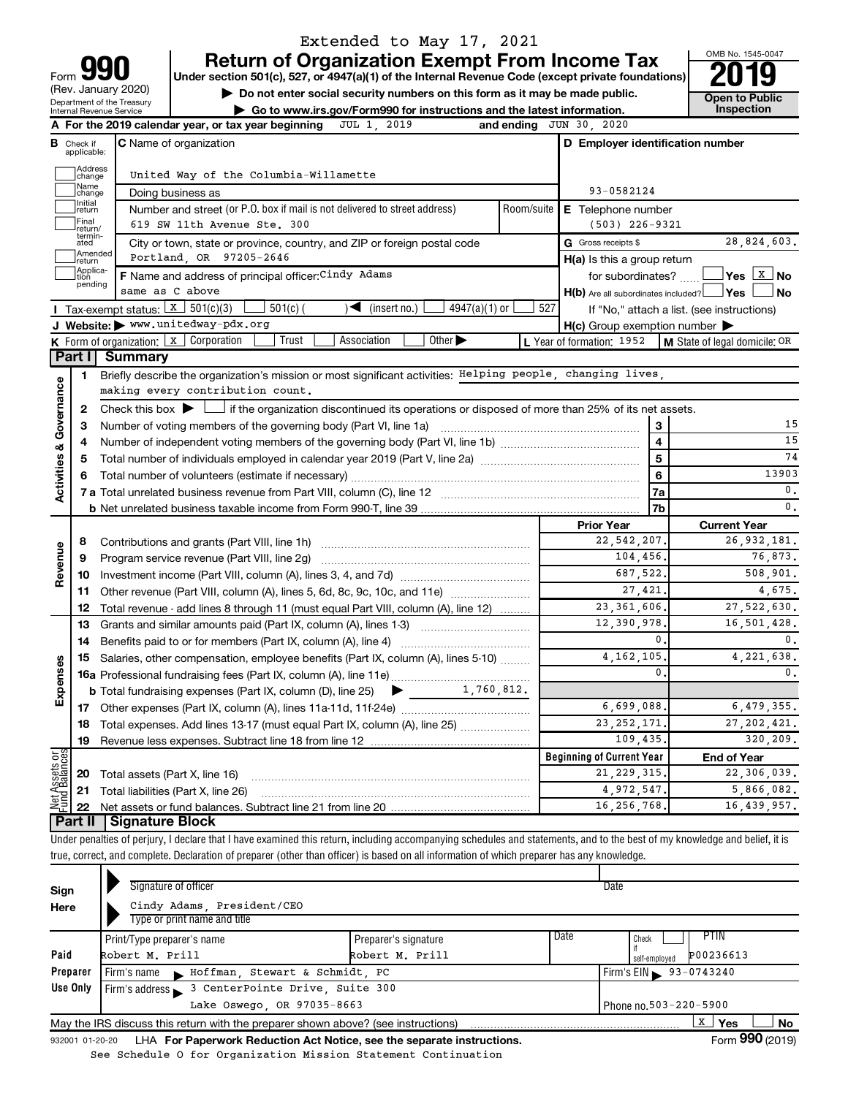| 90<br>Form                                             |
|--------------------------------------------------------|
| (Rev. January 2020)                                    |
| Department of the Treasury<br>Internal Revenue Service |

# Extended to May 17, 2021

**your Section 501(c), 527, or 4947(a)(1) of the Internal Revenue Code (except private foundations) 2019** 

▶ Do not enter social security numbers on this form as it may be made public. <br>
inspection and the latest information. **Dependent in the latest information** and the latest information. **| Go to www.irs.gov/Form990 for instructions and the latest information. Inspection**

OMB No. 1545-0047

|                         |                               | A For the 2019 calendar year, or tax year beginning JUL 1, 2019                                                                                                            |                         | and ending JUN 30, 2020                                                   |                                            |
|-------------------------|-------------------------------|----------------------------------------------------------------------------------------------------------------------------------------------------------------------------|-------------------------|---------------------------------------------------------------------------|--------------------------------------------|
|                         | <b>B</b> Check if applicable: | <b>C</b> Name of organization                                                                                                                                              |                         | D Employer identification number                                          |                                            |
|                         | Address<br> change            | United Way of the Columbia-Willamette                                                                                                                                      |                         |                                                                           |                                            |
|                         | Name<br>change                | Doing business as                                                                                                                                                          | 93-0582124              |                                                                           |                                            |
|                         | Initial<br>return             | Number and street (or P.O. box if mail is not delivered to street address)<br>Room/suite                                                                                   | E Telephone number      |                                                                           |                                            |
|                         | Final<br>return/              | 619 SW 11th Avenue Ste. 300                                                                                                                                                | $(503)$ 226-9321        |                                                                           |                                            |
|                         | termin-<br>ated               | City or town, state or province, country, and ZIP or foreign postal code                                                                                                   | G Gross receipts \$     | 28,824,603.                                                               |                                            |
|                         | Amended<br>Ireturn            | Portland, OR 97205-2646                                                                                                                                                    |                         | H(a) Is this a group return                                               |                                            |
|                         | Applica-<br>Ition             | F Name and address of principal officer: Cindy Adams                                                                                                                       |                         | for subordinates?                                                         |                                            |
|                         | pending                       | same as C above                                                                                                                                                            |                         | $H(b)$ Are all subordinates included? $\Box$ Yes                          | ⊿No                                        |
|                         |                               | <b>I</b> Tax-exempt status: $\boxed{\textbf{x}}$ 501(c)(3)<br>$501(c)$ (<br>$\sqrt{\bullet}$ (insert no.)<br>$4947(a)(1)$ or                                               | 527                     |                                                                           | If "No," attach a list. (see instructions) |
|                         |                               | J Website: > www.unitedway-pdx.org                                                                                                                                         |                         | $H(c)$ Group exemption number $\blacktriangleright$                       |                                            |
|                         |                               | <b>K</b> Form of organization: $\boxed{x}$ Corporation<br>Other $\blacktriangleright$<br>Trust<br>Association                                                              |                         | <b>L</b> Year of formation: $1952$   <b>M</b> State of legal domicile: OR |                                            |
|                         | Part II                       | Summary                                                                                                                                                                    |                         |                                                                           |                                            |
|                         | 1.                            | Briefly describe the organization's mission or most significant activities: Helping people, changing lives,                                                                |                         |                                                                           |                                            |
|                         |                               | making every contribution count.                                                                                                                                           |                         |                                                                           |                                            |
| Governance              | 2                             | Check this box $\blacktriangleright$ $\Box$ if the organization discontinued its operations or disposed of more than 25% of its net assets.                                |                         |                                                                           |                                            |
|                         | 3                             |                                                                                                                                                                            |                         |                                                                           | 15                                         |
|                         | 4                             |                                                                                                                                                                            | $\overline{\mathbf{4}}$ | 15                                                                        |                                            |
|                         | 5                             |                                                                                                                                                                            | $\overline{5}$          | 74                                                                        |                                            |
| <b>Activities &amp;</b> |                               |                                                                                                                                                                            | $6\phantom{a}$          | 13903                                                                     |                                            |
|                         |                               |                                                                                                                                                                            |                         | <b>7a</b>                                                                 | 0.                                         |
|                         |                               |                                                                                                                                                                            |                         | 7b                                                                        | $\mathbf{0}$ .                             |
|                         |                               |                                                                                                                                                                            | <b>Prior Year</b>       | <b>Current Year</b>                                                       |                                            |
|                         | 8                             |                                                                                                                                                                            | 22, 542, 207.           | 26, 932, 181.                                                             |                                            |
| Revenue                 | 9                             | Program service revenue (Part VIII, line 2g)                                                                                                                               |                         | 104,456.                                                                  | 76,873.                                    |
|                         | 10                            |                                                                                                                                                                            | 687,522.                | 508,901.                                                                  |                                            |
|                         |                               | 11 Other revenue (Part VIII, column (A), lines 5, 6d, 8c, 9c, 10c, and 11e)                                                                                                |                         | 27,421.                                                                   | 4,675.                                     |
|                         | 12                            | Total revenue - add lines 8 through 11 (must equal Part VIII, column (A), line 12)                                                                                         |                         | 23, 361, 606.                                                             | 27,522,630.                                |
|                         |                               | 13 Grants and similar amounts paid (Part IX, column (A), lines 1-3) <i></i>                                                                                                |                         | 12,390,978.                                                               | 16,501,428.                                |
|                         | 14                            |                                                                                                                                                                            |                         | 0.                                                                        | 0.                                         |
| Expenses                |                               | 15 Salaries, other compensation, employee benefits (Part IX, column (A), lines 5-10)                                                                                       |                         | 4, 162, 105.<br>$\mathbf{0}$ .                                            | 4, 221, 638.<br>$\mathbf{0}$ .             |
|                         |                               | 1,760,812.                                                                                                                                                                 |                         |                                                                           |                                            |
|                         |                               | <b>b</b> Total fundraising expenses (Part IX, column (D), line 25) $\rightarrow$                                                                                           |                         |                                                                           | 6,479,355.                                 |
|                         |                               |                                                                                                                                                                            |                         | 6,699,088.<br>23, 252, 171.                                               | 27, 202, 421.                              |
|                         |                               | 18 Total expenses. Add lines 13-17 (must equal Part IX, column (A), line 25)                                                                                               |                         | 109, 435.                                                                 | 320,209.                                   |
|                         | 19                            |                                                                                                                                                                            |                         | <b>Beginning of Current Year</b>                                          | <b>End of Year</b>                         |
| Net Assets or           | 20                            | Total assets (Part X, line 16)                                                                                                                                             |                         | 21, 229, 315.                                                             | 22,306,039.                                |
|                         | 21                            | Total liabilities (Part X, line 26)                                                                                                                                        |                         | 4.972.547.                                                                | 5,866,082.                                 |
|                         | 22                            |                                                                                                                                                                            | 16, 256, 768.           | 16, 439, 957.                                                             |                                            |
|                         | <b>Part II</b>                | <b>Signature Block</b>                                                                                                                                                     |                         |                                                                           |                                            |
|                         |                               | Under penalties of perjury, I declare that I have examined this return, including accompanying schedules and statements, and to the best of my knowledge and belief, it is |                         |                                                                           |                                            |

true, correct, and complete. Declaration of preparer (other than officer) is based on all information of which preparer has any knowledge.

| Sign<br>Here | Signature of officer<br>Cindy Adams, President/CEO<br>Type or print name and title |                                         | Date                                                |  |  |  |  |  |  |  |
|--------------|------------------------------------------------------------------------------------|-----------------------------------------|-----------------------------------------------------|--|--|--|--|--|--|--|
| Paid         | Print/Type preparer's name<br>Robert M. Prill                                      | Preparer's signature<br>Robert M. Prill | Date<br>PTIN<br>Check<br>P00236613<br>self-emploved |  |  |  |  |  |  |  |
| Preparer     | Firm's name Moffman, Stewart & Schmidt, PC                                         |                                         | Firm's EIN 93-0743240                               |  |  |  |  |  |  |  |
| Use Only     | Firm's address 3 CenterPointe Drive, Suite 300                                     |                                         |                                                     |  |  |  |  |  |  |  |
|              | Lake Oswego, OR 97035-8663<br>Phone no.503-220-5900                                |                                         |                                                     |  |  |  |  |  |  |  |
|              | May the IRS discuss this return with the preparer shown above? (see instructions)  |                                         | x<br>Yes<br><b>No</b>                               |  |  |  |  |  |  |  |
|              |                                                                                    |                                         | $\cdots$                                            |  |  |  |  |  |  |  |

932001 01-20-20 **For Paperwork Reduction Act Notice, see the separate instructions.** LHA Form (2019) See Schedule O for Organization Mission Statement Continuation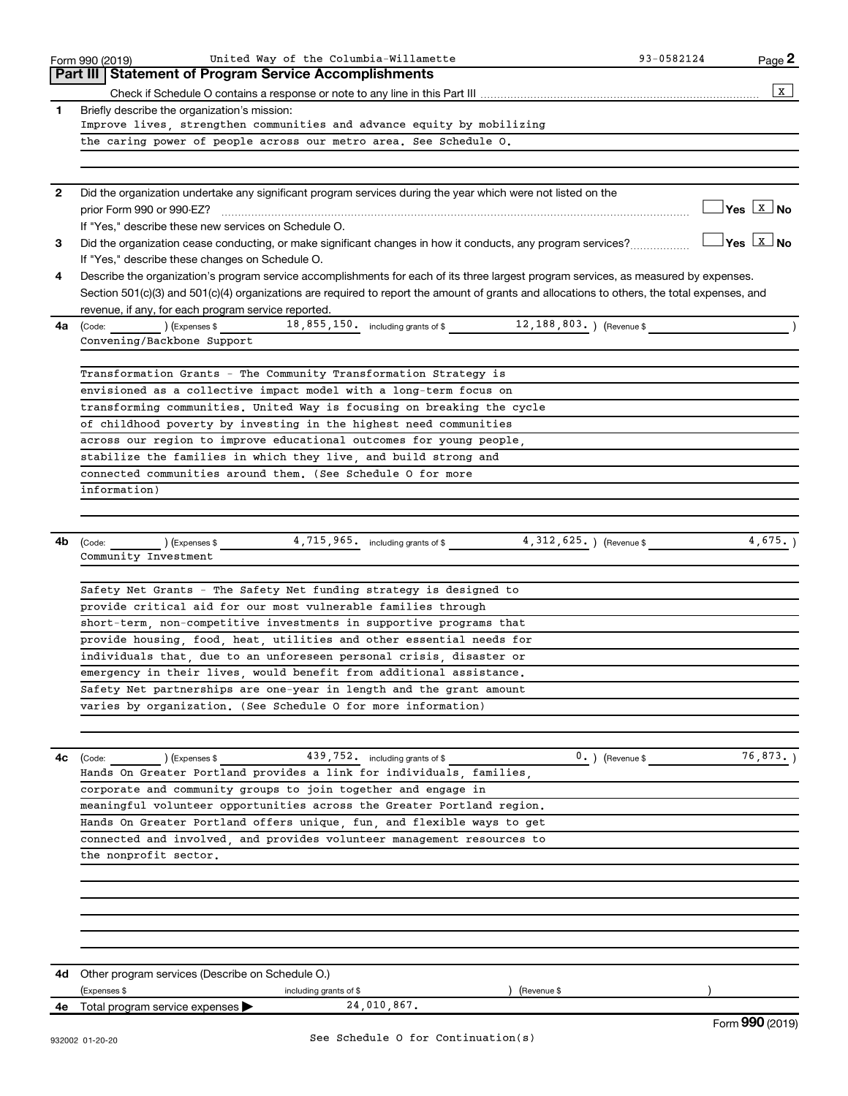|    | United Way of the Columbia-Willamette<br>Form 990 (2019)<br><b>Statement of Program Service Accomplishments</b><br>Part III                  | 93-0582124<br>Page 2 |
|----|----------------------------------------------------------------------------------------------------------------------------------------------|----------------------|
|    |                                                                                                                                              | $\mathbf{x}$         |
| 1  | Briefly describe the organization's mission:                                                                                                 |                      |
|    | Improve lives, strengthen communities and advance equity by mobilizing                                                                       |                      |
|    | the caring power of people across our metro area. See Schedule O.                                                                            |                      |
|    |                                                                                                                                              |                      |
|    |                                                                                                                                              |                      |
| 2  | Did the organization undertake any significant program services during the year which were not listed on the                                 |                      |
|    |                                                                                                                                              | $Yes$ $X$ No         |
|    | If "Yes," describe these new services on Schedule O.                                                                                         |                      |
| 3  | Did the organization cease conducting, or make significant changes in how it conducts, any program services?                                 |                      |
|    | If "Yes," describe these changes on Schedule O.                                                                                              |                      |
| 4  | Describe the organization's program service accomplishments for each of its three largest program services, as measured by expenses.         |                      |
|    | Section 501(c)(3) and 501(c)(4) organizations are required to report the amount of grants and allocations to others, the total expenses, and |                      |
|    | revenue, if any, for each program service reported.                                                                                          |                      |
| 4а | $(\text{Code:})$ (Expenses \$ 18,855,150, including grants of \$ 12,188,803, ) (Revenue \$                                                   |                      |
|    | Convening/Backbone Support                                                                                                                   |                      |
|    |                                                                                                                                              |                      |
|    | Transformation Grants - The Community Transformation Strategy is                                                                             |                      |
|    | envisioned as a collective impact model with a long-term focus on                                                                            |                      |
|    | transforming communities. United Way is focusing on breaking the cycle                                                                       |                      |
|    | of childhood poverty by investing in the highest need communities                                                                            |                      |
|    | across our region to improve educational outcomes for young people,                                                                          |                      |
|    | stabilize the families in which they live, and build strong and                                                                              |                      |
|    | connected communities around them. (See Schedule O for more<br>information)                                                                  |                      |
|    |                                                                                                                                              |                      |
|    |                                                                                                                                              |                      |
| 4b | 4,715,965. including grants of \$ 4,312,625. (Revenue \$<br>(Code: ) (Expenses \$                                                            | 4,675.               |
|    | Community Investment                                                                                                                         |                      |
|    |                                                                                                                                              |                      |
|    | Safety Net Grants - The Safety Net funding strategy is designed to                                                                           |                      |
|    | provide critical aid for our most vulnerable families through                                                                                |                      |
|    | short-term, non-competitive investments in supportive programs that                                                                          |                      |
|    | provide housing, food, heat, utilities and other essential needs for                                                                         |                      |
|    | individuals that, due to an unforeseen personal crisis, disaster or                                                                          |                      |
|    | emergency in their lives, would benefit from additional assistance.                                                                          |                      |
|    | Safety Net partnerships are one-year in length and the grant amount                                                                          |                      |
|    | varies by organization. (See Schedule O for more information)                                                                                |                      |
|    |                                                                                                                                              |                      |
|    |                                                                                                                                              |                      |
| 4c | 439, 752. including grants of \$<br>$0.$ ) (Revenue \$<br>(Code: ) (Expenses \$                                                              | 76,873.              |
|    | Hands On Greater Portland provides a link for individuals, families,                                                                         |                      |
|    | corporate and community groups to join together and engage in                                                                                |                      |
|    | meaningful volunteer opportunities across the Greater Portland region.                                                                       |                      |
|    | Hands On Greater Portland offers unique, fun, and flexible ways to get                                                                       |                      |
|    | connected and involved, and provides volunteer management resources to                                                                       |                      |
|    | the nonprofit sector.                                                                                                                        |                      |
|    |                                                                                                                                              |                      |
|    |                                                                                                                                              |                      |
|    |                                                                                                                                              |                      |
|    |                                                                                                                                              |                      |
|    |                                                                                                                                              |                      |
|    |                                                                                                                                              |                      |
|    | 4d Other program services (Describe on Schedule O.)                                                                                          |                      |
|    |                                                                                                                                              |                      |
|    | (Expenses \$<br>including grants of \$<br>(Revenue \$<br>24,010,867.<br>4e Total program service expenses >                                  |                      |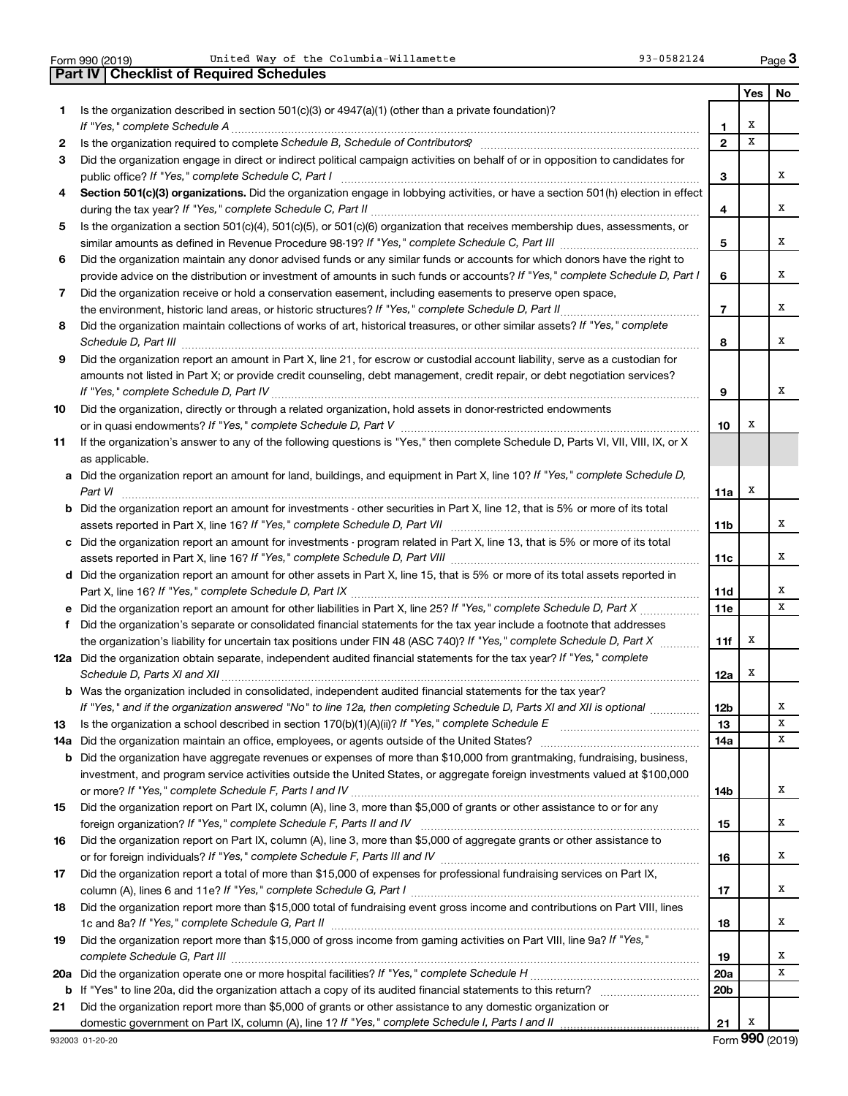| Form 990 (2019) |  |  |
|-----------------|--|--|

|     | 93-0582124<br>United Way of the Columbia-Willamette<br>Form 990 (2019)                                                                                                                          |                 |     | Page 3 |
|-----|-------------------------------------------------------------------------------------------------------------------------------------------------------------------------------------------------|-----------------|-----|--------|
|     | <b>Part IV   Checklist of Required Schedules</b>                                                                                                                                                |                 |     |        |
|     |                                                                                                                                                                                                 |                 | Yes | No     |
| 1.  | Is the organization described in section 501(c)(3) or 4947(a)(1) (other than a private foundation)?                                                                                             |                 |     |        |
|     |                                                                                                                                                                                                 | 1               | х   |        |
| 2   |                                                                                                                                                                                                 | $\overline{2}$  | X   |        |
| 3   | Did the organization engage in direct or indirect political campaign activities on behalf of or in opposition to candidates for                                                                 |                 |     |        |
|     |                                                                                                                                                                                                 | З               |     | x      |
| 4   | Section 501(c)(3) organizations. Did the organization engage in lobbying activities, or have a section 501(h) election in effect                                                                |                 |     |        |
|     |                                                                                                                                                                                                 | 4               |     | x      |
| 5   | Is the organization a section 501(c)(4), 501(c)(5), or 501(c)(6) organization that receives membership dues, assessments, or                                                                    |                 |     |        |
|     |                                                                                                                                                                                                 | 5               |     | x      |
| 6   | Did the organization maintain any donor advised funds or any similar funds or accounts for which donors have the right to                                                                       |                 |     |        |
|     | provide advice on the distribution or investment of amounts in such funds or accounts? If "Yes," complete Schedule D, Part I                                                                    | 6               |     | x      |
| 7   | Did the organization receive or hold a conservation easement, including easements to preserve open space,                                                                                       |                 |     |        |
|     | the environment, historic land areas, or historic structures? If "Yes," complete Schedule D, Part II                                                                                            | $\overline{7}$  |     | x      |
| 8   | Did the organization maintain collections of works of art, historical treasures, or other similar assets? If "Yes," complete                                                                    |                 |     |        |
|     |                                                                                                                                                                                                 | 8               |     | х      |
| 9   | Did the organization report an amount in Part X, line 21, for escrow or custodial account liability, serve as a custodian for                                                                   |                 |     |        |
|     | amounts not listed in Part X; or provide credit counseling, debt management, credit repair, or debt negotiation services?                                                                       |                 |     |        |
|     |                                                                                                                                                                                                 | 9               |     | х      |
| 10  | Did the organization, directly or through a related organization, hold assets in donor-restricted endowments                                                                                    |                 |     |        |
|     |                                                                                                                                                                                                 | 10              | х   |        |
| 11  | If the organization's answer to any of the following questions is "Yes," then complete Schedule D, Parts VI, VII, VIII, IX, or X                                                                |                 |     |        |
|     | as applicable.                                                                                                                                                                                  |                 |     |        |
|     | a Did the organization report an amount for land, buildings, and equipment in Part X, line 10? If "Yes," complete Schedule D,                                                                   |                 |     |        |
|     | Part VI                                                                                                                                                                                         | 11a             | х   |        |
| b   | Did the organization report an amount for investments - other securities in Part X, line 12, that is 5% or more of its total                                                                    |                 |     |        |
|     |                                                                                                                                                                                                 | 11b             |     | х      |
| c   | Did the organization report an amount for investments - program related in Part X, line 13, that is 5% or more of its total                                                                     |                 |     |        |
|     |                                                                                                                                                                                                 | 11c             |     | х      |
| d   | Did the organization report an amount for other assets in Part X, line 15, that is 5% or more of its total assets reported in                                                                   |                 |     |        |
|     |                                                                                                                                                                                                 | 11d             |     | х      |
| е   |                                                                                                                                                                                                 | 11e             |     | x      |
| f   | Did the organization's separate or consolidated financial statements for the tax year include a footnote that addresses                                                                         |                 |     |        |
|     | the organization's liability for uncertain tax positions under FIN 48 (ASC 740)? If "Yes," complete Schedule D, Part X                                                                          | 11f             | х   |        |
|     | 12a Did the organization obtain separate, independent audited financial statements for the tax year? If "Yes," complete                                                                         |                 |     |        |
|     |                                                                                                                                                                                                 | 12a             | x   |        |
|     | Was the organization included in consolidated, independent audited financial statements for the tax year?                                                                                       |                 |     |        |
|     | If "Yes," and if the organization answered "No" to line 12a, then completing Schedule D, Parts XI and XII is optional <i>maniming</i>                                                           | 12 <sub>b</sub> |     | х      |
| 13  |                                                                                                                                                                                                 | 13              |     | х      |
| 14a | Did the organization maintain an office, employees, or agents outside of the United States?                                                                                                     | 14a             |     | x      |
| b   | Did the organization have aggregate revenues or expenses of more than \$10,000 from grantmaking, fundraising, business,                                                                         |                 |     |        |
|     | investment, and program service activities outside the United States, or aggregate foreign investments valued at \$100,000                                                                      |                 |     |        |
|     |                                                                                                                                                                                                 | 14b             |     | х      |
| 15  | Did the organization report on Part IX, column (A), line 3, more than \$5,000 of grants or other assistance to or for any                                                                       |                 |     |        |
|     |                                                                                                                                                                                                 | 15              |     | х      |
| 16  | Did the organization report on Part IX, column (A), line 3, more than \$5,000 of aggregate grants or other assistance to                                                                        |                 |     |        |
|     |                                                                                                                                                                                                 | 16              |     | х      |
| 17  | Did the organization report a total of more than \$15,000 of expenses for professional fundraising services on Part IX,                                                                         |                 |     |        |
|     |                                                                                                                                                                                                 | 17              |     | х      |
| 18  | Did the organization report more than \$15,000 total of fundraising event gross income and contributions on Part VIII, lines                                                                    |                 |     |        |
|     |                                                                                                                                                                                                 | 18              |     | х      |
| 19  | Did the organization report more than \$15,000 of gross income from gaming activities on Part VIII, line 9a? If "Yes,"                                                                          |                 |     |        |
|     |                                                                                                                                                                                                 | 19              |     | х      |
| 20a | Did the organization operate one or more hospital facilities? If "Yes," complete Schedule H [1] [1] Did the organization operate one or more hospital facilities? If "Yes," complete Schedule H | 20a             |     | x      |
| b   |                                                                                                                                                                                                 | 20 <sub>b</sub> |     |        |
| 21  | Did the organization report more than \$5,000 of grants or other assistance to any domestic organization or                                                                                     |                 |     |        |
|     |                                                                                                                                                                                                 | 21              | X   |        |

Form (2019) **990**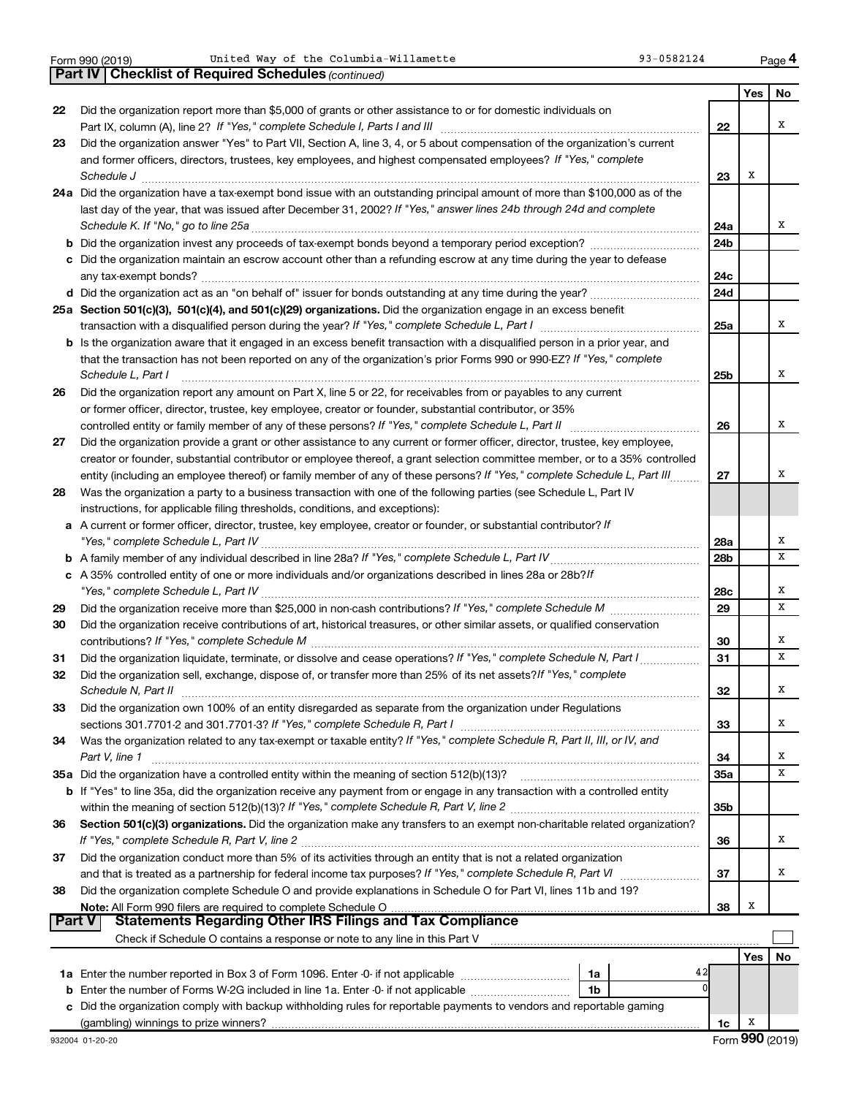|               | <b>Part IV   Checklist of Required Schedules (continued)</b>                                                                                                                                                                                   |                   |     |        |  |  |
|---------------|------------------------------------------------------------------------------------------------------------------------------------------------------------------------------------------------------------------------------------------------|-------------------|-----|--------|--|--|
|               |                                                                                                                                                                                                                                                |                   | Yes | No.    |  |  |
| 22            | Did the organization report more than \$5,000 of grants or other assistance to or for domestic individuals on                                                                                                                                  |                   |     |        |  |  |
|               |                                                                                                                                                                                                                                                | 22                |     | х      |  |  |
| 23            | Did the organization answer "Yes" to Part VII, Section A, line 3, 4, or 5 about compensation of the organization's current                                                                                                                     |                   |     |        |  |  |
|               | and former officers, directors, trustees, key employees, and highest compensated employees? If "Yes," complete                                                                                                                                 |                   |     |        |  |  |
|               |                                                                                                                                                                                                                                                | 23                | х   |        |  |  |
|               | 24a Did the organization have a tax-exempt bond issue with an outstanding principal amount of more than \$100,000 as of the                                                                                                                    |                   |     |        |  |  |
|               | last day of the year, that was issued after December 31, 2002? If "Yes," answer lines 24b through 24d and complete                                                                                                                             |                   |     |        |  |  |
|               |                                                                                                                                                                                                                                                | 24a               |     | x      |  |  |
|               |                                                                                                                                                                                                                                                | 24b               |     |        |  |  |
|               | c Did the organization maintain an escrow account other than a refunding escrow at any time during the year to defease                                                                                                                         |                   |     |        |  |  |
|               |                                                                                                                                                                                                                                                | 24c               |     |        |  |  |
|               |                                                                                                                                                                                                                                                | 24d               |     |        |  |  |
|               | 25a Section 501(c)(3), 501(c)(4), and 501(c)(29) organizations. Did the organization engage in an excess benefit                                                                                                                               |                   |     |        |  |  |
|               |                                                                                                                                                                                                                                                | 25a               |     | x      |  |  |
|               | b Is the organization aware that it engaged in an excess benefit transaction with a disqualified person in a prior year, and                                                                                                                   |                   |     |        |  |  |
|               | that the transaction has not been reported on any of the organization's prior Forms 990 or 990-EZ? If "Yes," complete                                                                                                                          |                   |     |        |  |  |
|               | Schedule L, Part I                                                                                                                                                                                                                             | 25 <sub>b</sub>   |     | x      |  |  |
|               | Did the organization report any amount on Part X, line 5 or 22, for receivables from or payables to any current                                                                                                                                |                   |     |        |  |  |
| 26            | or former officer, director, trustee, key employee, creator or founder, substantial contributor, or 35%                                                                                                                                        |                   |     |        |  |  |
|               | controlled entity or family member of any of these persons? If "Yes," complete Schedule L, Part II                                                                                                                                             | 26                |     | x      |  |  |
|               | Did the organization provide a grant or other assistance to any current or former officer, director, trustee, key employee,                                                                                                                    |                   |     |        |  |  |
| 27            | creator or founder, substantial contributor or employee thereof, a grant selection committee member, or to a 35% controlled                                                                                                                    |                   |     |        |  |  |
|               |                                                                                                                                                                                                                                                | 27                |     | x      |  |  |
|               | entity (including an employee thereof) or family member of any of these persons? If "Yes," complete Schedule L, Part III.<br>Was the organization a party to a business transaction with one of the following parties (see Schedule L, Part IV |                   |     |        |  |  |
| 28            |                                                                                                                                                                                                                                                |                   |     |        |  |  |
|               | instructions, for applicable filing thresholds, conditions, and exceptions):                                                                                                                                                                   |                   |     |        |  |  |
|               | a A current or former officer, director, trustee, key employee, creator or founder, or substantial contributor? If                                                                                                                             |                   |     | X      |  |  |
|               |                                                                                                                                                                                                                                                | <b>28a</b><br>28b |     | X      |  |  |
|               | c A 35% controlled entity of one or more individuals and/or organizations described in lines 28a or 28b?/f                                                                                                                                     |                   |     |        |  |  |
|               |                                                                                                                                                                                                                                                | 28c               |     | X      |  |  |
| 29            |                                                                                                                                                                                                                                                | 29                |     | X      |  |  |
| 30            | Did the organization receive contributions of art, historical treasures, or other similar assets, or qualified conservation                                                                                                                    |                   |     |        |  |  |
|               |                                                                                                                                                                                                                                                | 30                |     | X      |  |  |
|               | Did the organization liquidate, terminate, or dissolve and cease operations? If "Yes," complete Schedule N, Part I                                                                                                                             | 31                |     | x      |  |  |
| 31            |                                                                                                                                                                                                                                                |                   |     |        |  |  |
| 32            | Did the organization sell, exchange, dispose of, or transfer more than 25% of its net assets? If "Yes," complete                                                                                                                               |                   |     | Χ      |  |  |
|               | Schedule N, Part II                                                                                                                                                                                                                            | 32                |     |        |  |  |
| 33            | Did the organization own 100% of an entity disregarded as separate from the organization under Regulations                                                                                                                                     |                   |     | x      |  |  |
|               |                                                                                                                                                                                                                                                | 33                |     |        |  |  |
| 34            | Was the organization related to any tax-exempt or taxable entity? If "Yes," complete Schedule R, Part II, III, or IV, and                                                                                                                      |                   |     |        |  |  |
|               | Part V, line 1                                                                                                                                                                                                                                 | 34                |     | x<br>x |  |  |
|               | 35a Did the organization have a controlled entity within the meaning of section 512(b)(13)?                                                                                                                                                    | <b>35a</b>        |     |        |  |  |
|               | b If "Yes" to line 35a, did the organization receive any payment from or engage in any transaction with a controlled entity                                                                                                                    |                   |     |        |  |  |
|               |                                                                                                                                                                                                                                                | 35 <sub>b</sub>   |     |        |  |  |
| 36            | Section 501(c)(3) organizations. Did the organization make any transfers to an exempt non-charitable related organization?                                                                                                                     |                   |     |        |  |  |
|               |                                                                                                                                                                                                                                                | 36                |     | x      |  |  |
| 37            | Did the organization conduct more than 5% of its activities through an entity that is not a related organization                                                                                                                               | 37                |     | x      |  |  |
|               |                                                                                                                                                                                                                                                |                   |     |        |  |  |
| 38            | Did the organization complete Schedule O and provide explanations in Schedule O for Part VI, lines 11b and 19?                                                                                                                                 |                   |     |        |  |  |
| <b>Part V</b> | <b>Statements Regarding Other IRS Filings and Tax Compliance</b>                                                                                                                                                                               | 38                | X   |        |  |  |
|               |                                                                                                                                                                                                                                                |                   |     |        |  |  |
|               | Check if Schedule O contains a response or note to any line in this Part V [11] [12] [12] [12] [12] Check if Schedule O contains a response or note to any line in this Part V                                                                 |                   |     |        |  |  |
|               | 42                                                                                                                                                                                                                                             |                   | Yes | No     |  |  |
|               | 1a<br><b>b</b> Enter the number of Forms W-2G included in line 1a. Enter -0- if not applicable<br>1b                                                                                                                                           |                   |     |        |  |  |
|               | c Did the organization comply with backup withholding rules for reportable payments to vendors and reportable gaming                                                                                                                           |                   |     |        |  |  |

(gambling) winnings to prize winners?

**1c**

**4**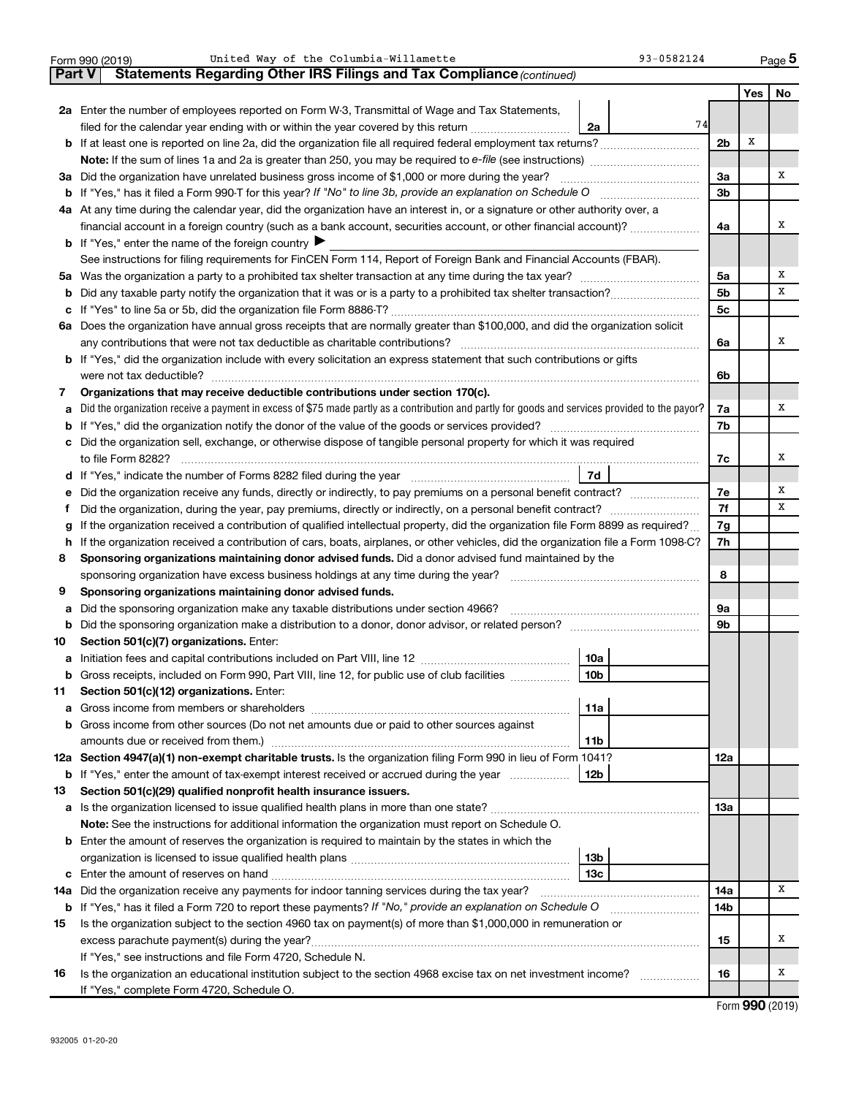|        | 93-0582124<br>United Way of the Columbia-Willamette<br>Form 990 (2019)                                                                          |                |                 | Page 5 |  |  |  |  |  |  |
|--------|-------------------------------------------------------------------------------------------------------------------------------------------------|----------------|-----------------|--------|--|--|--|--|--|--|
| Part V | Statements Regarding Other IRS Filings and Tax Compliance (continued)                                                                           |                |                 |        |  |  |  |  |  |  |
|        |                                                                                                                                                 |                | <b>Yes</b>      | No     |  |  |  |  |  |  |
|        | 2a Enter the number of employees reported on Form W-3, Transmittal of Wage and Tax Statements,                                                  |                |                 |        |  |  |  |  |  |  |
|        | 74<br>filed for the calendar year ending with or within the year covered by this return<br>2a                                                   |                |                 |        |  |  |  |  |  |  |
|        |                                                                                                                                                 | 2 <sub>b</sub> | Х               |        |  |  |  |  |  |  |
|        |                                                                                                                                                 |                |                 |        |  |  |  |  |  |  |
|        | 3a Did the organization have unrelated business gross income of \$1,000 or more during the year?                                                | За             |                 | X      |  |  |  |  |  |  |
|        |                                                                                                                                                 | 3 <sub>b</sub> |                 |        |  |  |  |  |  |  |
|        | 4a At any time during the calendar year, did the organization have an interest in, or a signature or other authority over, a                    |                |                 |        |  |  |  |  |  |  |
|        | financial account in a foreign country (such as a bank account, securities account, or other financial account)?                                | 4a             |                 | х      |  |  |  |  |  |  |
|        | <b>b</b> If "Yes," enter the name of the foreign country $\blacktriangleright$                                                                  |                |                 |        |  |  |  |  |  |  |
|        | See instructions for filing requirements for FinCEN Form 114, Report of Foreign Bank and Financial Accounts (FBAR).                             |                |                 |        |  |  |  |  |  |  |
|        |                                                                                                                                                 | 5a             |                 | х      |  |  |  |  |  |  |
| b      |                                                                                                                                                 | 5 <sub>b</sub> |                 | x      |  |  |  |  |  |  |
|        |                                                                                                                                                 | 5 <sub>c</sub> |                 |        |  |  |  |  |  |  |
|        | 6a Does the organization have annual gross receipts that are normally greater than \$100,000, and did the organization solicit                  |                |                 |        |  |  |  |  |  |  |
|        |                                                                                                                                                 | 6а             |                 | x      |  |  |  |  |  |  |
|        | <b>b</b> If "Yes," did the organization include with every solicitation an express statement that such contributions or gifts                   |                |                 |        |  |  |  |  |  |  |
|        |                                                                                                                                                 | 6b             |                 |        |  |  |  |  |  |  |
| 7      | Organizations that may receive deductible contributions under section 170(c).                                                                   |                |                 |        |  |  |  |  |  |  |
| a      | Did the organization receive a payment in excess of \$75 made partly as a contribution and partly for goods and services provided to the payor? | 7а             |                 | X      |  |  |  |  |  |  |
| b      |                                                                                                                                                 | 7b             |                 |        |  |  |  |  |  |  |
| c      | Did the organization sell, exchange, or otherwise dispose of tangible personal property for which it was required                               |                |                 |        |  |  |  |  |  |  |
|        |                                                                                                                                                 | 7c             |                 | х      |  |  |  |  |  |  |
|        | <b>7d</b>                                                                                                                                       |                |                 |        |  |  |  |  |  |  |
| е      | Did the organization receive any funds, directly or indirectly, to pay premiums on a personal benefit contract?                                 | 7е             |                 | X      |  |  |  |  |  |  |
| Ť.     | Did the organization, during the year, pay premiums, directly or indirectly, on a personal benefit contract?                                    | 7f             |                 | x      |  |  |  |  |  |  |
| g      | If the organization received a contribution of qualified intellectual property, did the organization file Form 8899 as required?                | 7g             |                 |        |  |  |  |  |  |  |
| h      | If the organization received a contribution of cars, boats, airplanes, or other vehicles, did the organization file a Form 1098-C?              |                |                 |        |  |  |  |  |  |  |
| 8      | Sponsoring organizations maintaining donor advised funds. Did a donor advised fund maintained by the                                            |                |                 |        |  |  |  |  |  |  |
|        | sponsoring organization have excess business holdings at any time during the year?                                                              | 8              |                 |        |  |  |  |  |  |  |
| 9      | Sponsoring organizations maintaining donor advised funds.                                                                                       |                |                 |        |  |  |  |  |  |  |
| а      | Did the sponsoring organization make any taxable distributions under section 4966?                                                              | 9а             |                 |        |  |  |  |  |  |  |
| b      |                                                                                                                                                 | 9b             |                 |        |  |  |  |  |  |  |
| 10     | Section 501(c)(7) organizations. Enter:                                                                                                         |                |                 |        |  |  |  |  |  |  |
|        | 10a                                                                                                                                             |                |                 |        |  |  |  |  |  |  |
|        | Gross receipts, included on Form 990, Part VIII, line 12, for public use of club facilities<br>10 <sub>b</sub>                                  |                |                 |        |  |  |  |  |  |  |
| 11     | Section 501(c)(12) organizations. Enter:                                                                                                        |                |                 |        |  |  |  |  |  |  |
| а      | 11a                                                                                                                                             |                |                 |        |  |  |  |  |  |  |
| b      | Gross income from other sources (Do not net amounts due or paid to other sources against                                                        |                |                 |        |  |  |  |  |  |  |
|        | amounts due or received from them.)<br>11b                                                                                                      |                |                 |        |  |  |  |  |  |  |
|        | 12a Section 4947(a)(1) non-exempt charitable trusts. Is the organization filing Form 990 in lieu of Form 1041?                                  | 12a            |                 |        |  |  |  |  |  |  |
|        | 12b<br><b>b</b> If "Yes," enter the amount of tax-exempt interest received or accrued during the year                                           |                |                 |        |  |  |  |  |  |  |
| 13     | Section 501(c)(29) qualified nonprofit health insurance issuers.                                                                                |                |                 |        |  |  |  |  |  |  |
|        | a Is the organization licensed to issue qualified health plans in more than one state?                                                          | 13а            |                 |        |  |  |  |  |  |  |
|        | Note: See the instructions for additional information the organization must report on Schedule O.                                               |                |                 |        |  |  |  |  |  |  |
|        | <b>b</b> Enter the amount of reserves the organization is required to maintain by the states in which the                                       |                |                 |        |  |  |  |  |  |  |
|        | 13b                                                                                                                                             |                |                 |        |  |  |  |  |  |  |
| c      | 13 <sub>c</sub>                                                                                                                                 |                |                 |        |  |  |  |  |  |  |
|        | 14a Did the organization receive any payments for indoor tanning services during the tax year?                                                  | 14a            |                 | X      |  |  |  |  |  |  |
|        | <b>b</b> If "Yes," has it filed a Form 720 to report these payments? If "No," provide an explanation on Schedule O                              | 14b            |                 |        |  |  |  |  |  |  |
| 15     | Is the organization subject to the section 4960 tax on payment(s) of more than \$1,000,000 in remuneration or                                   |                |                 |        |  |  |  |  |  |  |
|        | excess parachute payment(s) during the year?                                                                                                    | 15             |                 | х      |  |  |  |  |  |  |
|        | If "Yes," see instructions and file Form 4720, Schedule N.                                                                                      |                |                 |        |  |  |  |  |  |  |
| 16     | Is the organization an educational institution subject to the section 4968 excise tax on net investment income?                                 | 16             |                 | х      |  |  |  |  |  |  |
|        | If "Yes," complete Form 4720, Schedule O.                                                                                                       |                | <u>nnn 100.</u> |        |  |  |  |  |  |  |

Form (2019) **990**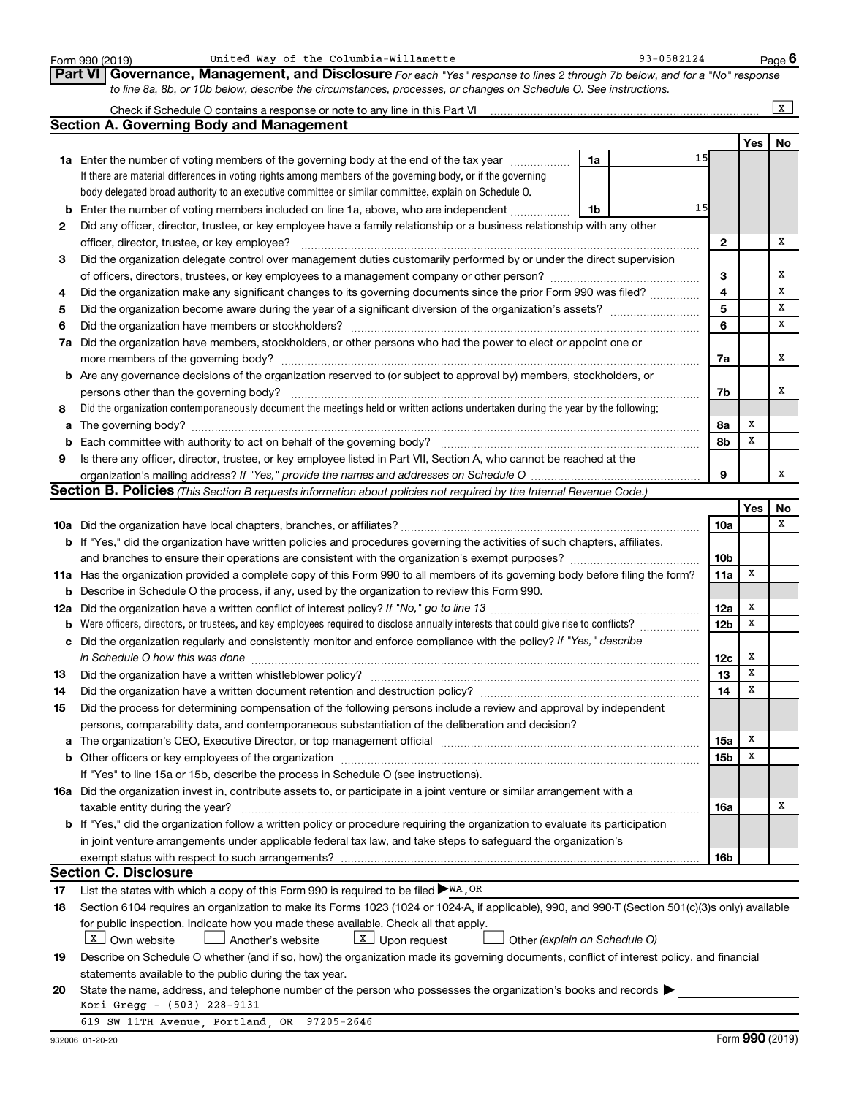|     | United Way of the Columbia-Willamette<br>Form 990 (2019)                                                                                                                                                                       |    | 93-0582124 |                 |             | Page 6       |
|-----|--------------------------------------------------------------------------------------------------------------------------------------------------------------------------------------------------------------------------------|----|------------|-----------------|-------------|--------------|
|     | <b>Part VI</b><br>Governance, Management, and Disclosure For each "Yes" response to lines 2 through 7b below, and for a "No" response                                                                                          |    |            |                 |             |              |
|     | to line 8a, 8b, or 10b below, describe the circumstances, processes, or changes on Schedule O. See instructions.                                                                                                               |    |            |                 |             |              |
|     |                                                                                                                                                                                                                                |    |            |                 |             | $\mathbf{x}$ |
|     | <b>Section A. Governing Body and Management</b>                                                                                                                                                                                |    |            |                 |             |              |
|     |                                                                                                                                                                                                                                |    |            |                 | Yes         | No           |
|     | 1a Enter the number of voting members of the governing body at the end of the tax year                                                                                                                                         | 1a | 15         |                 |             |              |
|     | If there are material differences in voting rights among members of the governing body, or if the governing                                                                                                                    |    |            |                 |             |              |
|     | body delegated broad authority to an executive committee or similar committee, explain on Schedule O.                                                                                                                          |    |            |                 |             |              |
| b   | Enter the number of voting members included on line 1a, above, who are independent                                                                                                                                             | 1b | 15         |                 |             |              |
| 2   | Did any officer, director, trustee, or key employee have a family relationship or a business relationship with any other                                                                                                       |    |            |                 |             |              |
|     | officer, director, trustee, or key employee?                                                                                                                                                                                   |    |            | 2               |             | х            |
|     |                                                                                                                                                                                                                                |    |            |                 |             |              |
| 3   | Did the organization delegate control over management duties customarily performed by or under the direct supervision                                                                                                          |    |            |                 |             | х            |
|     |                                                                                                                                                                                                                                |    |            | З               |             | x            |
| 4   | Did the organization make any significant changes to its governing documents since the prior Form 990 was filed?                                                                                                               |    |            | 4               |             |              |
| 5   |                                                                                                                                                                                                                                |    |            | 5               |             | x            |
| 6   | Did the organization have members or stockholders?                                                                                                                                                                             |    |            | 6               |             | х            |
| 7a  | Did the organization have members, stockholders, or other persons who had the power to elect or appoint one or                                                                                                                 |    |            |                 |             |              |
|     |                                                                                                                                                                                                                                |    |            | 7a              |             | х            |
|     | b Are any governance decisions of the organization reserved to (or subject to approval by) members, stockholders, or                                                                                                           |    |            |                 |             |              |
|     | persons other than the governing body?                                                                                                                                                                                         |    |            | 7b              |             | х            |
| 8   | Did the organization contemporaneously document the meetings held or written actions undertaken during the year by the following:                                                                                              |    |            |                 |             |              |
| a   |                                                                                                                                                                                                                                |    |            | 8а              | X           |              |
| b   | Each committee with authority to act on behalf of the governing body?                                                                                                                                                          |    |            | 8b              | х           |              |
| 9   | Is there any officer, director, trustee, or key employee listed in Part VII, Section A, who cannot be reached at the                                                                                                           |    |            |                 |             |              |
|     |                                                                                                                                                                                                                                |    |            | 9               |             | x            |
|     | <b>Section B. Policies</b> (This Section B requests information about policies not required by the Internal Revenue Code.)                                                                                                     |    |            |                 |             |              |
|     |                                                                                                                                                                                                                                |    |            |                 | Yes         | No           |
|     |                                                                                                                                                                                                                                |    |            | <b>10a</b>      |             | x            |
|     | b If "Yes," did the organization have written policies and procedures governing the activities of such chapters, affiliates,                                                                                                   |    |            |                 |             |              |
|     | and branches to ensure their operations are consistent with the organization's exempt purposes?                                                                                                                                |    |            | 10 <sub>b</sub> |             |              |
|     | 11a Has the organization provided a complete copy of this Form 990 to all members of its governing body before filing the form?                                                                                                |    |            | 11a             | x           |              |
| b   | Describe in Schedule O the process, if any, used by the organization to review this Form 990.                                                                                                                                  |    |            |                 |             |              |
| 12a |                                                                                                                                                                                                                                |    |            | 12a             | х           |              |
| b   | Were officers, directors, or trustees, and key employees required to disclose annually interests that could give rise to conflicts?                                                                                            |    |            | 12 <sub>b</sub> | х           |              |
| с   | Did the organization regularly and consistently monitor and enforce compliance with the policy? If "Yes," describe                                                                                                             |    |            |                 |             |              |
|     |                                                                                                                                                                                                                                |    |            | 12c             | х           |              |
| 13  | Did the organization have a written whistleblower policy?                                                                                                                                                                      |    |            | 13              | $\mathbf X$ |              |
| 14  | Did the organization have a written document retention and destruction policy? [11] manufaction in the organization have a written document retention and destruction policy?                                                  |    |            | 14              | х           |              |
| 15  | Did the process for determining compensation of the following persons include a review and approval by independent                                                                                                             |    |            |                 |             |              |
|     | persons, comparability data, and contemporaneous substantiation of the deliberation and decision?                                                                                                                              |    |            |                 |             |              |
| a   | The organization's CEO, Executive Director, or top management official manufactured content of the organization's CEO, Executive Director, or top management official manufactured content of the state of the state of the st |    |            | 15a             | Х           |              |
| b   |                                                                                                                                                                                                                                |    |            | 15b             | X           |              |
|     | If "Yes" to line 15a or 15b, describe the process in Schedule O (see instructions).                                                                                                                                            |    |            |                 |             |              |
|     | 16a Did the organization invest in, contribute assets to, or participate in a joint venture or similar arrangement with a                                                                                                      |    |            |                 |             |              |
|     | taxable entity during the year?                                                                                                                                                                                                |    |            | 16a             |             | Х            |
|     | b If "Yes," did the organization follow a written policy or procedure requiring the organization to evaluate its participation                                                                                                 |    |            |                 |             |              |
|     | in joint venture arrangements under applicable federal tax law, and take steps to safeguard the organization's                                                                                                                 |    |            |                 |             |              |
|     | exempt status with respect to such arrangements?                                                                                                                                                                               |    |            | 16b             |             |              |
|     | <b>Section C. Disclosure</b>                                                                                                                                                                                                   |    |            |                 |             |              |
| 17  | List the states with which a copy of this Form 990 is required to be filed ▶WA, OR                                                                                                                                             |    |            |                 |             |              |
| 18  | Section 6104 requires an organization to make its Forms 1023 (1024 or 1024-A, if applicable), 990, and 990-T (Section 501(c)(3)s only) available                                                                               |    |            |                 |             |              |
|     | for public inspection. Indicate how you made these available. Check all that apply.                                                                                                                                            |    |            |                 |             |              |
|     | $\boxed{\mathbf{x}}$ Upon request<br>$X$ Own website<br>Another's website<br>Other (explain on Schedule O)                                                                                                                     |    |            |                 |             |              |
| 19  | Describe on Schedule O whether (and if so, how) the organization made its governing documents, conflict of interest policy, and financial                                                                                      |    |            |                 |             |              |
|     | statements available to the public during the tax year.                                                                                                                                                                        |    |            |                 |             |              |
| 20  | State the name, address, and telephone number of the person who possesses the organization's books and records                                                                                                                 |    |            |                 |             |              |
|     | Kori Gregg - (503) 228-9131                                                                                                                                                                                                    |    |            |                 |             |              |
|     | 619 SW 11TH Avenue, Portland, OR 97205-2646                                                                                                                                                                                    |    |            |                 |             |              |
|     |                                                                                                                                                                                                                                |    |            |                 |             |              |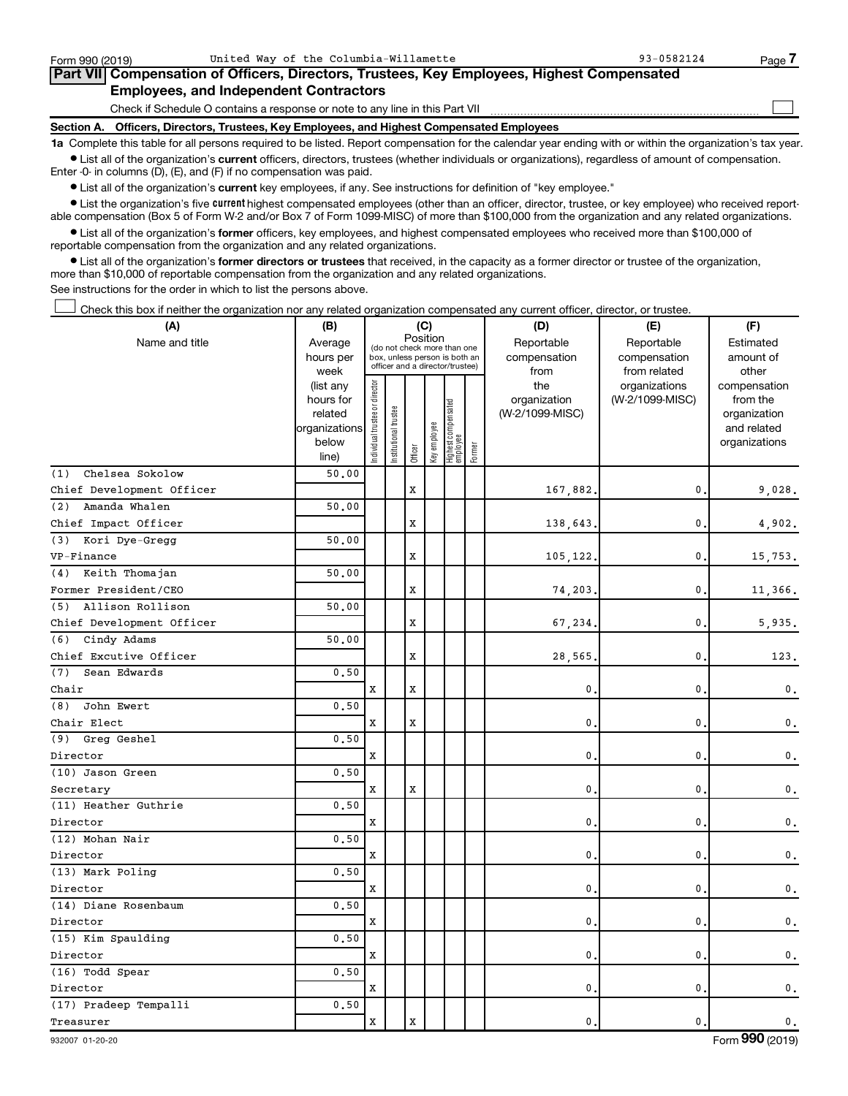| Form 990 (2019) | United Way of the Columbia-Willamette                                                      | 93-0582124 | Page 7 |  |  |  |  |  |
|-----------------|--------------------------------------------------------------------------------------------|------------|--------|--|--|--|--|--|
|                 | Part VII Compensation of Officers, Directors, Trustees, Key Employees, Highest Compensated |            |        |  |  |  |  |  |
|                 | <b>Employees, and Independent Contractors</b>                                              |            |        |  |  |  |  |  |
|                 | Check if Schedule O contains a response or note to any line in this Part VII               |            |        |  |  |  |  |  |
|                 | Section A. Officers, Directors, Trustees, Key Employees, and Highest Compensated Employees |            |        |  |  |  |  |  |
|                 |                                                                                            |            |        |  |  |  |  |  |

**1a**  Complete this table for all persons required to be listed. Report compensation for the calendar year ending with or within the organization's tax year.  $\bullet$  List all of the organization's current officers, directors, trustees (whether individuals or organizations), regardless of amount of compensation.

Enter -0- in columns (D), (E), and (F) if no compensation was paid.

**•** List all of the organization's current key employees, if any. See instructions for definition of "key employee."

• List the organization's five *current* highest compensated employees (other than an officer, director, trustee, or key employee) who received reportable compensation (Box 5 of Form W-2 and/or Box 7 of Form 1099-MISC) of more than \$100,000 from the organization and any related organizations.

 $\bullet$  List all of the organization's former officers, key employees, and highest compensated employees who received more than \$100,000 of reportable compensation from the organization and any related organizations.

**•** List all of the organization's former directors or trustees that received, in the capacity as a former director or trustee of the organization, more than \$10,000 of reportable compensation from the organization and any related organizations.

See instructions for the order in which to list the persons above.

Check this box if neither the organization nor any related organization compensated any current officer, director, or trustee. †

| Position<br>Name and title<br>Average<br>Reportable<br>Reportable<br>Estimated<br>(do not check more than one<br>hours per<br>box, unless person is both an<br>compensation<br>compensation<br>amount of<br>officer and a director/trustee)<br>other<br>week<br>from<br>from related<br>ndividual trustee or director<br>(list any<br>the<br>organizations<br>compensation<br>organization<br>(W-2/1099-MISC)<br>from the<br>hours for<br>Highest compensated<br>employee<br>Institutional trustee<br>(W-2/1099-MISC)<br>related<br>organization<br>Key employee<br>organizations<br>and related<br>below<br>organizations<br>Former<br>Officer<br>line)<br>Chelsea Sokolow<br>50.00<br>X<br>0<br>167,882.<br>9,028.<br>(2)<br>Amanda Whalen<br>50.00<br>X<br>138,643.<br>0<br>4,902.<br>Kori Dye-Gregg<br>50.00<br>X<br>0<br>105,122.<br>15,753.<br>Keith Thomajan<br>50.00<br>X<br>0<br>74,203.<br>11,366.<br>50.00<br>X<br>0<br>5,935.<br>67,234.<br>Cindy Adams<br>50.00<br>X<br>0<br>28,565<br>123.<br>Sean Edwards<br>0.50<br>X<br>X<br>0.<br>0<br>$\mathbf 0$ .<br>John Ewert<br>0.50<br>(8)<br>x<br>х<br>0.<br>0<br>$\mathbf{0}$ .<br>0.50<br>X<br>0.<br>0<br>$\mathbf 0$ .<br>0.50<br>X<br>0.<br>х<br>0<br>0.<br>0.50<br>X<br>0.<br>0<br>0.<br>0.50<br>X<br>0.<br>0<br>0.<br>0.50<br>X<br>0.<br>0<br>$\mathbf 0$ .<br>0.50<br>X<br>0.<br>0<br>0.<br>0.50<br>X<br>0.<br>0<br>$\mathbf 0$ .<br>0.50<br>$\mathbf{0}$ .<br>X<br>0<br>$\mathsf{0}\,.$<br>0.50<br>(17) Pradeep Tempalli<br>X<br>$\mathbf x$<br>0.<br>0<br>0. | (A)                       | (B) |  | (C) |  | (D) | (E) | (F) |
|---------------------------------------------------------------------------------------------------------------------------------------------------------------------------------------------------------------------------------------------------------------------------------------------------------------------------------------------------------------------------------------------------------------------------------------------------------------------------------------------------------------------------------------------------------------------------------------------------------------------------------------------------------------------------------------------------------------------------------------------------------------------------------------------------------------------------------------------------------------------------------------------------------------------------------------------------------------------------------------------------------------------------------------------------------------------------------------------------------------------------------------------------------------------------------------------------------------------------------------------------------------------------------------------------------------------------------------------------------------------------------------------------------------------------------------------------------------------------------------------------------------------------------|---------------------------|-----|--|-----|--|-----|-----|-----|
|                                                                                                                                                                                                                                                                                                                                                                                                                                                                                                                                                                                                                                                                                                                                                                                                                                                                                                                                                                                                                                                                                                                                                                                                                                                                                                                                                                                                                                                                                                                                 |                           |     |  |     |  |     |     |     |
|                                                                                                                                                                                                                                                                                                                                                                                                                                                                                                                                                                                                                                                                                                                                                                                                                                                                                                                                                                                                                                                                                                                                                                                                                                                                                                                                                                                                                                                                                                                                 |                           |     |  |     |  |     |     |     |
|                                                                                                                                                                                                                                                                                                                                                                                                                                                                                                                                                                                                                                                                                                                                                                                                                                                                                                                                                                                                                                                                                                                                                                                                                                                                                                                                                                                                                                                                                                                                 |                           |     |  |     |  |     |     |     |
|                                                                                                                                                                                                                                                                                                                                                                                                                                                                                                                                                                                                                                                                                                                                                                                                                                                                                                                                                                                                                                                                                                                                                                                                                                                                                                                                                                                                                                                                                                                                 |                           |     |  |     |  |     |     |     |
|                                                                                                                                                                                                                                                                                                                                                                                                                                                                                                                                                                                                                                                                                                                                                                                                                                                                                                                                                                                                                                                                                                                                                                                                                                                                                                                                                                                                                                                                                                                                 |                           |     |  |     |  |     |     |     |
|                                                                                                                                                                                                                                                                                                                                                                                                                                                                                                                                                                                                                                                                                                                                                                                                                                                                                                                                                                                                                                                                                                                                                                                                                                                                                                                                                                                                                                                                                                                                 |                           |     |  |     |  |     |     |     |
|                                                                                                                                                                                                                                                                                                                                                                                                                                                                                                                                                                                                                                                                                                                                                                                                                                                                                                                                                                                                                                                                                                                                                                                                                                                                                                                                                                                                                                                                                                                                 |                           |     |  |     |  |     |     |     |
|                                                                                                                                                                                                                                                                                                                                                                                                                                                                                                                                                                                                                                                                                                                                                                                                                                                                                                                                                                                                                                                                                                                                                                                                                                                                                                                                                                                                                                                                                                                                 |                           |     |  |     |  |     |     |     |
|                                                                                                                                                                                                                                                                                                                                                                                                                                                                                                                                                                                                                                                                                                                                                                                                                                                                                                                                                                                                                                                                                                                                                                                                                                                                                                                                                                                                                                                                                                                                 | (1)                       |     |  |     |  |     |     |     |
|                                                                                                                                                                                                                                                                                                                                                                                                                                                                                                                                                                                                                                                                                                                                                                                                                                                                                                                                                                                                                                                                                                                                                                                                                                                                                                                                                                                                                                                                                                                                 | Chief Development Officer |     |  |     |  |     |     |     |
|                                                                                                                                                                                                                                                                                                                                                                                                                                                                                                                                                                                                                                                                                                                                                                                                                                                                                                                                                                                                                                                                                                                                                                                                                                                                                                                                                                                                                                                                                                                                 |                           |     |  |     |  |     |     |     |
|                                                                                                                                                                                                                                                                                                                                                                                                                                                                                                                                                                                                                                                                                                                                                                                                                                                                                                                                                                                                                                                                                                                                                                                                                                                                                                                                                                                                                                                                                                                                 | Chief Impact Officer      |     |  |     |  |     |     |     |
|                                                                                                                                                                                                                                                                                                                                                                                                                                                                                                                                                                                                                                                                                                                                                                                                                                                                                                                                                                                                                                                                                                                                                                                                                                                                                                                                                                                                                                                                                                                                 | (3)                       |     |  |     |  |     |     |     |
|                                                                                                                                                                                                                                                                                                                                                                                                                                                                                                                                                                                                                                                                                                                                                                                                                                                                                                                                                                                                                                                                                                                                                                                                                                                                                                                                                                                                                                                                                                                                 | VP-Finance                |     |  |     |  |     |     |     |
|                                                                                                                                                                                                                                                                                                                                                                                                                                                                                                                                                                                                                                                                                                                                                                                                                                                                                                                                                                                                                                                                                                                                                                                                                                                                                                                                                                                                                                                                                                                                 | (4)                       |     |  |     |  |     |     |     |
|                                                                                                                                                                                                                                                                                                                                                                                                                                                                                                                                                                                                                                                                                                                                                                                                                                                                                                                                                                                                                                                                                                                                                                                                                                                                                                                                                                                                                                                                                                                                 | Former President/CEO      |     |  |     |  |     |     |     |
|                                                                                                                                                                                                                                                                                                                                                                                                                                                                                                                                                                                                                                                                                                                                                                                                                                                                                                                                                                                                                                                                                                                                                                                                                                                                                                                                                                                                                                                                                                                                 | (5) Allison Rollison      |     |  |     |  |     |     |     |
|                                                                                                                                                                                                                                                                                                                                                                                                                                                                                                                                                                                                                                                                                                                                                                                                                                                                                                                                                                                                                                                                                                                                                                                                                                                                                                                                                                                                                                                                                                                                 | Chief Development Officer |     |  |     |  |     |     |     |
|                                                                                                                                                                                                                                                                                                                                                                                                                                                                                                                                                                                                                                                                                                                                                                                                                                                                                                                                                                                                                                                                                                                                                                                                                                                                                                                                                                                                                                                                                                                                 | (6)                       |     |  |     |  |     |     |     |
|                                                                                                                                                                                                                                                                                                                                                                                                                                                                                                                                                                                                                                                                                                                                                                                                                                                                                                                                                                                                                                                                                                                                                                                                                                                                                                                                                                                                                                                                                                                                 | Chief Excutive Officer    |     |  |     |  |     |     |     |
|                                                                                                                                                                                                                                                                                                                                                                                                                                                                                                                                                                                                                                                                                                                                                                                                                                                                                                                                                                                                                                                                                                                                                                                                                                                                                                                                                                                                                                                                                                                                 | (7)                       |     |  |     |  |     |     |     |
|                                                                                                                                                                                                                                                                                                                                                                                                                                                                                                                                                                                                                                                                                                                                                                                                                                                                                                                                                                                                                                                                                                                                                                                                                                                                                                                                                                                                                                                                                                                                 | Chair                     |     |  |     |  |     |     |     |
|                                                                                                                                                                                                                                                                                                                                                                                                                                                                                                                                                                                                                                                                                                                                                                                                                                                                                                                                                                                                                                                                                                                                                                                                                                                                                                                                                                                                                                                                                                                                 |                           |     |  |     |  |     |     |     |
|                                                                                                                                                                                                                                                                                                                                                                                                                                                                                                                                                                                                                                                                                                                                                                                                                                                                                                                                                                                                                                                                                                                                                                                                                                                                                                                                                                                                                                                                                                                                 | Chair Elect               |     |  |     |  |     |     |     |
|                                                                                                                                                                                                                                                                                                                                                                                                                                                                                                                                                                                                                                                                                                                                                                                                                                                                                                                                                                                                                                                                                                                                                                                                                                                                                                                                                                                                                                                                                                                                 | (9) Greg Geshel           |     |  |     |  |     |     |     |
|                                                                                                                                                                                                                                                                                                                                                                                                                                                                                                                                                                                                                                                                                                                                                                                                                                                                                                                                                                                                                                                                                                                                                                                                                                                                                                                                                                                                                                                                                                                                 | Director                  |     |  |     |  |     |     |     |
|                                                                                                                                                                                                                                                                                                                                                                                                                                                                                                                                                                                                                                                                                                                                                                                                                                                                                                                                                                                                                                                                                                                                                                                                                                                                                                                                                                                                                                                                                                                                 | (10) Jason Green          |     |  |     |  |     |     |     |
|                                                                                                                                                                                                                                                                                                                                                                                                                                                                                                                                                                                                                                                                                                                                                                                                                                                                                                                                                                                                                                                                                                                                                                                                                                                                                                                                                                                                                                                                                                                                 | Secretary                 |     |  |     |  |     |     |     |
|                                                                                                                                                                                                                                                                                                                                                                                                                                                                                                                                                                                                                                                                                                                                                                                                                                                                                                                                                                                                                                                                                                                                                                                                                                                                                                                                                                                                                                                                                                                                 | (11) Heather Guthrie      |     |  |     |  |     |     |     |
|                                                                                                                                                                                                                                                                                                                                                                                                                                                                                                                                                                                                                                                                                                                                                                                                                                                                                                                                                                                                                                                                                                                                                                                                                                                                                                                                                                                                                                                                                                                                 | Director                  |     |  |     |  |     |     |     |
|                                                                                                                                                                                                                                                                                                                                                                                                                                                                                                                                                                                                                                                                                                                                                                                                                                                                                                                                                                                                                                                                                                                                                                                                                                                                                                                                                                                                                                                                                                                                 | (12) Mohan Nair           |     |  |     |  |     |     |     |
|                                                                                                                                                                                                                                                                                                                                                                                                                                                                                                                                                                                                                                                                                                                                                                                                                                                                                                                                                                                                                                                                                                                                                                                                                                                                                                                                                                                                                                                                                                                                 | Director                  |     |  |     |  |     |     |     |
|                                                                                                                                                                                                                                                                                                                                                                                                                                                                                                                                                                                                                                                                                                                                                                                                                                                                                                                                                                                                                                                                                                                                                                                                                                                                                                                                                                                                                                                                                                                                 | (13) Mark Poling          |     |  |     |  |     |     |     |
|                                                                                                                                                                                                                                                                                                                                                                                                                                                                                                                                                                                                                                                                                                                                                                                                                                                                                                                                                                                                                                                                                                                                                                                                                                                                                                                                                                                                                                                                                                                                 | Director                  |     |  |     |  |     |     |     |
|                                                                                                                                                                                                                                                                                                                                                                                                                                                                                                                                                                                                                                                                                                                                                                                                                                                                                                                                                                                                                                                                                                                                                                                                                                                                                                                                                                                                                                                                                                                                 | (14) Diane Rosenbaum      |     |  |     |  |     |     |     |
|                                                                                                                                                                                                                                                                                                                                                                                                                                                                                                                                                                                                                                                                                                                                                                                                                                                                                                                                                                                                                                                                                                                                                                                                                                                                                                                                                                                                                                                                                                                                 | Director                  |     |  |     |  |     |     |     |
|                                                                                                                                                                                                                                                                                                                                                                                                                                                                                                                                                                                                                                                                                                                                                                                                                                                                                                                                                                                                                                                                                                                                                                                                                                                                                                                                                                                                                                                                                                                                 | (15) Kim Spaulding        |     |  |     |  |     |     |     |
|                                                                                                                                                                                                                                                                                                                                                                                                                                                                                                                                                                                                                                                                                                                                                                                                                                                                                                                                                                                                                                                                                                                                                                                                                                                                                                                                                                                                                                                                                                                                 | Director                  |     |  |     |  |     |     |     |
|                                                                                                                                                                                                                                                                                                                                                                                                                                                                                                                                                                                                                                                                                                                                                                                                                                                                                                                                                                                                                                                                                                                                                                                                                                                                                                                                                                                                                                                                                                                                 | (16) Todd Spear           |     |  |     |  |     |     |     |
|                                                                                                                                                                                                                                                                                                                                                                                                                                                                                                                                                                                                                                                                                                                                                                                                                                                                                                                                                                                                                                                                                                                                                                                                                                                                                                                                                                                                                                                                                                                                 | Director                  |     |  |     |  |     |     |     |
|                                                                                                                                                                                                                                                                                                                                                                                                                                                                                                                                                                                                                                                                                                                                                                                                                                                                                                                                                                                                                                                                                                                                                                                                                                                                                                                                                                                                                                                                                                                                 |                           |     |  |     |  |     |     |     |
|                                                                                                                                                                                                                                                                                                                                                                                                                                                                                                                                                                                                                                                                                                                                                                                                                                                                                                                                                                                                                                                                                                                                                                                                                                                                                                                                                                                                                                                                                                                                 | Treasurer                 |     |  |     |  |     |     |     |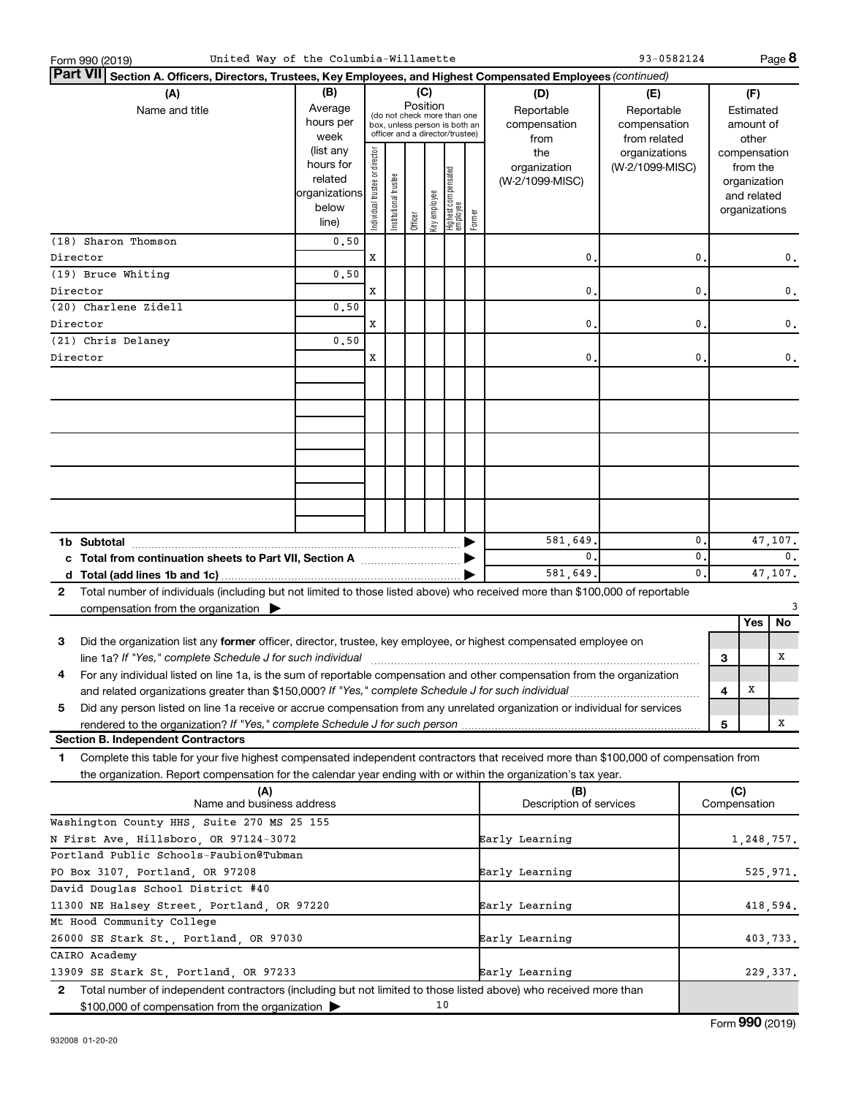| United Way of the Columbia-Willamette<br>Form 990 (2019)                                                                                                                            |                        |                                         |                       |         |              |                                                                  |        |                         | 93-0582124      |                |              |                             | Page 8         |
|-------------------------------------------------------------------------------------------------------------------------------------------------------------------------------------|------------------------|-----------------------------------------|-----------------------|---------|--------------|------------------------------------------------------------------|--------|-------------------------|-----------------|----------------|--------------|-----------------------------|----------------|
| Part VII Section A. Officers, Directors, Trustees, Key Employees, and Highest Compensated Employees (continued)                                                                     |                        |                                         |                       |         |              |                                                                  |        |                         |                 |                |              |                             |                |
| (A)                                                                                                                                                                                 | (B)                    |                                         |                       |         | (C)          |                                                                  |        | (D)                     | (E)             |                |              | (F)                         |                |
| Name and title                                                                                                                                                                      | Average                | Position<br>(do not check more than one |                       |         |              |                                                                  |        | Reportable              | Reportable      |                |              | Estimated                   |                |
|                                                                                                                                                                                     | hours per              |                                         |                       |         |              | box, unless person is both an<br>officer and a director/trustee) |        | compensation            | compensation    |                |              | amount of                   |                |
|                                                                                                                                                                                     | week                   |                                         |                       |         |              |                                                                  |        | from                    | from related    |                |              | other                       |                |
|                                                                                                                                                                                     | (list any<br>hours for |                                         |                       |         |              |                                                                  |        | the                     | organizations   |                |              | compensation                |                |
|                                                                                                                                                                                     | related                |                                         |                       |         |              |                                                                  |        | organization            | (W-2/1099-MISC) |                |              | from the                    |                |
|                                                                                                                                                                                     | organizations          |                                         |                       |         |              |                                                                  |        | (W-2/1099-MISC)         |                 |                |              | organization<br>and related |                |
|                                                                                                                                                                                     | below                  |                                         |                       |         |              |                                                                  |        |                         |                 |                |              | organizations               |                |
|                                                                                                                                                                                     | line)                  | Individual trustee or director          | Institutional trustee | Officer | Key employee | Highest compensated<br>  employee                                | Former |                         |                 |                |              |                             |                |
| (18) Sharon Thomson                                                                                                                                                                 | 0.50                   |                                         |                       |         |              |                                                                  |        |                         |                 |                |              |                             |                |
| Director                                                                                                                                                                            |                        | X                                       |                       |         |              |                                                                  |        | 0.                      |                 | 0.             |              |                             | 0.             |
| (19) Bruce Whiting                                                                                                                                                                  | 0.50                   |                                         |                       |         |              |                                                                  |        |                         |                 |                |              |                             |                |
| Director                                                                                                                                                                            |                        | х                                       |                       |         |              |                                                                  |        | 0.                      |                 | $\mathbf{0}$ . |              |                             | 0.             |
| (20) Charlene Zidell                                                                                                                                                                | 0.50                   |                                         |                       |         |              |                                                                  |        |                         |                 |                |              |                             |                |
| Director                                                                                                                                                                            |                        | х                                       |                       |         |              |                                                                  |        | 0.                      |                 | $\mathbf{0}$ . |              |                             | $\mathbf 0$ .  |
| (21) Chris Delaney                                                                                                                                                                  | 0.50                   |                                         |                       |         |              |                                                                  |        |                         |                 |                |              |                             |                |
| Director                                                                                                                                                                            |                        | X                                       |                       |         |              |                                                                  |        | 0.                      |                 | 0.             |              |                             | $\mathbf 0$ .  |
|                                                                                                                                                                                     |                        |                                         |                       |         |              |                                                                  |        |                         |                 |                |              |                             |                |
|                                                                                                                                                                                     |                        |                                         |                       |         |              |                                                                  |        |                         |                 |                |              |                             |                |
|                                                                                                                                                                                     |                        |                                         |                       |         |              |                                                                  |        |                         |                 |                |              |                             |                |
|                                                                                                                                                                                     |                        |                                         |                       |         |              |                                                                  |        |                         |                 |                |              |                             |                |
|                                                                                                                                                                                     |                        |                                         |                       |         |              |                                                                  |        |                         |                 |                |              |                             |                |
|                                                                                                                                                                                     |                        |                                         |                       |         |              |                                                                  |        |                         |                 |                |              |                             |                |
|                                                                                                                                                                                     |                        |                                         |                       |         |              |                                                                  |        |                         |                 |                |              |                             |                |
|                                                                                                                                                                                     |                        |                                         |                       |         |              |                                                                  |        |                         |                 |                |              |                             |                |
|                                                                                                                                                                                     |                        |                                         |                       |         |              |                                                                  |        |                         |                 |                |              |                             |                |
|                                                                                                                                                                                     |                        |                                         |                       |         |              |                                                                  |        | 581,649.                |                 | $\mathbf{0}$ . |              |                             | 47,107.        |
| c Total from continuation sheets to Part VII, Section A manufactured by                                                                                                             |                        |                                         |                       |         |              |                                                                  |        | $\mathbf{0}$ .          |                 | $\mathbf{0}$ . |              |                             | $\mathbf{0}$ . |
|                                                                                                                                                                                     |                        |                                         |                       |         |              |                                                                  |        | 581,649.                |                 | $\mathbf{0}$ . |              |                             | 47,107.        |
| Total number of individuals (including but not limited to those listed above) who received more than \$100,000 of reportable<br>$\mathbf{2}$                                        |                        |                                         |                       |         |              |                                                                  |        |                         |                 |                |              |                             |                |
| compensation from the organization $\blacktriangleright$                                                                                                                            |                        |                                         |                       |         |              |                                                                  |        |                         |                 |                |              |                             |                |
|                                                                                                                                                                                     |                        |                                         |                       |         |              |                                                                  |        |                         |                 |                |              | <b>Yes</b>                  | No.            |
| Did the organization list any former officer, director, trustee, key employee, or highest compensated employee on<br>3                                                              |                        |                                         |                       |         |              |                                                                  |        |                         |                 |                |              |                             |                |
| line 1a? If "Yes," complete Schedule J for such individual [11] manufacture manufacture 1a? If "Yes," complete Schedule J for such individual                                       |                        |                                         |                       |         |              |                                                                  |        |                         |                 |                | 3            |                             | x              |
| For any individual listed on line 1a, is the sum of reportable compensation and other compensation from the organization                                                            |                        |                                         |                       |         |              |                                                                  |        |                         |                 |                |              |                             |                |
| and related organizations greater than \$150,000? If "Yes," complete Schedule J for such individual                                                                                 |                        |                                         |                       |         |              |                                                                  |        |                         |                 |                | 4            | х                           |                |
| Did any person listed on line 1a receive or accrue compensation from any unrelated organization or individual for services<br>5                                                     |                        |                                         |                       |         |              |                                                                  |        |                         |                 |                |              |                             |                |
| rendered to the organization? If "Yes," complete Schedule J for such person<br><b>Section B. Independent Contractors</b>                                                            |                        |                                         |                       |         |              |                                                                  |        |                         |                 |                | 5            |                             | x              |
| Complete this table for your five highest compensated independent contractors that received more than \$100,000 of compensation from<br>1.                                          |                        |                                         |                       |         |              |                                                                  |        |                         |                 |                |              |                             |                |
| the organization. Report compensation for the calendar year ending with or within the organization's tax year.                                                                      |                        |                                         |                       |         |              |                                                                  |        |                         |                 |                |              |                             |                |
| (A)                                                                                                                                                                                 |                        |                                         |                       |         |              |                                                                  |        | (B)                     |                 |                | (C)          |                             |                |
| Name and business address                                                                                                                                                           |                        |                                         |                       |         |              |                                                                  |        | Description of services |                 |                | Compensation |                             |                |
| Washington County HHS, Suite 270 MS 25 155                                                                                                                                          |                        |                                         |                       |         |              |                                                                  |        |                         |                 |                |              |                             |                |
| N First Ave, Hillsboro, OR 97124-3072                                                                                                                                               |                        |                                         |                       |         |              |                                                                  |        | Early Learning          |                 |                |              |                             | 1,248,757.     |
| Portland Public Schools-Faubion@Tubman                                                                                                                                              |                        |                                         |                       |         |              |                                                                  |        |                         |                 |                |              |                             |                |
| PO Box 3107, Portland, OR 97208                                                                                                                                                     |                        |                                         |                       |         |              |                                                                  |        | Early Learning          |                 |                |              |                             | 525,971.       |
| David Douglas School District #40                                                                                                                                                   |                        |                                         |                       |         |              |                                                                  |        |                         |                 |                |              |                             |                |
| 11300 NE Halsey Street, Portland, OR 97220                                                                                                                                          |                        |                                         |                       |         |              |                                                                  |        | Early Learning          |                 |                |              |                             | 418,594.       |
| Mt Hood Community College                                                                                                                                                           |                        |                                         |                       |         |              |                                                                  |        |                         |                 |                |              |                             |                |
| 26000 SE Stark St., Portland, OR 97030                                                                                                                                              |                        |                                         |                       |         |              |                                                                  |        | Early Learning          |                 |                |              |                             | 403,733.       |
| CAIRO Academy                                                                                                                                                                       |                        |                                         |                       |         |              |                                                                  |        |                         |                 |                |              |                             |                |
| 13909 SE Stark St, Portland, OR 97233                                                                                                                                               |                        |                                         |                       |         |              |                                                                  |        | Early Learning          |                 |                |              |                             | 229,337.       |
| Total number of independent contractors (including but not limited to those listed above) who received more than<br>$\mathbf{2}$<br>\$100,000 of compensation from the organization |                        |                                         |                       |         | 10           |                                                                  |        |                         |                 |                |              |                             |                |
|                                                                                                                                                                                     |                        |                                         |                       |         |              |                                                                  |        |                         |                 |                |              |                             |                |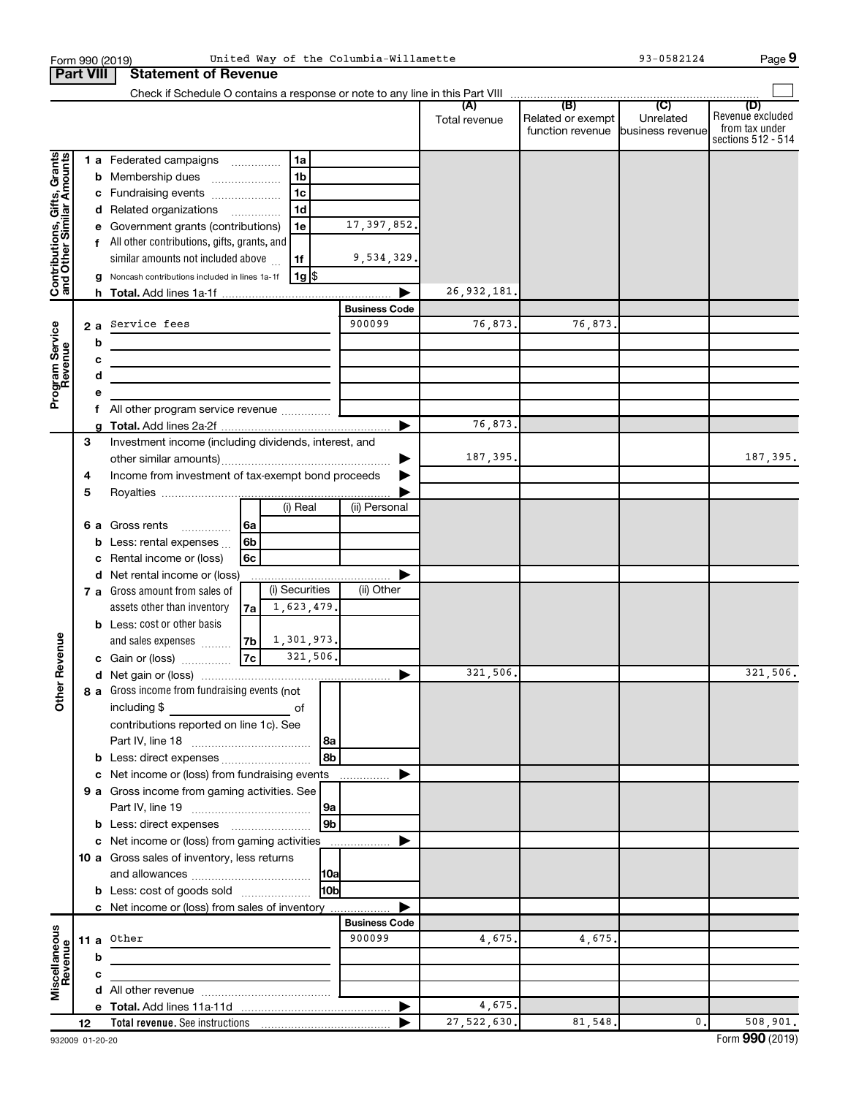|                                                           |                  |        | Form 990 (2019)                                                               |                          |                |                      | United Way of the Columbia-Willamette |                                    |                                                                | 93-0582124       | Page 9                                                          |
|-----------------------------------------------------------|------------------|--------|-------------------------------------------------------------------------------|--------------------------|----------------|----------------------|---------------------------------------|------------------------------------|----------------------------------------------------------------|------------------|-----------------------------------------------------------------|
|                                                           | <b>Part VIII</b> |        | <b>Statement of Revenue</b>                                                   |                          |                |                      |                                       |                                    |                                                                |                  |                                                                 |
|                                                           |                  |        | Check if Schedule O contains a response or note to any line in this Part VIII |                          |                |                      |                                       |                                    |                                                                |                  |                                                                 |
|                                                           |                  |        |                                                                               |                          |                |                      |                                       | (A)<br>Total revenue               | (B)<br>Related or exempt<br>function revenue business revenuel | (C)<br>Unrelated | (D)<br>Revenue excluded<br>from tax under<br>sections 512 - 514 |
|                                                           |                  |        | <b>1 a</b> Federated campaigns                                                |                          | 1a             |                      |                                       |                                    |                                                                |                  |                                                                 |
|                                                           |                  |        | <b>b</b> Membership dues                                                      |                          | 1 <sub>b</sub> |                      |                                       |                                    |                                                                |                  |                                                                 |
|                                                           |                  |        | c Fundraising events                                                          |                          | 1 <sub>c</sub> |                      |                                       |                                    |                                                                |                  |                                                                 |
|                                                           |                  |        | d Related organizations                                                       | $\overline{\phantom{a}}$ | 1 <sub>d</sub> |                      |                                       |                                    |                                                                |                  |                                                                 |
| Contributions, Gifts, Grants<br>and Other Similar Amounts |                  |        | e Government grants (contributions)                                           |                          | 1e             |                      | 17, 397, 852.                         |                                    |                                                                |                  |                                                                 |
|                                                           |                  |        | f All other contributions, gifts, grants, and                                 |                          |                |                      |                                       |                                    |                                                                |                  |                                                                 |
|                                                           |                  |        | similar amounts not included above                                            |                          | 1f             |                      | 9,534,329.                            |                                    |                                                                |                  |                                                                 |
|                                                           |                  | g      | Noncash contributions included in lines 1a-1f                                 |                          | 1g  \$         |                      |                                       |                                    |                                                                |                  |                                                                 |
|                                                           |                  |        |                                                                               |                          |                |                      |                                       | 26, 932, 181.                      |                                                                |                  |                                                                 |
|                                                           |                  |        |                                                                               |                          |                |                      | <b>Business Code</b>                  |                                    |                                                                |                  |                                                                 |
|                                                           | 2a               |        | Service fees                                                                  |                          |                |                      | 900099                                | 76,873.                            | 76,873.                                                        |                  |                                                                 |
|                                                           |                  | b      |                                                                               |                          |                |                      |                                       |                                    |                                                                |                  |                                                                 |
|                                                           |                  | с<br>d |                                                                               |                          |                |                      |                                       |                                    |                                                                |                  |                                                                 |
| Program Service<br>Revenue                                |                  | е      |                                                                               |                          |                |                      |                                       |                                    |                                                                |                  |                                                                 |
|                                                           |                  |        |                                                                               |                          |                |                      |                                       |                                    |                                                                |                  |                                                                 |
|                                                           |                  |        |                                                                               |                          |                |                      |                                       | 76,873.                            |                                                                |                  |                                                                 |
|                                                           | 3                |        | Investment income (including dividends, interest, and                         |                          |                |                      |                                       |                                    |                                                                |                  |                                                                 |
|                                                           |                  |        |                                                                               |                          |                |                      |                                       | 187,395.                           |                                                                |                  | 187,395.                                                        |
|                                                           | 4                |        | Income from investment of tax-exempt bond proceeds                            |                          |                |                      |                                       |                                    |                                                                |                  |                                                                 |
|                                                           | 5                |        |                                                                               |                          |                |                      |                                       |                                    |                                                                |                  |                                                                 |
|                                                           |                  |        |                                                                               |                          | (i) Real       |                      | (ii) Personal                         |                                    |                                                                |                  |                                                                 |
|                                                           |                  |        | 6 a Gross rents<br>.                                                          | 6a                       |                |                      |                                       |                                    |                                                                |                  |                                                                 |
|                                                           |                  | b      | Less: rental expenses                                                         | 6 <sub>b</sub>           |                |                      |                                       |                                    |                                                                |                  |                                                                 |
|                                                           |                  |        | Rental income or (loss)                                                       | <b>6c</b>                |                |                      |                                       |                                    |                                                                |                  |                                                                 |
|                                                           |                  |        | d Net rental income or (loss)<br>7 a Gross amount from sales of               |                          | (i) Securities |                      | (ii) Other                            |                                    |                                                                |                  |                                                                 |
|                                                           |                  |        | assets other than inventory                                                   | 7a                       | 1,623,479.     |                      |                                       |                                    |                                                                |                  |                                                                 |
|                                                           |                  |        | <b>b</b> Less: cost or other basis                                            |                          |                |                      |                                       |                                    |                                                                |                  |                                                                 |
|                                                           |                  |        | and sales expenses                                                            | <b>7b</b>                | 1,301,973.     |                      |                                       |                                    |                                                                |                  |                                                                 |
| evenue                                                    |                  |        | c Gain or (loss)                                                              | 7c                       | 321,506.       |                      |                                       |                                    |                                                                |                  |                                                                 |
| œ                                                         |                  |        |                                                                               |                          |                |                      |                                       | 321,506.                           |                                                                |                  | 321,506.                                                        |
| Other                                                     |                  |        | 8 a Gross income from fundraising events (not                                 |                          |                |                      |                                       |                                    |                                                                |                  |                                                                 |
|                                                           |                  |        | including \$                                                                  |                          | of             |                      |                                       |                                    |                                                                |                  |                                                                 |
|                                                           |                  |        | contributions reported on line 1c). See                                       |                          |                |                      |                                       |                                    |                                                                |                  |                                                                 |
|                                                           |                  |        |                                                                               |                          |                | l 8a                 |                                       |                                    |                                                                |                  |                                                                 |
|                                                           |                  |        |                                                                               |                          |                | 8b                   |                                       |                                    |                                                                |                  |                                                                 |
|                                                           |                  |        | c Net income or (loss) from fundraising events                                |                          |                |                      |                                       |                                    |                                                                |                  |                                                                 |
|                                                           |                  |        | 9 a Gross income from gaming activities. See                                  |                          |                |                      |                                       |                                    |                                                                |                  |                                                                 |
|                                                           |                  |        |                                                                               |                          |                | 9a<br>9 <sub>b</sub> |                                       |                                    |                                                                |                  |                                                                 |
|                                                           |                  |        | c Net income or (loss) from gaming activities                                 |                          |                |                      |                                       |                                    |                                                                |                  |                                                                 |
|                                                           |                  |        | 10 a Gross sales of inventory, less returns                                   |                          |                |                      |                                       |                                    |                                                                |                  |                                                                 |
|                                                           |                  |        |                                                                               |                          |                |                      |                                       |                                    |                                                                |                  |                                                                 |
|                                                           |                  |        | <b>b</b> Less: cost of goods sold                                             |                          |                | H <sub>0b</sub>      |                                       |                                    |                                                                |                  |                                                                 |
|                                                           |                  |        | c Net income or (loss) from sales of inventory                                |                          |                |                      |                                       |                                    |                                                                |                  |                                                                 |
|                                                           |                  |        |                                                                               |                          |                |                      | <b>Business Code</b>                  |                                    |                                                                |                  |                                                                 |
| Miscellaneous<br>Revenue                                  |                  |        | 11 a Other                                                                    |                          |                |                      | 900099                                | 4,675.                             | 4,675.                                                         |                  |                                                                 |
|                                                           |                  | b      |                                                                               |                          |                |                      |                                       |                                    |                                                                |                  |                                                                 |
|                                                           |                  | с      |                                                                               |                          |                |                      |                                       |                                    |                                                                |                  |                                                                 |
|                                                           |                  |        |                                                                               |                          |                |                      |                                       |                                    |                                                                |                  |                                                                 |
|                                                           |                  |        |                                                                               |                          |                |                      |                                       | 4,675.<br>$\overline{27,522,630.}$ |                                                                |                  | 508,901.                                                        |
|                                                           | 12               |        |                                                                               |                          |                |                      |                                       |                                    | 81,548.                                                        | $\mathbf{0}$ .   |                                                                 |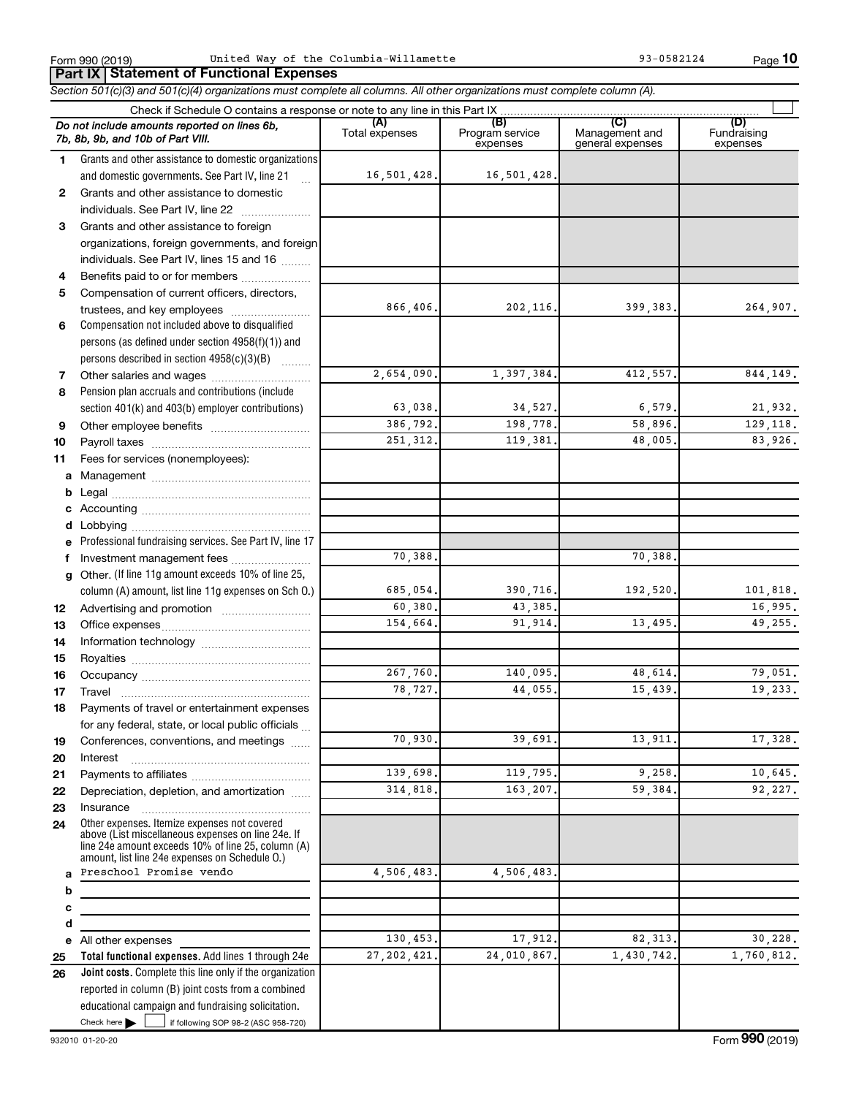**Part IX Statement of Functional Expenses**

**10**

**Total functional expenses.**  Add lines 1 through 24e **Joint costs.** Complete this line only if the organization **(A) (B) (C) (D)** Fundraising **1 2 3** Grants and other assistance to foreign **4 5 6 7 8 9 10 11 a** Management ~~~~~~~~~~~~~~~~ **b c d e f g 12 13 14 15 16 17 18 19 20 21 22 23 24 a b c d e 25 26** *Section 501(c)(3) and 501(c)(4) organizations must complete all columns. All other organizations must complete column (A).* Grants and other assistance to domestic organizations and domestic governments. See Part IV, line 21 Compensation not included above to disqualified persons (as defined under section 4958(f)(1)) and persons described in section  $4958(c)(3)(B)$   $\ldots$ Pension plan accruals and contributions (include section 401(k) and 403(b) employer contributions) Professional fundraising services. See Part IV, line 17 Other. (If line 11g amount exceeds 10% of line 25, column (A) amount, list line 11g expenses on Sch O.) Other expenses. Itemize expenses not covered above (List miscellaneous expenses on line 24e. If line 24e amount exceeds 10% of line 25, column (A) amount, list line 24e expenses on Schedule O.) reported in column (B) joint costs from a combined educational campaign and fundraising solicitation. Check if Schedule O contains a response or note to any line in this Part IX Total expenses Program service expenses Management and general expenses expenses .<br>... Grants and other assistance to domestic  $individuals. See Part IV, line 22$  ............. organizations, foreign governments, and foreign individuals. See Part IV, lines 15 and 16  $\ldots$ Benefits paid to or for members ................... Compensation of current officers, directors, trustees, and key employees ......................... Other salaries and wages ~~~~~~~~~~ Other employee benefits ~~~~~~~~~~ Payroll taxes ~~~~~~~~~~~~~~~~ Fees for services (nonemployees): Legal ~~~~~~~~~~~~~~~~~~~~ Accounting ~~~~~~~~~~~~~~~~~ Lobbying ~~~~~~~~~~~~~~~~~~ Investment management fees ....................... Advertising and promotion ........................... Office expenses ~~~~~~~~~~~~~~~ Information technology ~~~~~~~~~~~ Royalties ~~~~~~~~~~~~~~~~~~ Occupancy ~~~~~~~~~~~~~~~~~ Travel ………………………………………………………… Payments of travel or entertainment expenses for any federal, state, or local public officials ... Conferences, conventions, and meetings Interest ~~~~~~~~~~~~~~~~~~ Payments to affiliates ~~~~~~~~~~~~ Depreciation, depletion, and amortization ...... Insurance ~~~~~~~~~~~~~~~~~ All other expenses *Do not include amounts reported on lines 6b, 7b, 8b, 9b, and 10b of Part VIII.*  $\Box$ 16,501,428. 16,501,428. 866,406. 202,116. 399,383. 264,907. 2,654,090. 1,397,384. 412,557. 844,149. 63,038. 34,527. 6,579. 21,932. 386,792. 198,778. 58,896. 129,118. 251,312. 119,381. 48,005. 83,926. 70,388. 70,388. 685,054. 390,716. 192,520. 101,818. 60,380. 43,385. 43,385. 16,995. 154,664. 91,914. 13,495. 49,255. 267,760. 140,095. 48,614. 79,051. 78,727. 44,055. 15,439. 19,233. 70,930. 39,691. 13,911. 17,328. 139,698. 119,795. 9,258. 10,645. 314,818. 163,207. 59,384. 92,227. Preschool Promise vendo 4,506,483. 4,506,483. 130,453. 17,912. 82,313. 30,228. 27,202,421. 24,010,867. 1,430,742. 1,760,812.

 $\blacktriangleright$   $\Box$ 

 $\overline{\phantom{0}}$  if following SOP 98-2 (ASC 958-720)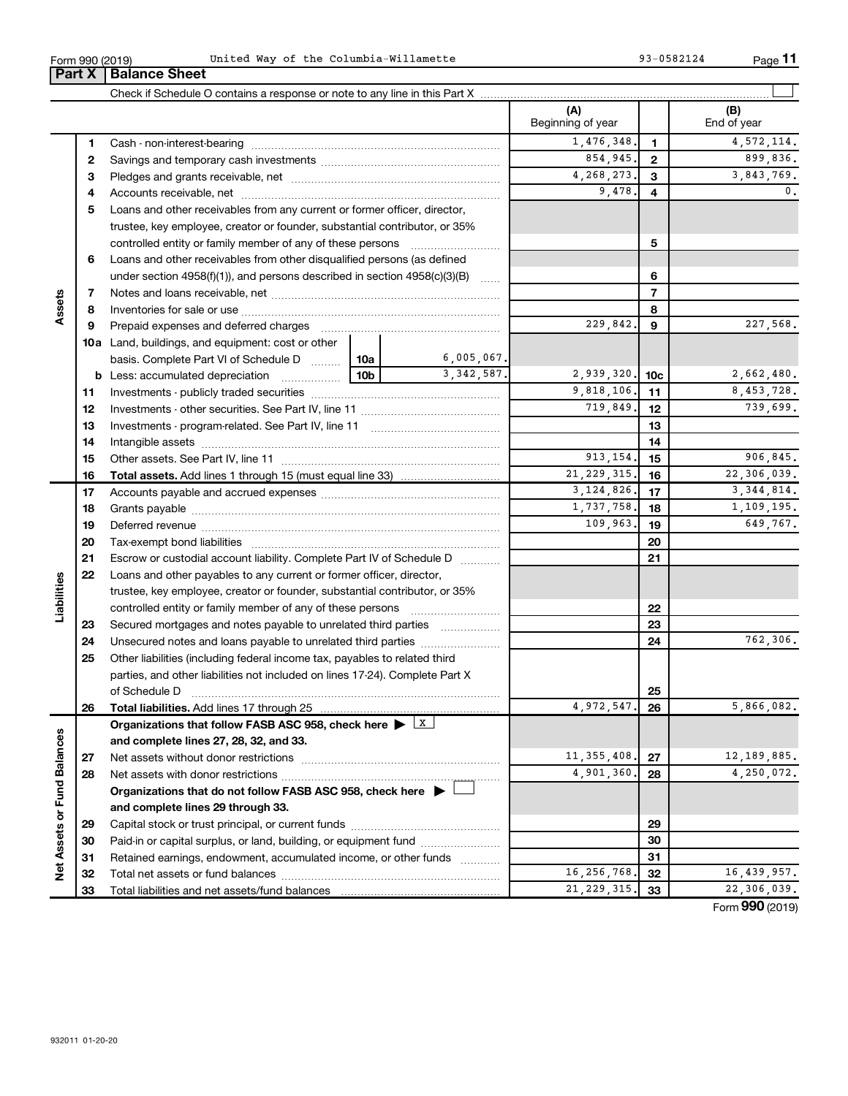| Form 990 (2019) |                               |  |  | United Way of the Columbia-Willamette |
|-----------------|-------------------------------|--|--|---------------------------------------|
|                 | <b>Part X   Balance Sheet</b> |  |  |                                       |

|                             |    |                                                                                                                                                                                                                                |                 |                | (A)<br>Beginning of year |                 | (B)<br>End of year |
|-----------------------------|----|--------------------------------------------------------------------------------------------------------------------------------------------------------------------------------------------------------------------------------|-----------------|----------------|--------------------------|-----------------|--------------------|
|                             | 1  |                                                                                                                                                                                                                                |                 |                | 1,476,348.               | $\mathbf{1}$    | 4, 572, 114.       |
|                             | 2  |                                                                                                                                                                                                                                | 854,945.        | $\overline{2}$ | 899,836.                 |                 |                    |
|                             | 3  |                                                                                                                                                                                                                                | 4, 268, 273.    | 3              | 3,843,769.               |                 |                    |
|                             | 4  |                                                                                                                                                                                                                                |                 |                | 9,478.                   | 4               | 0.                 |
|                             | 5  | Loans and other receivables from any current or former officer, director,                                                                                                                                                      |                 |                |                          |                 |                    |
|                             |    | trustee, key employee, creator or founder, substantial contributor, or 35%                                                                                                                                                     |                 |                |                          |                 |                    |
|                             |    | controlled entity or family member of any of these persons                                                                                                                                                                     |                 |                |                          | 5               |                    |
|                             | 6  | Loans and other receivables from other disqualified persons (as defined                                                                                                                                                        |                 |                |                          |                 |                    |
|                             |    | under section $4958(f)(1)$ , and persons described in section $4958(c)(3)(B)$                                                                                                                                                  |                 |                |                          | 6               |                    |
|                             | 7  |                                                                                                                                                                                                                                |                 |                |                          | $\overline{7}$  |                    |
| Assets                      | 8  |                                                                                                                                                                                                                                |                 |                |                          | 8               |                    |
|                             | 9  |                                                                                                                                                                                                                                |                 |                | 229,842.                 | 9               | 227,568.           |
|                             |    | 10a Land, buildings, and equipment: cost or other                                                                                                                                                                              |                 |                |                          |                 |                    |
|                             |    | basis. Complete Part VI of Schedule D  10a                                                                                                                                                                                     |                 | 6,005,067.     |                          |                 |                    |
|                             |    | <b>b</b> Less: accumulated depreciation <i></i>                                                                                                                                                                                | 10 <sub>b</sub> | 3, 342, 587.   | 2,939,320.               | 10 <sub>c</sub> | 2,662,480.         |
|                             | 11 |                                                                                                                                                                                                                                | 9,818,106.      | 11             | 8,453,728.               |                 |                    |
|                             | 12 |                                                                                                                                                                                                                                |                 |                | 719,849.                 | 12              | 739,699.           |
|                             | 13 |                                                                                                                                                                                                                                |                 |                |                          | 13              |                    |
|                             | 14 |                                                                                                                                                                                                                                |                 | 14             |                          |                 |                    |
|                             | 15 |                                                                                                                                                                                                                                | 913, 154.       | 15             | 906,845.                 |                 |                    |
|                             | 16 |                                                                                                                                                                                                                                | 21, 229, 315.   | 16             | 22,306,039.              |                 |                    |
|                             | 17 |                                                                                                                                                                                                                                | 3, 124, 826.    | 17             | 3, 344, 814.             |                 |                    |
|                             | 18 |                                                                                                                                                                                                                                | 1,737,758.      | 18             | 1,109,195.               |                 |                    |
|                             | 19 | Deferred revenue manual contracts and contracts are contracted and contract and contract are contracted and contract are contracted and contract are contracted and contract are contracted and contract are contracted and co | 109,963.        | 19             | 649,767.                 |                 |                    |
|                             | 20 |                                                                                                                                                                                                                                |                 |                |                          | 20              |                    |
|                             | 21 | Escrow or custodial account liability. Complete Part IV of Schedule D                                                                                                                                                          |                 |                |                          | 21              |                    |
|                             | 22 | Loans and other payables to any current or former officer, director,                                                                                                                                                           |                 |                |                          |                 |                    |
| Liabilities                 |    | trustee, key employee, creator or founder, substantial contributor, or 35%                                                                                                                                                     |                 |                |                          |                 |                    |
|                             |    | controlled entity or family member of any of these persons                                                                                                                                                                     |                 |                |                          | 22              |                    |
|                             | 23 | Secured mortgages and notes payable to unrelated third parties                                                                                                                                                                 |                 |                |                          | 23              |                    |
|                             | 24 | Unsecured notes and loans payable to unrelated third parties                                                                                                                                                                   |                 |                |                          | 24              | 762,306.           |
|                             | 25 | Other liabilities (including federal income tax, payables to related third                                                                                                                                                     |                 |                |                          |                 |                    |
|                             |    | parties, and other liabilities not included on lines 17-24). Complete Part X                                                                                                                                                   |                 |                |                          |                 |                    |
|                             |    | of Schedule D                                                                                                                                                                                                                  |                 |                |                          | 25              |                    |
|                             | 26 | Total liabilities. Add lines 17 through 25                                                                                                                                                                                     |                 |                | 4,972,547.               | 26              | 5,866,082.         |
|                             |    | Organizations that follow FASB ASC 958, check here $\blacktriangleright \lfloor x \rfloor$                                                                                                                                     |                 |                |                          |                 |                    |
|                             |    | and complete lines 27, 28, 32, and 33.                                                                                                                                                                                         |                 |                |                          |                 |                    |
|                             | 27 |                                                                                                                                                                                                                                |                 |                | 11, 355, 408.            | 27              | 12,189,885.        |
|                             | 28 |                                                                                                                                                                                                                                |                 |                | 4,901,360.               | 28              | 4,250,072.         |
|                             |    | Organizations that do not follow FASB ASC 958, check here $\blacktriangleright$                                                                                                                                                |                 |                |                          |                 |                    |
| Net Assets or Fund Balances |    | and complete lines 29 through 33.                                                                                                                                                                                              |                 |                |                          |                 |                    |
|                             | 29 |                                                                                                                                                                                                                                |                 |                |                          | 29              |                    |
|                             | 30 | Paid-in or capital surplus, or land, building, or equipment fund                                                                                                                                                               |                 |                |                          | 30              |                    |
|                             | 31 | Retained earnings, endowment, accumulated income, or other funds                                                                                                                                                               |                 |                | 31                       |                 |                    |
|                             | 32 |                                                                                                                                                                                                                                |                 |                | 16, 256, 768.            | 32              | 16,439,957.        |
|                             | 33 |                                                                                                                                                                                                                                | 21, 229, 315.   | 33             | 22,306,039.              |                 |                    |

Form (2019) **990**

**11**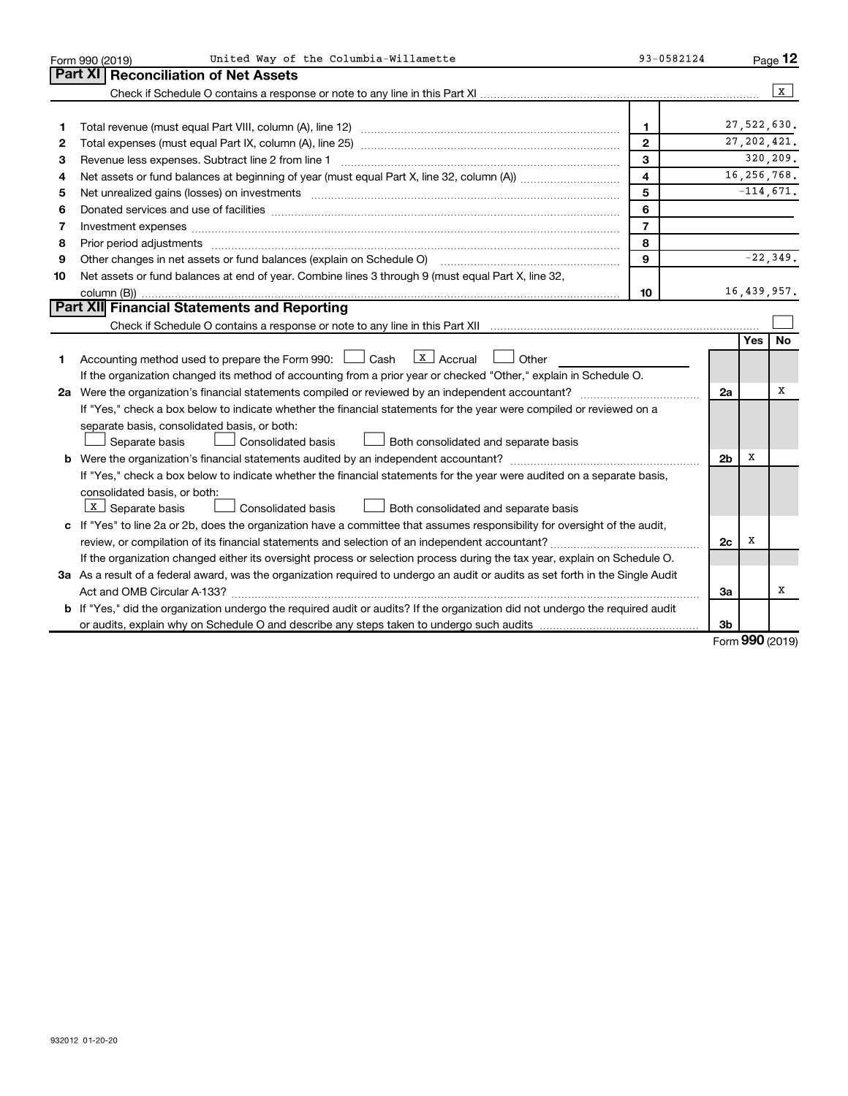|    | United Way of the Columbia-Willamette<br>Form 990 (2019)                                                                                                                                                                       | 93-0582124     |                |     | Page 12       |
|----|--------------------------------------------------------------------------------------------------------------------------------------------------------------------------------------------------------------------------------|----------------|----------------|-----|---------------|
|    | Part XI<br><b>Reconciliation of Net Assets</b>                                                                                                                                                                                 |                |                |     |               |
|    |                                                                                                                                                                                                                                |                |                |     | x             |
|    |                                                                                                                                                                                                                                |                |                |     |               |
| 1  |                                                                                                                                                                                                                                | 1              |                |     | 27,522,630.   |
| 2  |                                                                                                                                                                                                                                | $\overline{2}$ |                |     | 27, 202, 421. |
| 3  | Revenue less expenses. Subtract line 2 from line 1                                                                                                                                                                             | 3              |                |     | 320,209.      |
| 4  |                                                                                                                                                                                                                                | $\overline{4}$ |                |     | 16, 256, 768. |
| 5  | Net unrealized gains (losses) on investments [11] matter in the contract of the state of the state of the state of the state of the state of the state of the state of the state of the state of the state of the state of the | 5              |                |     | $-114,671.$   |
| 6  |                                                                                                                                                                                                                                | 6              |                |     |               |
| 7  | Investment expenses [[11] has a series and a series of the series of the series and series and series and series and series and series and series and series and series and series and series and series and series and series | $\overline{7}$ |                |     |               |
| 8  | Prior period adjustments www.communication.communication.communication.com/news-managements                                                                                                                                    | 8              |                |     |               |
| 9  | Other changes in net assets or fund balances (explain on Schedule O) manufactured control of the changes in net assets or fund balances (explain on Schedule O)                                                                | 9              |                |     | $-22,349.$    |
| 10 | Net assets or fund balances at end of year. Combine lines 3 through 9 (must equal Part X, line 32,                                                                                                                             |                |                |     |               |
|    |                                                                                                                                                                                                                                | 10             |                |     | 16,439,957.   |
|    | Part XII Financial Statements and Reporting                                                                                                                                                                                    |                |                |     |               |
|    |                                                                                                                                                                                                                                |                |                |     |               |
|    |                                                                                                                                                                                                                                |                |                | Yes | No            |
| 1. | $\lfloor x \rfloor$ Accrual<br>Accounting method used to prepare the Form 990: $\Box$ Cash<br>    Other                                                                                                                        |                |                |     |               |
|    | If the organization changed its method of accounting from a prior year or checked "Other," explain in Schedule O.                                                                                                              |                |                |     |               |
|    |                                                                                                                                                                                                                                |                | 2a             |     | x             |
|    | If "Yes," check a box below to indicate whether the financial statements for the year were compiled or reviewed on a                                                                                                           |                |                |     |               |
|    | separate basis, consolidated basis, or both:                                                                                                                                                                                   |                |                |     |               |
|    | Separate basis<br><b>Consolidated basis</b><br>Both consolidated and separate basis                                                                                                                                            |                |                |     |               |
|    | <b>b</b> Were the organization's financial statements audited by an independent accountant?                                                                                                                                    |                | 2 <sub>b</sub> | х   |               |
|    | If "Yes," check a box below to indicate whether the financial statements for the year were audited on a separate basis,                                                                                                        |                |                |     |               |
|    | consolidated basis, or both:                                                                                                                                                                                                   |                |                |     |               |
|    | $X$ Separate basis<br>Consolidated basis<br>Both consolidated and separate basis                                                                                                                                               |                |                |     |               |
|    | c If "Yes" to line 2a or 2b, does the organization have a committee that assumes responsibility for oversight of the audit,                                                                                                    |                |                |     |               |
|    | review, or compilation of its financial statements and selection of an independent accountant?                                                                                                                                 |                | 2c             | х   |               |
|    | If the organization changed either its oversight process or selection process during the tax year, explain on Schedule O.                                                                                                      |                |                |     |               |
|    | 3a As a result of a federal award, was the organization required to undergo an audit or audits as set forth in the Single Audit                                                                                                |                |                |     | x             |
|    |                                                                                                                                                                                                                                |                | За             |     |               |
|    | b If "Yes," did the organization undergo the required audit or audits? If the organization did not undergo the required audit                                                                                                  |                |                |     |               |
|    |                                                                                                                                                                                                                                |                | 3b             |     |               |

Form (2019) **990**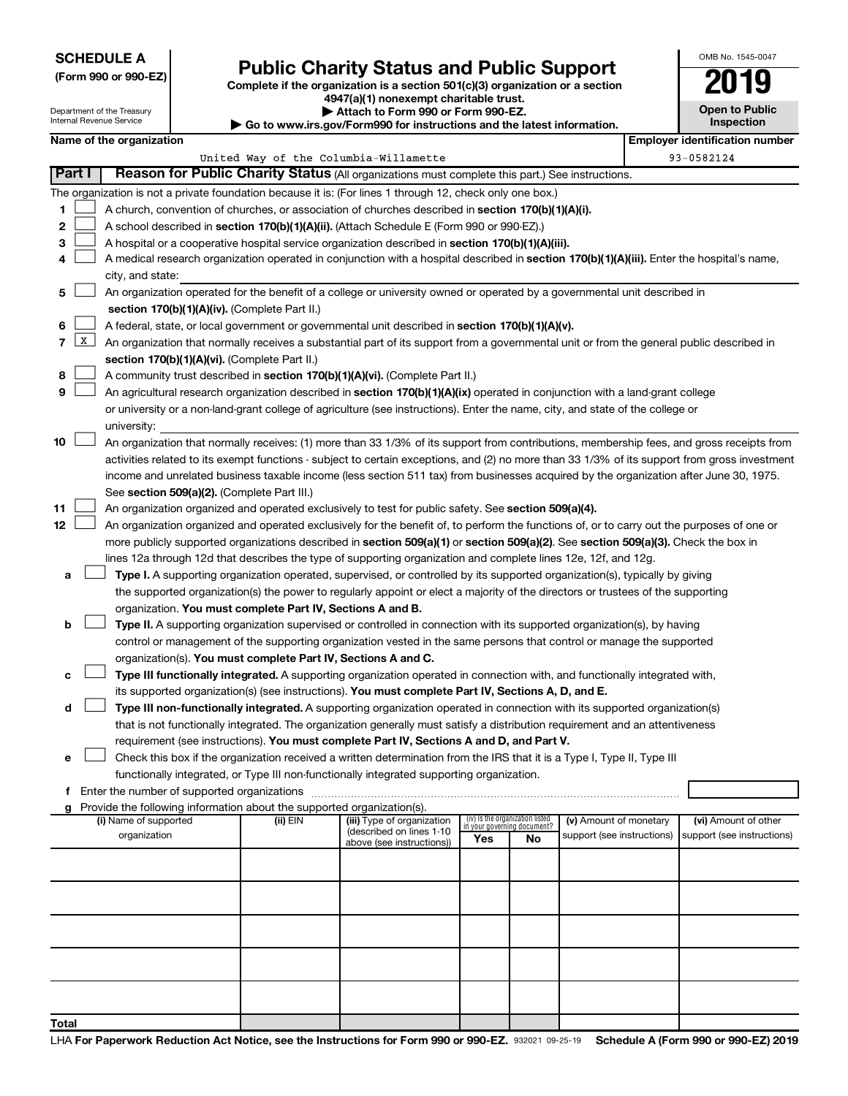## **SCHEDULE A**

Department of the Treasury Internal Revenue Service

# Form 990 or 990-EZ)<br>
Complete if the organization is a section 501(c)(3) organization or a section<br> **Public Charity Status and Public Support**

**4947(a)(1) nonexempt charitable trust. | Attach to Form 990 or Form 990-EZ.** 

|  | $\blacktriangleright$ Go to www.irs.gov/Form990 for instructions and the latest information. |  |
|--|----------------------------------------------------------------------------------------------|--|

| OMB No 1545-0047                    |
|-------------------------------------|
|                                     |
| <b>Open to Public</b><br>Inspection |

|                |              | Name of the organization                                                                                                                      | <b>Employer identification number</b> |
|----------------|--------------|-----------------------------------------------------------------------------------------------------------------------------------------------|---------------------------------------|
|                |              | United Way of the Columbia-Willamette                                                                                                         | 93-0582124                            |
| Part I         |              | Reason for Public Charity Status (All organizations must complete this part.) See instructions.                                               |                                       |
|                |              | The organization is not a private foundation because it is: (For lines 1 through 12, check only one box.)                                     |                                       |
| 1              |              | A church, convention of churches, or association of churches described in section 170(b)(1)(A)(i).                                            |                                       |
| 2              |              | A school described in section 170(b)(1)(A)(ii). (Attach Schedule E (Form 990 or 990-EZ).)                                                     |                                       |
| 3              |              | A hospital or a cooperative hospital service organization described in section 170(b)(1)(A)(iii).                                             |                                       |
| 4              |              | A medical research organization operated in conjunction with a hospital described in section 170(b)(1)(A)(iii). Enter the hospital's name,    |                                       |
|                |              | city, and state:                                                                                                                              |                                       |
| 5              |              | An organization operated for the benefit of a college or university owned or operated by a governmental unit described in                     |                                       |
|                |              | section $170(b)(1)(A)(iv)$ . (Complete Part II.)                                                                                              |                                       |
| 6              |              | A federal, state, or local government or governmental unit described in section 170(b)(1)(A)(v).                                              |                                       |
| $\overline{7}$ | $\mathbf{X}$ | An organization that normally receives a substantial part of its support from a governmental unit or from the general public described in     |                                       |
|                |              | section 170(b)(1)(A)(vi). (Complete Part II.)                                                                                                 |                                       |
| 8              |              | A community trust described in section 170(b)(1)(A)(vi). (Complete Part II.)                                                                  |                                       |
| 9              |              | An agricultural research organization described in <b>section 170(b)(1)(A)(ix)</b> operated in conjunction with a land-grant college          |                                       |
|                |              | or university or a non-land-grant college of agriculture (see instructions). Enter the name, city, and state of the college or                |                                       |
|                |              | university:                                                                                                                                   |                                       |
| 10             |              | An organization that normally receives: (1) more than 33 1/3% of its support from contributions, membership fees, and gross receipts from     |                                       |
|                |              | activities related to its exempt functions - subject to certain exceptions, and (2) no more than 33 1/3% of its support from gross investment |                                       |
|                |              | income and unrelated business taxable income (less section 511 tax) from businesses acquired by the organization after June 30, 1975.         |                                       |
|                |              | See section 509(a)(2). (Complete Part III.)                                                                                                   |                                       |
| 11             |              | An organization organized and operated exclusively to test for public safety. See section 509(a)(4).                                          |                                       |
| 12             |              | An organization organized and operated exclusively for the benefit of, to perform the functions of, or to carry out the purposes of one or    |                                       |
|                |              | more publicly supported organizations described in section 509(a)(1) or section 509(a)(2). See section 509(a)(3). Check the box in            |                                       |
|                |              | lines 12a through 12d that describes the type of supporting organization and complete lines 12e, 12f, and 12g.                                |                                       |
| a              |              | Type I. A supporting organization operated, supervised, or controlled by its supported organization(s), typically by giving                   |                                       |
|                |              | the supported organization(s) the power to regularly appoint or elect a majority of the directors or trustees of the supporting               |                                       |
|                |              | organization. You must complete Part IV, Sections A and B.                                                                                    |                                       |
| b              |              | Type II. A supporting organization supervised or controlled in connection with its supported organization(s), by having                       |                                       |
|                |              | control or management of the supporting organization vested in the same persons that control or manage the supported                          |                                       |
|                |              | organization(s). You must complete Part IV, Sections A and C.                                                                                 |                                       |
| с              |              | Type III functionally integrated. A supporting organization operated in connection with, and functionally integrated with,                    |                                       |
|                |              | its supported organization(s) (see instructions). You must complete Part IV, Sections A, D, and E.                                            |                                       |
| d              |              | Type III non-functionally integrated. A supporting organization operated in connection with its supported organization(s)                     |                                       |
|                |              | that is not functionally integrated. The organization generally must satisfy a distribution requirement and an attentiveness                  |                                       |
|                |              | requirement (see instructions). You must complete Part IV, Sections A and D, and Part V.                                                      |                                       |
| е              |              | Check this box if the organization received a written determination from the IRS that it is a Type I, Type II, Type III                       |                                       |
|                |              | functionally integrated, or Type III non-functionally integrated supporting organization.                                                     |                                       |
|                |              | Enter the number of supported organizations                                                                                                   |                                       |

| Provide the following information about the supported organization(s).<br>g |          |                                                                                     |                                                                       |    |                                                      |                                                    |  |  |  |  |
|-----------------------------------------------------------------------------|----------|-------------------------------------------------------------------------------------|-----------------------------------------------------------------------|----|------------------------------------------------------|----------------------------------------------------|--|--|--|--|
| (i) Name of supported<br>organization                                       | (ii) EIN | (iii) Type of organization<br>(described on lines 1-10<br>above (see instructions)) | (iv) Is the organization listed<br>in your governing document?<br>Yes | No | (v) Amount of monetary<br>support (see instructions) | (vi) Amount of other<br>support (see instructions) |  |  |  |  |
|                                                                             |          |                                                                                     |                                                                       |    |                                                      |                                                    |  |  |  |  |
|                                                                             |          |                                                                                     |                                                                       |    |                                                      |                                                    |  |  |  |  |
|                                                                             |          |                                                                                     |                                                                       |    |                                                      |                                                    |  |  |  |  |
|                                                                             |          |                                                                                     |                                                                       |    |                                                      |                                                    |  |  |  |  |
|                                                                             |          |                                                                                     |                                                                       |    |                                                      |                                                    |  |  |  |  |
| Total                                                                       |          |                                                                                     |                                                                       |    |                                                      |                                                    |  |  |  |  |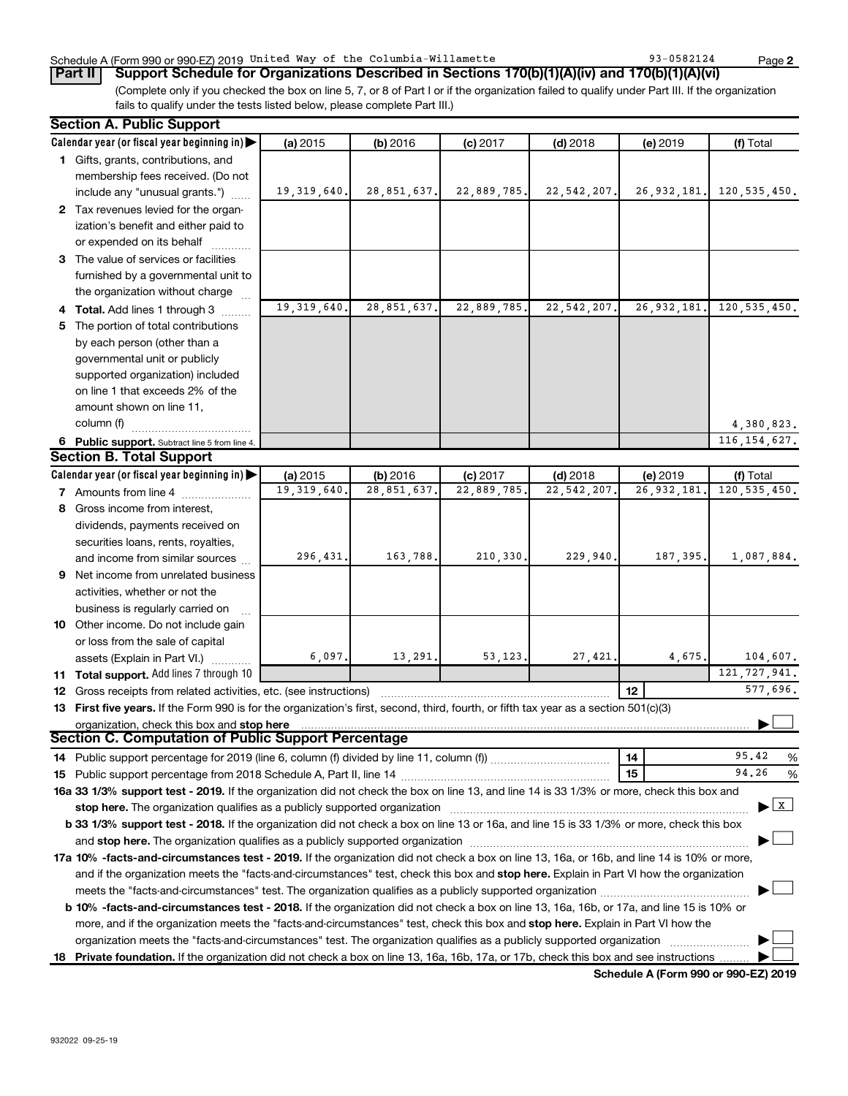#### Schedule A (Form 990 or 990-EZ) 2019 United Way of the Columbia-Willamette 93 000 93-0582124 Page

(Complete only if you checked the box on line 5, 7, or 8 of Part I or if the organization failed to qualify under Part III. If the organization fails to qualify under the tests listed below, please complete Part III.) **Part II Support Schedule for Organizations Described in Sections 170(b)(1)(A)(iv) and 170(b)(1)(A)(vi)**

| <b>Section A. Public Support</b>                                                                                                               |               |             |             |               |               |                                    |
|------------------------------------------------------------------------------------------------------------------------------------------------|---------------|-------------|-------------|---------------|---------------|------------------------------------|
| Calendar year (or fiscal year beginning in)                                                                                                    | (a) 2015      | (b) 2016    | $(c)$ 2017  | $(d)$ 2018    | (e) 2019      | (f) Total                          |
| 1 Gifts, grants, contributions, and                                                                                                            |               |             |             |               |               |                                    |
| membership fees received. (Do not                                                                                                              |               |             |             |               |               |                                    |
| include any "unusual grants.")                                                                                                                 | 19, 319, 640. | 28,851,637. | 22,889,785. | 22, 542, 207. | 26, 932, 181. | 120, 535, 450.                     |
| 2 Tax revenues levied for the organ-                                                                                                           |               |             |             |               |               |                                    |
| ization's benefit and either paid to                                                                                                           |               |             |             |               |               |                                    |
| or expended on its behalf                                                                                                                      |               |             |             |               |               |                                    |
| 3 The value of services or facilities                                                                                                          |               |             |             |               |               |                                    |
| furnished by a governmental unit to                                                                                                            |               |             |             |               |               |                                    |
| the organization without charge                                                                                                                |               |             |             |               |               |                                    |
| 4 Total. Add lines 1 through 3                                                                                                                 | 19, 319, 640. | 28,851,637. | 22,889,785. | 22, 542, 207. | 26,932,181    | 120, 535, 450.                     |
| 5 The portion of total contributions                                                                                                           |               |             |             |               |               |                                    |
| by each person (other than a                                                                                                                   |               |             |             |               |               |                                    |
| governmental unit or publicly                                                                                                                  |               |             |             |               |               |                                    |
| supported organization) included                                                                                                               |               |             |             |               |               |                                    |
| on line 1 that exceeds 2% of the                                                                                                               |               |             |             |               |               |                                    |
| amount shown on line 11,                                                                                                                       |               |             |             |               |               |                                    |
| column (f)                                                                                                                                     |               |             |             |               |               | 4,380,823.                         |
| 6 Public support. Subtract line 5 from line 4.                                                                                                 |               |             |             |               |               | 116, 154, 627.                     |
| <b>Section B. Total Support</b>                                                                                                                |               |             |             |               |               |                                    |
| Calendar year (or fiscal year beginning in)                                                                                                    | (a) 2015      | (b) 2016    | $(c)$ 2017  | $(d)$ 2018    | (e) 2019      | (f) Total                          |
| <b>7</b> Amounts from line 4                                                                                                                   | 19, 319, 640  | 28,851,637  | 22,889,785  | 22, 542, 207  | 26,932,181    | 120, 535, 450.                     |
| 8 Gross income from interest,                                                                                                                  |               |             |             |               |               |                                    |
| dividends, payments received on                                                                                                                |               |             |             |               |               |                                    |
| securities loans, rents, royalties,                                                                                                            |               |             |             |               |               |                                    |
| and income from similar sources                                                                                                                | 296,431.      | 163,788.    | 210,330.    | 229,940.      | 187,395.      | 1,087,884.                         |
| 9 Net income from unrelated business                                                                                                           |               |             |             |               |               |                                    |
| activities, whether or not the                                                                                                                 |               |             |             |               |               |                                    |
| business is regularly carried on                                                                                                               |               |             |             |               |               |                                    |
| 10 Other income. Do not include gain                                                                                                           |               |             |             |               |               |                                    |
| or loss from the sale of capital                                                                                                               |               |             |             |               |               |                                    |
| assets (Explain in Part VI.)                                                                                                                   | 6,097.        | 13,291.     | 53, 123.    | 27,421.       | 4,675.        | 104,607.                           |
| 11 Total support. Add lines 7 through 10                                                                                                       |               |             |             |               |               | 121, 727, 941.                     |
| <b>12</b> Gross receipts from related activities, etc. (see instructions)                                                                      |               |             |             |               | 12            | 577,696.                           |
| 13 First five years. If the Form 990 is for the organization's first, second, third, fourth, or fifth tax year as a section 501(c)(3)          |               |             |             |               |               |                                    |
| organization, check this box and stop here                                                                                                     |               |             |             |               |               |                                    |
| <b>Section C. Computation of Public Support Percentage</b>                                                                                     |               |             |             |               |               |                                    |
|                                                                                                                                                |               |             |             |               | 14            | 95.42<br>%                         |
|                                                                                                                                                |               |             |             |               | 15            | 94.26<br>%                         |
| 16a 33 1/3% support test - 2019. If the organization did not check the box on line 13, and line 14 is 33 1/3% or more, check this box and      |               |             |             |               |               |                                    |
| stop here. The organization qualifies as a publicly supported organization                                                                     |               |             |             |               |               | $\blacktriangleright$ $\mathbf{X}$ |
| b 33 1/3% support test - 2018. If the organization did not check a box on line 13 or 16a, and line 15 is 33 1/3% or more, check this box       |               |             |             |               |               |                                    |
|                                                                                                                                                |               |             |             |               |               |                                    |
| 17a 10% -facts-and-circumstances test - 2019. If the organization did not check a box on line 13, 16a, or 16b, and line 14 is 10% or more,     |               |             |             |               |               |                                    |
| and if the organization meets the "facts-and-circumstances" test, check this box and stop here. Explain in Part VI how the organization        |               |             |             |               |               |                                    |
|                                                                                                                                                |               |             |             |               |               |                                    |
| <b>b 10%</b> -facts-and-circumstances test - 2018. If the organization did not check a box on line 13, 16a, 16b, or 17a, and line 15 is 10% or |               |             |             |               |               |                                    |
| more, and if the organization meets the "facts-and-circumstances" test, check this box and <b>stop here.</b> Explain in Part VI how the        |               |             |             |               |               |                                    |
| organization meets the "facts-and-circumstances" test. The organization qualifies as a publicly supported organization                         |               |             |             |               |               |                                    |
| 18 Private foundation. If the organization did not check a box on line 13, 16a, 16b, 17a, or 17b, check this box and see instructions          |               |             |             |               |               |                                    |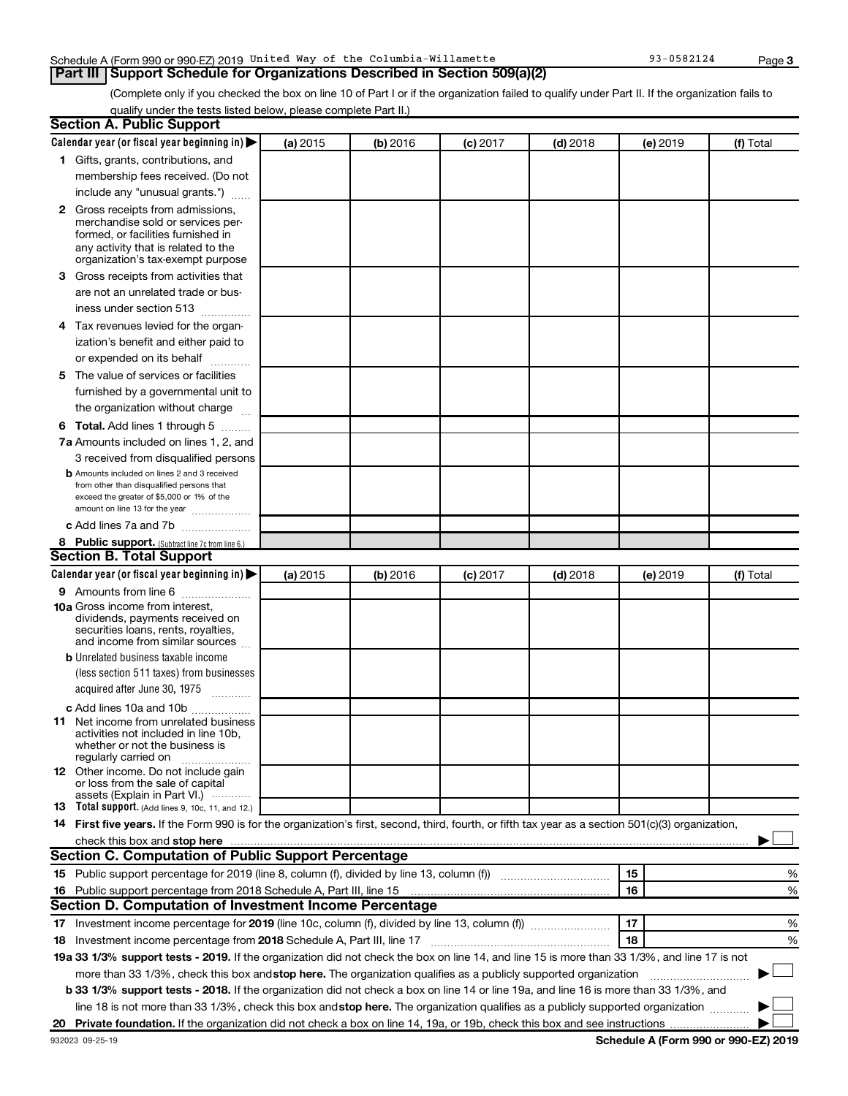### Schedule A (Form 990 or 990-EZ) 2019 United Way of the Columbia-Willamette 93 000 93-0582124 Page

**Part III Support Schedule for Organizations Described in Section 509(a)(2)** 

(Complete only if you checked the box on line 10 of Part I or if the organization failed to qualify under Part II. If the organization fails to qualify under the tests listed below, please complete Part II.)

| <b>Section A. Public Support</b>                                                                                                                    |          |          |            |            |          |           |
|-----------------------------------------------------------------------------------------------------------------------------------------------------|----------|----------|------------|------------|----------|-----------|
| Calendar year (or fiscal year beginning in)                                                                                                         | (a) 2015 | (b) 2016 | $(c)$ 2017 | $(d)$ 2018 | (e) 2019 | (f) Total |
| 1 Gifts, grants, contributions, and                                                                                                                 |          |          |            |            |          |           |
| membership fees received. (Do not                                                                                                                   |          |          |            |            |          |           |
| include any "unusual grants.")                                                                                                                      |          |          |            |            |          |           |
| 2 Gross receipts from admissions,                                                                                                                   |          |          |            |            |          |           |
| merchandise sold or services per-                                                                                                                   |          |          |            |            |          |           |
| formed, or facilities furnished in                                                                                                                  |          |          |            |            |          |           |
| any activity that is related to the<br>organization's tax-exempt purpose                                                                            |          |          |            |            |          |           |
| <b>3</b> Gross receipts from activities that                                                                                                        |          |          |            |            |          |           |
| are not an unrelated trade or bus-                                                                                                                  |          |          |            |            |          |           |
| iness under section 513                                                                                                                             |          |          |            |            |          |           |
| 4 Tax revenues levied for the organ-                                                                                                                |          |          |            |            |          |           |
| ization's benefit and either paid to                                                                                                                |          |          |            |            |          |           |
| or expended on its behalf                                                                                                                           |          |          |            |            |          |           |
| 5 The value of services or facilities                                                                                                               |          |          |            |            |          |           |
| furnished by a governmental unit to                                                                                                                 |          |          |            |            |          |           |
| the organization without charge                                                                                                                     |          |          |            |            |          |           |
| <b>6 Total.</b> Add lines 1 through 5                                                                                                               |          |          |            |            |          |           |
| 7a Amounts included on lines 1, 2, and                                                                                                              |          |          |            |            |          |           |
| 3 received from disqualified persons                                                                                                                |          |          |            |            |          |           |
| <b>b</b> Amounts included on lines 2 and 3 received                                                                                                 |          |          |            |            |          |           |
| from other than disqualified persons that                                                                                                           |          |          |            |            |          |           |
| exceed the greater of \$5,000 or 1% of the<br>amount on line 13 for the year                                                                        |          |          |            |            |          |           |
| c Add lines 7a and 7b                                                                                                                               |          |          |            |            |          |           |
| 8 Public support. (Subtract line 7c from line 6.)                                                                                                   |          |          |            |            |          |           |
| <b>Section B. Total Support</b>                                                                                                                     |          |          |            |            |          |           |
| Calendar year (or fiscal year beginning in)                                                                                                         | (a) 2015 | (b) 2016 | $(c)$ 2017 | $(d)$ 2018 | (e) 2019 | (f) Total |
| <b>9</b> Amounts from line 6                                                                                                                        |          |          |            |            |          |           |
| <b>10a</b> Gross income from interest,                                                                                                              |          |          |            |            |          |           |
| dividends, payments received on                                                                                                                     |          |          |            |            |          |           |
| securities loans, rents, royalties,<br>and income from similar sources                                                                              |          |          |            |            |          |           |
| <b>b</b> Unrelated business taxable income                                                                                                          |          |          |            |            |          |           |
| (less section 511 taxes) from businesses                                                                                                            |          |          |            |            |          |           |
| acquired after June 30, 1975                                                                                                                        |          |          |            |            |          |           |
|                                                                                                                                                     |          |          |            |            |          |           |
| c Add lines 10a and 10b<br><b>11</b> Net income from unrelated business                                                                             |          |          |            |            |          |           |
| activities not included in line 10b.                                                                                                                |          |          |            |            |          |           |
| whether or not the business is                                                                                                                      |          |          |            |            |          |           |
| regularly carried on<br><b>12</b> Other income. Do not include gain                                                                                 |          |          |            |            |          |           |
| or loss from the sale of capital                                                                                                                    |          |          |            |            |          |           |
| assets (Explain in Part VI.)                                                                                                                        |          |          |            |            |          |           |
| <b>13</b> Total support. (Add lines 9, 10c, 11, and 12.)                                                                                            |          |          |            |            |          |           |
| 14 First five years. If the Form 990 is for the organization's first, second, third, fourth, or fifth tax year as a section 501(c)(3) organization, |          |          |            |            |          |           |
| check this box and stop here<br><b>Section C. Computation of Public Support Percentage</b>                                                          |          |          |            |            |          |           |
|                                                                                                                                                     |          |          |            |            |          |           |
| 15 Public support percentage for 2019 (line 8, column (f), divided by line 13, column (f) <i></i>                                                   |          |          |            |            | 15       | %         |
| 16 Public support percentage from 2018 Schedule A, Part III, line 15                                                                                |          |          |            |            | 16       | %         |
| Section D. Computation of Investment Income Percentage                                                                                              |          |          |            |            |          |           |
| 17 Investment income percentage for 2019 (line 10c, column (f), divided by line 13, column (f))                                                     |          |          |            |            | 17       | %         |
| 18 Investment income percentage from 2018 Schedule A, Part III, line 17                                                                             |          |          |            |            | 18       | %         |
| 19a 33 1/3% support tests - 2019. If the organization did not check the box on line 14, and line 15 is more than 33 1/3%, and line 17 is not        |          |          |            |            |          |           |
| more than 33 1/3%, check this box and stop here. The organization qualifies as a publicly supported organization                                    |          |          |            |            |          |           |
| b 33 1/3% support tests - 2018. If the organization did not check a box on line 14 or line 19a, and line 16 is more than 33 1/3%, and               |          |          |            |            |          |           |
| line 18 is not more than 33 1/3%, check this box and stop here. The organization qualifies as a publicly supported organization                     |          |          |            |            |          |           |
|                                                                                                                                                     |          |          |            |            |          |           |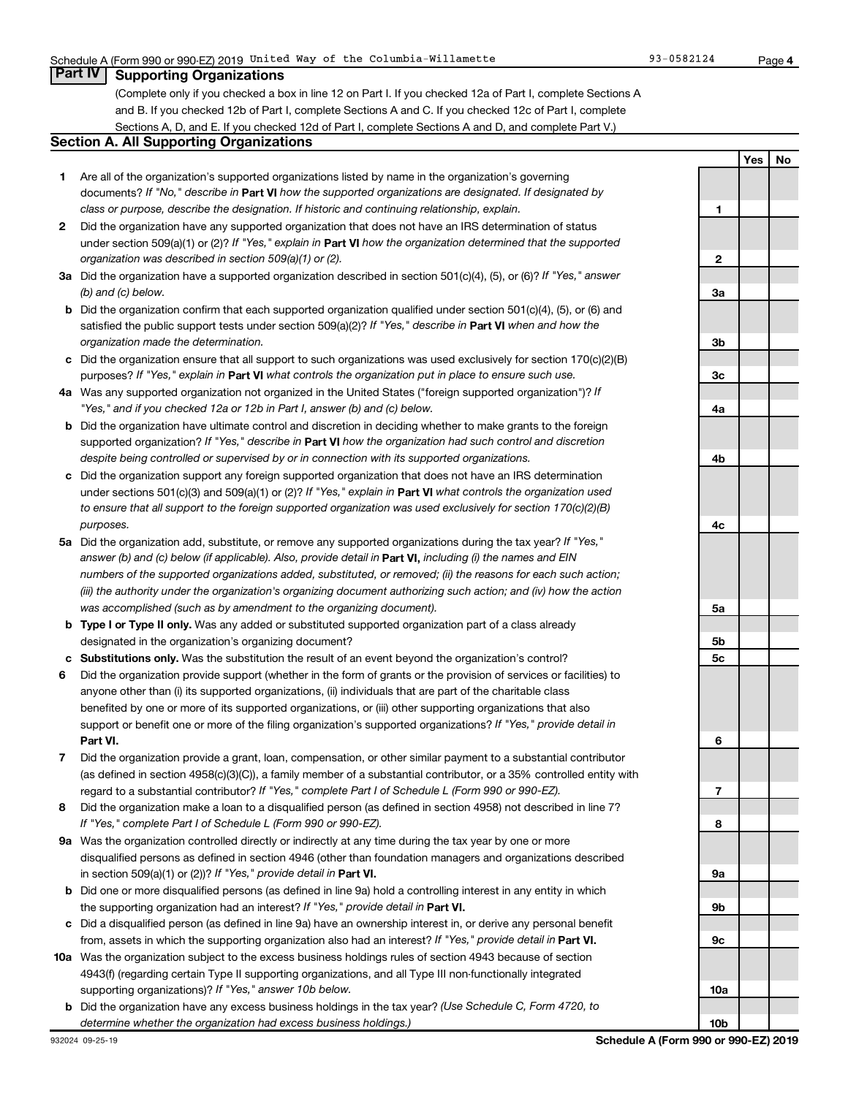### **Part IV Supporting Organizations**

(Complete only if you checked a box in line 12 on Part I. If you checked 12a of Part I, complete Sections A and B. If you checked 12b of Part I, complete Sections A and C. If you checked 12c of Part I, complete Sections A, D, and E. If you checked 12d of Part I, complete Sections A and D, and complete Part V.)

#### **Section A. All Supporting Organizations**

- **1** Are all of the organization's supported organizations listed by name in the organization's governing documents? If "No," describe in Part VI how the supported organizations are designated. If designated by *class or purpose, describe the designation. If historic and continuing relationship, explain.*
- **2** Did the organization have any supported organization that does not have an IRS determination of status under section 509(a)(1) or (2)? If "Yes," explain in Part **VI** how the organization determined that the supported *organization was described in section 509(a)(1) or (2).*
- **3a** Did the organization have a supported organization described in section 501(c)(4), (5), or (6)? If "Yes," answer *(b) and (c) below.*
- **b** Did the organization confirm that each supported organization qualified under section 501(c)(4), (5), or (6) and satisfied the public support tests under section 509(a)(2)? If "Yes," describe in Part VI when and how the *organization made the determination.*
- **c** Did the organization ensure that all support to such organizations was used exclusively for section 170(c)(2)(B) purposes? If "Yes," explain in Part VI what controls the organization put in place to ensure such use.
- **4 a** *If* Was any supported organization not organized in the United States ("foreign supported organization")? *"Yes," and if you checked 12a or 12b in Part I, answer (b) and (c) below.*
- **b** Did the organization have ultimate control and discretion in deciding whether to make grants to the foreign supported organization? If "Yes," describe in Part VI how the organization had such control and discretion *despite being controlled or supervised by or in connection with its supported organizations.*
- **c** Did the organization support any foreign supported organization that does not have an IRS determination under sections 501(c)(3) and 509(a)(1) or (2)? If "Yes," explain in Part VI what controls the organization used *to ensure that all support to the foreign supported organization was used exclusively for section 170(c)(2)(B) purposes.*
- **5a** Did the organization add, substitute, or remove any supported organizations during the tax year? If "Yes," answer (b) and (c) below (if applicable). Also, provide detail in **Part VI,** including (i) the names and EIN *numbers of the supported organizations added, substituted, or removed; (ii) the reasons for each such action; (iii) the authority under the organization's organizing document authorizing such action; and (iv) how the action was accomplished (such as by amendment to the organizing document).*
- **b** Type I or Type II only. Was any added or substituted supported organization part of a class already designated in the organization's organizing document?
- **c Substitutions only.**  Was the substitution the result of an event beyond the organization's control?
- **6** Did the organization provide support (whether in the form of grants or the provision of services or facilities) to **Part VI.** support or benefit one or more of the filing organization's supported organizations? If "Yes," provide detail in anyone other than (i) its supported organizations, (ii) individuals that are part of the charitable class benefited by one or more of its supported organizations, or (iii) other supporting organizations that also
- **7** Did the organization provide a grant, loan, compensation, or other similar payment to a substantial contributor regard to a substantial contributor? If "Yes," complete Part I of Schedule L (Form 990 or 990-EZ). (as defined in section 4958(c)(3)(C)), a family member of a substantial contributor, or a 35% controlled entity with
- **8** Did the organization make a loan to a disqualified person (as defined in section 4958) not described in line 7? *If "Yes," complete Part I of Schedule L (Form 990 or 990-EZ).*
- **9 a** Was the organization controlled directly or indirectly at any time during the tax year by one or more in section 509(a)(1) or (2))? If "Yes," provide detail in **Part VI.** disqualified persons as defined in section 4946 (other than foundation managers and organizations described
- **b** Did one or more disqualified persons (as defined in line 9a) hold a controlling interest in any entity in which the supporting organization had an interest? If "Yes," provide detail in Part VI.
- **c** Did a disqualified person (as defined in line 9a) have an ownership interest in, or derive any personal benefit from, assets in which the supporting organization also had an interest? If "Yes," provide detail in Part VI.
- **10 a** Was the organization subject to the excess business holdings rules of section 4943 because of section supporting organizations)? If "Yes," answer 10b below. 4943(f) (regarding certain Type II supporting organizations, and all Type III non-functionally integrated
	- **b** Did the organization have any excess business holdings in the tax year? (Use Schedule C, Form 4720, to *determine whether the organization had excess business holdings.)*

**10b**

**Yes No**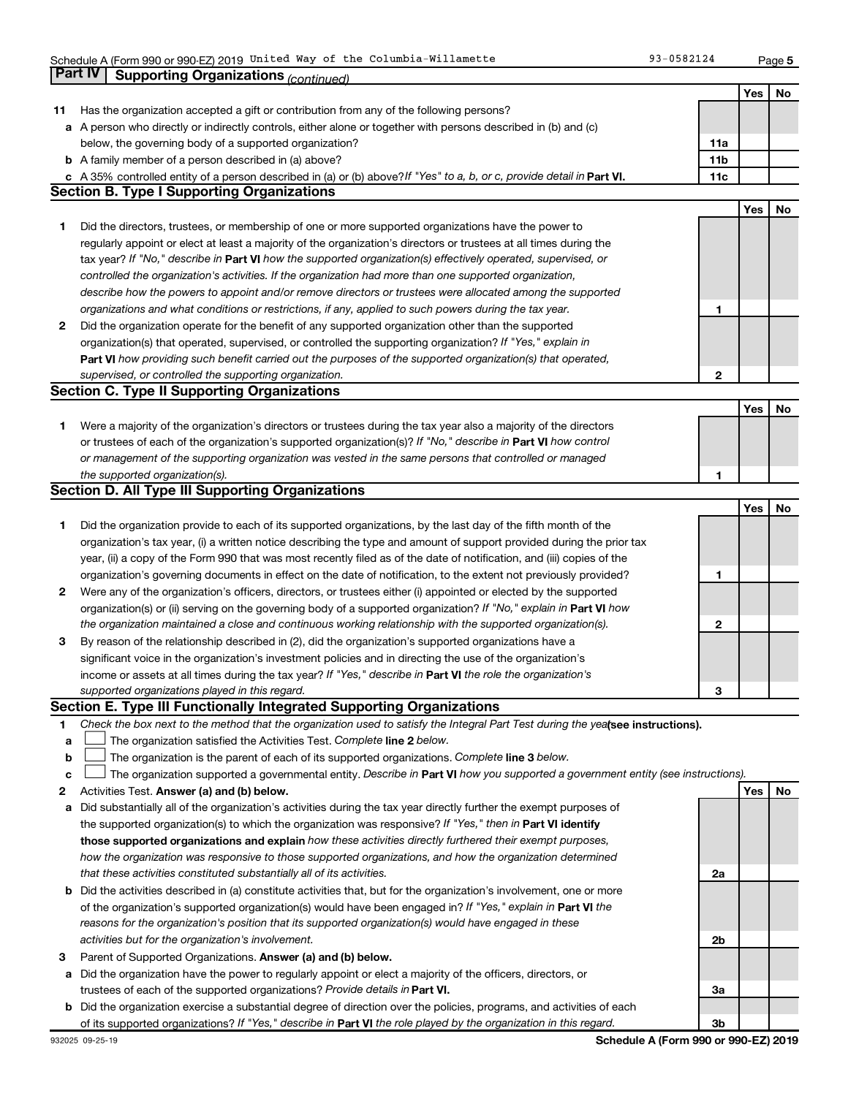| Schedule A (Form 990 or 990-EZ) 2019 United Way of the Columbia-Willamette | 93-0582124 | Page |
|----------------------------------------------------------------------------|------------|------|
| <b>Part IV Supporting Organizations</b> Continued                          |            |      |

**5**  $93 - 0582124$ 

|              | capporting organizations (continued)                                                                                                                                                                                                              |              |     |    |
|--------------|---------------------------------------------------------------------------------------------------------------------------------------------------------------------------------------------------------------------------------------------------|--------------|-----|----|
|              |                                                                                                                                                                                                                                                   |              | Yes | No |
| 11           | Has the organization accepted a gift or contribution from any of the following persons?                                                                                                                                                           |              |     |    |
|              | a A person who directly or indirectly controls, either alone or together with persons described in (b) and (c)                                                                                                                                    |              |     |    |
|              | below, the governing body of a supported organization?                                                                                                                                                                                            | 11a<br>11b   |     |    |
|              | <b>b</b> A family member of a person described in (a) above?<br>c A 35% controlled entity of a person described in (a) or (b) above? If "Yes" to a, b, or c, provide detail in Part VI.                                                           | 11c          |     |    |
|              | <b>Section B. Type I Supporting Organizations</b>                                                                                                                                                                                                 |              |     |    |
|              |                                                                                                                                                                                                                                                   |              | Yes | No |
| 1            | Did the directors, trustees, or membership of one or more supported organizations have the power to                                                                                                                                               |              |     |    |
|              | regularly appoint or elect at least a majority of the organization's directors or trustees at all times during the                                                                                                                                |              |     |    |
|              | tax year? If "No," describe in Part VI how the supported organization(s) effectively operated, supervised, or                                                                                                                                     |              |     |    |
|              | controlled the organization's activities. If the organization had more than one supported organization,                                                                                                                                           |              |     |    |
|              | describe how the powers to appoint and/or remove directors or trustees were allocated among the supported                                                                                                                                         |              |     |    |
|              | organizations and what conditions or restrictions, if any, applied to such powers during the tax year.                                                                                                                                            | 1            |     |    |
| 2            | Did the organization operate for the benefit of any supported organization other than the supported                                                                                                                                               |              |     |    |
|              | organization(s) that operated, supervised, or controlled the supporting organization? If "Yes," explain in                                                                                                                                        |              |     |    |
|              | Part VI how providing such benefit carried out the purposes of the supported organization(s) that operated,                                                                                                                                       |              |     |    |
|              | supervised, or controlled the supporting organization.                                                                                                                                                                                            | $\mathbf{2}$ |     |    |
|              | <b>Section C. Type II Supporting Organizations</b>                                                                                                                                                                                                |              |     |    |
|              |                                                                                                                                                                                                                                                   |              | Yes | No |
| 1            | Were a majority of the organization's directors or trustees during the tax year also a majority of the directors                                                                                                                                  |              |     |    |
|              | or trustees of each of the organization's supported organization(s)? If "No," describe in Part VI how control                                                                                                                                     |              |     |    |
|              | or management of the supporting organization was vested in the same persons that controlled or managed                                                                                                                                            |              |     |    |
|              | the supported organization(s).                                                                                                                                                                                                                    | 1            |     |    |
|              | <b>Section D. All Type III Supporting Organizations</b>                                                                                                                                                                                           |              |     |    |
|              |                                                                                                                                                                                                                                                   |              | Yes | No |
| 1            | Did the organization provide to each of its supported organizations, by the last day of the fifth month of the                                                                                                                                    |              |     |    |
|              | organization's tax year, (i) a written notice describing the type and amount of support provided during the prior tax                                                                                                                             |              |     |    |
|              | year, (ii) a copy of the Form 990 that was most recently filed as of the date of notification, and (iii) copies of the                                                                                                                            | 1            |     |    |
| $\mathbf{2}$ | organization's governing documents in effect on the date of notification, to the extent not previously provided?<br>Were any of the organization's officers, directors, or trustees either (i) appointed or elected by the supported              |              |     |    |
|              | organization(s) or (ii) serving on the governing body of a supported organization? If "No," explain in Part VI how                                                                                                                                |              |     |    |
|              | the organization maintained a close and continuous working relationship with the supported organization(s).                                                                                                                                       | 2            |     |    |
| З            | By reason of the relationship described in (2), did the organization's supported organizations have a                                                                                                                                             |              |     |    |
|              | significant voice in the organization's investment policies and in directing the use of the organization's                                                                                                                                        |              |     |    |
|              | income or assets at all times during the tax year? If "Yes," describe in Part VI the role the organization's                                                                                                                                      |              |     |    |
|              | supported organizations played in this regard.                                                                                                                                                                                                    | 3            |     |    |
|              | Section E. Type III Functionally Integrated Supporting Organizations                                                                                                                                                                              |              |     |    |
| 1            | Check the box next to the method that the organization used to satisfy the Integral Part Test during the yealsee instructions).                                                                                                                   |              |     |    |
| a            | The organization satisfied the Activities Test. Complete line 2 below.                                                                                                                                                                            |              |     |    |
| b            | The organization is the parent of each of its supported organizations. Complete line 3 below.                                                                                                                                                     |              |     |    |
| c            | The organization supported a governmental entity. Describe in Part VI how you supported a government entity (see instructions).                                                                                                                   |              |     |    |
| 2            | Activities Test. Answer (a) and (b) below.                                                                                                                                                                                                        |              | Yes | No |
| a            | Did substantially all of the organization's activities during the tax year directly further the exempt purposes of                                                                                                                                |              |     |    |
|              | the supported organization(s) to which the organization was responsive? If "Yes," then in Part VI identify                                                                                                                                        |              |     |    |
|              | those supported organizations and explain how these activities directly furthered their exempt purposes,                                                                                                                                          |              |     |    |
|              | how the organization was responsive to those supported organizations, and how the organization determined                                                                                                                                         |              |     |    |
|              | that these activities constituted substantially all of its activities.                                                                                                                                                                            | 2a           |     |    |
| b            | Did the activities described in (a) constitute activities that, but for the organization's involvement, one or more                                                                                                                               |              |     |    |
|              | of the organization's supported organization(s) would have been engaged in? If "Yes," explain in Part VI the                                                                                                                                      |              |     |    |
|              | reasons for the organization's position that its supported organization(s) would have engaged in these                                                                                                                                            |              |     |    |
|              | activities but for the organization's involvement.                                                                                                                                                                                                | 2b           |     |    |
| з            | Parent of Supported Organizations. Answer (a) and (b) below.                                                                                                                                                                                      |              |     |    |
| a            | Did the organization have the power to regularly appoint or elect a majority of the officers, directors, or                                                                                                                                       |              |     |    |
|              | trustees of each of the supported organizations? Provide details in Part VI.                                                                                                                                                                      | За           |     |    |
|              | <b>b</b> Did the organization exercise a substantial degree of direction over the policies, programs, and activities of each<br>of its supported organizations? If "Yes," describe in Part VI the role played by the organization in this regard. | 3b           |     |    |
|              |                                                                                                                                                                                                                                                   |              |     |    |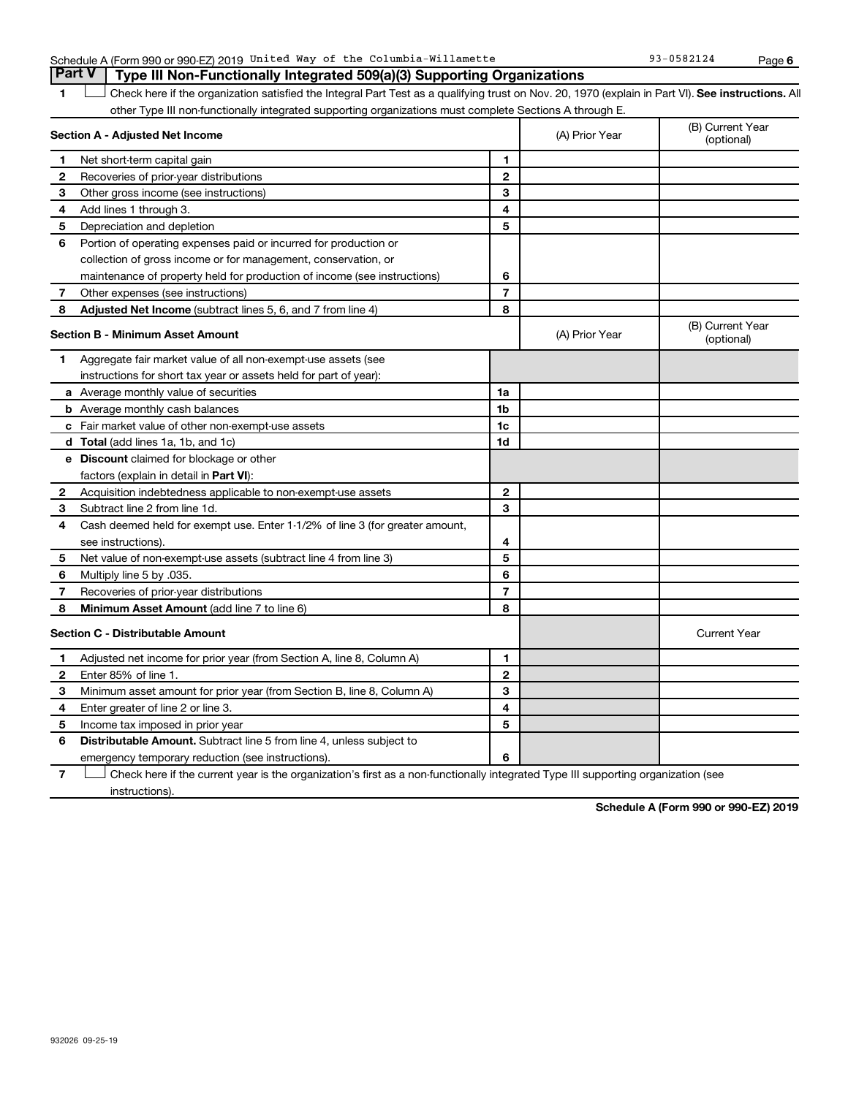| Schedule A (Form 990 or 990-EZ) 2019 United Way of the Columbia-Willamette            | 93-0582124 | Page |
|---------------------------------------------------------------------------------------|------------|------|
| <b>Part V</b> Type III Non-Functionally Integrated 509(a)(3) Supporting Organizations |            |      |

**1 Lett** Check here if the organization satisfied the Integral Part Test as a qualifying trust on Nov. 20, 1970 (explain in Part VI). See instructions. All  $\Box$ 

other Type III non-functionally integrated supporting organizations must complete Sections A through E.

|              | Section A - Adjusted Net Income                                              |                | (A) Prior Year | (B) Current Year<br>(optional) |
|--------------|------------------------------------------------------------------------------|----------------|----------------|--------------------------------|
| 1            | Net short-term capital gain                                                  | 1              |                |                                |
| $\mathbf{2}$ | Recoveries of prior-year distributions                                       | $\mathbf{2}$   |                |                                |
| 3            | Other gross income (see instructions)                                        | 3              |                |                                |
| 4            | Add lines 1 through 3.                                                       | 4              |                |                                |
| 5            | Depreciation and depletion                                                   | 5              |                |                                |
| 6            | Portion of operating expenses paid or incurred for production or             |                |                |                                |
|              | collection of gross income or for management, conservation, or               |                |                |                                |
|              | maintenance of property held for production of income (see instructions)     | 6              |                |                                |
| 7            | Other expenses (see instructions)                                            | $\overline{7}$ |                |                                |
| 8            | Adjusted Net Income (subtract lines 5, 6, and 7 from line 4)                 | 8              |                |                                |
|              | Section B - Minimum Asset Amount                                             |                | (A) Prior Year | (B) Current Year<br>(optional) |
| 1.           | Aggregate fair market value of all non-exempt-use assets (see                |                |                |                                |
|              | instructions for short tax year or assets held for part of year):            |                |                |                                |
|              | <b>a</b> Average monthly value of securities                                 | 1a             |                |                                |
|              | <b>b</b> Average monthly cash balances                                       | 1 <sub>b</sub> |                |                                |
|              | c Fair market value of other non-exempt-use assets                           | 1c             |                |                                |
|              | <b>d</b> Total (add lines 1a, 1b, and 1c)                                    | 1d             |                |                                |
|              | e Discount claimed for blockage or other                                     |                |                |                                |
|              | factors (explain in detail in <b>Part VI</b> ):                              |                |                |                                |
| 2            | Acquisition indebtedness applicable to non-exempt-use assets                 | $\mathbf{2}$   |                |                                |
| 3            | Subtract line 2 from line 1d.                                                | 3              |                |                                |
| 4            | Cash deemed held for exempt use. Enter 1-1/2% of line 3 (for greater amount, |                |                |                                |
|              | see instructions).                                                           | 4              |                |                                |
| 5            | Net value of non-exempt-use assets (subtract line 4 from line 3)             | 5              |                |                                |
| 6            | Multiply line 5 by .035.                                                     | 6              |                |                                |
| 7            | Recoveries of prior-year distributions                                       | $\overline{7}$ |                |                                |
| 8            | Minimum Asset Amount (add line 7 to line 6)                                  | 8              |                |                                |
|              | <b>Section C - Distributable Amount</b>                                      |                |                | <b>Current Year</b>            |
| 1            | Adjusted net income for prior year (from Section A, line 8, Column A)        | 1              |                |                                |
| 2            | Enter 85% of line 1.                                                         | $\mathbf{2}$   |                |                                |
| 3            | Minimum asset amount for prior year (from Section B, line 8, Column A)       | 3              |                |                                |
| 4            | Enter greater of line 2 or line 3.                                           | 4              |                |                                |
| 5            | Income tax imposed in prior year                                             | 5              |                |                                |
| 6            | <b>Distributable Amount.</b> Subtract line 5 from line 4, unless subject to  |                |                |                                |
|              | emergency temporary reduction (see instructions).                            | 6              |                |                                |

**7** Check here if the current year is the organization's first as a non-functionally integrated Type III supporting organization (see † instructions).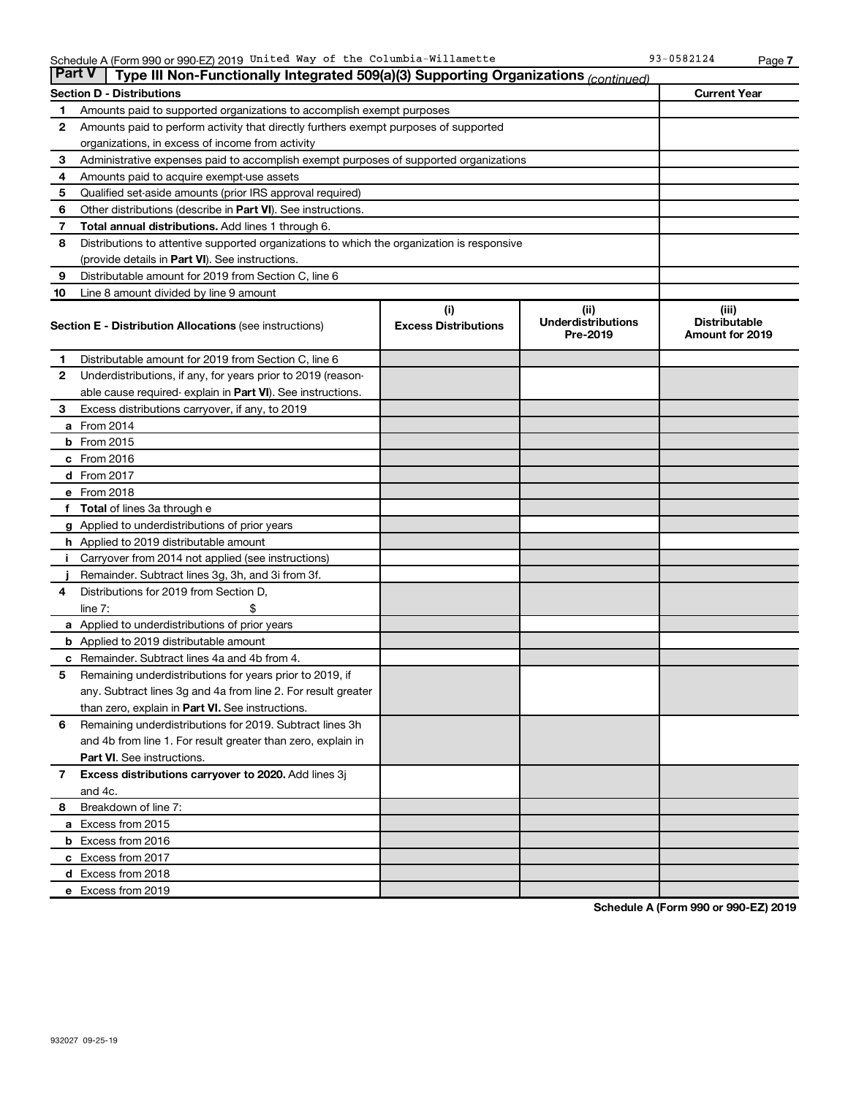| <b>Part V</b> | Type III Non-Functionally Integrated 509(a)(3) Supporting Organizations (continued)        |                             |                                       |                                                |  |  |
|---------------|--------------------------------------------------------------------------------------------|-----------------------------|---------------------------------------|------------------------------------------------|--|--|
|               | <b>Section D - Distributions</b>                                                           |                             |                                       | <b>Current Year</b>                            |  |  |
| 1             | Amounts paid to supported organizations to accomplish exempt purposes                      |                             |                                       |                                                |  |  |
| $\mathbf{2}$  | Amounts paid to perform activity that directly furthers exempt purposes of supported       |                             |                                       |                                                |  |  |
|               | organizations, in excess of income from activity                                           |                             |                                       |                                                |  |  |
| 3             | Administrative expenses paid to accomplish exempt purposes of supported organizations      |                             |                                       |                                                |  |  |
| 4             | Amounts paid to acquire exempt-use assets                                                  |                             |                                       |                                                |  |  |
| 5             | Qualified set-aside amounts (prior IRS approval required)                                  |                             |                                       |                                                |  |  |
| 6             | Other distributions (describe in <b>Part VI</b> ). See instructions.                       |                             |                                       |                                                |  |  |
| 7             | <b>Total annual distributions.</b> Add lines 1 through 6.                                  |                             |                                       |                                                |  |  |
| 8             | Distributions to attentive supported organizations to which the organization is responsive |                             |                                       |                                                |  |  |
|               | (provide details in Part VI). See instructions.                                            |                             |                                       |                                                |  |  |
| 9             | Distributable amount for 2019 from Section C, line 6                                       |                             |                                       |                                                |  |  |
| 10            | Line 8 amount divided by line 9 amount                                                     |                             |                                       |                                                |  |  |
|               |                                                                                            | (i)                         | (ii)                                  | (iii)                                          |  |  |
|               | <b>Section E - Distribution Allocations (see instructions)</b>                             | <b>Excess Distributions</b> | <b>Underdistributions</b><br>Pre-2019 | <b>Distributable</b><br><b>Amount for 2019</b> |  |  |
| 1             | Distributable amount for 2019 from Section C, line 6                                       |                             |                                       |                                                |  |  |
| $\mathbf{2}$  | Underdistributions, if any, for years prior to 2019 (reason-                               |                             |                                       |                                                |  |  |
|               | able cause required- explain in Part VI). See instructions.                                |                             |                                       |                                                |  |  |
| 3             | Excess distributions carryover, if any, to 2019                                            |                             |                                       |                                                |  |  |
|               | a From 2014                                                                                |                             |                                       |                                                |  |  |
|               | <b>b</b> From 2015                                                                         |                             |                                       |                                                |  |  |
|               | c From 2016                                                                                |                             |                                       |                                                |  |  |
|               | <b>d</b> From 2017                                                                         |                             |                                       |                                                |  |  |
|               | e From 2018                                                                                |                             |                                       |                                                |  |  |
|               | f Total of lines 3a through e                                                              |                             |                                       |                                                |  |  |
|               | g Applied to underdistributions of prior years                                             |                             |                                       |                                                |  |  |
|               | <b>h</b> Applied to 2019 distributable amount                                              |                             |                                       |                                                |  |  |
| Ť.            | Carryover from 2014 not applied (see instructions)                                         |                             |                                       |                                                |  |  |
|               | Remainder. Subtract lines 3g, 3h, and 3i from 3f.                                          |                             |                                       |                                                |  |  |
| 4             | Distributions for 2019 from Section D,                                                     |                             |                                       |                                                |  |  |
|               | line $7:$                                                                                  |                             |                                       |                                                |  |  |
|               | a Applied to underdistributions of prior years                                             |                             |                                       |                                                |  |  |
|               | <b>b</b> Applied to 2019 distributable amount                                              |                             |                                       |                                                |  |  |
| c             | Remainder. Subtract lines 4a and 4b from 4.                                                |                             |                                       |                                                |  |  |
| 5             | Remaining underdistributions for years prior to 2019, if                                   |                             |                                       |                                                |  |  |
|               | any. Subtract lines 3g and 4a from line 2. For result greater                              |                             |                                       |                                                |  |  |
|               | than zero, explain in Part VI. See instructions.                                           |                             |                                       |                                                |  |  |
| 6             | Remaining underdistributions for 2019. Subtract lines 3h                                   |                             |                                       |                                                |  |  |
|               | and 4b from line 1. For result greater than zero, explain in                               |                             |                                       |                                                |  |  |
|               | <b>Part VI.</b> See instructions.                                                          |                             |                                       |                                                |  |  |
| $\mathbf{7}$  | Excess distributions carryover to 2020. Add lines 3j                                       |                             |                                       |                                                |  |  |
|               | and 4c.                                                                                    |                             |                                       |                                                |  |  |
| 8             | Breakdown of line 7:                                                                       |                             |                                       |                                                |  |  |
|               | a Excess from 2015                                                                         |                             |                                       |                                                |  |  |
|               | <b>b</b> Excess from 2016                                                                  |                             |                                       |                                                |  |  |
|               | c Excess from 2017                                                                         |                             |                                       |                                                |  |  |
|               | d Excess from 2018                                                                         |                             |                                       |                                                |  |  |
|               | e Excess from 2019                                                                         |                             |                                       |                                                |  |  |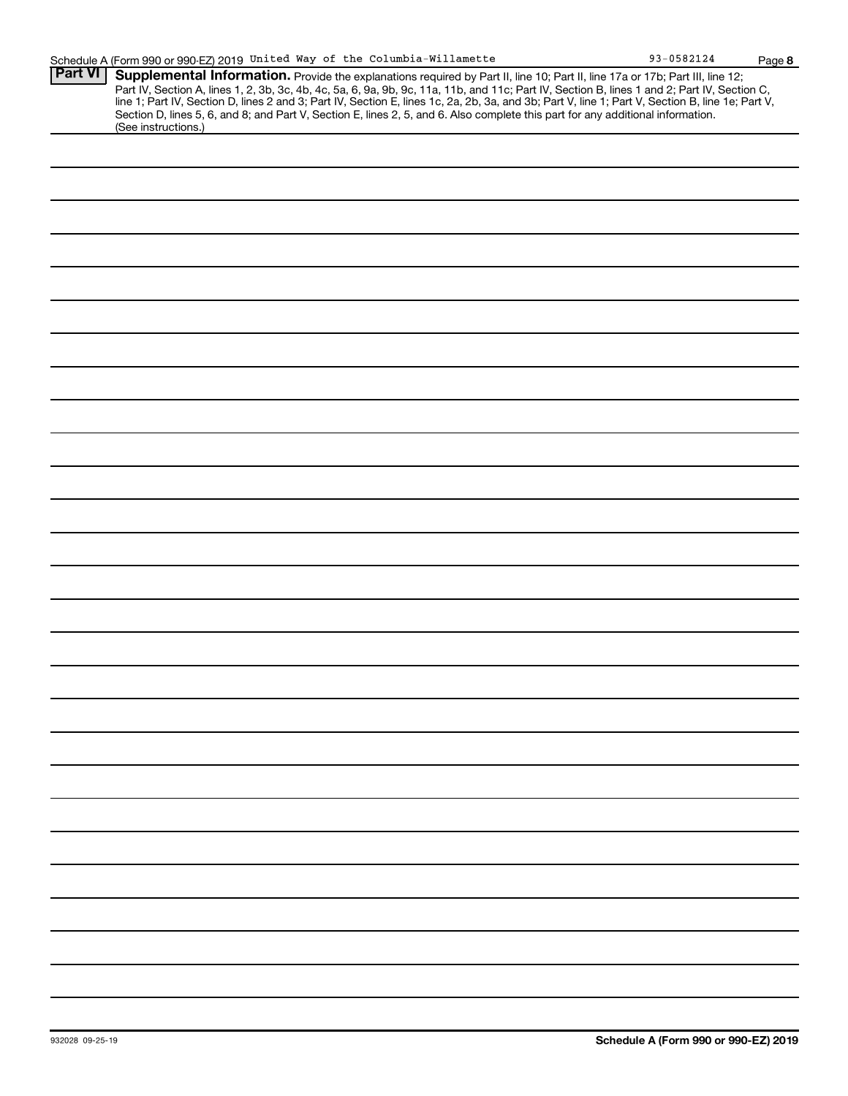|                | Schedule A (Form 990 or 990-EZ) 2019 United Way of the Columbia-Willamette                                                                                                                                                                                                                                                                                                                                                                                                                                                                                                                  | $93 - 0582124$ | Page 8 |
|----------------|---------------------------------------------------------------------------------------------------------------------------------------------------------------------------------------------------------------------------------------------------------------------------------------------------------------------------------------------------------------------------------------------------------------------------------------------------------------------------------------------------------------------------------------------------------------------------------------------|----------------|--------|
| <b>Part VI</b> | Supplemental Information. Provide the explanations required by Part II, line 10; Part II, line 17a or 17b; Part III, line 12;<br>Part IV, Section A, lines 1, 2, 3b, 3c, 4b, 4c, 5a, 6, 9a, 9b, 9c, 11a, 11b, and 11c; Part IV, Section B, lines 1 and 2; Part IV, Section C,<br>line 1; Part IV, Section D, lines 2 and 3; Part IV, Section E, lines 1c, 2a, 2b, 3a, and 3b; Part V, line 1; Part V, Section B, line 1e; Part V,<br>Section D, lines 5, 6, and 8; and Part V, Section E, lines 2, 5, and 6. Also complete this part for any additional information.<br>(See instructions.) |                |        |
|                |                                                                                                                                                                                                                                                                                                                                                                                                                                                                                                                                                                                             |                |        |
|                |                                                                                                                                                                                                                                                                                                                                                                                                                                                                                                                                                                                             |                |        |
|                |                                                                                                                                                                                                                                                                                                                                                                                                                                                                                                                                                                                             |                |        |
|                |                                                                                                                                                                                                                                                                                                                                                                                                                                                                                                                                                                                             |                |        |
|                |                                                                                                                                                                                                                                                                                                                                                                                                                                                                                                                                                                                             |                |        |
|                |                                                                                                                                                                                                                                                                                                                                                                                                                                                                                                                                                                                             |                |        |
|                |                                                                                                                                                                                                                                                                                                                                                                                                                                                                                                                                                                                             |                |        |
|                |                                                                                                                                                                                                                                                                                                                                                                                                                                                                                                                                                                                             |                |        |
|                |                                                                                                                                                                                                                                                                                                                                                                                                                                                                                                                                                                                             |                |        |
|                |                                                                                                                                                                                                                                                                                                                                                                                                                                                                                                                                                                                             |                |        |
|                |                                                                                                                                                                                                                                                                                                                                                                                                                                                                                                                                                                                             |                |        |
|                |                                                                                                                                                                                                                                                                                                                                                                                                                                                                                                                                                                                             |                |        |
|                |                                                                                                                                                                                                                                                                                                                                                                                                                                                                                                                                                                                             |                |        |
|                |                                                                                                                                                                                                                                                                                                                                                                                                                                                                                                                                                                                             |                |        |
|                |                                                                                                                                                                                                                                                                                                                                                                                                                                                                                                                                                                                             |                |        |
|                |                                                                                                                                                                                                                                                                                                                                                                                                                                                                                                                                                                                             |                |        |
|                |                                                                                                                                                                                                                                                                                                                                                                                                                                                                                                                                                                                             |                |        |
|                |                                                                                                                                                                                                                                                                                                                                                                                                                                                                                                                                                                                             |                |        |
|                |                                                                                                                                                                                                                                                                                                                                                                                                                                                                                                                                                                                             |                |        |
|                |                                                                                                                                                                                                                                                                                                                                                                                                                                                                                                                                                                                             |                |        |
|                |                                                                                                                                                                                                                                                                                                                                                                                                                                                                                                                                                                                             |                |        |
|                |                                                                                                                                                                                                                                                                                                                                                                                                                                                                                                                                                                                             |                |        |
|                |                                                                                                                                                                                                                                                                                                                                                                                                                                                                                                                                                                                             |                |        |
|                |                                                                                                                                                                                                                                                                                                                                                                                                                                                                                                                                                                                             |                |        |
|                |                                                                                                                                                                                                                                                                                                                                                                                                                                                                                                                                                                                             |                |        |
|                |                                                                                                                                                                                                                                                                                                                                                                                                                                                                                                                                                                                             |                |        |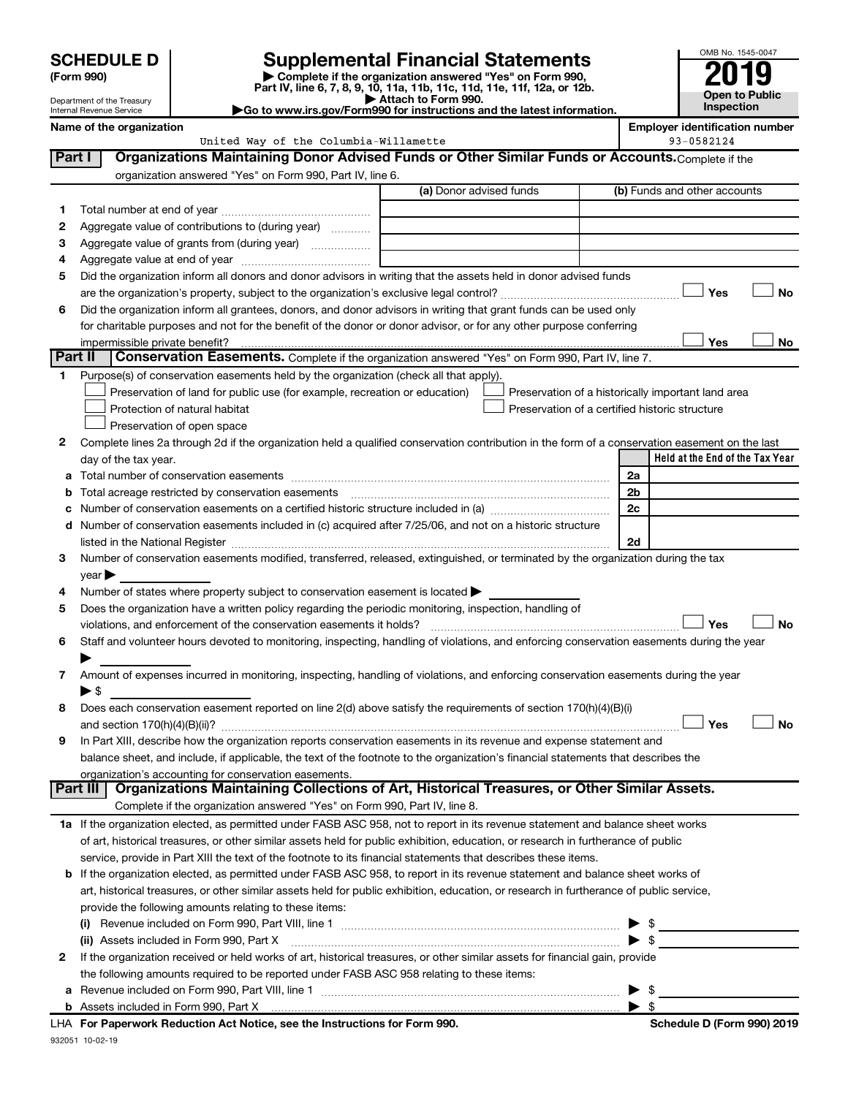| <b>SCHEDULE D</b> |  |
|-------------------|--|
|-------------------|--|

# **SCHEDULE D Supplemental Financial Statements**<br> **Form 990 2019**<br> **Part IV** line 6.7.8.9.10, 11a, 11b, 11d, 11d, 11d, 11d, 11d, 12a, 0r, 12b

**(Form 990) | Complete if the organization answered "Yes" on Form 990, Part IV, line 6, 7, 8, 9, 10, 11a, 11b, 11c, 11d, 11e, 11f, 12a, or 12b.**



Department of the Treasury Internal Revenue Service

**| Attach to Form 990. |Go to www.irs.gov/Form990 for instructions and the latest information.**

|         | Name of the organization<br>United Way of the Columbia-Willamette                                                                                                 | <b>Employer identification number</b><br>93-0582124    |
|---------|-------------------------------------------------------------------------------------------------------------------------------------------------------------------|--------------------------------------------------------|
| Part I  | Organizations Maintaining Donor Advised Funds or Other Similar Funds or Accounts. Complete if the                                                                 |                                                        |
|         |                                                                                                                                                                   |                                                        |
|         | organization answered "Yes" on Form 990, Part IV, line 6.<br>(a) Donor advised funds                                                                              | (b) Funds and other accounts                           |
|         |                                                                                                                                                                   |                                                        |
| 1.      |                                                                                                                                                                   |                                                        |
| 2       | Aggregate value of contributions to (during year)                                                                                                                 |                                                        |
| з       | Aggregate value of grants from (during year)                                                                                                                      |                                                        |
| 4       |                                                                                                                                                                   |                                                        |
| 5       | Did the organization inform all donors and donor advisors in writing that the assets held in donor advised funds                                                  |                                                        |
|         |                                                                                                                                                                   | Yes<br>No                                              |
| 6       | Did the organization inform all grantees, donors, and donor advisors in writing that grant funds can be used only                                                 |                                                        |
|         | for charitable purposes and not for the benefit of the donor or donor advisor, or for any other purpose conferring                                                |                                                        |
|         | impermissible private benefit?                                                                                                                                    | No<br>Yes                                              |
| Part II | Conservation Easements. Complete if the organization answered "Yes" on Form 990, Part IV, line 7.                                                                 |                                                        |
| 1       | Purpose(s) of conservation easements held by the organization (check all that apply).                                                                             |                                                        |
|         | Preservation of land for public use (for example, recreation or education)                                                                                        | Preservation of a historically important land area     |
|         | Protection of natural habitat                                                                                                                                     | Preservation of a certified historic structure         |
|         | Preservation of open space                                                                                                                                        |                                                        |
| 2       | Complete lines 2a through 2d if the organization held a qualified conservation contribution in the form of a conservation easement on the last                    |                                                        |
|         | day of the tax year.                                                                                                                                              | Held at the End of the Tax Year                        |
| а       |                                                                                                                                                                   | 2a                                                     |
| b       |                                                                                                                                                                   | 2b                                                     |
| с       |                                                                                                                                                                   | 2c                                                     |
| d       | Number of conservation easements included in (c) acquired after 7/25/06, and not on a historic structure                                                          |                                                        |
|         |                                                                                                                                                                   | 2d                                                     |
| 3       | Number of conservation easements modified, transferred, released, extinguished, or terminated by the organization during the tax                                  |                                                        |
|         | year                                                                                                                                                              |                                                        |
| 4       | Number of states where property subject to conservation easement is located >                                                                                     |                                                        |
| 5       | Does the organization have a written policy regarding the periodic monitoring, inspection, handling of                                                            |                                                        |
|         | violations, and enforcement of the conservation easements it holds?                                                                                               | Yes<br>No                                              |
| 6       | Staff and volunteer hours devoted to monitoring, inspecting, handling of violations, and enforcing conservation easements during the year                         |                                                        |
|         |                                                                                                                                                                   |                                                        |
| 7       | Amount of expenses incurred in monitoring, inspecting, handling of violations, and enforcing conservation easements during the year                               |                                                        |
|         | ▶ \$                                                                                                                                                              |                                                        |
| 8       | Does each conservation easement reported on line 2(d) above satisfy the requirements of section 170(h)(4)(B)(i)                                                   |                                                        |
|         |                                                                                                                                                                   | Yes<br>No                                              |
|         | In Part XIII, describe how the organization reports conservation easements in its revenue and expense statement and                                               |                                                        |
|         | balance sheet, and include, if applicable, the text of the footnote to the organization's financial statements that describes the                                 |                                                        |
|         | organization's accounting for conservation easements.<br>Organizations Maintaining Collections of Art, Historical Treasures, or Other Similar Assets.<br>Part III |                                                        |
|         | Complete if the organization answered "Yes" on Form 990, Part IV, line 8.                                                                                         |                                                        |
|         | 1a If the organization elected, as permitted under FASB ASC 958, not to report in its revenue statement and balance sheet works                                   |                                                        |
|         | of art, historical treasures, or other similar assets held for public exhibition, education, or research in furtherance of public                                 |                                                        |
|         | service, provide in Part XIII the text of the footnote to its financial statements that describes these items.                                                    |                                                        |
|         |                                                                                                                                                                   |                                                        |
| b       | If the organization elected, as permitted under FASB ASC 958, to report in its revenue statement and balance sheet works of                                       |                                                        |
|         | art, historical treasures, or other similar assets held for public exhibition, education, or research in furtherance of public service,                           |                                                        |
|         | provide the following amounts relating to these items:                                                                                                            |                                                        |
|         | (i)                                                                                                                                                               | \$                                                     |
|         | (ii) Assets included in Form 990, Part X                                                                                                                          | $\boldsymbol{\mathsf{s}}$                              |
| 2       | If the organization received or held works of art, historical treasures, or other similar assets for financial gain, provide                                      |                                                        |
|         | the following amounts required to be reported under FASB ASC 958 relating to these items:                                                                         |                                                        |
|         |                                                                                                                                                                   |                                                        |
|         | For Department: Deduction Act Nation and the Instructions for Form 000                                                                                            | $\blacktriangleright$ \$<br>Cahadule D (Faum 000) 0010 |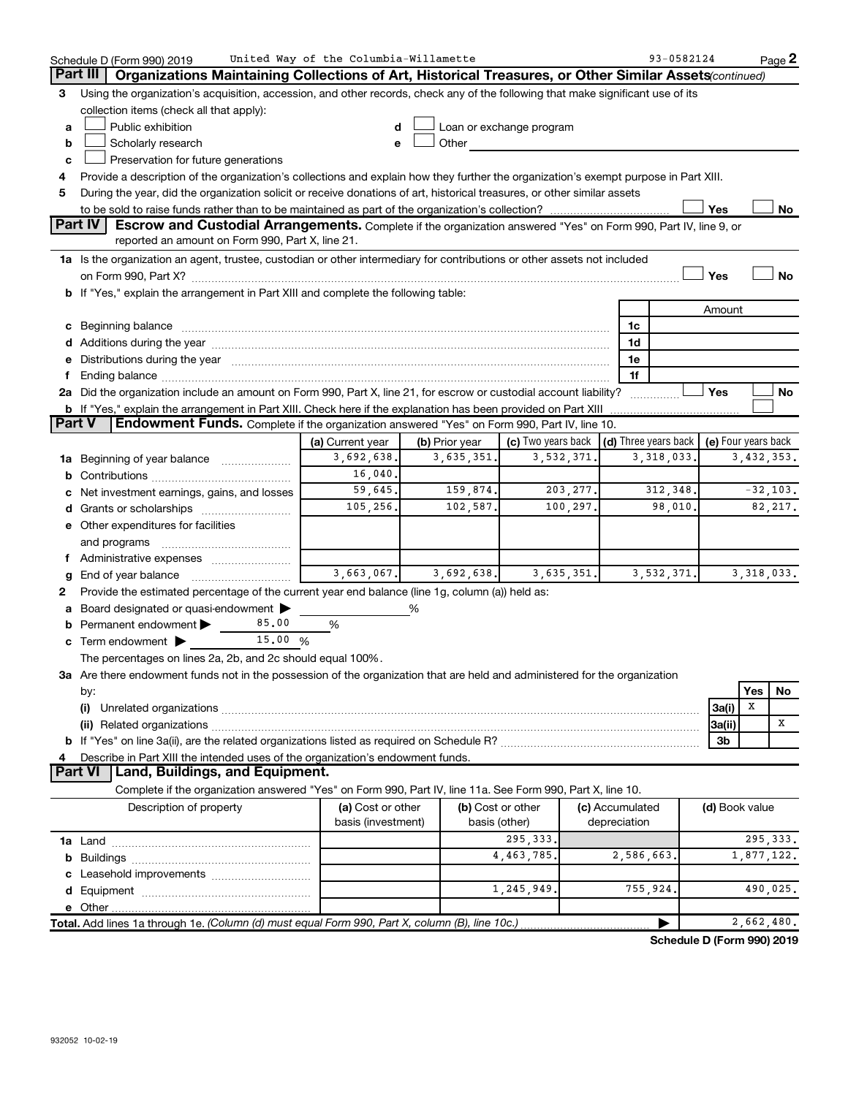|          | Schedule D (Form 990) 2019                                                                                                                                                                                                     | United Way of the Columbia-Willamette |                |                                                                             |                 | 93-0582124   |                |     | Page 2       |
|----------|--------------------------------------------------------------------------------------------------------------------------------------------------------------------------------------------------------------------------------|---------------------------------------|----------------|-----------------------------------------------------------------------------|-----------------|--------------|----------------|-----|--------------|
| Part III | Organizations Maintaining Collections of Art, Historical Treasures, or Other Similar Assets (continued)                                                                                                                        |                                       |                |                                                                             |                 |              |                |     |              |
| 3        | Using the organization's acquisition, accession, and other records, check any of the following that make significant use of its                                                                                                |                                       |                |                                                                             |                 |              |                |     |              |
|          | collection items (check all that apply):                                                                                                                                                                                       |                                       |                |                                                                             |                 |              |                |     |              |
| a        | Public exhibition                                                                                                                                                                                                              | d                                     |                | Loan or exchange program                                                    |                 |              |                |     |              |
| b        | Scholarly research                                                                                                                                                                                                             | e                                     | Other          |                                                                             |                 |              |                |     |              |
| c        | Preservation for future generations                                                                                                                                                                                            |                                       |                |                                                                             |                 |              |                |     |              |
| 4        | Provide a description of the organization's collections and explain how they further the organization's exempt purpose in Part XIII.                                                                                           |                                       |                |                                                                             |                 |              |                |     |              |
| 5        | During the year, did the organization solicit or receive donations of art, historical treasures, or other similar assets                                                                                                       |                                       |                |                                                                             |                 |              |                |     |              |
|          |                                                                                                                                                                                                                                |                                       |                |                                                                             |                 |              | Yes            |     | No           |
|          | Part IV<br>Escrow and Custodial Arrangements. Complete if the organization answered "Yes" on Form 990, Part IV, line 9, or                                                                                                     |                                       |                |                                                                             |                 |              |                |     |              |
|          | reported an amount on Form 990, Part X, line 21.                                                                                                                                                                               |                                       |                |                                                                             |                 |              |                |     |              |
|          | 1a Is the organization an agent, trustee, custodian or other intermediary for contributions or other assets not included                                                                                                       |                                       |                |                                                                             |                 |              |                |     |              |
|          |                                                                                                                                                                                                                                |                                       |                |                                                                             |                 |              | Yes            |     | <b>No</b>    |
|          | b If "Yes," explain the arrangement in Part XIII and complete the following table:                                                                                                                                             |                                       |                |                                                                             |                 |              |                |     |              |
|          |                                                                                                                                                                                                                                |                                       |                |                                                                             |                 |              | Amount         |     |              |
|          | c Beginning balance measurements and the contract of the contract of the contract of the contract of the contract of the contract of the contract of the contract of the contract of the contract of the contract of the contr |                                       |                |                                                                             | 1c              |              |                |     |              |
|          |                                                                                                                                                                                                                                |                                       |                |                                                                             | 1d              |              |                |     |              |
|          | e Distributions during the year manufactured and an account of the year manufactured and account of the year manufactured and account of the state of the state of the state of the state of the state of the state of the sta |                                       |                |                                                                             | 1е              |              |                |     |              |
|          |                                                                                                                                                                                                                                |                                       |                |                                                                             | 1f              |              |                |     |              |
|          | 2a Did the organization include an amount on Form 990, Part X, line 21, for escrow or custodial account liability?                                                                                                             |                                       |                |                                                                             |                 |              | Yes            |     | No           |
|          | <b>b</b> If "Yes," explain the arrangement in Part XIII. Check here if the explanation has been provided on Part XIII                                                                                                          |                                       |                |                                                                             |                 |              |                |     |              |
| Part V   | <b>Endowment Funds.</b> Complete if the organization answered "Yes" on Form 990, Part IV, line 10.                                                                                                                             |                                       |                |                                                                             |                 |              |                |     |              |
|          |                                                                                                                                                                                                                                | (a) Current year                      | (b) Prior year | (c) Two years back $\vert$ (d) Three years back $\vert$ (e) Four years back |                 |              |                |     |              |
|          | 1a Beginning of year balance                                                                                                                                                                                                   | 3,692,638.                            | 3,635,351.     | 3,532,371.                                                                  |                 | 3, 318, 033. |                |     | 3,432,353.   |
|          |                                                                                                                                                                                                                                | 16,040.                               |                |                                                                             |                 |              |                |     |              |
|          | c Net investment earnings, gains, and losses                                                                                                                                                                                   | 59,645.                               | 159,874.       | 203, 277.                                                                   |                 | 312,348.     |                |     | $-32,103.$   |
|          | d Grants or scholarships                                                                                                                                                                                                       | 105,256.                              | 102,587.       | 100,297.                                                                    |                 | 98,010.      |                |     | 82,217.      |
|          | e Other expenditures for facilities                                                                                                                                                                                            |                                       |                |                                                                             |                 |              |                |     |              |
|          | and programs                                                                                                                                                                                                                   |                                       |                |                                                                             |                 |              |                |     |              |
| Ť.       |                                                                                                                                                                                                                                |                                       |                |                                                                             |                 |              |                |     |              |
| g        | End of year balance                                                                                                                                                                                                            | 3,663,067.                            | 3,692,638.     | 3,635,351.                                                                  |                 | 3,532,371.   |                |     | 3, 318, 033. |
| 2        | Provide the estimated percentage of the current year end balance (line 1g, column (a)) held as:                                                                                                                                |                                       |                |                                                                             |                 |              |                |     |              |
| а        | Board designated or quasi-endowment                                                                                                                                                                                            |                                       | ℅              |                                                                             |                 |              |                |     |              |
|          | 85,00<br><b>b</b> Permanent endowment $\blacktriangleright$                                                                                                                                                                    | $\%$                                  |                |                                                                             |                 |              |                |     |              |
|          | 15.00 %<br><b>c</b> Term endowment $\blacktriangleright$                                                                                                                                                                       |                                       |                |                                                                             |                 |              |                |     |              |
|          | The percentages on lines 2a, 2b, and 2c should equal 100%.                                                                                                                                                                     |                                       |                |                                                                             |                 |              |                |     |              |
|          | 3a Are there endowment funds not in the possession of the organization that are held and administered for the organization                                                                                                     |                                       |                |                                                                             |                 |              |                |     |              |
|          | by:                                                                                                                                                                                                                            |                                       |                |                                                                             |                 |              |                | Yes | No           |
|          | (i)                                                                                                                                                                                                                            |                                       |                |                                                                             |                 |              | 3a(i)          | X   |              |
|          |                                                                                                                                                                                                                                |                                       |                |                                                                             |                 |              | 3a(ii)         |     | X            |
|          |                                                                                                                                                                                                                                |                                       |                |                                                                             |                 |              | 3b             |     |              |
| 4        | Describe in Part XIII the intended uses of the organization's endowment funds.                                                                                                                                                 |                                       |                |                                                                             |                 |              |                |     |              |
|          | <b>Part VI</b><br>Land, Buildings, and Equipment.                                                                                                                                                                              |                                       |                |                                                                             |                 |              |                |     |              |
|          | Complete if the organization answered "Yes" on Form 990, Part IV, line 11a. See Form 990, Part X, line 10.                                                                                                                     |                                       |                |                                                                             |                 |              |                |     |              |
|          | Description of property                                                                                                                                                                                                        | (a) Cost or other                     |                | (b) Cost or other                                                           | (c) Accumulated |              | (d) Book value |     |              |
|          |                                                                                                                                                                                                                                | basis (investment)                    |                | basis (other)                                                               | depreciation    |              |                |     |              |
|          |                                                                                                                                                                                                                                |                                       |                | 295, 333.                                                                   |                 |              |                |     | 295, 333.    |
|          |                                                                                                                                                                                                                                |                                       |                | 4,463,785.                                                                  | 2,586,663       |              |                |     | 1,877,122.   |
|          |                                                                                                                                                                                                                                |                                       |                |                                                                             |                 |              |                |     |              |
|          |                                                                                                                                                                                                                                |                                       |                | 1,245,949                                                                   | 755,924         |              |                |     | 490,025.     |
|          |                                                                                                                                                                                                                                |                                       |                |                                                                             |                 |              |                |     |              |
|          | Total. Add lines 1a through 1e. (Column (d) must equal Form 990, Part X, column (B), line 10c.)                                                                                                                                |                                       |                |                                                                             |                 |              |                |     | 2,662,480.   |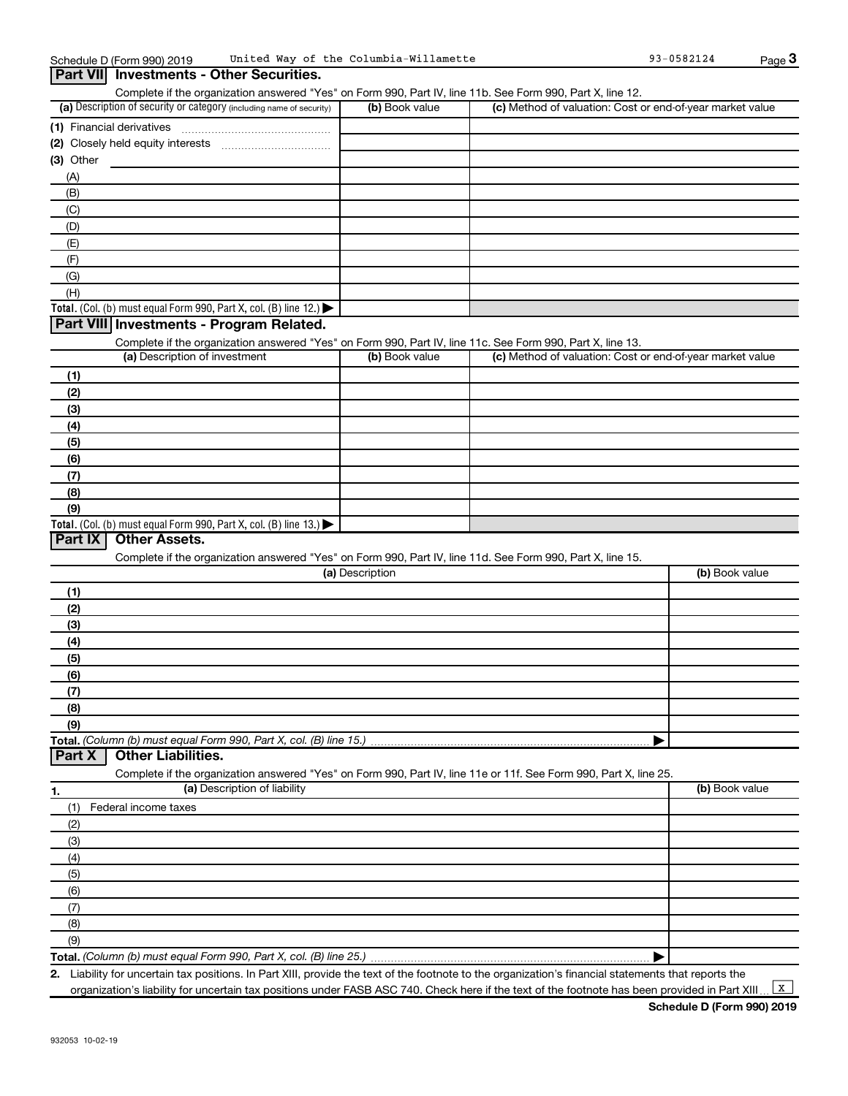| Schedule D (Form 990) 2019 |                                                 | United Way of the Columbia-Willamette | 93-0582124 | Page |
|----------------------------|-------------------------------------------------|---------------------------------------|------------|------|
|                            | <b>Part VII</b> Investments - Other Securities. |                                       |            |      |

| Complete if the organization answered "Yes" on Form 990, Part IV, line 11b. See Form 990, Part X, line 12.        |                 |                                                           |                |
|-------------------------------------------------------------------------------------------------------------------|-----------------|-----------------------------------------------------------|----------------|
| (a) Description of security or category (including name of security)                                              | (b) Book value  | (c) Method of valuation: Cost or end-of-year market value |                |
|                                                                                                                   |                 |                                                           |                |
|                                                                                                                   |                 |                                                           |                |
| $(3)$ Other                                                                                                       |                 |                                                           |                |
| (A)                                                                                                               |                 |                                                           |                |
| (B)                                                                                                               |                 |                                                           |                |
| (C)                                                                                                               |                 |                                                           |                |
| (D)                                                                                                               |                 |                                                           |                |
| (E)                                                                                                               |                 |                                                           |                |
|                                                                                                                   |                 |                                                           |                |
| (F)                                                                                                               |                 |                                                           |                |
| (G)                                                                                                               |                 |                                                           |                |
| (H)                                                                                                               |                 |                                                           |                |
| Total. (Col. (b) must equal Form 990, Part X, col. (B) line 12.)                                                  |                 |                                                           |                |
| Part VIII Investments - Program Related.                                                                          |                 |                                                           |                |
| Complete if the organization answered "Yes" on Form 990, Part IV, line 11c. See Form 990, Part X, line 13.        |                 |                                                           |                |
| (a) Description of investment                                                                                     | (b) Book value  | (c) Method of valuation: Cost or end-of-year market value |                |
| (1)                                                                                                               |                 |                                                           |                |
| (2)                                                                                                               |                 |                                                           |                |
| (3)                                                                                                               |                 |                                                           |                |
| (4)                                                                                                               |                 |                                                           |                |
| (5)                                                                                                               |                 |                                                           |                |
| (6)                                                                                                               |                 |                                                           |                |
| (7)                                                                                                               |                 |                                                           |                |
| (8)                                                                                                               |                 |                                                           |                |
| (9)                                                                                                               |                 |                                                           |                |
| Total. (Col. (b) must equal Form 990, Part X, col. (B) line 13.)                                                  |                 |                                                           |                |
| <b>Other Assets.</b><br>Part IX                                                                                   |                 |                                                           |                |
| Complete if the organization answered "Yes" on Form 990, Part IV, line 11d. See Form 990, Part X, line 15.        |                 |                                                           |                |
|                                                                                                                   | (a) Description |                                                           | (b) Book value |
| (1)                                                                                                               |                 |                                                           |                |
| (2)                                                                                                               |                 |                                                           |                |
| (3)                                                                                                               |                 |                                                           |                |
| (4)                                                                                                               |                 |                                                           |                |
|                                                                                                                   |                 |                                                           |                |
| (5)                                                                                                               |                 |                                                           |                |
| (6)                                                                                                               |                 |                                                           |                |
| (7)                                                                                                               |                 |                                                           |                |
| (8)                                                                                                               |                 |                                                           |                |
| (9)                                                                                                               |                 |                                                           |                |
| Total. (Column (b) must equal Form 990, Part X, col. (B) line 15.)                                                |                 |                                                           |                |
| <b>Other Liabilities.</b><br>Part X                                                                               |                 |                                                           |                |
| Complete if the organization answered "Yes" on Form 990, Part IV, line 11e or 11f. See Form 990, Part X, line 25. |                 |                                                           |                |
| (a) Description of liability<br>1.                                                                                |                 |                                                           | (b) Book value |
| Federal income taxes<br>(1)                                                                                       |                 |                                                           |                |
| (2)                                                                                                               |                 |                                                           |                |
| (3)                                                                                                               |                 |                                                           |                |
| (4)                                                                                                               |                 |                                                           |                |
| (5)                                                                                                               |                 |                                                           |                |
| (6)                                                                                                               |                 |                                                           |                |
| (7)                                                                                                               |                 |                                                           |                |
| (8)                                                                                                               |                 |                                                           |                |
|                                                                                                                   |                 |                                                           |                |
| (9)                                                                                                               |                 |                                                           |                |

**Total.**  *(Column (b) must equal Form 990, Part X, col. (B) line 25.)* |

**2.** Liability for uncertain tax positions. In Part XIII, provide the text of the footnote to the organization's financial statements that reports the organization's liability for uncertain tax positions under FASB ASC 740. Check here if the text of the footnote has been provided in Part XIII ...  $\boxed{\texttt{X}}$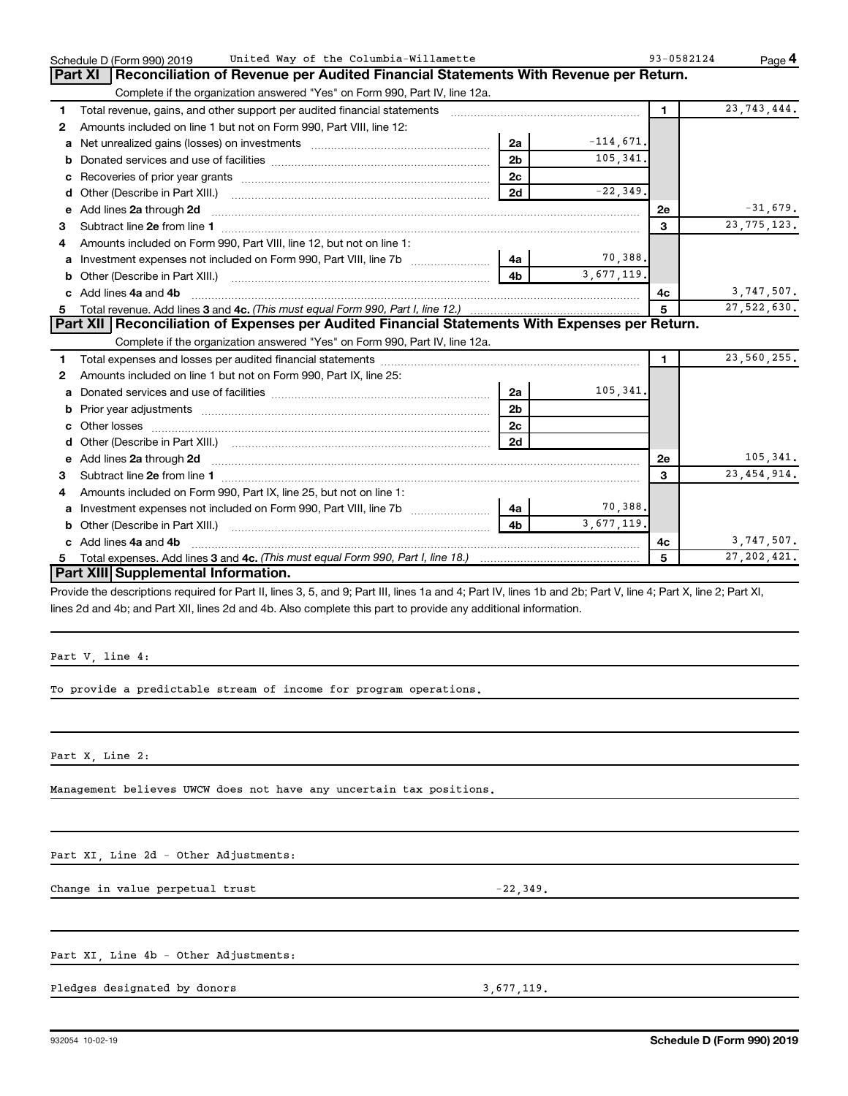|   | United Way of the Columbia-Willamette<br>Schedule D (Form 990) 2019                                                                                                                                                                                                              |                |             | 93-0582124     | Page 4        |
|---|----------------------------------------------------------------------------------------------------------------------------------------------------------------------------------------------------------------------------------------------------------------------------------|----------------|-------------|----------------|---------------|
|   | Part XI<br>Reconciliation of Revenue per Audited Financial Statements With Revenue per Return.                                                                                                                                                                                   |                |             |                |               |
|   | Complete if the organization answered "Yes" on Form 990, Part IV, line 12a.                                                                                                                                                                                                      |                |             |                |               |
| 1 | Total revenue, gains, and other support per audited financial statements                                                                                                                                                                                                         |                |             | $\blacksquare$ | 23, 743, 444. |
| 2 | Amounts included on line 1 but not on Form 990, Part VIII, line 12:                                                                                                                                                                                                              |                |             |                |               |
| а |                                                                                                                                                                                                                                                                                  | 2a             | $-114,671.$ |                |               |
| b |                                                                                                                                                                                                                                                                                  | 2 <sub>b</sub> | 105,341.    |                |               |
| с |                                                                                                                                                                                                                                                                                  | 2c             |             |                |               |
| d | Other (Describe in Part XIII.)                                                                                                                                                                                                                                                   | 2d             | $-22,349.$  |                |               |
| е | Add lines 2a through 2d                                                                                                                                                                                                                                                          |                |             | 2e             | $-31,679.$    |
| З |                                                                                                                                                                                                                                                                                  |                |             | 3              | 23, 775, 123. |
| 4 | Amounts included on Form 990, Part VIII, line 12, but not on line 1:                                                                                                                                                                                                             |                |             |                |               |
|   |                                                                                                                                                                                                                                                                                  | 4a             | 70,388.     |                |               |
| b |                                                                                                                                                                                                                                                                                  | 4 <sub>b</sub> | 3,677,119.  |                |               |
|   | c Add lines 4a and 4b                                                                                                                                                                                                                                                            |                |             | 4c             | 3,747,507.    |
| 5 |                                                                                                                                                                                                                                                                                  |                |             | 5              | 27,522,630.   |
|   | Part XII Reconciliation of Expenses per Audited Financial Statements With Expenses per Return.                                                                                                                                                                                   |                |             |                |               |
|   | Complete if the organization answered "Yes" on Form 990, Part IV, line 12a.                                                                                                                                                                                                      |                |             |                |               |
| 1 |                                                                                                                                                                                                                                                                                  |                |             | $\mathbf{1}$   | 23,560,255.   |
| 2 | Amounts included on line 1 but not on Form 990, Part IX, line 25:                                                                                                                                                                                                                |                |             |                |               |
| а |                                                                                                                                                                                                                                                                                  | 2a             | 105,341.    |                |               |
| b |                                                                                                                                                                                                                                                                                  | 2 <sub>b</sub> |             |                |               |
|   | Other losses <b>with a contract of the contract of the contract of the contract of the contract of the contract of the contract of the contract of the contract of the contract of the contract of the contract of the contract </b>                                             | 2с             |             |                |               |
| d |                                                                                                                                                                                                                                                                                  | 2d             |             |                |               |
| е | Add lines 2a through 2d                                                                                                                                                                                                                                                          |                |             | <b>2e</b>      | 105,341.      |
| З |                                                                                                                                                                                                                                                                                  |                |             | 3              | 23, 454, 914. |
| 4 | Amounts included on Form 990, Part IX, line 25, but not on line 1:                                                                                                                                                                                                               |                |             |                |               |
| а |                                                                                                                                                                                                                                                                                  | 4a             | 70,388.     |                |               |
| b |                                                                                                                                                                                                                                                                                  | 4 <sub>b</sub> | 3,677,119.  |                |               |
|   | c Add lines 4a and 4b                                                                                                                                                                                                                                                            |                |             | 4с             | 3,747,507.    |
| 5 | Total expenses. Add lines 3 and 4c. (This must equal Form 990, Part I, line 18.) <i>mand expenses. Add lines</i> 3 and                                                                                                                                                           |                |             | 5              | 27, 202, 421. |
|   | Part XIII Supplemental Information.                                                                                                                                                                                                                                              |                |             |                |               |
|   | Provide the descriptions required for Part II, lines 3, 5, and 9; Part III, lines 1a and 4; Part IV, lines 1b and 2b; Part V, line 4; Part X, line 2; Part XI,<br>lines 2d and 4b; and Part XII, lines 2d and 4b. Also complete this part to provide any additional information. |                |             |                |               |
|   | Part V, line 4:                                                                                                                                                                                                                                                                  |                |             |                |               |
|   | To provide a predictable stream of income for program operations.                                                                                                                                                                                                                |                |             |                |               |
|   |                                                                                                                                                                                                                                                                                  |                |             |                |               |
|   | Part X, Line 2:                                                                                                                                                                                                                                                                  |                |             |                |               |
|   | Management believes UWCW does not have any uncertain tax positions.                                                                                                                                                                                                              |                |             |                |               |
|   |                                                                                                                                                                                                                                                                                  |                |             |                |               |
|   |                                                                                                                                                                                                                                                                                  |                |             |                |               |

Part XI, Line 2d - Other Adjustments:

Change in value perpetual trust  $-22,349$ .

Part XI, Line 4b - Other Adjustments:

Pledges designated by donors 3,677,119.

932054 10-02-19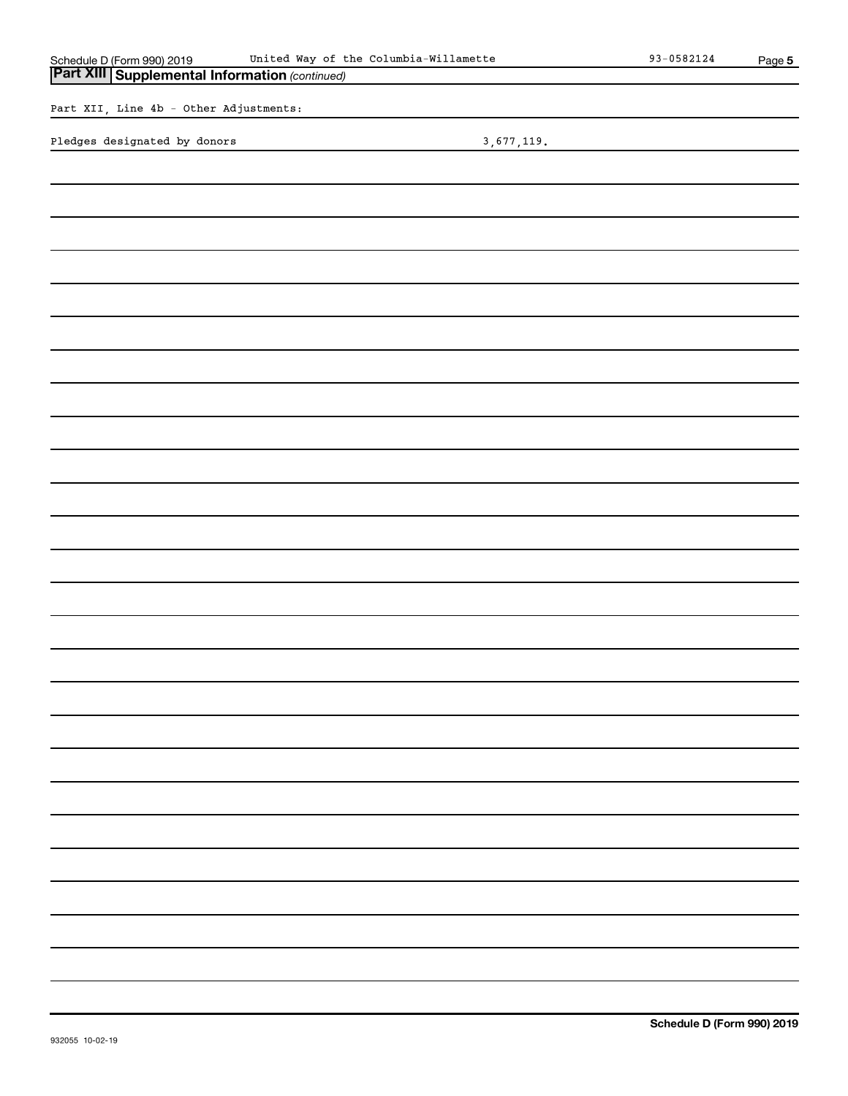| Schedule D (Form 990) 2019 United Way of the United Way of the Part XIII Supplemental Information (continued) | United Way of the Columbia-Willamette |            | $93 - 0582124$ |  |  |
|---------------------------------------------------------------------------------------------------------------|---------------------------------------|------------|----------------|--|--|
|                                                                                                               |                                       |            |                |  |  |
| Part XII, Line 4b - Other Adjustments:                                                                        |                                       |            |                |  |  |
|                                                                                                               |                                       |            |                |  |  |
| Pledges designated by donors                                                                                  |                                       | 3,677,119. |                |  |  |
|                                                                                                               |                                       |            |                |  |  |
|                                                                                                               |                                       |            |                |  |  |
|                                                                                                               |                                       |            |                |  |  |
|                                                                                                               |                                       |            |                |  |  |
|                                                                                                               |                                       |            |                |  |  |
|                                                                                                               |                                       |            |                |  |  |
|                                                                                                               |                                       |            |                |  |  |
|                                                                                                               |                                       |            |                |  |  |
|                                                                                                               |                                       |            |                |  |  |
|                                                                                                               |                                       |            |                |  |  |
|                                                                                                               |                                       |            |                |  |  |
|                                                                                                               |                                       |            |                |  |  |
|                                                                                                               |                                       |            |                |  |  |
|                                                                                                               |                                       |            |                |  |  |
|                                                                                                               |                                       |            |                |  |  |
|                                                                                                               |                                       |            |                |  |  |
|                                                                                                               |                                       |            |                |  |  |
|                                                                                                               |                                       |            |                |  |  |
|                                                                                                               |                                       |            |                |  |  |
|                                                                                                               |                                       |            |                |  |  |
|                                                                                                               |                                       |            |                |  |  |
|                                                                                                               |                                       |            |                |  |  |
|                                                                                                               |                                       |            |                |  |  |
|                                                                                                               |                                       |            |                |  |  |
|                                                                                                               |                                       |            |                |  |  |
|                                                                                                               |                                       |            |                |  |  |
|                                                                                                               |                                       |            |                |  |  |
|                                                                                                               |                                       |            |                |  |  |
|                                                                                                               |                                       |            |                |  |  |
|                                                                                                               |                                       |            |                |  |  |
|                                                                                                               |                                       |            |                |  |  |
|                                                                                                               |                                       |            |                |  |  |
|                                                                                                               |                                       |            |                |  |  |
|                                                                                                               |                                       |            |                |  |  |
|                                                                                                               |                                       |            |                |  |  |
|                                                                                                               |                                       |            |                |  |  |
|                                                                                                               |                                       |            |                |  |  |
|                                                                                                               |                                       |            |                |  |  |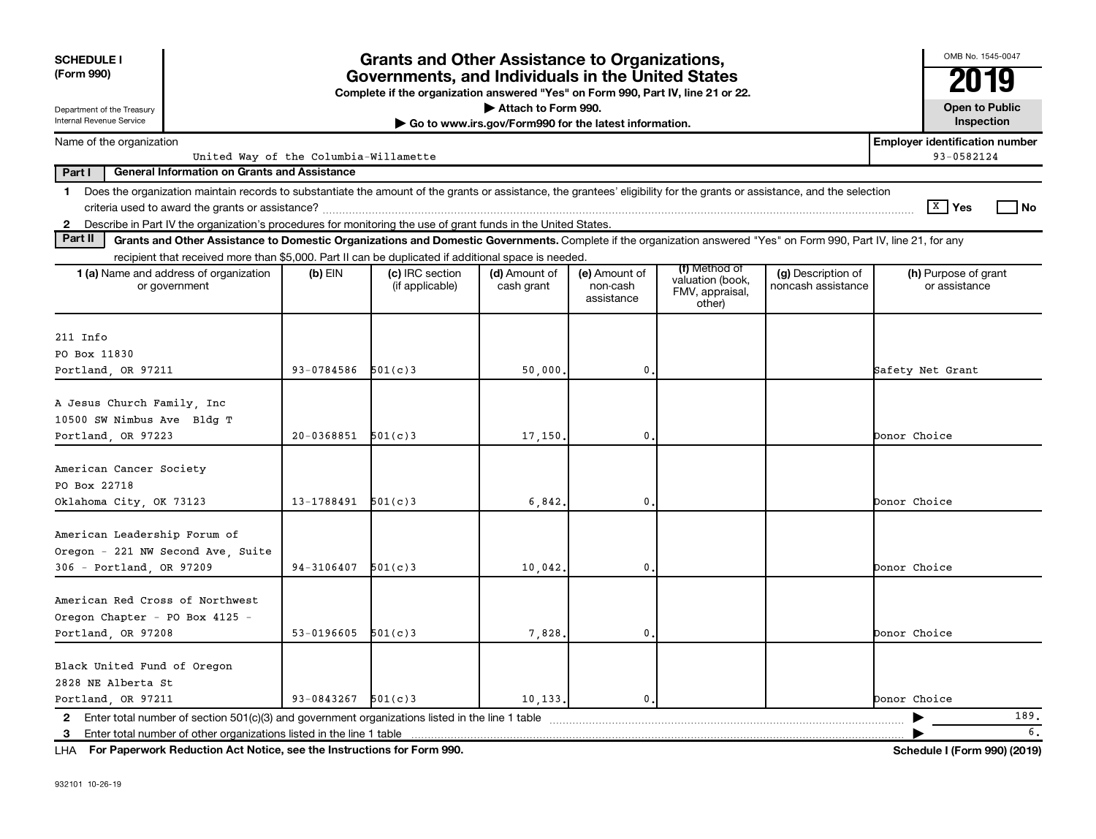| <b>SCHEDULE I</b><br>(Form 990)                                                                                                                                                                                                                                                                            |                                       | <b>Grants and Other Assistance to Organizations,</b><br>Governments, and Individuals in the United States<br>Complete if the organization answered "Yes" on Form 990, Part IV, line 21 or 22. |                                                       |                                         |                                                                |                                          | OMB No. 1545-0047                                   |
|------------------------------------------------------------------------------------------------------------------------------------------------------------------------------------------------------------------------------------------------------------------------------------------------------------|---------------------------------------|-----------------------------------------------------------------------------------------------------------------------------------------------------------------------------------------------|-------------------------------------------------------|-----------------------------------------|----------------------------------------------------------------|------------------------------------------|-----------------------------------------------------|
| Department of the Treasury                                                                                                                                                                                                                                                                                 |                                       |                                                                                                                                                                                               | Attach to Form 990.                                   |                                         |                                                                |                                          | <b>Open to Public</b>                               |
| Internal Revenue Service                                                                                                                                                                                                                                                                                   |                                       |                                                                                                                                                                                               | Go to www.irs.gov/Form990 for the latest information. |                                         |                                                                |                                          | <b>Inspection</b>                                   |
| Name of the organization                                                                                                                                                                                                                                                                                   | United Way of the Columbia-Willamette |                                                                                                                                                                                               |                                                       |                                         |                                                                |                                          | <b>Employer identification number</b><br>93-0582124 |
| Part I<br><b>General Information on Grants and Assistance</b>                                                                                                                                                                                                                                              |                                       |                                                                                                                                                                                               |                                                       |                                         |                                                                |                                          |                                                     |
| Does the organization maintain records to substantiate the amount of the grants or assistance, the grantees' eligibility for the grants or assistance, and the selection<br>$\mathbf 1$<br>2 Describe in Part IV the organization's procedures for monitoring the use of grant funds in the United States. |                                       |                                                                                                                                                                                               |                                                       |                                         |                                                                |                                          | <sub>X</sub> ∣ <b>Y</b> es<br>l No                  |
| Part II<br>Grants and Other Assistance to Domestic Organizations and Domestic Governments. Complete if the organization answered "Yes" on Form 990, Part IV, line 21, for any                                                                                                                              |                                       |                                                                                                                                                                                               |                                                       |                                         |                                                                |                                          |                                                     |
| recipient that received more than \$5,000. Part II can be duplicated if additional space is needed.                                                                                                                                                                                                        |                                       |                                                                                                                                                                                               |                                                       |                                         |                                                                |                                          |                                                     |
| 1 (a) Name and address of organization<br>or government                                                                                                                                                                                                                                                    | $(b)$ EIN                             | (c) IRC section<br>(if applicable)                                                                                                                                                            | (d) Amount of<br>cash grant                           | (e) Amount of<br>non-cash<br>assistance | (f) Method of<br>valuation (book,<br>FMV, appraisal,<br>other) | (g) Description of<br>noncash assistance | (h) Purpose of grant<br>or assistance               |
| 211 Info<br>PO Box 11830                                                                                                                                                                                                                                                                                   |                                       |                                                                                                                                                                                               |                                                       |                                         |                                                                |                                          |                                                     |
| Portland, OR 97211                                                                                                                                                                                                                                                                                         | 93-0784586                            | 501(c)3                                                                                                                                                                                       | 50,000,                                               | $\mathbf 0$                             |                                                                |                                          | Safety Net Grant                                    |
| A Jesus Church Family, Inc<br>10500 SW Nimbus Ave Bldg T<br>Portland, OR 97223                                                                                                                                                                                                                             | 20-0368851                            | 501(c)3                                                                                                                                                                                       | 17,150                                                | 0                                       |                                                                |                                          | Donor Choice                                        |
| American Cancer Society<br>PO Box 22718<br>Oklahoma City, OK 73123                                                                                                                                                                                                                                         | 13-1788491                            | 501(c)3                                                                                                                                                                                       | 6,842                                                 | $\mathbf 0$                             |                                                                |                                          | Donor Choice                                        |
| American Leadership Forum of<br>Oregon - 221 NW Second Ave, Suite<br>306 - Portland, OR 97209                                                                                                                                                                                                              | 94-3106407                            | 501(c)3                                                                                                                                                                                       | 10,042                                                | 0                                       |                                                                |                                          | Donor Choice                                        |
| American Red Cross of Northwest<br>Oregon Chapter - PO Box 4125 -<br>Portland, OR 97208                                                                                                                                                                                                                    | 53-0196605                            | 501(c)3                                                                                                                                                                                       | 7,828                                                 | $\mathbf 0$                             |                                                                |                                          | Donor Choice                                        |
| Black United Fund of Oregon<br>2828 NE Alberta St<br>Portland, OR 97211                                                                                                                                                                                                                                    | 93-0843267                            | 501(c)3                                                                                                                                                                                       | 10,133.                                               | 0.                                      |                                                                |                                          | Donor Choice                                        |
|                                                                                                                                                                                                                                                                                                            |                                       |                                                                                                                                                                                               |                                                       |                                         |                                                                |                                          | 189.                                                |
|                                                                                                                                                                                                                                                                                                            |                                       |                                                                                                                                                                                               |                                                       |                                         |                                                                |                                          | 6.                                                  |

**For Paperwork Reduction Act Notice, see the Instructions for Form 990. Schedule I (Form 990) (2019)** LHA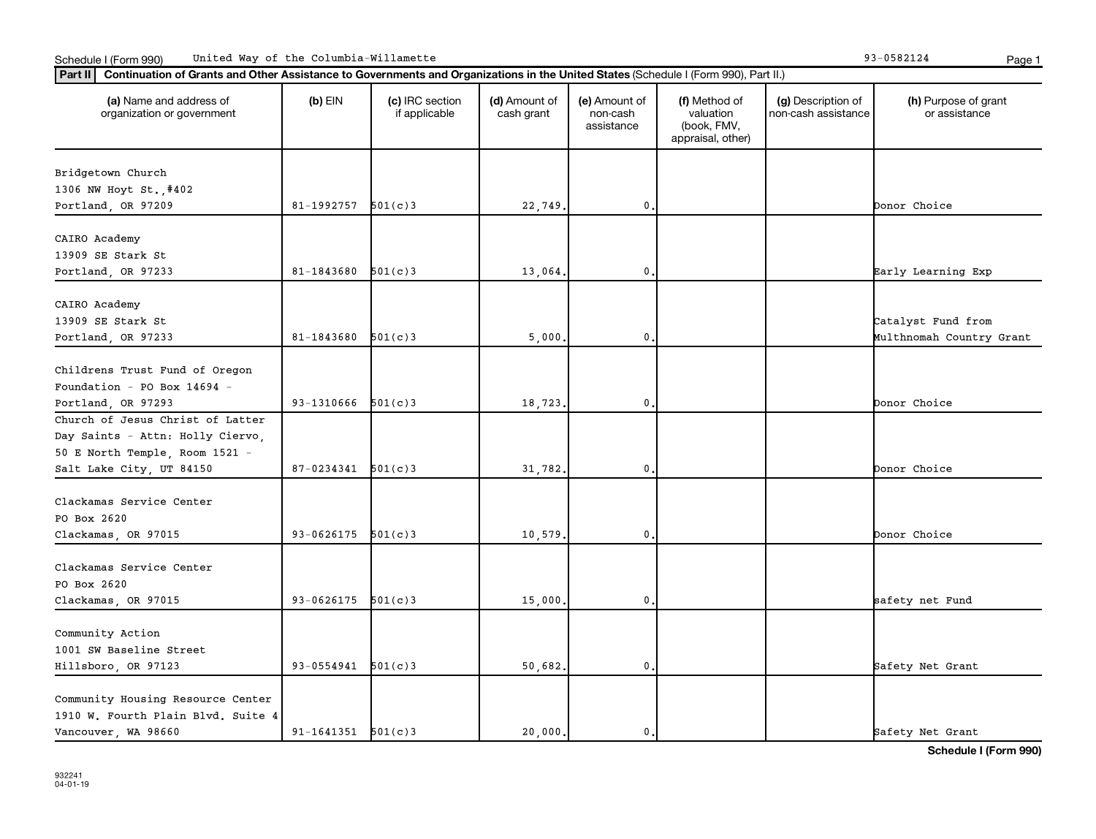#### Schedule I (Form 990) Page 1 United Way of the Columbia-Willamette 93-0582124

932241 04-01-19

| (a) Name and address of<br>organization or government     | $(b)$ EIN                | (c) IRC section<br>if applicable | (d) Amount of<br>cash grant | (e) Amount of<br>non-cash<br>assistance | (f) Method of<br>valuation<br>(book, FMV,<br>appraisal, other) | (g) Description of<br>non-cash assistance | (h) Purpose of grant<br>or assistance |
|-----------------------------------------------------------|--------------------------|----------------------------------|-----------------------------|-----------------------------------------|----------------------------------------------------------------|-------------------------------------------|---------------------------------------|
| Bridgetown Church                                         |                          |                                  |                             |                                         |                                                                |                                           |                                       |
| 1306 NW Hoyt St., #402                                    |                          |                                  |                             |                                         |                                                                |                                           |                                       |
| Portland, OR 97209                                        | 81-1992757               | 501(c)3                          | 22,749                      | 0                                       |                                                                |                                           | Donor Choice                          |
|                                                           |                          |                                  |                             |                                         |                                                                |                                           |                                       |
| CAIRO Academy                                             |                          |                                  |                             |                                         |                                                                |                                           |                                       |
| 13909 SE Stark St                                         |                          |                                  |                             |                                         |                                                                |                                           |                                       |
| Portland, OR 97233                                        | 81-1843680               | 501(c)3                          | 13,064                      | 0                                       |                                                                |                                           | Early Learning Exp                    |
| CAIRO Academy                                             |                          |                                  |                             |                                         |                                                                |                                           |                                       |
| 13909 SE Stark St                                         |                          |                                  |                             |                                         |                                                                |                                           | Catalyst Fund from                    |
| Portland, OR 97233                                        | 81-1843680               | 501(c)3                          | 5,000                       | 0                                       |                                                                |                                           | Multhnomah Country Grant              |
| Childrens Trust Fund of Oregon                            |                          |                                  |                             |                                         |                                                                |                                           |                                       |
|                                                           |                          |                                  |                             |                                         |                                                                |                                           |                                       |
| Foundation - PO Box $14694$ -                             |                          |                                  |                             | 0                                       |                                                                |                                           |                                       |
| Portland, OR 97293                                        | $93-1310666$ $501(c)3$   |                                  | 18,723                      |                                         |                                                                |                                           | Donor Choice                          |
| Church of Jesus Christ of Latter                          |                          |                                  |                             |                                         |                                                                |                                           |                                       |
| Day Saints - Attn: Holly Ciervo,                          |                          |                                  |                             |                                         |                                                                |                                           |                                       |
| 50 E North Temple, Room 1521 -                            |                          |                                  |                             |                                         |                                                                |                                           |                                       |
| Salt Lake City, UT 84150                                  | 87-0234341               | 501(c)3                          | 31,782.                     | 0                                       |                                                                |                                           | Donor Choice                          |
| Clackamas Service Center                                  |                          |                                  |                             |                                         |                                                                |                                           |                                       |
| PO Box 2620                                               |                          |                                  |                             |                                         |                                                                |                                           |                                       |
| Clackamas, OR 97015                                       | 93-0626175               | 501(c)3                          | 10,579                      | 0                                       |                                                                |                                           | Donor Choice                          |
| Clackamas Service Center                                  |                          |                                  |                             |                                         |                                                                |                                           |                                       |
| PO Box 2620                                               |                          |                                  |                             |                                         |                                                                |                                           |                                       |
|                                                           |                          |                                  |                             |                                         |                                                                |                                           |                                       |
| Clackamas, OR 97015                                       | 93-0626175               | 501(c)3                          | 15,000                      | $\mathfrak o$ .                         |                                                                |                                           | safety net Fund                       |
| Community Action                                          |                          |                                  |                             |                                         |                                                                |                                           |                                       |
| 1001 SW Baseline Street                                   |                          |                                  |                             |                                         |                                                                |                                           |                                       |
| Hillsboro, OR 97123                                       | $93-0554941$ $501(c)3$   |                                  | 50,682.                     | $\mathbf{0}$ .                          |                                                                |                                           | Safety Net Grant                      |
| Community Housing Resource Center                         |                          |                                  |                             |                                         |                                                                |                                           |                                       |
|                                                           |                          |                                  |                             |                                         |                                                                |                                           |                                       |
| 1910 W. Fourth Plain Blvd. Suite 4<br>Vancouver, WA 98660 | $91 - 1641351$ $501(c)3$ |                                  | 20,000.                     | 0                                       |                                                                |                                           | Safety Net Grant                      |
|                                                           |                          |                                  |                             |                                         |                                                                |                                           |                                       |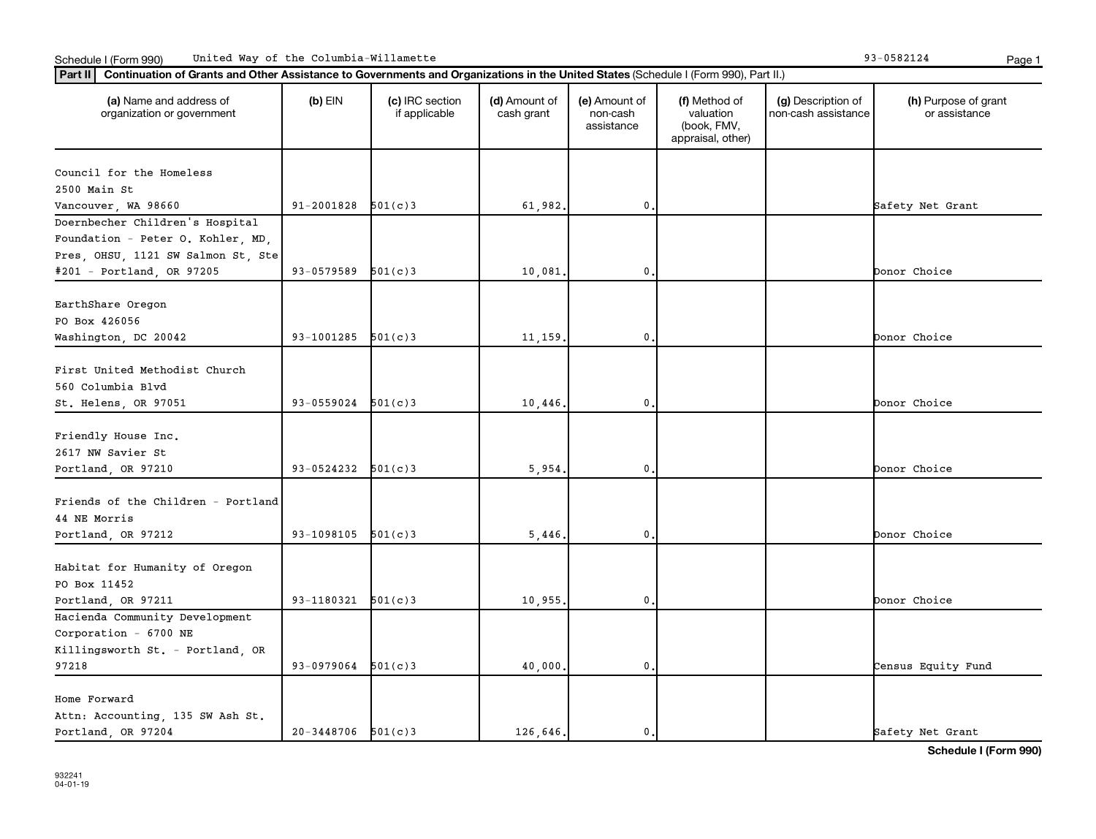| 93-0582124 |  |
|------------|--|
|            |  |

| (a) Name and address of<br>organization or government | (b) EIN                  | (c) IRC section<br>if applicable | (d) Amount of<br>cash grant | (e) Amount of<br>non-cash<br>assistance | (f) Method of<br>valuation<br>(book, FMV,<br>appraisal, other) | (g) Description of<br>non-cash assistance | (h) Purpose of grant<br>or assistance |
|-------------------------------------------------------|--------------------------|----------------------------------|-----------------------------|-----------------------------------------|----------------------------------------------------------------|-------------------------------------------|---------------------------------------|
| Council for the Homeless                              |                          |                                  |                             |                                         |                                                                |                                           |                                       |
| 2500 Main St                                          |                          |                                  |                             |                                         |                                                                |                                           |                                       |
| Vancouver, WA 98660                                   | $91 - 2001828$ $501(c)3$ |                                  | 61,982.                     | $\mathbf 0$ .                           |                                                                |                                           | Safety Net Grant                      |
| Doernbecher Children's Hospital                       |                          |                                  |                             |                                         |                                                                |                                           |                                       |
| Foundation - Peter O. Kohler, MD,                     |                          |                                  |                             |                                         |                                                                |                                           |                                       |
| Pres, OHSU, 1121 SW Salmon St, Ste                    |                          |                                  |                             |                                         |                                                                |                                           |                                       |
| #201 - Portland, OR 97205                             | 93-0579589               | 501(c)3                          | 10,081.                     | $\mathbf 0$                             |                                                                |                                           | Donor Choice                          |
|                                                       |                          |                                  |                             |                                         |                                                                |                                           |                                       |
| EarthShare Oregon                                     |                          |                                  |                             |                                         |                                                                |                                           |                                       |
| PO Box 426056                                         |                          |                                  |                             |                                         |                                                                |                                           |                                       |
| Washington, DC 20042                                  | $93-1001285$ $501(c)3$   |                                  | 11, 159.                    | $\mathbf 0$ .                           |                                                                |                                           | Donor Choice                          |
|                                                       |                          |                                  |                             |                                         |                                                                |                                           |                                       |
| First United Methodist Church                         |                          |                                  |                             |                                         |                                                                |                                           |                                       |
| 560 Columbia Blvd                                     |                          |                                  |                             |                                         |                                                                |                                           |                                       |
| St. Helens, OR 97051                                  | $93-0559024$ $501(c)3$   |                                  | 10,446.                     | $\mathbf 0$ .                           |                                                                |                                           | Donor Choice                          |
|                                                       |                          |                                  |                             |                                         |                                                                |                                           |                                       |
| Friendly House Inc.                                   |                          |                                  |                             |                                         |                                                                |                                           |                                       |
| 2617 NW Savier St                                     |                          |                                  |                             |                                         |                                                                |                                           |                                       |
| Portland, OR 97210                                    | 93-0524232               | 501(c)3                          | 5,954.                      | 0.                                      |                                                                |                                           | Donor Choice                          |
| Friends of the Children - Portland                    |                          |                                  |                             |                                         |                                                                |                                           |                                       |
| 44 NE Morris                                          |                          |                                  |                             |                                         |                                                                |                                           |                                       |
| Portland, OR 97212                                    | 93-1098105               | 501(c)3                          | 5,446,                      | 0                                       |                                                                |                                           | Donor Choice                          |
|                                                       |                          |                                  |                             |                                         |                                                                |                                           |                                       |
| Habitat for Humanity of Oregon                        |                          |                                  |                             |                                         |                                                                |                                           |                                       |
| PO Box 11452                                          |                          |                                  |                             |                                         |                                                                |                                           |                                       |
| Portland, OR 97211                                    | $93-1180321$ $501(c)3$   |                                  | 10,955.                     | 0.                                      |                                                                |                                           | Donor Choice                          |
| Hacienda Community Development                        |                          |                                  |                             |                                         |                                                                |                                           |                                       |
| Corporation - 6700 NE                                 |                          |                                  |                             |                                         |                                                                |                                           |                                       |
| Killingsworth St. - Portland, OR                      |                          |                                  |                             |                                         |                                                                |                                           |                                       |
| 97218                                                 | $93-0979064$ $501(c)3$   |                                  | 40,000.                     | $\mathbf 0$                             |                                                                |                                           | Census Equity Fund                    |
|                                                       |                          |                                  |                             |                                         |                                                                |                                           |                                       |
| Home Forward                                          |                          |                                  |                             |                                         |                                                                |                                           |                                       |
| Attn: Accounting, 135 SW Ash St.                      |                          |                                  |                             |                                         |                                                                |                                           |                                       |
| Portland, OR 97204                                    | $20 - 3448706$ 501(c)3   |                                  | 126,646.                    | $\mathbf{0}$ .                          |                                                                |                                           | Safety Net Grant                      |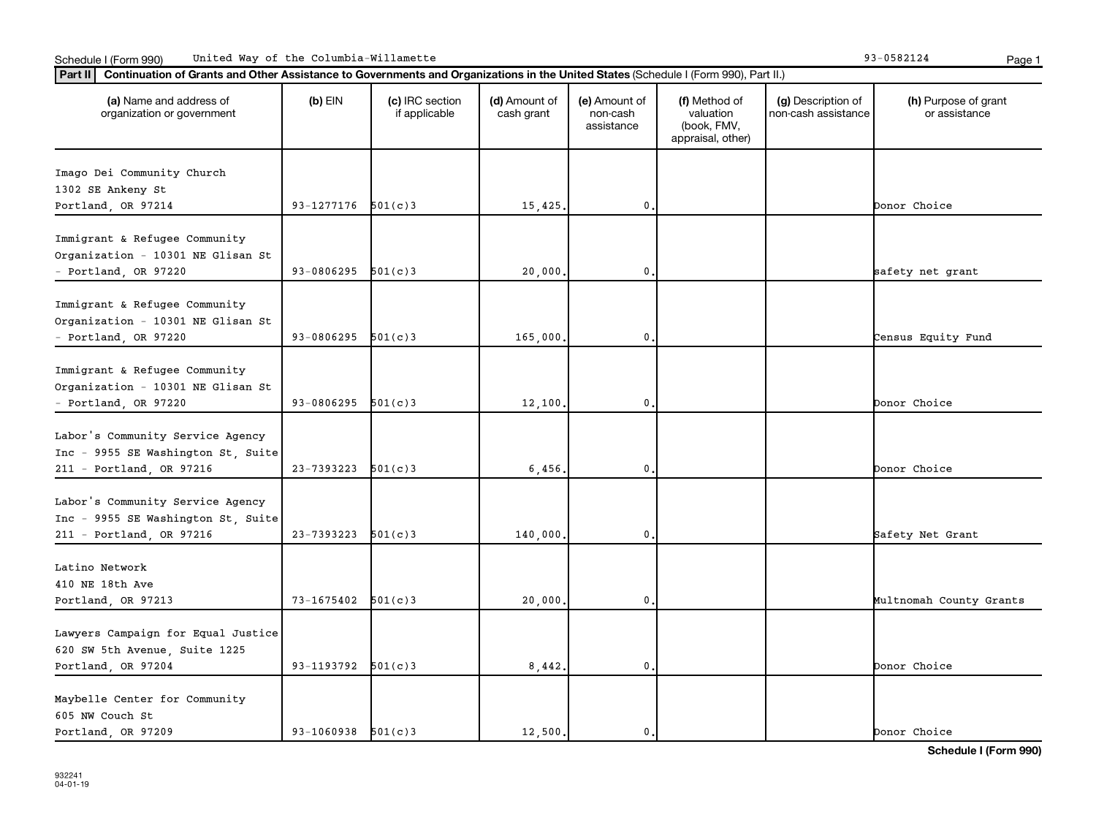Part II | Continuation of Grants and Other Assistance to Governments and Organizations in the United States (Schedule I (Form 990), Part II.)

| (a) Name and address of<br>organization or government                                              | $(b)$ EIN                | (c) IRC section<br>if applicable | (d) Amount of<br>cash grant | (e) Amount of<br>non-cash<br>assistance | (f) Method of<br>valuation<br>(book, FMV,<br>appraisal, other) | (g) Description of<br>non-cash assistance | (h) Purpose of grant<br>or assistance |
|----------------------------------------------------------------------------------------------------|--------------------------|----------------------------------|-----------------------------|-----------------------------------------|----------------------------------------------------------------|-------------------------------------------|---------------------------------------|
| Imago Dei Community Church<br>1302 SE Ankeny St<br>Portland, OR 97214                              | 93-1277176               | 501(c)3                          | 15,425.                     | 0.                                      |                                                                |                                           | Donor Choice                          |
| Immigrant & Refugee Community<br>Organization - 10301 NE Glisan St<br>- Portland, OR 97220         | 93-0806295               | 501(c)3                          | 20,000                      | 0.                                      |                                                                |                                           | safety net grant                      |
| Immigrant & Refugee Community<br>Organization - 10301 NE Glisan St<br>- Portland, OR 97220         | 93-0806295               | 501(c)3                          | 165,000.                    | 0.                                      |                                                                |                                           | Census Equity Fund                    |
| Immigrant & Refugee Community<br>Organization - 10301 NE Glisan St<br>- Portland, OR 97220         | 93-0806295               | 501(c)3                          | 12,100                      | 0,                                      |                                                                |                                           | Donor Choice                          |
| Labor's Community Service Agency<br>Inc - 9955 SE Washington St, Suite<br>211 - Portland, OR 97216 | 23-7393223               | 501(c)3                          | 6,456                       | $\mathbf 0$ .                           |                                                                |                                           | Donor Choice                          |
| Labor's Community Service Agency<br>Inc - 9955 SE Washington St, Suite<br>211 - Portland, OR 97216 | 23-7393223               | 501(c)3                          | 140,000                     | 0.                                      |                                                                |                                           | Safety Net Grant                      |
| Latino Network<br>410 NE 18th Ave<br>Portland, OR 97213                                            | $73 - 1675402$ $501(c)3$ |                                  | 20,000.                     | $\mathbf{0}$ .                          |                                                                |                                           | Multnomah County Grants               |
| Lawyers Campaign for Equal Justice<br>620 SW 5th Avenue, Suite 1225<br>Portland, OR 97204          | $93-1193792$ $501(c)3$   |                                  | 8,442.                      | 0.                                      |                                                                |                                           | Donor Choice                          |
| Maybelle Center for Community<br>605 NW Couch St<br>Portland, OR 97209                             | 93-1060938               | 501(c)3                          | 12,500.                     | 0.                                      |                                                                |                                           | Donor Choice                          |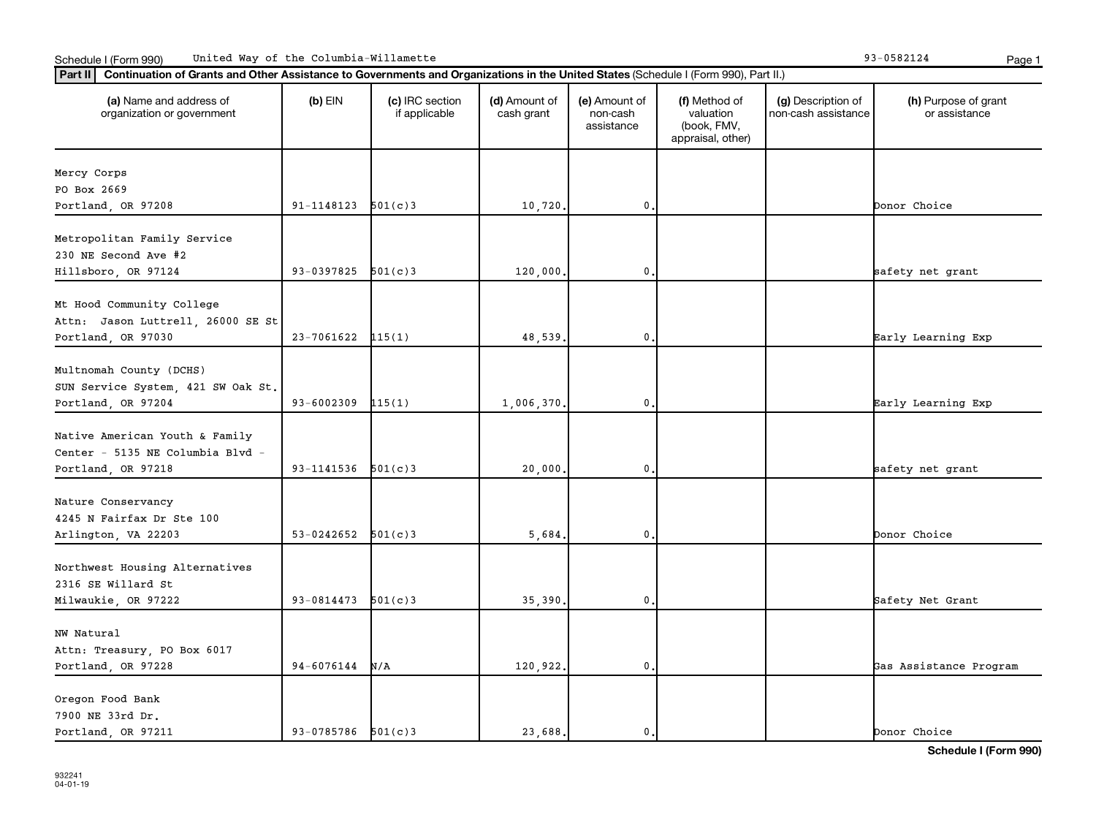| (a) Name and address of<br>organization or government                                    | $(b)$ EIN              | (c) IRC section<br>if applicable | (d) Amount of<br>cash grant | (e) Amount of<br>non-cash<br>assistance | (f) Method of<br>valuation<br>(book, FMV,<br>appraisal, other) | (g) Description of<br>non-cash assistance | (h) Purpose of grant<br>or assistance |
|------------------------------------------------------------------------------------------|------------------------|----------------------------------|-----------------------------|-----------------------------------------|----------------------------------------------------------------|-------------------------------------------|---------------------------------------|
| Mercy Corps                                                                              |                        |                                  |                             |                                         |                                                                |                                           |                                       |
| PO Box 2669                                                                              |                        |                                  |                             |                                         |                                                                |                                           |                                       |
| Portland, OR 97208                                                                       | 91-1148123             | 501(c)3                          | 10,720                      | $\pmb{0}$                               |                                                                |                                           | Donor Choice                          |
| Metropolitan Family Service                                                              |                        |                                  |                             |                                         |                                                                |                                           |                                       |
| 230 NE Second Ave #2                                                                     |                        |                                  |                             |                                         |                                                                |                                           |                                       |
| Hillsboro, OR 97124                                                                      | 93-0397825             | 501(c)3                          | 120,000                     | 0.                                      |                                                                |                                           | safety net grant                      |
| Mt Hood Community College<br>Attn: Jason Luttrell, 26000 SE St                           |                        |                                  |                             |                                         |                                                                |                                           |                                       |
| Portland, OR 97030                                                                       | 23-7061622             | 115(1)                           | 48,539.                     | $\mathbf{0}$ .                          |                                                                |                                           | Early Learning Exp                    |
| Multnomah County (DCHS)<br>SUN Service System, 421 SW Oak St.                            |                        |                                  |                             |                                         |                                                                |                                           |                                       |
| Portland, OR 97204                                                                       | 93-6002309             | 115(1)                           | 1,006,370                   | $\mathbf{0}$ .                          |                                                                |                                           | Early Learning Exp                    |
| Native American Youth & Family<br>Center - 5135 NE Columbia Blvd -<br>Portland, OR 97218 | 93-1141536             | 501(c)3                          | 20,000                      | 0.                                      |                                                                |                                           | safety net grant                      |
| Nature Conservancy<br>4245 N Fairfax Dr Ste 100                                          | 53-0242652             | 501(c)3                          | 5,684                       | $\mathbf{0}$ .                          |                                                                |                                           | Donor Choice                          |
| Arlington, VA 22203                                                                      |                        |                                  |                             |                                         |                                                                |                                           |                                       |
| Northwest Housing Alternatives<br>2316 SE Willard St                                     |                        |                                  |                             |                                         |                                                                |                                           |                                       |
| Milwaukie, OR 97222                                                                      | 93-0814473             | 501(c)3                          | 35,390                      | $\mathbf{0}$ .                          |                                                                |                                           | Safety Net Grant                      |
| NW Natural                                                                               |                        |                                  |                             |                                         |                                                                |                                           |                                       |
| Attn: Treasury, PO Box 6017<br>Portland, OR 97228                                        | 94-6076144             | N/A                              | 120,922.                    | 0.                                      |                                                                |                                           | Gas Assistance Program                |
| Oregon Food Bank                                                                         |                        |                                  |                             |                                         |                                                                |                                           |                                       |
| 7900 NE 33rd Dr.<br>Portland, OR 97211                                                   | $93-0785786$ $501(c)3$ |                                  | 23,688.                     | $\mathbf{0}$ .                          |                                                                |                                           | Donor Choice                          |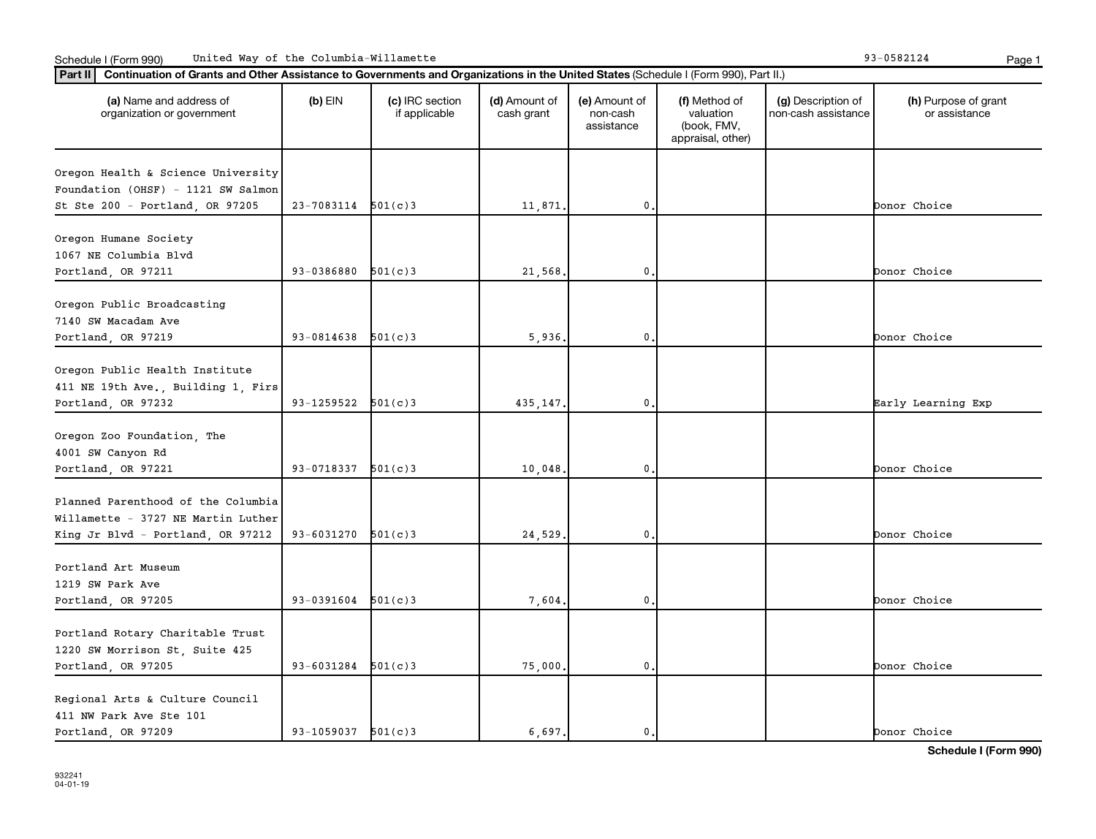#### **Part III Continuation of Grants and Other Assistance to Governments and Organizations in the United States (Schi<br>
Part III Continuation of Grants and Other Assistance to Governments and Organizations in the United State** Schedule I (Form 990) United Way of the Columbia-Willamette Page 1 (Page 1) Page 1

| Part II<br>Continuation of Grants and Other Assistance to Governments and Organizations in the United States (Schedule I (Form 990), Part II.) |                          |                                  |                             |                                         |                                                                |                                           |                                       |
|------------------------------------------------------------------------------------------------------------------------------------------------|--------------------------|----------------------------------|-----------------------------|-----------------------------------------|----------------------------------------------------------------|-------------------------------------------|---------------------------------------|
| (a) Name and address of<br>organization or government                                                                                          | $(b)$ EIN                | (c) IRC section<br>if applicable | (d) Amount of<br>cash grant | (e) Amount of<br>non-cash<br>assistance | (f) Method of<br>valuation<br>(book, FMV,<br>appraisal, other) | (g) Description of<br>non-cash assistance | (h) Purpose of grant<br>or assistance |
| Oregon Health & Science University<br>Foundation (OHSF) - 1121 SW Salmon<br>St Ste 200 - Portland, OR 97205                                    | $23 - 7083114$ $501(c)3$ |                                  | 11,871.                     | 0.                                      |                                                                |                                           | Donor Choice                          |
|                                                                                                                                                |                          |                                  |                             |                                         |                                                                |                                           |                                       |
| Oregon Humane Society<br>1067 NE Columbia Blvd<br>Portland, OR 97211                                                                           | 93-0386880               | 501(c)3                          | 21,568.                     | $\mathbf{0}$ .                          |                                                                |                                           | Donor Choice                          |
| Oregon Public Broadcasting<br>7140 SW Macadam Ave<br>Portland, OR 97219                                                                        | 93-0814638               | 501(c)3                          | 5,936.                      | $\mathbf 0$                             |                                                                |                                           | Donor Choice                          |
| Oregon Public Health Institute<br>411 NE 19th Ave., Building 1, Firs<br>Portland, OR 97232                                                     | $93-1259522$ $501(c)3$   |                                  | 435, 147.                   | 0.                                      |                                                                |                                           | Early Learning Exp                    |
| Oregon Zoo Foundation, The<br>4001 SW Canyon Rd<br>Portland, OR 97221                                                                          | $93-0718337$ $501(c)3$   |                                  | 10,048.                     | 0.                                      |                                                                |                                           | Donor Choice                          |
| Planned Parenthood of the Columbia<br>Willamette - 3727 NE Martin Luther<br>King Jr Blvd - Portland, OR 97212                                  | 93-6031270               | 501(c)3                          | 24,529.                     | $\mathbf{0}$                            |                                                                |                                           | Donor Choice                          |
| Portland Art Museum<br>1219 SW Park Ave<br>Portland, OR 97205                                                                                  | $93-0391604$ $501(c)3$   |                                  | 7,604                       | 0.                                      |                                                                |                                           | Donor Choice                          |
| Portland Rotary Charitable Trust<br>1220 SW Morrison St, Suite 425<br>Portland, OR 97205                                                       | $93 - 6031284$ $501(c)3$ |                                  | 75,000.                     | 0.                                      |                                                                |                                           | Donor Choice                          |
| Regional Arts & Culture Council<br>411 NW Park Ave Ste 101<br>Portland, OR 97209                                                               | $93-1059037$ $501(c)3$   |                                  | 6.697.                      | 0.                                      |                                                                |                                           | Donor Choice                          |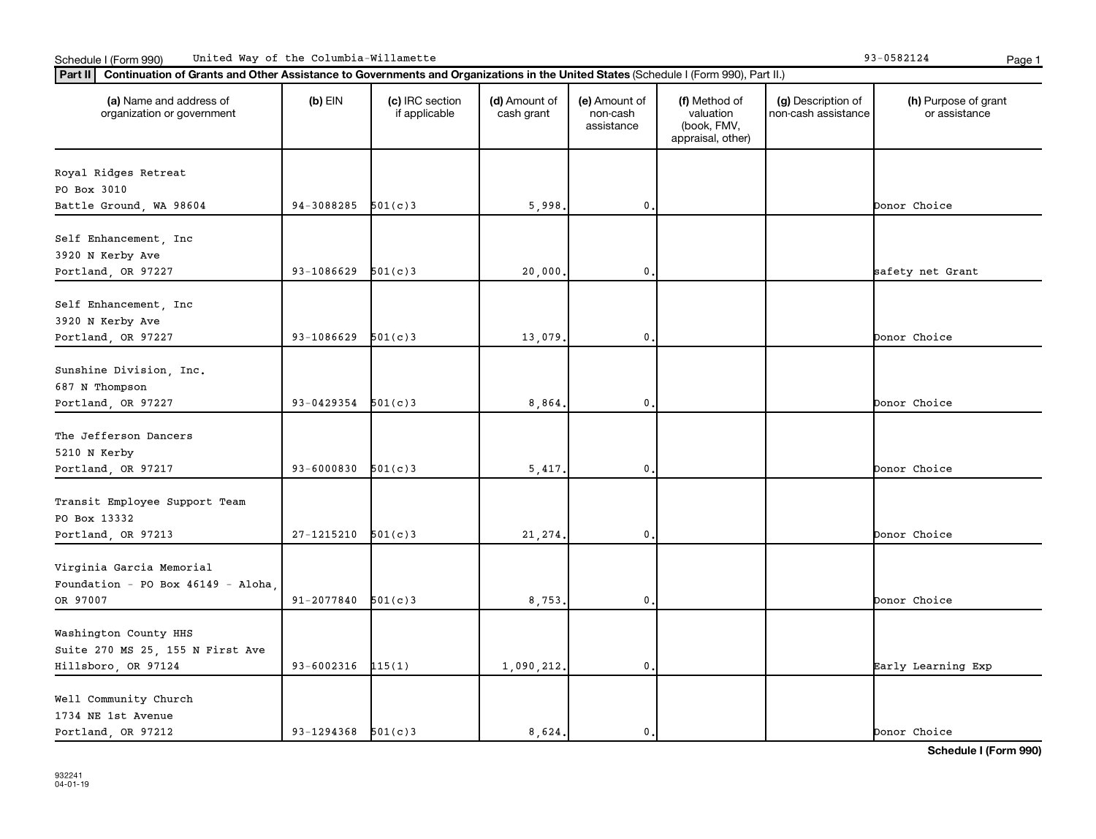Part II | Continuation of Grants and Other Assistance to Governments and Organizations in the United States (Schedule I (Form 990), Part II.)

| (a) Name and address of<br>organization or government                            | $(b)$ EIN              | (c) IRC section<br>if applicable | (d) Amount of<br>cash grant | (e) Amount of<br>non-cash<br>assistance | (f) Method of<br>valuation<br>(book, FMV,<br>appraisal, other) | (g) Description of<br>non-cash assistance | (h) Purpose of grant<br>or assistance |
|----------------------------------------------------------------------------------|------------------------|----------------------------------|-----------------------------|-----------------------------------------|----------------------------------------------------------------|-------------------------------------------|---------------------------------------|
| Royal Ridges Retreat                                                             |                        |                                  |                             |                                         |                                                                |                                           |                                       |
| PO Box 3010                                                                      |                        |                                  |                             |                                         |                                                                |                                           |                                       |
| Battle Ground, WA 98604                                                          | 94-3088285             | 501(c)3                          | 5,998.                      | $\mathbf{0}$                            |                                                                |                                           | Donor Choice                          |
| Self Enhancement, Inc                                                            |                        |                                  |                             |                                         |                                                                |                                           |                                       |
| 3920 N Kerby Ave                                                                 |                        |                                  |                             |                                         |                                                                |                                           |                                       |
| Portland, OR 97227                                                               | 93-1086629             | 501(c)3                          | 20,000.                     | $\,0$ .                                 |                                                                |                                           | safety net Grant                      |
| Self Enhancement, Inc<br>3920 N Kerby Ave                                        |                        |                                  |                             |                                         |                                                                |                                           |                                       |
| Portland, OR 97227                                                               | 93-1086629             | 501(c)3                          | 13,079.                     | $\mathbf{0}$                            |                                                                |                                           | Donor Choice                          |
| Sunshine Division, Inc.<br>687 N Thompson                                        |                        |                                  |                             |                                         |                                                                |                                           |                                       |
| Portland, OR 97227                                                               | $93-0429354$ $501(c)3$ |                                  | 8,864                       | $\mathbf 0$                             |                                                                |                                           | Donor Choice                          |
| The Jefferson Dancers<br>5210 N Kerby                                            |                        |                                  |                             |                                         |                                                                |                                           |                                       |
| Portland, OR 97217                                                               | 93-6000830             | 501(c)3                          | 5,417                       | $\mathbf 0$                             |                                                                |                                           | Donor Choice                          |
| Transit Employee Support Team<br>PO Box 13332                                    |                        |                                  |                             |                                         |                                                                |                                           |                                       |
| Portland, OR 97213                                                               | 27-1215210             | 501(c)3                          | 21, 274.                    | 0.                                      |                                                                |                                           | Donor Choice                          |
| Virginia Garcia Memorial<br>Foundation - PO Box $46149$ - Aloha                  |                        |                                  |                             |                                         |                                                                |                                           |                                       |
| OR 97007                                                                         | 91-2077840             | 501(c)3                          | 8,753.                      | $\mathbf{0}$ .                          |                                                                |                                           | Donor Choice                          |
| Washington County HHS<br>Suite 270 MS 25, 155 N First Ave<br>Hillsboro, OR 97124 | 93-6002316             | 115(1)                           | 1,090,212.                  | $\mathbf 0$ .                           |                                                                |                                           | Early Learning Exp                    |
|                                                                                  |                        |                                  |                             |                                         |                                                                |                                           |                                       |
| Well Community Church<br>1734 NE 1st Avenue<br>Portland, OR 97212                | $93-1294368$ $501(c)3$ |                                  | 8,624.                      | $\mathbf{0}$ .                          |                                                                |                                           | Donor Choice                          |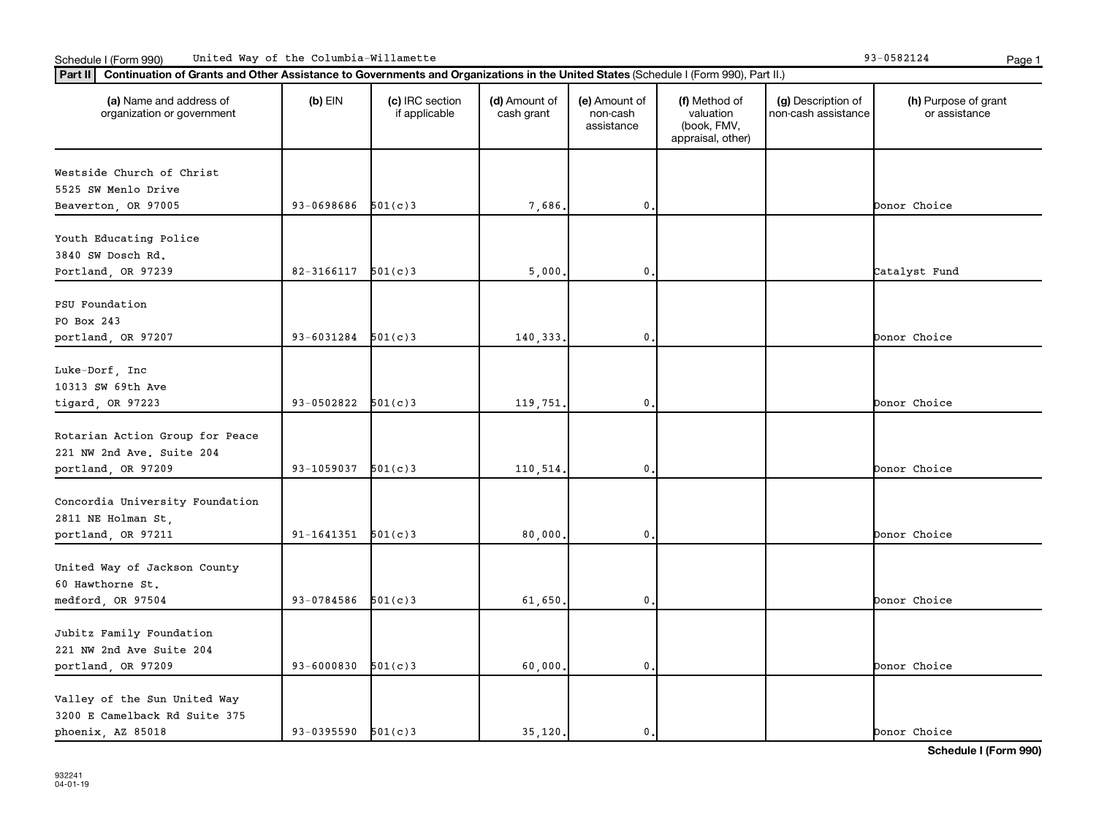organization or government

Part II | Continuation of Grants and Other Assistance to Governments and Organizations in the United States (Schedule I (Form 990), Part II.)

if applicable

 $(b)$  EIN  $(c)$  IRC section

| Westside Church of Christ       |                          |         |          |                |  |               |
|---------------------------------|--------------------------|---------|----------|----------------|--|---------------|
| 5525 SW Menlo Drive             |                          |         |          |                |  |               |
| Beaverton, OR 97005             | 93-0698686               | 501(c)3 | 7,686.   | $\mathbf{0}$ . |  | Donor Choice  |
|                                 |                          |         |          |                |  |               |
| Youth Educating Police          |                          |         |          |                |  |               |
| 3840 SW Dosch Rd.               |                          |         |          |                |  |               |
| Portland, OR 97239              | $82 - 3166117$ $501(c)3$ |         | 5,000.   | $\mathbf{0}$ . |  | Catalyst Fund |
| PSU Foundation                  |                          |         |          |                |  |               |
| PO Box 243                      |                          |         |          |                |  |               |
| portland, OR 97207              | 93-6031284               | 501(c)3 | 140,333. | 0.             |  | Donor Choice  |
|                                 |                          |         |          |                |  |               |
| Luke-Dorf, Inc                  |                          |         |          |                |  |               |
| 10313 SW 69th Ave               |                          |         |          |                |  |               |
| tigard, OR 97223                | 93-0502822               | 501(c)3 | 119,751. | $\mathbf{0}$ . |  | Donor Choice  |
|                                 |                          |         |          |                |  |               |
| Rotarian Action Group for Peace |                          |         |          |                |  |               |
| 221 NW 2nd Ave. Suite 204       |                          |         |          |                |  |               |
| portland, OR 97209              | 93-1059037               | 501(c)3 | 110,514. | $\mathbf{0}$ . |  | Donor Choice  |
|                                 |                          |         |          |                |  |               |
| Concordia University Foundation |                          |         |          |                |  |               |
| 2811 NE Holman St,              |                          |         |          |                |  |               |
| portland, OR 97211              | 91-1641351               | 501(c)3 | 80,000.  | $\mathbf{0}$ . |  | Donor Choice  |
|                                 |                          |         |          |                |  |               |
| United Way of Jackson County    |                          |         |          |                |  |               |
| 60 Hawthorne St.                |                          |         |          |                |  |               |
| medford, OR 97504               | 93-0784586               | 501(c)3 | 61,650.  | $\mathbf{0}$ . |  | Donor Choice  |
|                                 |                          |         |          |                |  |               |
| Jubitz Family Foundation        |                          |         |          |                |  |               |
| 221 NW 2nd Ave Suite 204        |                          |         |          |                |  |               |
| portland, OR 97209              | 93-6000830               | 501(c)3 | 60,000.  | $\mathbf{0}$ . |  | Donor Choice  |
| Valley of the Sun United Way    |                          |         |          |                |  |               |
| 3200 E Camelback Rd Suite 375   |                          |         |          |                |  |               |

phoenix, AZ 85018 93-0395590 501(c)3 35,120. 0. 0. Donor Choice

**(a) (b) (c) (d) (e) (f) (g) (h)** Name and address of

(d) Amount of cash grant

(e) Amount of non-cash assistance

(f) Method of valuation (book, FMV, appraisal, other)

(g) Description of non-cash assistance

(h) Purpose of grant or assistance

**Schedule I (Form 990)**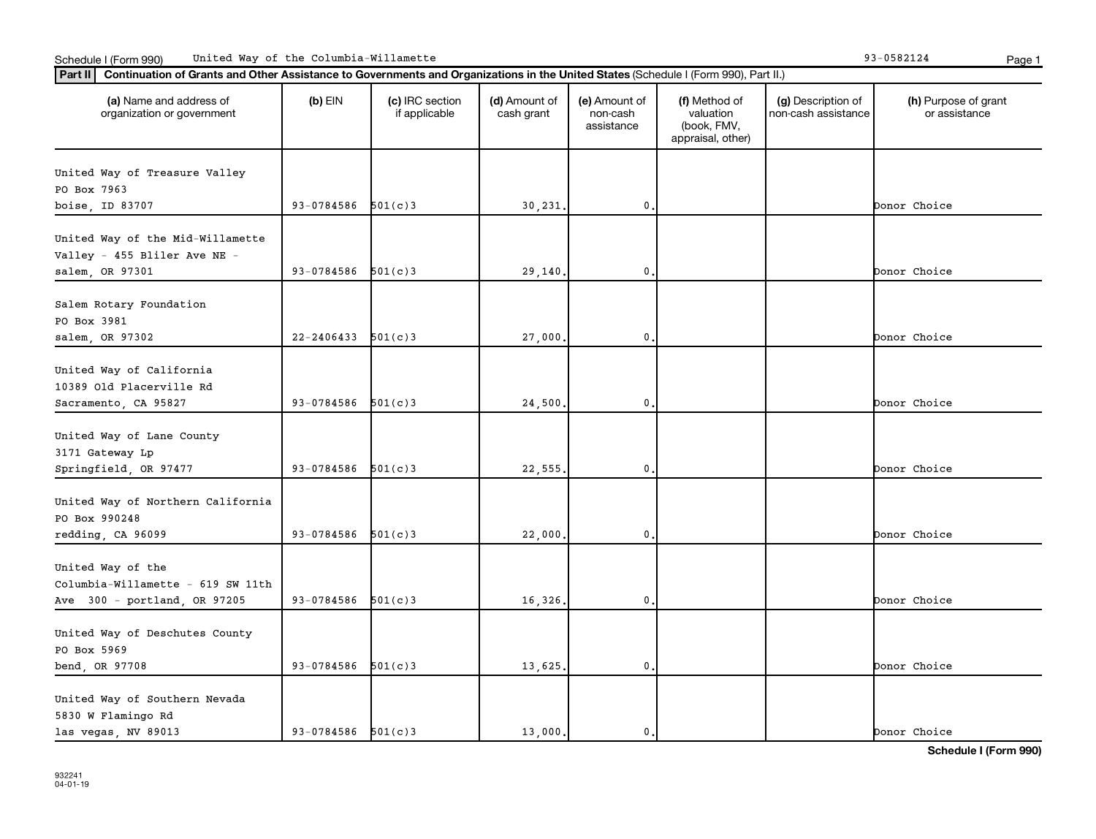#### **Part III Continuation of Grants and Other Assistance to Governments and Organizations in the United States (Schi<br>
Part III Continuation of Grants and Other Assistance to Governments and Organizations in the United State** Schedule I (Form 990) United Way of the Columbia-Willamette Page 1 (Page 1) Page 1

|                                                                                        | Part II   Continuation of Grants and Other Assistance to Governments and Organizations in the United States (Schedule I (Form 990), Part II.) |                                  |                             |                                         |                                                                |                                           |                                       |  |  |  |
|----------------------------------------------------------------------------------------|-----------------------------------------------------------------------------------------------------------------------------------------------|----------------------------------|-----------------------------|-----------------------------------------|----------------------------------------------------------------|-------------------------------------------|---------------------------------------|--|--|--|
| (a) Name and address of<br>organization or government                                  | $(b)$ EIN                                                                                                                                     | (c) IRC section<br>if applicable | (d) Amount of<br>cash grant | (e) Amount of<br>non-cash<br>assistance | (f) Method of<br>valuation<br>(book, FMV,<br>appraisal, other) | (g) Description of<br>non-cash assistance | (h) Purpose of grant<br>or assistance |  |  |  |
| United Way of Treasure Valley<br>PO Box 7963                                           |                                                                                                                                               |                                  |                             |                                         |                                                                |                                           |                                       |  |  |  |
| boise, ID 83707                                                                        | $93-0784586$ $501(c)3$                                                                                                                        |                                  | 30,231.                     | 0.                                      |                                                                |                                           | Donor Choice                          |  |  |  |
| United Way of the Mid-Willamette<br>Valley - 455 Bliler Ave NE -<br>salem, OR 97301    | 93-0784586                                                                                                                                    | 501(c)3                          | 29,140.                     | $\mathbf{0}$ .                          |                                                                |                                           | Donor Choice                          |  |  |  |
| Salem Rotary Foundation<br>PO Box 3981<br>salem, OR 97302                              | 22-2406433                                                                                                                                    | 501(c)3                          | 27,000.                     | $\mathbf 0$                             |                                                                |                                           | Donor Choice                          |  |  |  |
| United Way of California<br>10389 Old Placerville Rd<br>Sacramento, CA 95827           | $93-0784586$ $501(c)3$                                                                                                                        |                                  | 24,500.                     | 0.                                      |                                                                |                                           | Donor Choice                          |  |  |  |
| United Way of Lane County<br>3171 Gateway Lp<br>Springfield, OR 97477                  | 93-0784586                                                                                                                                    | 501(c)3                          | 22,555.                     | $\mathbf{0}$ .                          |                                                                |                                           | Donor Choice                          |  |  |  |
| United Way of Northern California<br>PO Box 990248<br>redding, CA 96099                | 93-0784586                                                                                                                                    | 501(c)3                          | 22,000.                     | $\pmb{0}$                               |                                                                |                                           | Donor Choice                          |  |  |  |
| United Way of the<br>Columbia-Willamette - 619 SW 11th<br>Ave 300 - portland, OR 97205 | $93-0784586$ $501(c)3$                                                                                                                        |                                  | 16,326.                     | 0.                                      |                                                                |                                           | Donor Choice                          |  |  |  |
| United Way of Deschutes County<br>PO Box 5969<br>bend, OR 97708                        | 93-0784586                                                                                                                                    | 501(c)3                          | 13,625.                     | 0.                                      |                                                                |                                           | Donor Choice                          |  |  |  |
| United Way of Southern Nevada<br>5830 W Flamingo Rd<br>las vegas, NV 89013             | $93-0784586$ $501(c)3$                                                                                                                        |                                  | 13,000.                     | 0.                                      |                                                                |                                           | Donor Choice                          |  |  |  |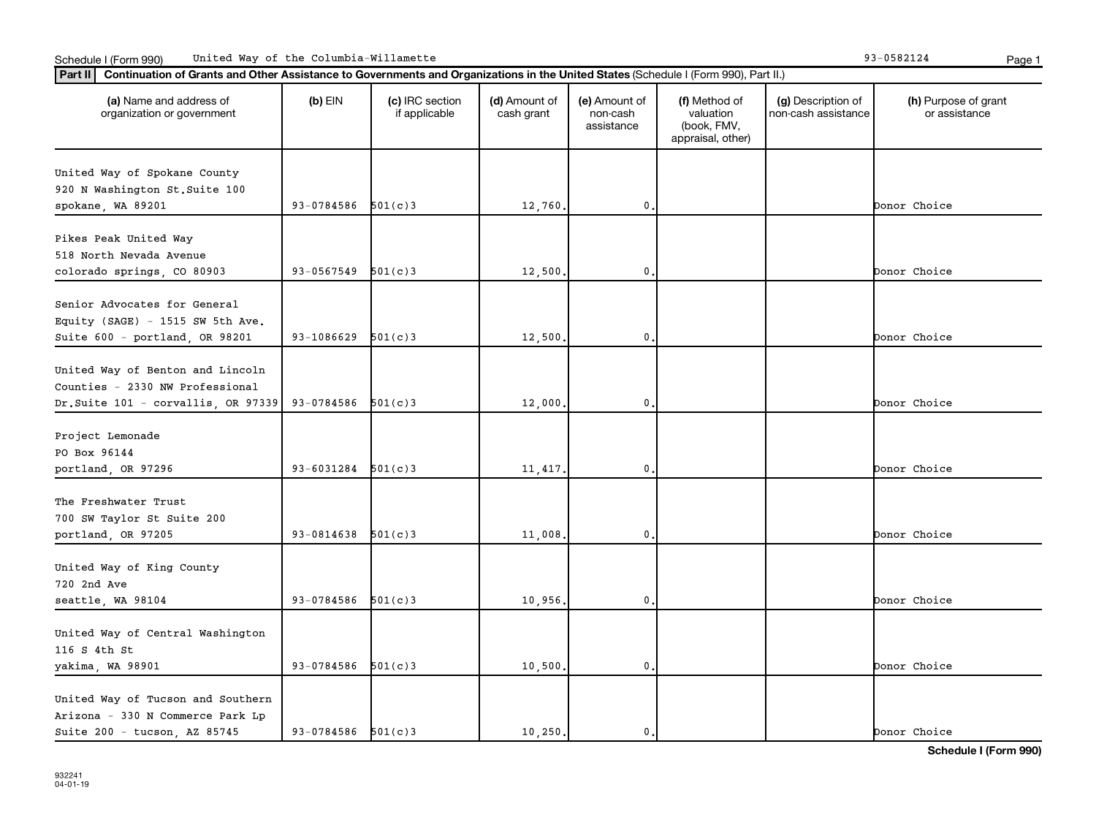#### **Part III Continuation of Grants and Other Assistance to Governments and Organizations in the United States (Schi<br>
Part III Continuation of Grants and Other Assistance to Governments and Organizations in the United State** Schedule I (Form 990) United Way of the Columbia-Willamette Page 1 (Page 1) Page 1

| Part II                                                                                                   | Continuation of Grants and Other Assistance to Governments and Organizations in the United States (Schedule I (Form 990), Part II.) |                                  |                             |                                         |                                                                |                                           |                                       |  |  |  |
|-----------------------------------------------------------------------------------------------------------|-------------------------------------------------------------------------------------------------------------------------------------|----------------------------------|-----------------------------|-----------------------------------------|----------------------------------------------------------------|-------------------------------------------|---------------------------------------|--|--|--|
| (a) Name and address of<br>organization or government                                                     | $(b)$ EIN                                                                                                                           | (c) IRC section<br>if applicable | (d) Amount of<br>cash grant | (e) Amount of<br>non-cash<br>assistance | (f) Method of<br>valuation<br>(book, FMV,<br>appraisal, other) | (g) Description of<br>non-cash assistance | (h) Purpose of grant<br>or assistance |  |  |  |
| United Way of Spokane County<br>920 N Washington St. Suite 100<br>spokane, WA 89201                       | 93-0784586                                                                                                                          | 501(c)3                          | 12,760.                     | $\mathbf{0}$                            |                                                                |                                           | Donor Choice                          |  |  |  |
| Pikes Peak United Way<br>518 North Nevada Avenue<br>colorado springs, CO 80903                            | 93-0567549                                                                                                                          | 501(c)3                          | 12,500.                     | 0                                       |                                                                |                                           | Donor Choice                          |  |  |  |
| Senior Advocates for General<br>Equity (SAGE) $-$ 1515 SW 5th Ave.<br>Suite 600 - portland, OR 98201      | 93-1086629                                                                                                                          | 501(c)3                          | 12,500.                     | 0                                       |                                                                |                                           | Donor Choice                          |  |  |  |
| United Way of Benton and Lincoln<br>Counties - 2330 NW Professional<br>Dr.Suite 101 - corvallis, OR 97339 | 93-0784586                                                                                                                          | 501(c)3                          | 12,000.                     | $\mathbf{0}$                            |                                                                |                                           | Donor Choice                          |  |  |  |
| Project Lemonade<br>PO Box 96144<br>portland, OR 97296                                                    | 93-6031284                                                                                                                          | 501(c)3                          | 11, 417.                    | $\mathbf{0}$                            |                                                                |                                           | Donor Choice                          |  |  |  |
| The Freshwater Trust<br>700 SW Taylor St Suite 200<br>portland, OR 97205                                  | 93-0814638                                                                                                                          | 501(c)3                          | 11,008.                     | 0                                       |                                                                |                                           | Donor Choice                          |  |  |  |
| United Way of King County<br>720 2nd Ave<br>seattle, WA 98104                                             | 93-0784586                                                                                                                          | 501(c)3                          | 10,956.                     | $\mathbf{0}$                            |                                                                |                                           | Donor Choice                          |  |  |  |
| United Way of Central Washington<br>116 S 4th St<br>yakima, WA 98901                                      | 93-0784586                                                                                                                          | 501(c)3                          | 10,500.                     | $\mathbf{0}$                            |                                                                |                                           | Donor Choice                          |  |  |  |
| United Way of Tucson and Southern<br>Arizona - 330 N Commerce Park Lp<br>Suite 200 - tucson, AZ 85745     | $93-0784586$ $501(c)3$                                                                                                              |                                  | 10,250.                     | 0.                                      |                                                                |                                           | Donor Choice                          |  |  |  |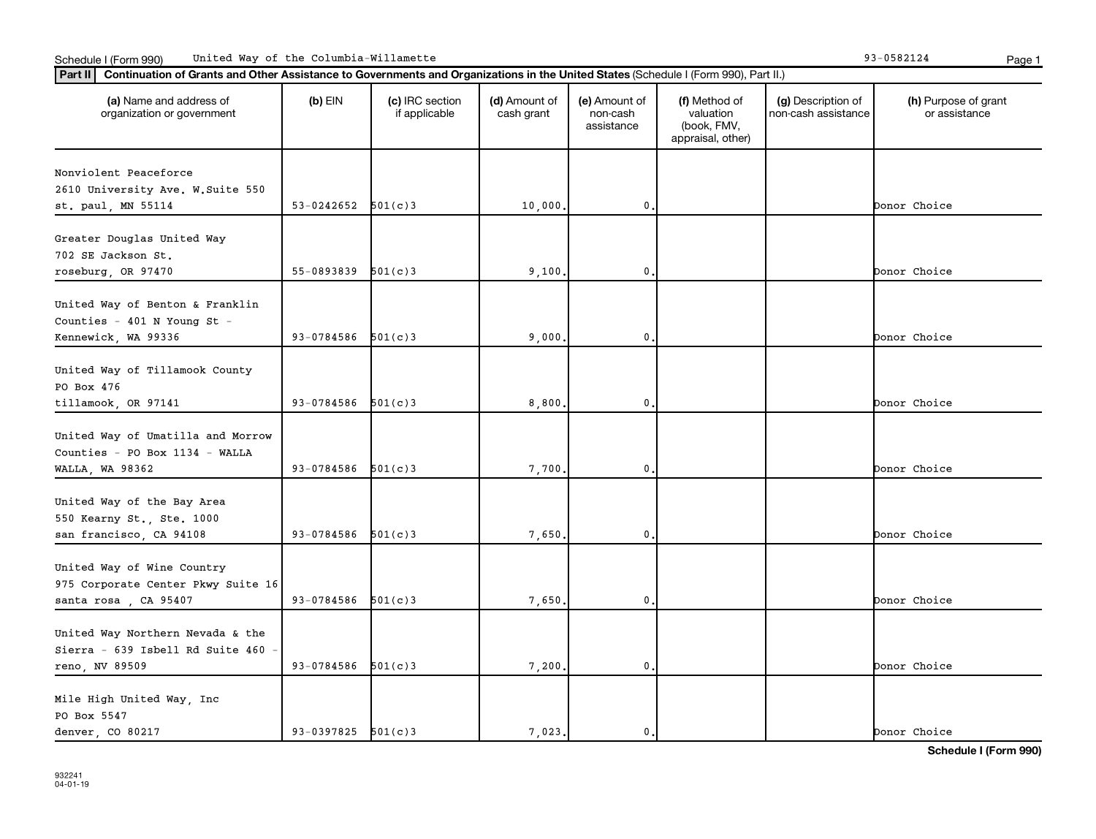| (a) Name and address of<br>organization or government                  | (b) EIN                | (c) IRC section<br>if applicable | (d) Amount of<br>cash grant | (e) Amount of<br>non-cash<br>assistance | (f) Method of<br>valuation<br>(book, FMV,<br>appraisal, other) | (g) Description of<br>non-cash assistance | (h) Purpose of grant<br>or assistance |
|------------------------------------------------------------------------|------------------------|----------------------------------|-----------------------------|-----------------------------------------|----------------------------------------------------------------|-------------------------------------------|---------------------------------------|
| Nonviolent Peaceforce                                                  |                        |                                  |                             |                                         |                                                                |                                           |                                       |
| 2610 University Ave. W. Suite 550                                      |                        |                                  |                             |                                         |                                                                |                                           |                                       |
| st. paul, MN 55114                                                     | $53-0242652$ $501(c)3$ |                                  | 10,000.                     | 0.                                      |                                                                |                                           | Donor Choice                          |
| Greater Douglas United Way<br>702 SE Jackson St.                       |                        |                                  |                             |                                         |                                                                |                                           |                                       |
| roseburg, OR 97470                                                     | 55-0893839             | 501(c)3                          | 9,100.                      | $\mathbf 0$                             |                                                                |                                           | Donor Choice                          |
| United Way of Benton & Franklin<br>Counties - 401 N Young St -         |                        |                                  |                             |                                         |                                                                |                                           |                                       |
| Kennewick, WA 99336                                                    | 93-0784586             | 501(c)3                          | 9.000.                      | 0.                                      |                                                                |                                           | Donor Choice                          |
| United Way of Tillamook County<br>PO Box 476                           |                        |                                  |                             |                                         |                                                                |                                           |                                       |
| tillamook, OR 97141                                                    | 93-0784586             | 501(c)3                          | 8,800.                      | 0.                                      |                                                                |                                           | Donor Choice                          |
| United Way of Umatilla and Morrow<br>Counties - PO Box 1134 - WALLA    |                        |                                  |                             |                                         |                                                                |                                           |                                       |
| WALLA, WA 98362                                                        | 93-0784586             | 501(c)3                          | 7,700.                      | $\mathbf 0$                             |                                                                |                                           | Donor Choice                          |
| United Way of the Bay Area<br>550 Kearny St., Ste. 1000                |                        |                                  |                             |                                         |                                                                |                                           |                                       |
| san francisco, CA 94108                                                | 93-0784586             | 501(c)3                          | 7,650.                      | $\mathbf 0$                             |                                                                |                                           | Donor Choice                          |
| United Way of Wine Country<br>975 Corporate Center Pkwy Suite 16       |                        |                                  |                             |                                         |                                                                |                                           |                                       |
| santa rosa, CA 95407                                                   | $93-0784586$ $501(c)3$ |                                  | 7,650.                      | 0.                                      |                                                                |                                           | Donor Choice                          |
| United Way Northern Nevada & the<br>Sierra - 639 Isbell Rd Suite 460 - |                        |                                  |                             |                                         |                                                                |                                           |                                       |
| reno, NV 89509                                                         | 93-0784586             | 501(c)3                          | 7,200.                      | 0.                                      |                                                                |                                           | Donor Choice                          |
| Mile High United Way, Inc<br>PO Box 5547                               |                        |                                  |                             |                                         |                                                                |                                           |                                       |
| denver CO 80217                                                        | $93-0397825$ $501(c)3$ |                                  | 7.023.                      | 0.                                      |                                                                |                                           | Donor Choice                          |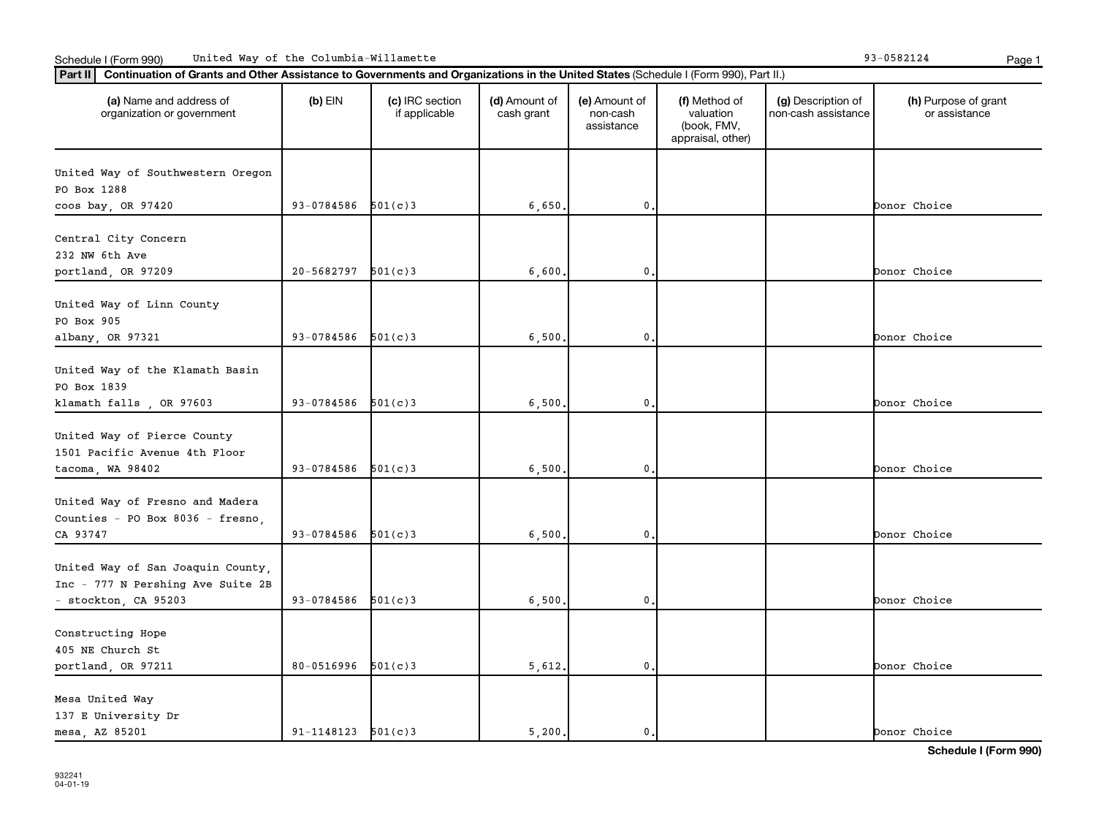#### **Part III Continuation of Grants and Other Assistance to Governments and Organizations in the United States (Schi<br>
Part III Continuation of Grants and Other Assistance to Governments and Organizations in the United State** Schedule I (Form 990) United Way of the Columbia-Willamette Page 1 (Page 1) Page 1

| $ $ Part II<br>Continuation of Grants and Other Assistance to Governments and Organizations in the United States (Schedule I (Form 990), Part II.) |                          |                                  |                             |                                         |                                                                |                                           |                                       |
|----------------------------------------------------------------------------------------------------------------------------------------------------|--------------------------|----------------------------------|-----------------------------|-----------------------------------------|----------------------------------------------------------------|-------------------------------------------|---------------------------------------|
| (a) Name and address of<br>organization or government                                                                                              | $(b)$ EIN                | (c) IRC section<br>if applicable | (d) Amount of<br>cash grant | (e) Amount of<br>non-cash<br>assistance | (f) Method of<br>valuation<br>(book, FMV,<br>appraisal, other) | (g) Description of<br>non-cash assistance | (h) Purpose of grant<br>or assistance |
| United Way of Southwestern Oregon<br>PO Box 1288                                                                                                   | 93-0784586               | 501(c)3                          |                             | 0.                                      |                                                                |                                           | Donor Choice                          |
| coos bay, OR 97420                                                                                                                                 |                          |                                  | 6,650.                      |                                         |                                                                |                                           |                                       |
| Central City Concern<br>232 NW 6th Ave<br>portland, OR 97209                                                                                       | $20 - 5682797$ $501(c)3$ |                                  | 6,600.                      | 0                                       |                                                                |                                           | Donor Choice                          |
| United Way of Linn County<br>PO Box 905<br>albany, OR 97321                                                                                        | 93-0784586               | 501(c)3                          | 6,500.                      | 0                                       |                                                                |                                           | Donor Choice                          |
| United Way of the Klamath Basin<br>PO Box 1839<br>klamath falls, OR 97603                                                                          | 93-0784586               | 501(c)3                          | 6,500.                      | $\mathbf{0}$                            |                                                                |                                           | Donor Choice                          |
| United Way of Pierce County<br>1501 Pacific Avenue 4th Floor<br>tacoma, WA 98402                                                                   | $93-0784586$ $501(c)3$   |                                  | 6,500.                      | $\mathbf{0}$                            |                                                                |                                           | Donor Choice                          |
| United Way of Fresno and Madera<br>Counties - PO Box 8036 - fresno,<br>CA 93747                                                                    | 93-0784586               | 501(c)3                          | 6,500.                      | 0                                       |                                                                |                                           | Donor Choice                          |
| United Way of San Joaquin County,<br>Inc - 777 N Pershing Ave Suite 2B<br>- stockton, CA 95203                                                     | 93-0784586               | 501(c)3                          | 6,500.                      | $\mathbf{0}$                            |                                                                |                                           | Donor Choice                          |
| Constructing Hope<br>405 NE Church St<br>portland, OR 97211                                                                                        | 80-0516996               | 501(c)3                          | 5,612.                      | $\mathbf{0}$ .                          |                                                                |                                           | Donor Choice                          |
| Mesa United Way<br>137 E University Dr<br>mesa, AZ 85201                                                                                           | $91-1148123$ $501(c)3$   |                                  | 5,200.                      | 0.                                      |                                                                |                                           | Donor Choice                          |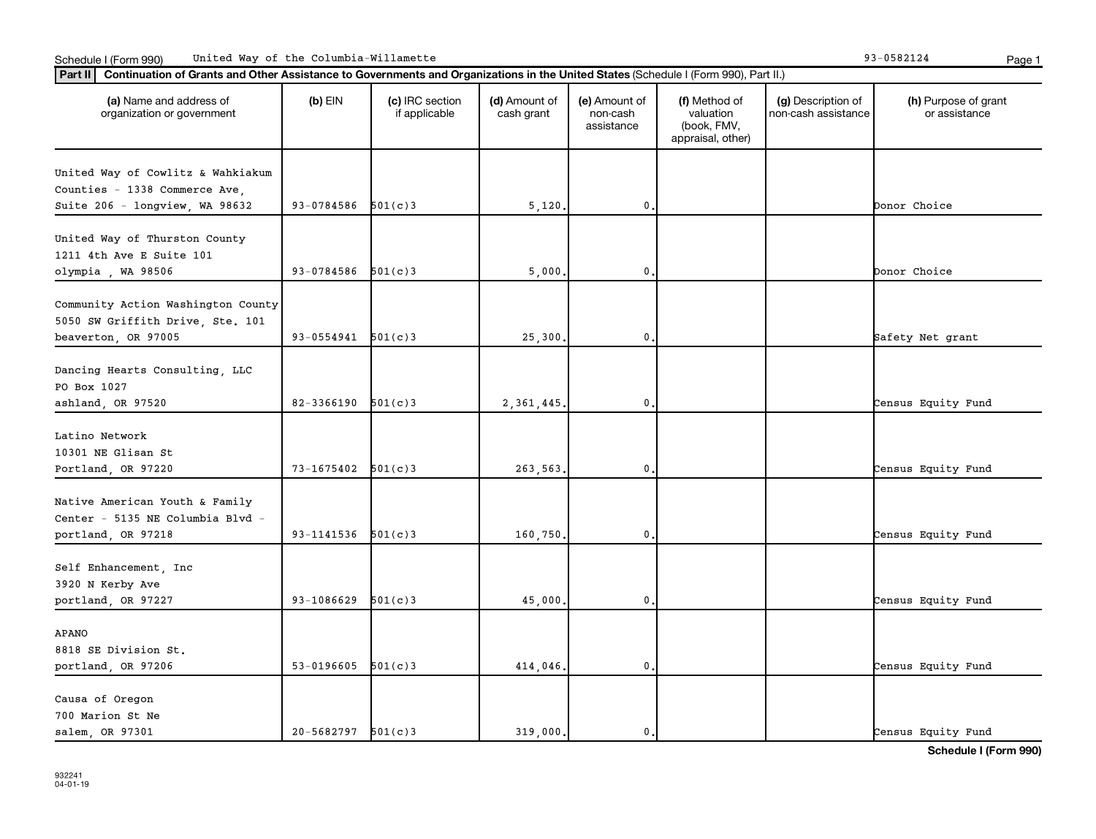#### **Part III Continuation of Grants and Other Assistance to Governments and Organizations in the United States (Schi<br>
Part III Continuation of Grants and Other Assistance to Governments and Organizations in the United State** Schedule I (Form 990) United Way of the Columbia-Willamette Page 1 (Page 1) Page 1

| Continuation of Grants and Other Assistance to Governments and Organizations in the United States (Schedule I (Form 990), Part II.)<br>Part II |                          |                                  |                             |                                         |                                                                |                                           |                                       |
|------------------------------------------------------------------------------------------------------------------------------------------------|--------------------------|----------------------------------|-----------------------------|-----------------------------------------|----------------------------------------------------------------|-------------------------------------------|---------------------------------------|
| (a) Name and address of<br>organization or government                                                                                          | $(b)$ EIN                | (c) IRC section<br>if applicable | (d) Amount of<br>cash grant | (e) Amount of<br>non-cash<br>assistance | (f) Method of<br>valuation<br>(book, FMV,<br>appraisal, other) | (g) Description of<br>non-cash assistance | (h) Purpose of grant<br>or assistance |
| United Way of Cowlitz & Wahkiakum<br>Counties - 1338 Commerce Ave,<br>Suite 206 - longview, WA 98632                                           | $93-0784586$ $501(c)3$   |                                  | 5,120.                      | 0.                                      |                                                                |                                           | Donor Choice                          |
| United Way of Thurston County<br>1211 4th Ave E Suite 101<br>olympia , WA 98506                                                                | 93-0784586               | 501(c)3                          | 5,000,                      | $\mathbf{0}$ .                          |                                                                |                                           | Donor Choice                          |
| Community Action Washington County<br>5050 SW Griffith Drive, Ste. 101<br>beaverton, OR 97005                                                  | 93-0554941               | 501(c)3                          | 25,300.                     | $\mathbf 0$                             |                                                                |                                           | Safety Net grant                      |
| Dancing Hearts Consulting, LLC<br>PO Box 1027<br>ashland, OR 97520                                                                             | $82 - 3366190$ $501(c)3$ |                                  | 2, 361, 445.                | 0.                                      |                                                                |                                           | Census Equity Fund                    |
| Latino Network<br>10301 NE Glisan St<br>Portland, OR 97220                                                                                     | $73-1675402$ $501(c)3$   |                                  | 263,563.                    | 0.                                      |                                                                |                                           | Census Equity Fund                    |
| Native American Youth & Family<br>Center - 5135 NE Columbia Blvd -<br>portland, OR 97218                                                       | 93-1141536               | 501(c)3                          | 160,750.                    | $\mathbf{0}$                            |                                                                |                                           | Census Equity Fund                    |
| Self Enhancement, Inc<br>3920 N Kerby Ave<br>portland, OR 97227                                                                                | 93-1086629               | 501(c)3                          | 45,000                      | $\mathbf{0}$ .                          |                                                                |                                           | Census Equity Fund                    |
| APANO<br>8818 SE Division St.<br>portland, OR 97206                                                                                            | $53-0196605$ $501(c)3$   |                                  | 414,046.                    | 0.                                      |                                                                |                                           | Census Equity Fund                    |
| Causa of Oregon<br>700 Marion St Ne<br>salem. OR 97301                                                                                         | $20 - 5682797$ $501(c)3$ |                                  | 319.000.                    | 0.                                      |                                                                |                                           | Census Equity Fund                    |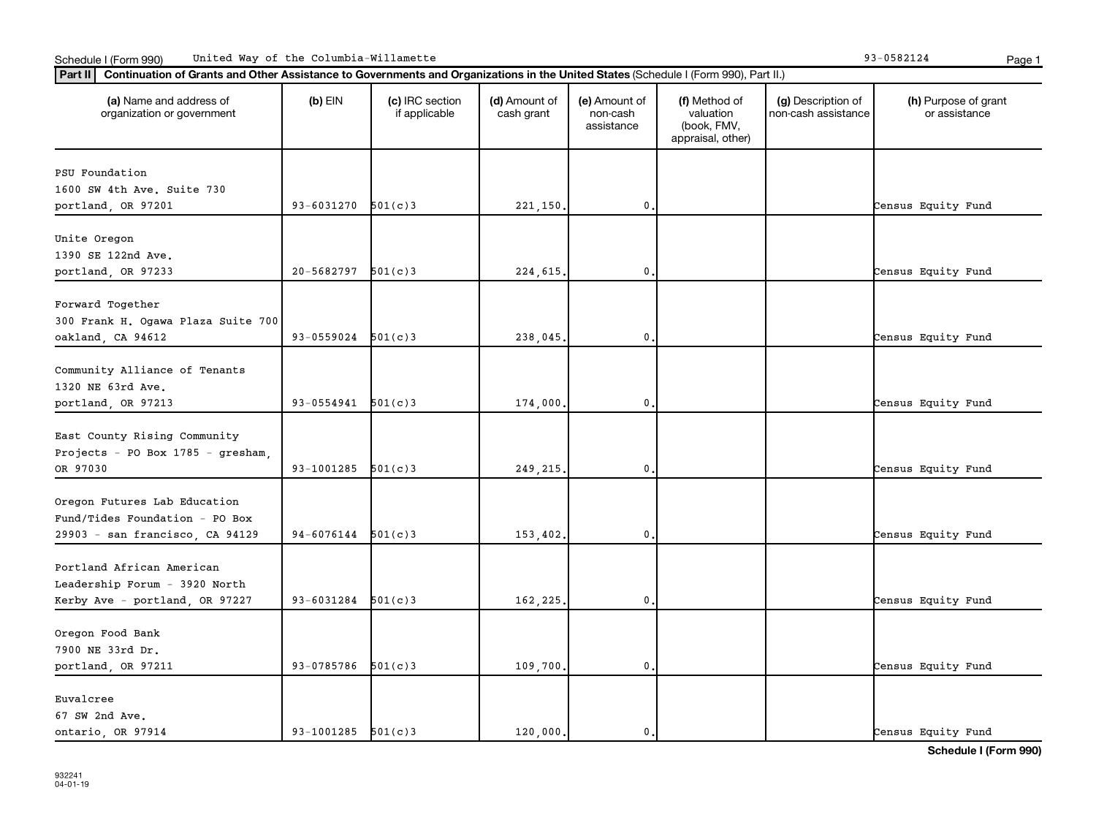Part II | Continuation of Grants and Other Assistance to Governments and Organizations in the United States (Schedule I (Form 990), Part II.)

932241 04-01-19

| (a) Name and address of<br>organization or government                                             | $(b)$ EIN                | (c) IRC section<br>if applicable | (d) Amount of<br>cash grant | (e) Amount of<br>non-cash<br>assistance | (f) Method of<br>valuation<br>(book, FMV,<br>appraisal, other) | (g) Description of<br>non-cash assistance | (h) Purpose of grant<br>or assistance |
|---------------------------------------------------------------------------------------------------|--------------------------|----------------------------------|-----------------------------|-----------------------------------------|----------------------------------------------------------------|-------------------------------------------|---------------------------------------|
| PSU Foundation<br>1600 SW 4th Ave. Suite 730<br>portland, OR 97201                                | 93-6031270               | 501(c)3                          | 221,150                     | $\mathbf{0}$ .                          |                                                                |                                           | Census Equity Fund                    |
| Unite Oregon<br>1390 SE 122nd Ave.<br>portland, OR 97233                                          | $20 - 5682797$ 501(c)3   |                                  | 224,615                     | $\mathfrak o$ .                         |                                                                |                                           | Census Equity Fund                    |
| Forward Together<br>300 Frank H. Ogawa Plaza Suite 700<br>oakland, CA 94612                       | $93-0559024$ $501(c)3$   |                                  | 238,045                     | $\mathbf{0}$                            |                                                                |                                           | Census Equity Fund                    |
| Community Alliance of Tenants<br>1320 NE 63rd Ave.<br>portland, OR 97213                          | $93-0554941$ $501(c)3$   |                                  | 174,000                     | $\mathbf{0}$ .                          |                                                                |                                           | Census Equity Fund                    |
| East County Rising Community<br>Projects - PO Box 1785 - gresham,<br>OR 97030                     | 93-1001285               | 501(c)3                          | 249,215                     | 0                                       |                                                                |                                           | Census Equity Fund                    |
| Oregon Futures Lab Education<br>Fund/Tides Foundation - PO Box<br>29903 - san francisco, CA 94129 | $94-6076144$ $501(c)3$   |                                  | 153,402.                    | $\mathbf 0$ .                           |                                                                |                                           | Census Equity Fund                    |
| Portland African American<br>Leadership Forum - 3920 North<br>Kerby Ave - portland, OR 97227      | $93 - 6031284$ $501(c)3$ |                                  | 162,225                     | $\mathbf{0}$                            |                                                                |                                           | Census Equity Fund                    |
| Oregon Food Bank<br>7900 NE 33rd Dr.<br>portland, OR 97211                                        | $93-0785786$ $501(c)3$   |                                  | 109,700                     | 0.                                      |                                                                |                                           | Census Equity Fund                    |
| Euvalcree<br>67 SW 2nd Ave.<br>ontario, OR 97914                                                  | $93-1001285$ $501(c)3$   |                                  | 120,000.                    | $\mathbf{0}$ .                          |                                                                |                                           | Census Equity Fund                    |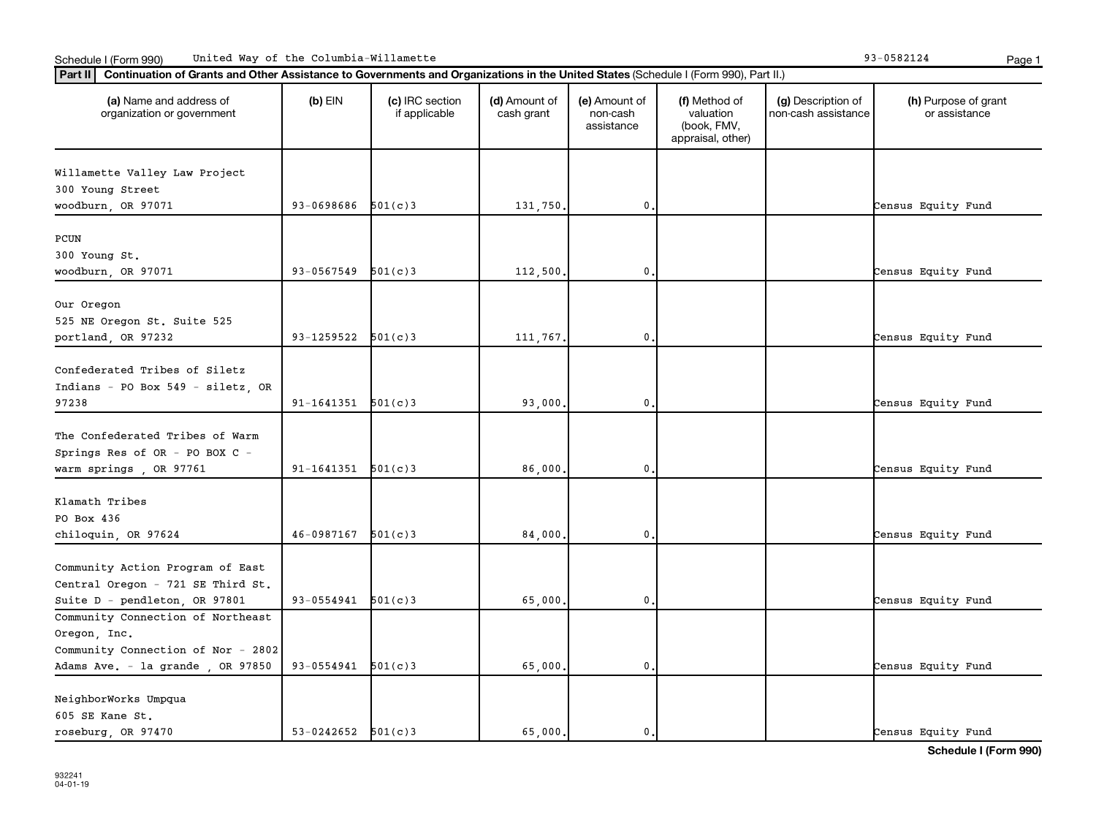#### **Part III Continuation of Grants and Other Assistance to Governments and Organizations in the United States (Schi<br>
Part III Continuation of Grants and Other Assistance to Governments and Organizations in the United State** Schedule I (Form 990) United Way of the Columbia-Willamette Page 1 (Page 1) Page 1

| Continuation of Grants and Other Assistance to Governments and Organizations in the United States (Schedule I (Form 990), Part II.)<br>Part II |                          |                                  |                             |                                         |                                                                |                                           |                                       |
|------------------------------------------------------------------------------------------------------------------------------------------------|--------------------------|----------------------------------|-----------------------------|-----------------------------------------|----------------------------------------------------------------|-------------------------------------------|---------------------------------------|
| (a) Name and address of<br>organization or government                                                                                          | $(b)$ EIN                | (c) IRC section<br>if applicable | (d) Amount of<br>cash grant | (e) Amount of<br>non-cash<br>assistance | (f) Method of<br>valuation<br>(book, FMV,<br>appraisal, other) | (g) Description of<br>non-cash assistance | (h) Purpose of grant<br>or assistance |
| Willamette Valley Law Project                                                                                                                  |                          |                                  |                             |                                         |                                                                |                                           |                                       |
| 300 Young Street                                                                                                                               |                          |                                  |                             |                                         |                                                                |                                           |                                       |
| woodburn, OR 97071                                                                                                                             | $93 - 0698686$ $501(c)3$ |                                  | 131,750.                    | $\mathbf{0}$                            |                                                                |                                           | Census Equity Fund                    |
| PCUN                                                                                                                                           |                          |                                  |                             |                                         |                                                                |                                           |                                       |
| 300 Young St.                                                                                                                                  |                          |                                  |                             |                                         |                                                                |                                           |                                       |
| woodburn, OR 97071                                                                                                                             | 93-0567549               | 501(c)3                          | 112,500.                    | $\mathbf{0}$                            |                                                                |                                           | Census Equity Fund                    |
|                                                                                                                                                |                          |                                  |                             |                                         |                                                                |                                           |                                       |
| Our Oregon                                                                                                                                     |                          |                                  |                             |                                         |                                                                |                                           |                                       |
| 525 NE Oregon St. Suite 525<br>portland, OR 97232                                                                                              | 93-1259522               | 501(c)3                          | 111,767.                    | 0                                       |                                                                |                                           | Census Equity Fund                    |
|                                                                                                                                                |                          |                                  |                             |                                         |                                                                |                                           |                                       |
| Confederated Tribes of Siletz                                                                                                                  |                          |                                  |                             |                                         |                                                                |                                           |                                       |
| Indians - PO Box 549 - siletz, OR                                                                                                              |                          |                                  |                             |                                         |                                                                |                                           |                                       |
| 97238                                                                                                                                          | $91 - 1641351$ $501(c)3$ |                                  | 93,000                      | $\mathbf{0}$                            |                                                                |                                           | Census Equity Fund                    |
|                                                                                                                                                |                          |                                  |                             |                                         |                                                                |                                           |                                       |
| The Confederated Tribes of Warm                                                                                                                |                          |                                  |                             |                                         |                                                                |                                           |                                       |
| Springs Res of OR - PO BOX C -                                                                                                                 |                          |                                  |                             |                                         |                                                                |                                           |                                       |
| warm springs, OR 97761                                                                                                                         | $91-1641351$ $501(c)3$   |                                  | 86,000,                     | $\mathbf{0}$                            |                                                                |                                           | Census Equity Fund                    |
| Klamath Tribes                                                                                                                                 |                          |                                  |                             |                                         |                                                                |                                           |                                       |
| PO Box 436                                                                                                                                     |                          |                                  |                             |                                         |                                                                |                                           |                                       |
| chiloquin, OR 97624                                                                                                                            | 46-0987167               | 501(c)3                          | 84,000.                     | 0                                       |                                                                |                                           | Census Equity Fund                    |
|                                                                                                                                                |                          |                                  |                             |                                         |                                                                |                                           |                                       |
| Community Action Program of East                                                                                                               |                          |                                  |                             |                                         |                                                                |                                           |                                       |
| Central Oregon - 721 SE Third St.                                                                                                              |                          |                                  |                             |                                         |                                                                |                                           |                                       |
| Suite D - pendleton, OR 97801<br>Community Connection of Northeast                                                                             | $93-0554941$ $501(c)3$   |                                  | 65,000,                     | $\mathbf{0}$                            |                                                                |                                           | Census Equity Fund                    |
|                                                                                                                                                |                          |                                  |                             |                                         |                                                                |                                           |                                       |
| Oregon, Inc.<br>Community Connection of Nor - 2802                                                                                             |                          |                                  |                             |                                         |                                                                |                                           |                                       |
| Adams Ave. - la grande, OR 97850                                                                                                               | $93-0554941$ $501(c)3$   |                                  | 65,000.                     | $\mathbf{0}$ .                          |                                                                |                                           | Census Equity Fund                    |
|                                                                                                                                                |                          |                                  |                             |                                         |                                                                |                                           |                                       |
| NeighborWorks Umpqua                                                                                                                           |                          |                                  |                             |                                         |                                                                |                                           |                                       |
| 605 SE Kane St.                                                                                                                                |                          |                                  |                             |                                         |                                                                |                                           |                                       |
| roseburg, OR 97470                                                                                                                             | $53-0242652$ $501(c)3$   |                                  | 65,000.                     | 0.                                      |                                                                |                                           | Census Equity Fund                    |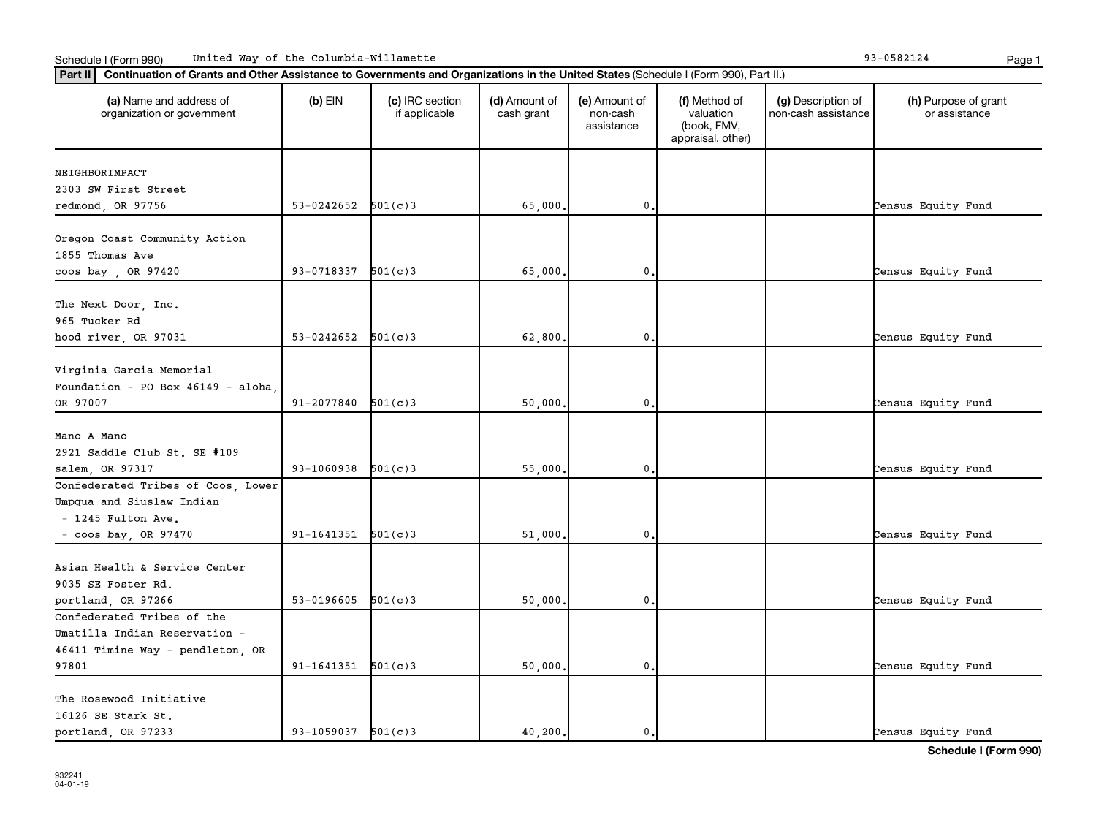Part II | Continuation of Grants and Other Assistance to Governments and Organizations in the United States (Schedule I (Form 990), Part II.)

| (a) Name and address of<br>organization or government                                           | $(b)$ EIN                | (c) IRC section<br>if applicable | (d) Amount of<br>cash grant | (e) Amount of<br>non-cash<br>assistance | (f) Method of<br>valuation<br>(book, FMV,<br>appraisal, other) | (g) Description of<br>non-cash assistance | (h) Purpose of grant<br>or assistance |
|-------------------------------------------------------------------------------------------------|--------------------------|----------------------------------|-----------------------------|-----------------------------------------|----------------------------------------------------------------|-------------------------------------------|---------------------------------------|
| NEIGHBORIMPACT                                                                                  |                          |                                  |                             |                                         |                                                                |                                           |                                       |
| 2303 SW First Street                                                                            |                          |                                  |                             |                                         |                                                                |                                           |                                       |
| redmond, OR 97756                                                                               | 53-0242652               | 501(c)3                          | 65,000                      | $\mathbf 0$ .                           |                                                                |                                           | Census Equity Fund                    |
| Oregon Coast Community Action                                                                   |                          |                                  |                             |                                         |                                                                |                                           |                                       |
| 1855 Thomas Ave                                                                                 |                          |                                  |                             |                                         |                                                                |                                           |                                       |
| coos bay, OR 97420                                                                              | $93-0718337$ $501(c)3$   |                                  | 65,000                      | $\mathbf 0$ .                           |                                                                |                                           | Census Equity Fund                    |
| The Next Door, Inc.<br>965 Tucker Rd                                                            |                          |                                  |                             |                                         |                                                                |                                           |                                       |
| hood river, OR 97031                                                                            | $53-0242652$ $501(c)3$   |                                  | 62,800                      | $\mathbf 0$ .                           |                                                                |                                           | Census Equity Fund                    |
| Virginia Garcia Memorial<br>Foundation - PO Box $46149$ - aloha<br>OR 97007                     | 91-2077840               | 501(c)3                          | 50,000                      | $\mathbf 0$                             |                                                                |                                           | Census Equity Fund                    |
|                                                                                                 |                          |                                  |                             |                                         |                                                                |                                           |                                       |
| Mano A Mano                                                                                     |                          |                                  |                             |                                         |                                                                |                                           |                                       |
| 2921 Saddle Club St. SE #109                                                                    |                          |                                  |                             |                                         |                                                                |                                           |                                       |
| salem, OR 97317                                                                                 | 93-1060938               | 501(c)3                          | 55,000                      | $\mathbf 0$ .                           |                                                                |                                           | Census Equity Fund                    |
| Confederated Tribes of Coos, Lower<br>Umpqua and Siuslaw Indian<br>- 1245 Fulton Ave.           |                          |                                  |                             |                                         |                                                                |                                           |                                       |
| - coos bay, OR 97470                                                                            | $91-1641351$ $501(c)3$   |                                  | 51,000                      | $\mathbf 0$ .                           |                                                                |                                           | Census Equity Fund                    |
| Asian Health & Service Center<br>9035 SE Foster Rd.                                             |                          |                                  |                             |                                         |                                                                |                                           |                                       |
| portland, OR 97266                                                                              | 53-0196605               | 501(c)3                          | 50,000                      | $\mathbf{0}$ .                          |                                                                |                                           | Census Equity Fund                    |
| Confederated Tribes of the<br>Umatilla Indian Reservation -<br>46411 Timine Way - pendleton, OR |                          |                                  |                             |                                         |                                                                |                                           |                                       |
| 97801                                                                                           | $91 - 1641351$ $501(c)3$ |                                  | 50,000                      | $\mathbf 0$ .                           |                                                                |                                           | Census Equity Fund                    |
| The Rosewood Initiative<br>16126 SE Stark St.<br>portland, OR 97233                             | $93-1059037$ $501(c)3$   |                                  | 40,200.                     | $\mathbf{0}$ .                          |                                                                |                                           | Census Equity Fund                    |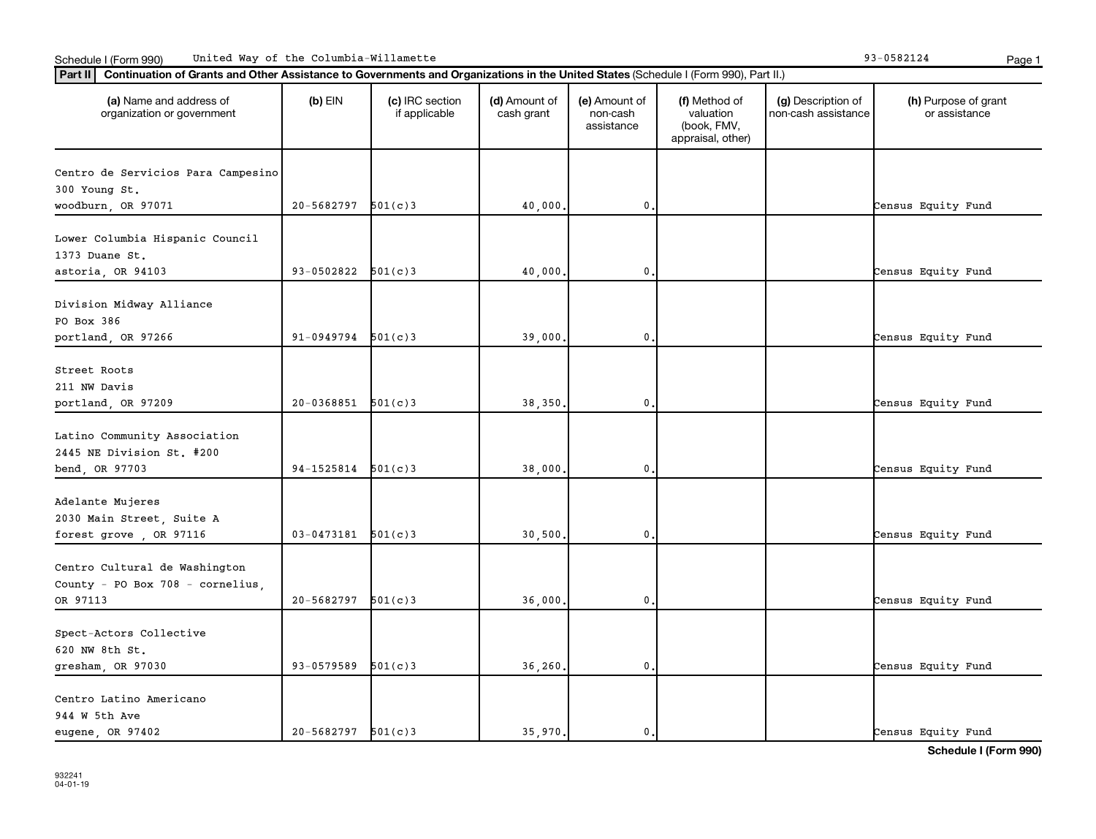#### **Part III Continuation of Grants and Other Assistance to Governments and Organizations in the United States (Schi<br>
Part III Continuation of Grants and Other Assistance to Governments and Organizations in the United State** Schedule I (Form 990) United Way of the Columbia-Willamette Page 1 (Page 1) Page 1

| Part II   Continuation of Grants and Other Assistance to Governments and Organizations in the United States (Schedule I (Form 990), Part II.) |                          |                                  |                             |                                         |                                                                |                                           |                                       |
|-----------------------------------------------------------------------------------------------------------------------------------------------|--------------------------|----------------------------------|-----------------------------|-----------------------------------------|----------------------------------------------------------------|-------------------------------------------|---------------------------------------|
| (a) Name and address of<br>organization or government                                                                                         | $(b)$ EIN                | (c) IRC section<br>if applicable | (d) Amount of<br>cash grant | (e) Amount of<br>non-cash<br>assistance | (f) Method of<br>valuation<br>(book, FMV,<br>appraisal, other) | (g) Description of<br>non-cash assistance | (h) Purpose of grant<br>or assistance |
| Centro de Servicios Para Campesino<br>300 Young St.                                                                                           |                          |                                  |                             | $\mathbf{0}$                            |                                                                |                                           |                                       |
| woodburn, OR 97071                                                                                                                            | $20 - 5682797$ $501(c)3$ |                                  | 40,000.                     |                                         |                                                                |                                           | Census Equity Fund                    |
| Lower Columbia Hispanic Council<br>1373 Duane St.<br>astoria, OR 94103                                                                        | $93-0502822$ $501(c)3$   |                                  | 40,000.                     | $\mathbf{0}$                            |                                                                |                                           | Census Equity Fund                    |
| Division Midway Alliance<br>PO Box 386                                                                                                        |                          |                                  |                             |                                         |                                                                |                                           |                                       |
| portland, OR 97266                                                                                                                            | 91-0949794               | 501(c)3                          | 39,000.                     | 0                                       |                                                                |                                           | Census Equity Fund                    |
| Street Roots<br>211 NW Davis<br>portland, OR 97209                                                                                            | $20-0368851$ $501(c)3$   |                                  | 38,350.                     | $\mathbf{0}$                            |                                                                |                                           | Census Equity Fund                    |
| Latino Community Association<br>2445 NE Division St. #200<br>bend, OR 97703                                                                   | $94-1525814$ $501(c)3$   |                                  | 38,000.                     | $\mathbf{0}$ .                          |                                                                |                                           | Census Equity Fund                    |
| Adelante Mujeres<br>2030 Main Street, Suite A<br>forest grove, OR 97116                                                                       | $03 - 0473181$           | 501(c)3                          | 30,500.                     | 0                                       |                                                                |                                           | Census Equity Fund                    |
| Centro Cultural de Washington<br>County - PO Box 708 - cornelius,<br>OR 97113                                                                 | $20 - 5682797$ 501(c)3   |                                  | 36,000,                     | $\mathbf{0}$                            |                                                                |                                           | Census Equity Fund                    |
| Spect-Actors Collective<br>620 NW 8th St.<br>gresham, OR 97030                                                                                | 93-0579589               | 501(c)3                          | 36,260.                     | 0.                                      |                                                                |                                           | Census Equity Fund                    |
| Centro Latino Americano<br>944 W 5th Ave<br>eugene OR 97402                                                                                   | $20 - 5682797$ $501(c)3$ |                                  | 35.970.                     | $\mathbf 0$ .                           |                                                                |                                           | Census Equity Fund                    |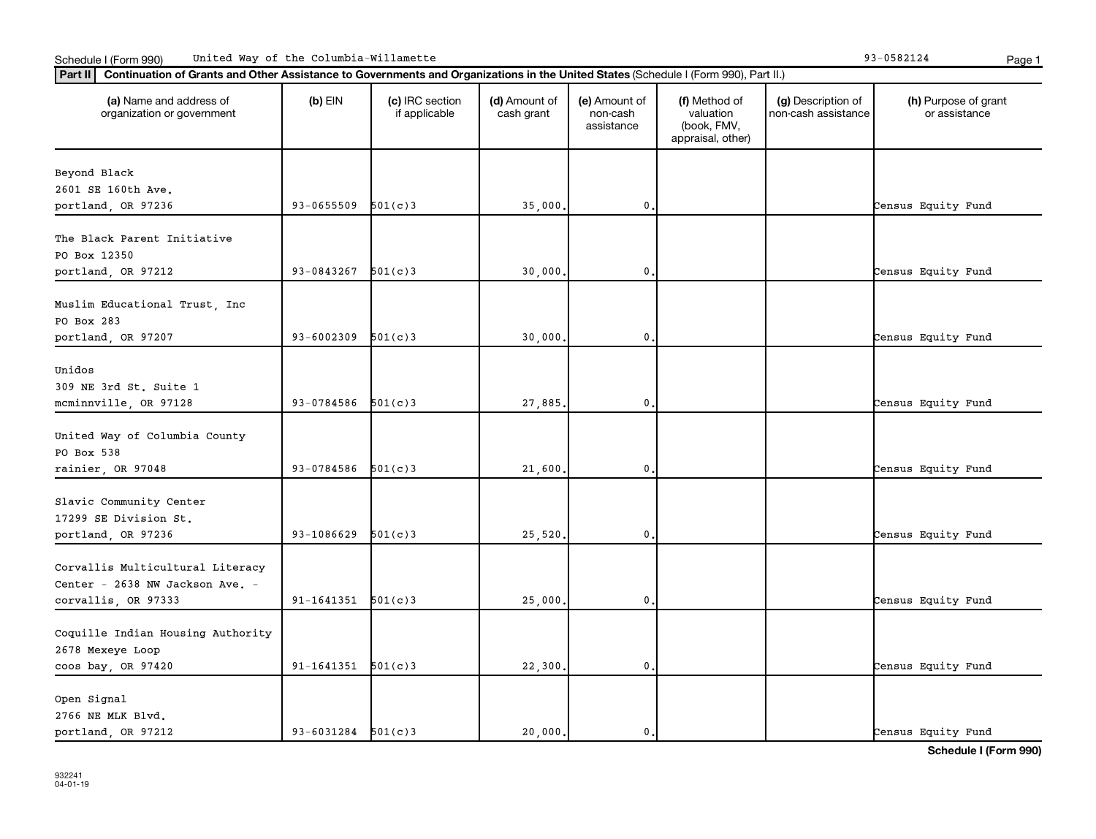| (a) Name and address of<br>organization or government               | $(b)$ EIN                | (c) IRC section<br>if applicable | (d) Amount of<br>cash grant | (e) Amount of<br>non-cash<br>assistance | (f) Method of<br>valuation<br>(book, FMV,<br>appraisal, other) | (g) Description of<br>non-cash assistance | (h) Purpose of grant<br>or assistance |
|---------------------------------------------------------------------|--------------------------|----------------------------------|-----------------------------|-----------------------------------------|----------------------------------------------------------------|-------------------------------------------|---------------------------------------|
| Beyond Black                                                        |                          |                                  |                             |                                         |                                                                |                                           |                                       |
| 2601 SE 160th Ave.                                                  |                          |                                  |                             |                                         |                                                                |                                           |                                       |
| portland, OR 97236                                                  | 93-0655509               | 501(c)3                          | 35,000.                     | $\mathbf 0$                             |                                                                |                                           | Census Equity Fund                    |
| The Black Parent Initiative<br>PO Box 12350                         |                          |                                  |                             |                                         |                                                                |                                           |                                       |
| portland, OR 97212                                                  | 93-0843267               | 501(c)3                          | 30,000.                     | 0.                                      |                                                                |                                           | Census Equity Fund                    |
| Muslim Educational Trust, Inc<br>PO Box 283                         |                          |                                  |                             |                                         |                                                                |                                           |                                       |
| portland, OR 97207                                                  | 93-6002309               | 501(c)3                          | 30,000.                     | 0.                                      |                                                                |                                           | Census Equity Fund                    |
| Unidos<br>309 NE 3rd St. Suite 1<br>mcminnville, OR 97128           | $93-0784586$ $501(c)3$   |                                  | 27,885.                     | 0.                                      |                                                                |                                           | Census Equity Fund                    |
| United Way of Columbia County<br>PO Box 538                         |                          |                                  |                             |                                         |                                                                |                                           |                                       |
| rainier, OR 97048                                                   | 93-0784586               | 501(c)3                          | 21,600.                     | $\mathbf 0$                             |                                                                |                                           | Census Equity Fund                    |
| Slavic Community Center<br>17299 SE Division St.                    |                          |                                  |                             |                                         |                                                                |                                           |                                       |
| portland, OR 97236                                                  | 93-1086629               | 501(c)3                          | 25,520.                     | 0.                                      |                                                                |                                           | Census Equity Fund                    |
| Corvallis Multicultural Literacy<br>Center - 2638 NW Jackson Ave. - |                          |                                  |                             |                                         |                                                                |                                           |                                       |
| corvallis, OR 97333                                                 | $91-1641351$ $501(c)3$   |                                  | 25,000.                     | 0.                                      |                                                                |                                           | Census Equity Fund                    |
| Coquille Indian Housing Authority<br>2678 Mexeye Loop               |                          |                                  |                             |                                         |                                                                |                                           |                                       |
| coos bay, OR 97420                                                  | $91-1641351$ $501(c)3$   |                                  | 22,300.                     | 0.                                      |                                                                |                                           | Census Equity Fund                    |
| Open Signal<br>2766 NE MLK Blvd.                                    |                          |                                  |                             |                                         |                                                                |                                           |                                       |
| portland OR 97212                                                   | $93 - 6031284$ $501(c)3$ |                                  | 20,000.                     | 0.                                      |                                                                |                                           | Census Equity Fund                    |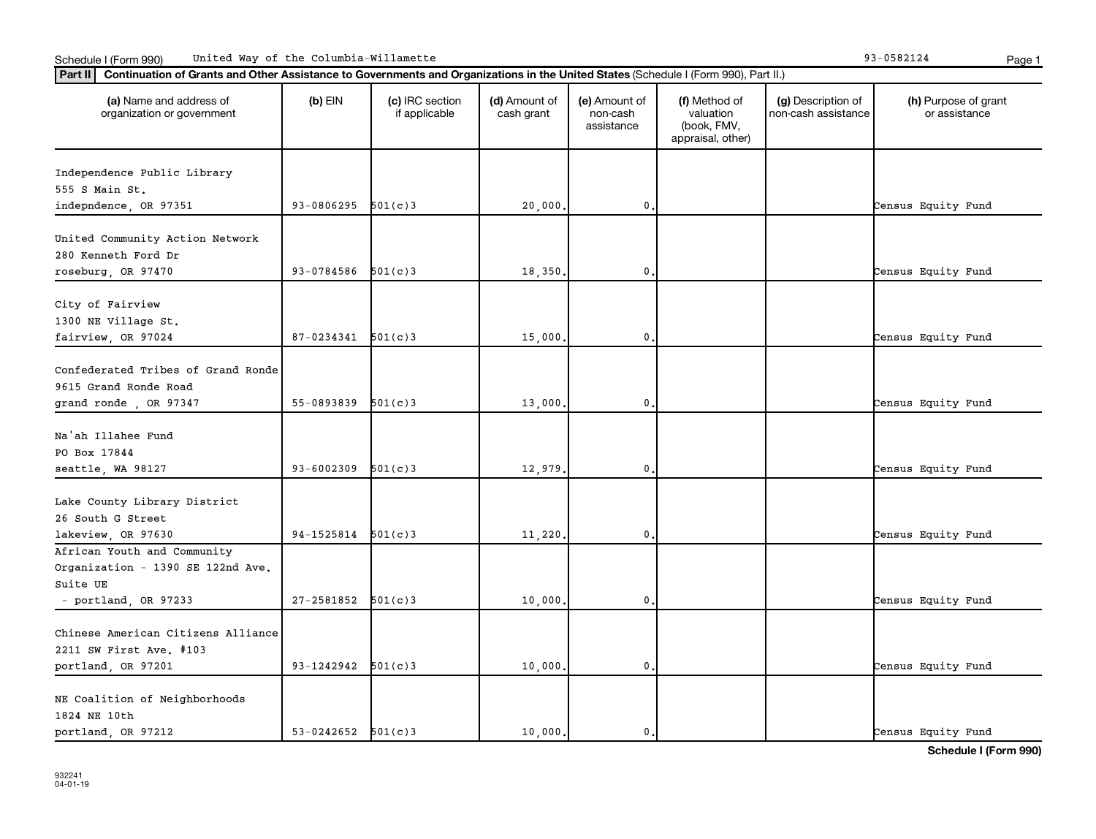Part II | Continuation of Grants and Other Assistance to Governments and Organizations in the United States (Schedule I (Form 990), Part II.)

Τ

⊤

| (a) Name and address of<br>organization or government                                                | $(b)$ EIN                | (c) IRC section<br>if applicable | (d) Amount of<br>cash grant | (e) Amount of<br>non-cash<br>assistance | (f) Method of<br>valuation<br>(book, FMV,<br>appraisal, other) | (g) Description of<br>non-cash assistance | (h) Purpose of grant<br>or assistance |
|------------------------------------------------------------------------------------------------------|--------------------------|----------------------------------|-----------------------------|-----------------------------------------|----------------------------------------------------------------|-------------------------------------------|---------------------------------------|
| Independence Public Library<br>555 S Main St.                                                        |                          |                                  |                             |                                         |                                                                |                                           |                                       |
| indepndence, OR 97351                                                                                | 93-0806295               | 501(c)3                          | 20,000.                     | $\mathbf{0}$                            |                                                                |                                           | Census Equity Fund                    |
| United Community Action Network<br>280 Kenneth Ford Dr                                               |                          |                                  |                             |                                         |                                                                |                                           |                                       |
| roseburg, OR 97470                                                                                   | 93-0784586               | 501(c)3                          | 18,350.                     | 0                                       |                                                                |                                           | Census Equity Fund                    |
| City of Fairview<br>1300 NE Village St.<br>fairview, OR 97024                                        | 87-0234341               | 501(c)3                          | 15,000.                     | 0                                       |                                                                |                                           | Census Equity Fund                    |
| Confederated Tribes of Grand Ronde<br>9615 Grand Ronde Road<br>grand ronde, OR 97347                 | 55-0893839               | 501(c)3                          | 13,000,                     | 0                                       |                                                                |                                           | Census Equity Fund                    |
| Na'ah Illahee Fund<br>PO Box 17844<br>seattle, WA 98127                                              | 93-6002309               | 501(c)3                          | 12,979.                     | $\mathbf{0}$                            |                                                                |                                           | Census Equity Fund                    |
| Lake County Library District<br>26 South G Street<br>lakeview, OR 97630                              | 94-1525814               | 501(c)3                          | 11,220                      | 0                                       |                                                                |                                           | Census Equity Fund                    |
| African Youth and Community<br>Organization - 1390 SE 122nd Ave.<br>Suite UE<br>- portland, OR 97233 | $27 - 2581852$ $501(c)3$ |                                  | 10,000.                     | $\mathbf{0}$                            |                                                                |                                           | Census Equity Fund                    |
| Chinese American Citizens Alliance<br>2211 SW First Ave. #103<br>portland, OR 97201                  | $93-1242942$ $501(c)3$   |                                  | 10,000,                     | 0                                       |                                                                |                                           | Census Equity Fund                    |
| NE Coalition of Neighborhoods<br>1824 NE 10th<br>portland OR 97212                                   | $53-0242652$ $501(c)3$   |                                  | 10,000.                     | 0.                                      |                                                                |                                           | Census Equity Fund                    |

┯

Т

┑

**Schedule I (Form 990)**

⊤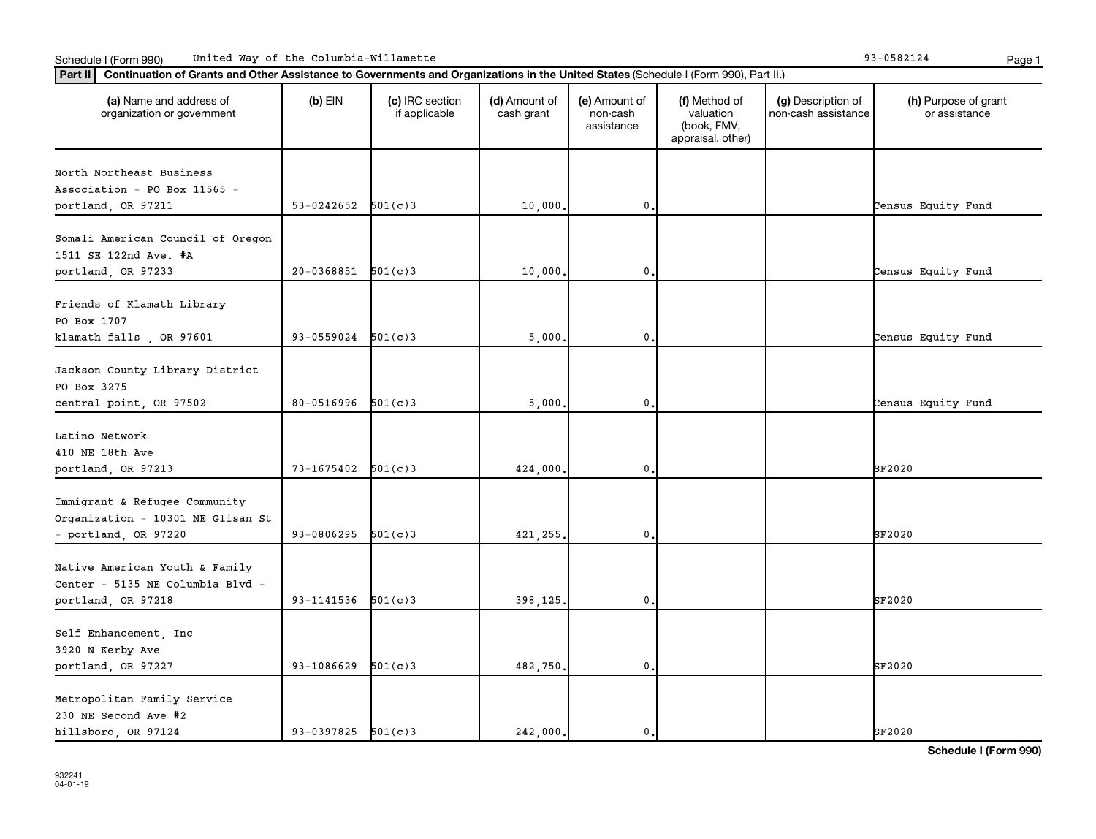#### Schedule I (Form 990) Page 1 United Way of the Columbia-Willamette 93-0582124

| (a) Name and address of<br>organization or government | $(b)$ EIN                | (c) IRC section<br>if applicable | (d) Amount of<br>cash grant | (e) Amount of<br>non-cash<br>assistance | (f) Method of<br>valuation<br>(book, FMV,<br>appraisal, other) | (g) Description of<br>non-cash assistance | (h) Purpose of grant<br>or assistance |
|-------------------------------------------------------|--------------------------|----------------------------------|-----------------------------|-----------------------------------------|----------------------------------------------------------------|-------------------------------------------|---------------------------------------|
| North Northeast Business                              |                          |                                  |                             |                                         |                                                                |                                           |                                       |
| Association - PO Box 11565 -                          |                          |                                  |                             |                                         |                                                                |                                           |                                       |
| portland, OR 97211                                    | 53-0242652               | 501(c)3                          | 10,000.                     | $\mathbf 0$                             |                                                                |                                           | Census Equity Fund                    |
|                                                       |                          |                                  |                             |                                         |                                                                |                                           |                                       |
| Somali American Council of Oregon                     |                          |                                  |                             |                                         |                                                                |                                           |                                       |
| 1511 SE 122nd Ave. #A                                 |                          |                                  |                             |                                         |                                                                |                                           |                                       |
| portland, OR 97233                                    | 20-0368851               | 501(c)3                          | 10,000.                     | $\mathbf 0$                             |                                                                |                                           | Census Equity Fund                    |
|                                                       |                          |                                  |                             |                                         |                                                                |                                           |                                       |
| Friends of Klamath Library                            |                          |                                  |                             |                                         |                                                                |                                           |                                       |
| PO Box 1707                                           |                          |                                  |                             |                                         |                                                                |                                           |                                       |
| klamath falls, OR 97601                               | $93-0559024$ $501(c)3$   |                                  | 5.000.                      | $\mathbf{0}$                            |                                                                |                                           | Census Equity Fund                    |
|                                                       |                          |                                  |                             |                                         |                                                                |                                           |                                       |
| Jackson County Library District                       |                          |                                  |                             |                                         |                                                                |                                           |                                       |
| PO Box 3275                                           |                          |                                  |                             |                                         |                                                                |                                           |                                       |
| central point, OR 97502                               | 80-0516996               | 501(c)3                          | 5,000.                      | $\mathbf{0}$                            |                                                                |                                           | Census Equity Fund                    |
|                                                       |                          |                                  |                             |                                         |                                                                |                                           |                                       |
| Latino Network                                        |                          |                                  |                             |                                         |                                                                |                                           |                                       |
| 410 NE 18th Ave                                       |                          |                                  |                             |                                         |                                                                |                                           |                                       |
| portland, OR 97213                                    | 73-1675402               | 501(c)3                          | 424,000.                    | $\mathbf 0$                             |                                                                |                                           | SF2020                                |
| Immigrant & Refugee Community                         |                          |                                  |                             |                                         |                                                                |                                           |                                       |
| Organization - 10301 NE Glisan St                     |                          |                                  |                             |                                         |                                                                |                                           |                                       |
|                                                       | 93-0806295               | 501(c)3                          |                             | $\mathbf 0$                             |                                                                |                                           | SF2020                                |
| - portland, OR 97220                                  |                          |                                  | 421, 255.                   |                                         |                                                                |                                           |                                       |
| Native American Youth & Family                        |                          |                                  |                             |                                         |                                                                |                                           |                                       |
| Center - 5135 NE Columbia Blvd -                      |                          |                                  |                             |                                         |                                                                |                                           |                                       |
| portland, OR 97218                                    | $93 - 1141536$ $501(c)3$ |                                  | 398,125.                    | 0.                                      |                                                                |                                           | SF2020                                |
|                                                       |                          |                                  |                             |                                         |                                                                |                                           |                                       |
| Self Enhancement, Inc                                 |                          |                                  |                             |                                         |                                                                |                                           |                                       |
| 3920 N Kerby Ave                                      |                          |                                  |                             |                                         |                                                                |                                           |                                       |
| portland, OR 97227                                    | 93-1086629               | 501(c)3                          | 482,750.                    | $\mathbf{0}$                            |                                                                |                                           | SF2020                                |
|                                                       |                          |                                  |                             |                                         |                                                                |                                           |                                       |
| Metropolitan Family Service                           |                          |                                  |                             |                                         |                                                                |                                           |                                       |
| 230 NE Second Ave #2                                  |                          |                                  |                             |                                         |                                                                |                                           |                                       |
| hillsboro, OR 97124                                   | 93-0397825               | 501(c)3                          | 242,000.                    | 0.                                      |                                                                |                                           | SF2020                                |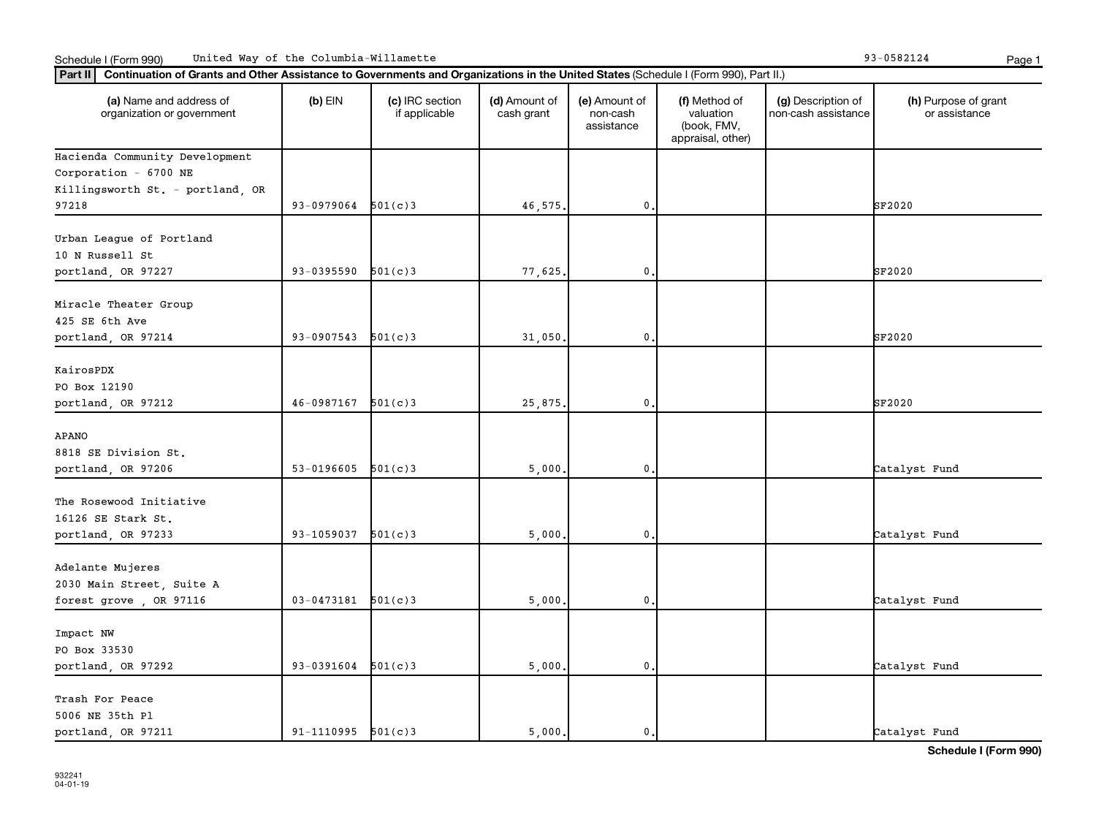#### **Part III Continuation of Grants and Other Assistance to Governments and Organizations in the United States (Schi<br>
Dart III Continuation of Grants and Other Assistance to Governments and Organizations in the United State** Schedule I (Form 990) United Way of the Columbia-Willamette Page 1 (Page 1) Page 1

| Continuation of Grants and Other Assistance to Governments and Organizations in the United States (Schedule I (Form 990), Part II.)<br>$ $ Part II |                        |                                  |                             |                                         |                                                                |                                           |                                       |
|----------------------------------------------------------------------------------------------------------------------------------------------------|------------------------|----------------------------------|-----------------------------|-----------------------------------------|----------------------------------------------------------------|-------------------------------------------|---------------------------------------|
| (a) Name and address of<br>organization or government                                                                                              | $(b)$ EIN              | (c) IRC section<br>if applicable | (d) Amount of<br>cash grant | (e) Amount of<br>non-cash<br>assistance | (f) Method of<br>valuation<br>(book, FMV,<br>appraisal, other) | (g) Description of<br>non-cash assistance | (h) Purpose of grant<br>or assistance |
| Hacienda Community Development                                                                                                                     |                        |                                  |                             |                                         |                                                                |                                           |                                       |
| Corporation - 6700 NE                                                                                                                              |                        |                                  |                             |                                         |                                                                |                                           |                                       |
| Killingsworth St. - portland, OR                                                                                                                   |                        |                                  |                             |                                         |                                                                |                                           |                                       |
| 97218                                                                                                                                              | 93-0979064             | 501(c)3                          | 46,575.                     | 0.                                      |                                                                |                                           | SF2020                                |
| Urban League of Portland                                                                                                                           |                        |                                  |                             |                                         |                                                                |                                           |                                       |
| 10 N Russell St                                                                                                                                    |                        |                                  |                             |                                         |                                                                |                                           |                                       |
| portland, OR 97227                                                                                                                                 | 93-0395590             | 501(c)3                          | 77,625.                     | $\mathbf{0}$                            |                                                                |                                           | SF2020                                |
|                                                                                                                                                    |                        |                                  |                             |                                         |                                                                |                                           |                                       |
| Miracle Theater Group                                                                                                                              |                        |                                  |                             |                                         |                                                                |                                           |                                       |
| 425 SE 6th Ave                                                                                                                                     |                        |                                  |                             |                                         |                                                                |                                           |                                       |
| portland, OR 97214                                                                                                                                 | 93-0907543             | 501(c)3                          | 31,050.                     | $\mathbf{0}$                            |                                                                |                                           | SF2020                                |
| KairosPDX                                                                                                                                          |                        |                                  |                             |                                         |                                                                |                                           |                                       |
| PO Box 12190                                                                                                                                       |                        |                                  |                             |                                         |                                                                |                                           |                                       |
| portland, OR 97212                                                                                                                                 | 46-0987167             | 501(c)3                          | 25,875.                     | $\mathbf{0}$                            |                                                                |                                           | SF2020                                |
|                                                                                                                                                    |                        |                                  |                             |                                         |                                                                |                                           |                                       |
| APANO                                                                                                                                              |                        |                                  |                             |                                         |                                                                |                                           |                                       |
| 8818 SE Division St.                                                                                                                               |                        |                                  |                             |                                         |                                                                |                                           |                                       |
| portland, OR 97206                                                                                                                                 | 53-0196605             | 501(c)3                          | 5,000.                      | $\mathbf{0}$                            |                                                                |                                           | Catalyst Fund                         |
|                                                                                                                                                    |                        |                                  |                             |                                         |                                                                |                                           |                                       |
| The Rosewood Initiative                                                                                                                            |                        |                                  |                             |                                         |                                                                |                                           |                                       |
| 16126 SE Stark St.                                                                                                                                 |                        |                                  |                             |                                         |                                                                |                                           |                                       |
| portland, OR 97233                                                                                                                                 | 93-1059037             | 501(c)3                          | 5,000.                      | $\mathbf 0$                             |                                                                |                                           | Catalyst Fund                         |
|                                                                                                                                                    |                        |                                  |                             |                                         |                                                                |                                           |                                       |
| Adelante Mujeres                                                                                                                                   |                        |                                  |                             |                                         |                                                                |                                           |                                       |
| 2030 Main Street, Suite A                                                                                                                          |                        |                                  |                             |                                         |                                                                |                                           |                                       |
| forest grove, OR 97116                                                                                                                             | 03-0473181             | 501(c)3                          | 5,000.                      | $\mathbf{0}$                            |                                                                |                                           | Catalyst Fund                         |
| Impact NW                                                                                                                                          |                        |                                  |                             |                                         |                                                                |                                           |                                       |
| PO Box 33530                                                                                                                                       |                        |                                  |                             |                                         |                                                                |                                           |                                       |
| portland, OR 97292                                                                                                                                 | 93-0391604             | 501(c)3                          | 5,000.                      | $\mathbf{0}$ .                          |                                                                |                                           | Catalyst Fund                         |
|                                                                                                                                                    |                        |                                  |                             |                                         |                                                                |                                           |                                       |
| Trash For Peace                                                                                                                                    |                        |                                  |                             |                                         |                                                                |                                           |                                       |
| 5006 NE 35th Pl                                                                                                                                    |                        |                                  |                             |                                         |                                                                |                                           |                                       |
| portland, OR 97211                                                                                                                                 | $91-1110995$ $501(c)3$ |                                  | 5.000.                      | 0.                                      |                                                                |                                           | Catalyst Fund                         |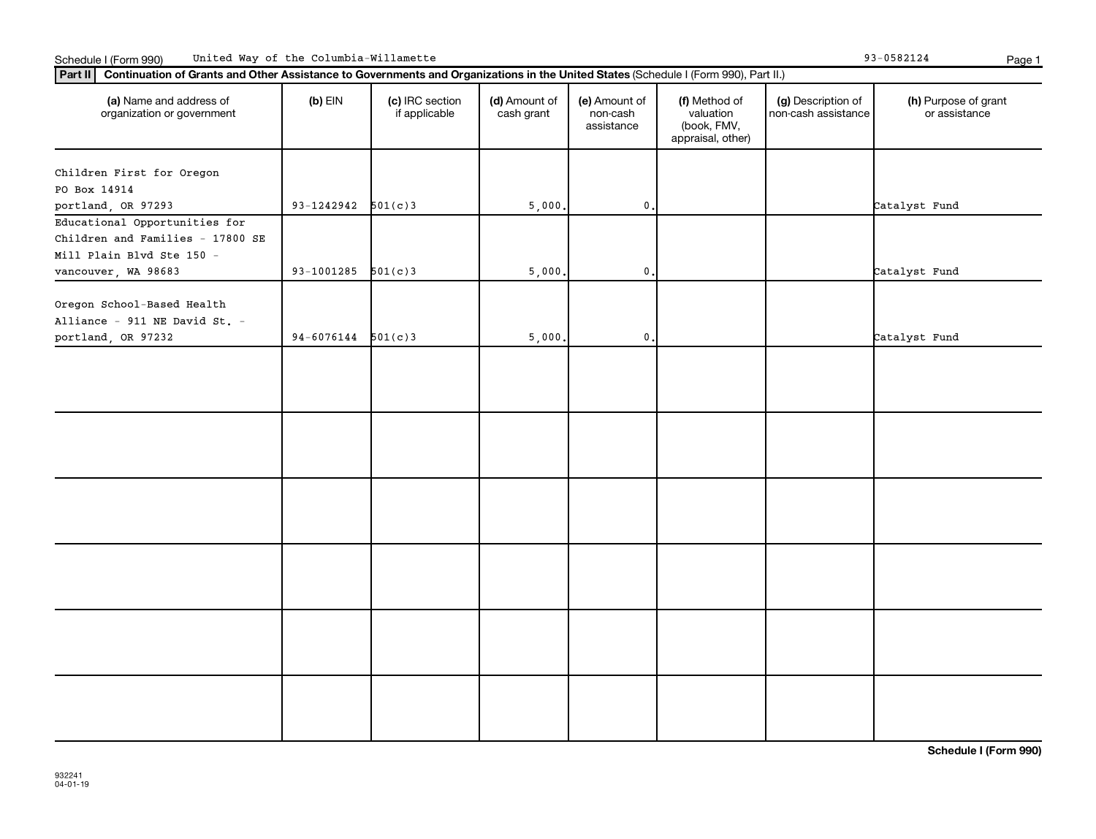organization or government

Children First for Oregon

Part II | Continuation of Grants and Other Assistance to Governments and Organizations in the United States (Schedule I (Form 990), Part II.)

if applicable

 $(b)$  EIN  $(c)$  IRC section

**(a) (b) (c) (d) (e) (f) (g) (h)** Name and address of

(d) Amount of cash grant

(e) Amount of non-cash assistance

(f) Method of valuation (book, FMV, appraisal, other)

(g) Description of non-cash assistance

| PO Box 14914                     |                        |        |                |  |               |
|----------------------------------|------------------------|--------|----------------|--|---------------|
| portland, OR 97293               | $93-1242942$ $501(c)3$ | 5,000. | $\mathbf{0}$ . |  | Catalyst Fund |
| Educational Opportunities for    |                        |        |                |  |               |
| Children and Families - 17800 SE |                        |        |                |  |               |
| Mill Plain Blvd Ste 150 -        |                        |        |                |  |               |
| vancouver, WA 98683              | $93-1001285$ $501(c)3$ | 5,000. | $\mathbf{0}$ . |  | Catalyst Fund |
| Oregon School-Based Health       |                        |        |                |  |               |
| Alliance - 911 NE David St. -    |                        |        |                |  |               |
| portland, OR 97232               | $94-6076144$ $501(c)3$ | 5,000. | $\mathbf{0}$ . |  | Catalyst Fund |
|                                  |                        |        |                |  |               |
|                                  |                        |        |                |  |               |
|                                  |                        |        |                |  |               |
|                                  |                        |        |                |  |               |
|                                  |                        |        |                |  |               |
|                                  |                        |        |                |  |               |
|                                  |                        |        |                |  |               |
|                                  |                        |        |                |  |               |
|                                  |                        |        |                |  |               |
|                                  |                        |        |                |  |               |
|                                  |                        |        |                |  |               |
|                                  |                        |        |                |  |               |
|                                  |                        |        |                |  |               |
|                                  |                        |        |                |  |               |
|                                  |                        |        |                |  |               |
|                                  |                        |        |                |  |               |
|                                  |                        |        |                |  |               |
|                                  |                        |        |                |  |               |
|                                  |                        |        |                |  | Schodule L(Eo |
|                                  |                        |        |                |  |               |

(h) Purpose of grant or assistance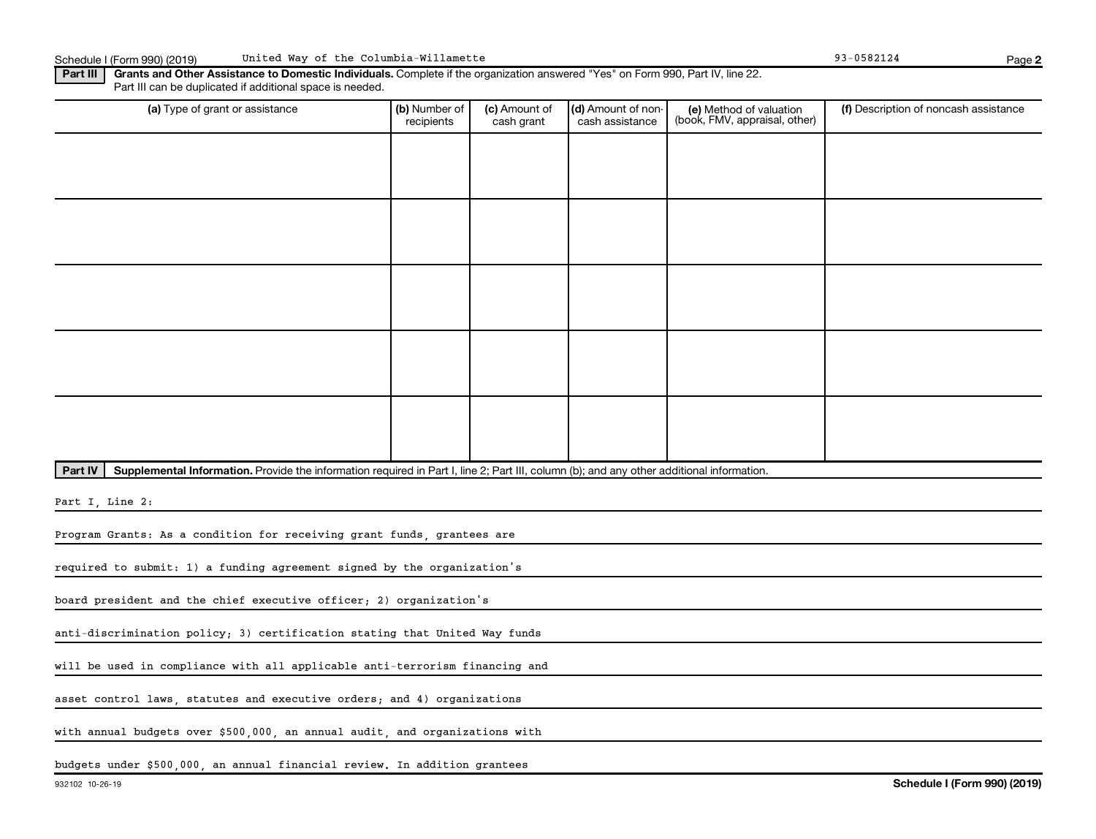Schedule I (Form 990) (2019) United Way of the Columbia-Willamette Page 193-0582124 Page 193-0582124

932102 10-26-19

| Part III   Grants and Other Assistance to Domestic Individuals. Complete if the organization answered "Yes" on Form 990, Part IV, line 22. |
|--------------------------------------------------------------------------------------------------------------------------------------------|
| Part III can be duplicated if additional space is needed.                                                                                  |

| (a) Type of grant or assistance                                                                                                                      | (b) Number of<br>recipients | (c) Amount of<br>cash grant | (d) Amount of non-<br>cash assistance | (e) Method of valuation<br>(book, FMV, appraisal, other) | (f) Description of noncash assistance |
|------------------------------------------------------------------------------------------------------------------------------------------------------|-----------------------------|-----------------------------|---------------------------------------|----------------------------------------------------------|---------------------------------------|
|                                                                                                                                                      |                             |                             |                                       |                                                          |                                       |
|                                                                                                                                                      |                             |                             |                                       |                                                          |                                       |
|                                                                                                                                                      |                             |                             |                                       |                                                          |                                       |
|                                                                                                                                                      |                             |                             |                                       |                                                          |                                       |
|                                                                                                                                                      |                             |                             |                                       |                                                          |                                       |
|                                                                                                                                                      |                             |                             |                                       |                                                          |                                       |
|                                                                                                                                                      |                             |                             |                                       |                                                          |                                       |
|                                                                                                                                                      |                             |                             |                                       |                                                          |                                       |
|                                                                                                                                                      |                             |                             |                                       |                                                          |                                       |
|                                                                                                                                                      |                             |                             |                                       |                                                          |                                       |
|                                                                                                                                                      |                             |                             |                                       |                                                          |                                       |
|                                                                                                                                                      |                             |                             |                                       |                                                          |                                       |
|                                                                                                                                                      |                             |                             |                                       |                                                          |                                       |
|                                                                                                                                                      |                             |                             |                                       |                                                          |                                       |
|                                                                                                                                                      |                             |                             |                                       |                                                          |                                       |
| Part IV<br>Supplemental Information. Provide the information required in Part I, line 2; Part III, column (b); and any other additional information. |                             |                             |                                       |                                                          |                                       |
|                                                                                                                                                      |                             |                             |                                       |                                                          |                                       |
| Part I, Line 2:                                                                                                                                      |                             |                             |                                       |                                                          |                                       |
|                                                                                                                                                      |                             |                             |                                       |                                                          |                                       |

Program Grants: As a condition for receiving grant funds, grantees are

required to submit: 1) a funding agreement signed by the organization's

board president and the chief executive officer; 2) organization's

anti-discrimination policy; 3) certification stating that United Way funds

will be used in compliance with all applicable anti-terrorism financing and

asset control laws, statutes and executive orders; and 4) organizations

with annual budgets over \$500,000, an annual audit, and organizations with

budgets under \$500,000, an annual financial review. In addition grantees

**2**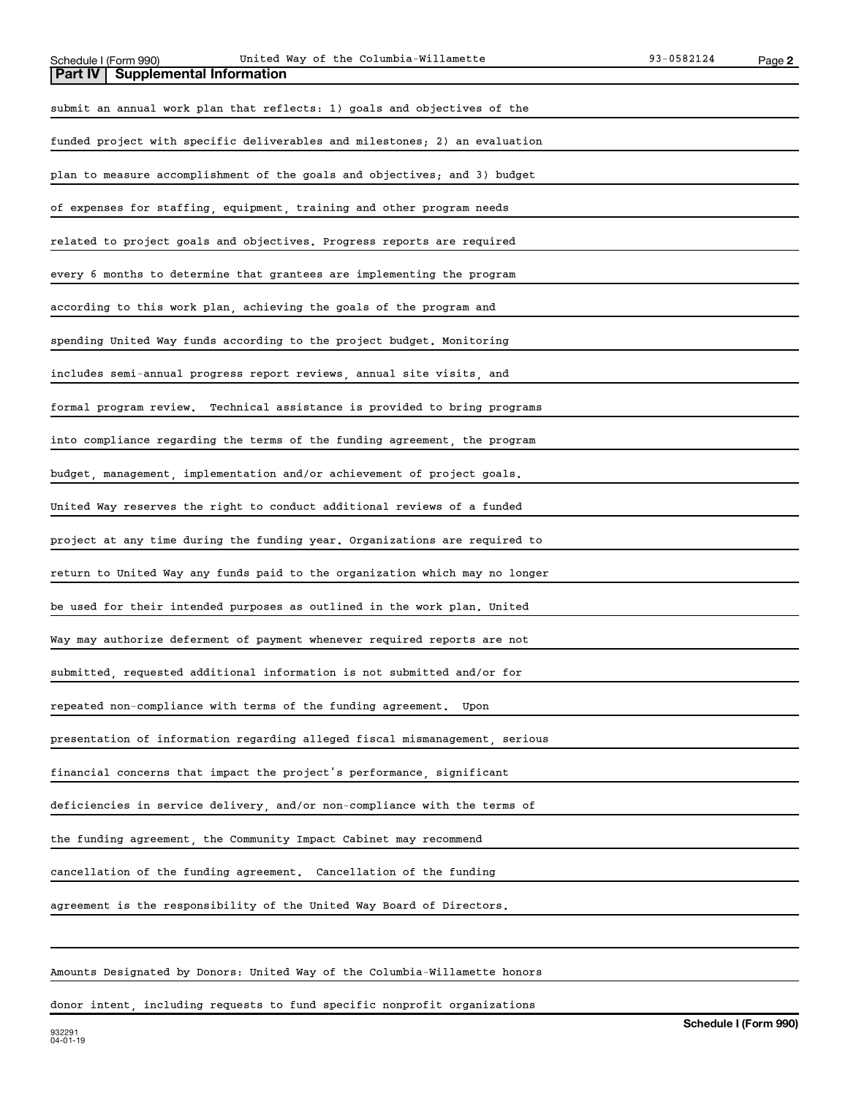| Part IV   Supplemental Information                                          |
|-----------------------------------------------------------------------------|
| submit an annual work plan that reflects: 1) goals and objectives of the    |
| funded project with specific deliverables and milestones; 2) an evaluation  |
| plan to measure accomplishment of the goals and objectives; and 3) budget   |
| of expenses for staffing, equipment, training and other program needs       |
| related to project goals and objectives. Progress reports are required      |
| every 6 months to determine that grantees are implementing the program      |
| according to this work plan, achieving the goals of the program and         |
| spending United Way funds according to the project budget. Monitoring       |
| includes semi-annual progress report reviews, annual site visits, and       |
| formal program review. Technical assistance is provided to bring programs   |
| into compliance regarding the terms of the funding agreement, the program   |
| budget, management, implementation and/or achievement of project goals.     |
| United Way reserves the right to conduct additional reviews of a funded     |
| project at any time during the funding year. Organizations are required to  |
| return to United Way any funds paid to the organization which may no longer |
| be used for their intended purposes as outlined in the work plan. United    |
| Way may authorize deferment of payment whenever required reports are not    |
| submitted requested additional information is not submitted and/or for      |
| repeated non-compliance with terms of the funding agreement. Upon           |
| presentation of information regarding alleged fiscal mismanagement, serious |
| financial concerns that impact the project's performance, significant       |
| deficiencies in service delivery, and/or non-compliance with the terms of   |
| the funding agreement, the Community Impact Cabinet may recommend           |
| cancellation of the funding agreement. Cancellation of the funding          |
| agreement is the responsibility of the United Way Board of Directors.       |
|                                                                             |

Amounts Designated by Donors: United Way of the Columbia-Willamette honors

donor intent, including requests to fund specific nonprofit organizations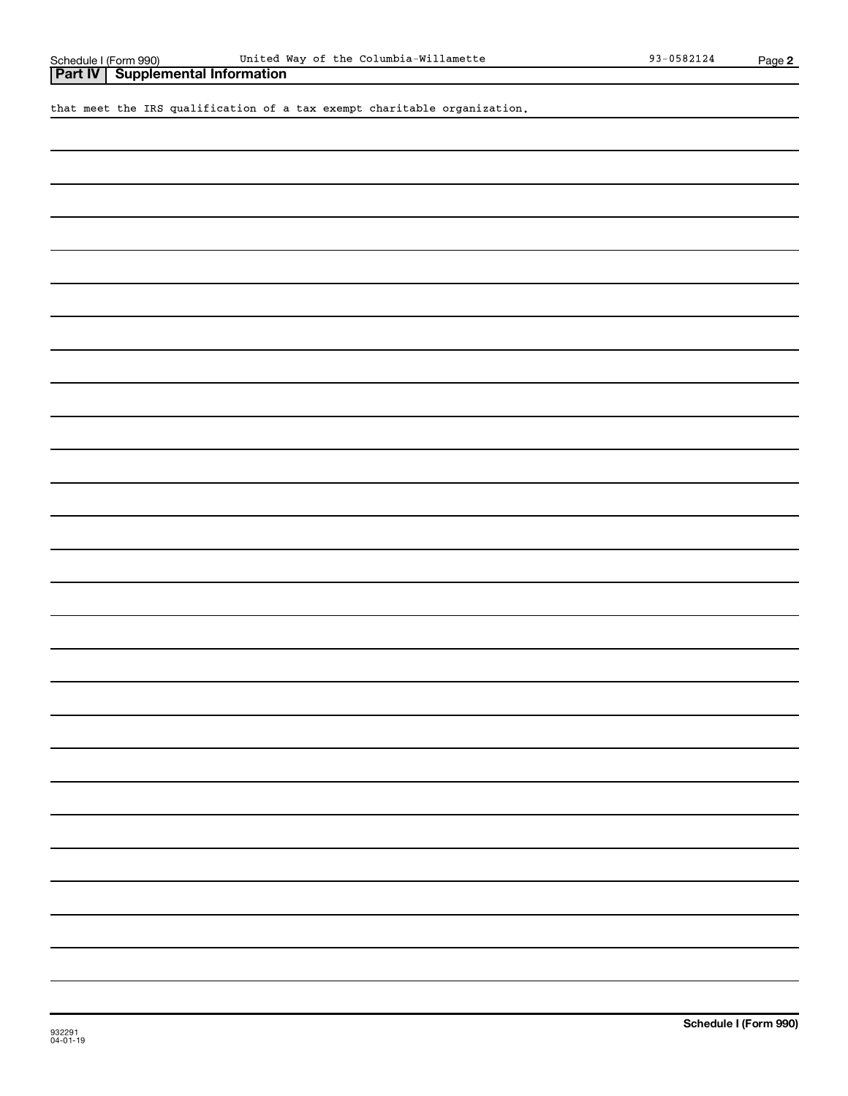**2**

|  | Part IV   Supplemental Information |  |
|--|------------------------------------|--|
|--|------------------------------------|--|

that meet the IRS qualification of a tax exempt charitable organization.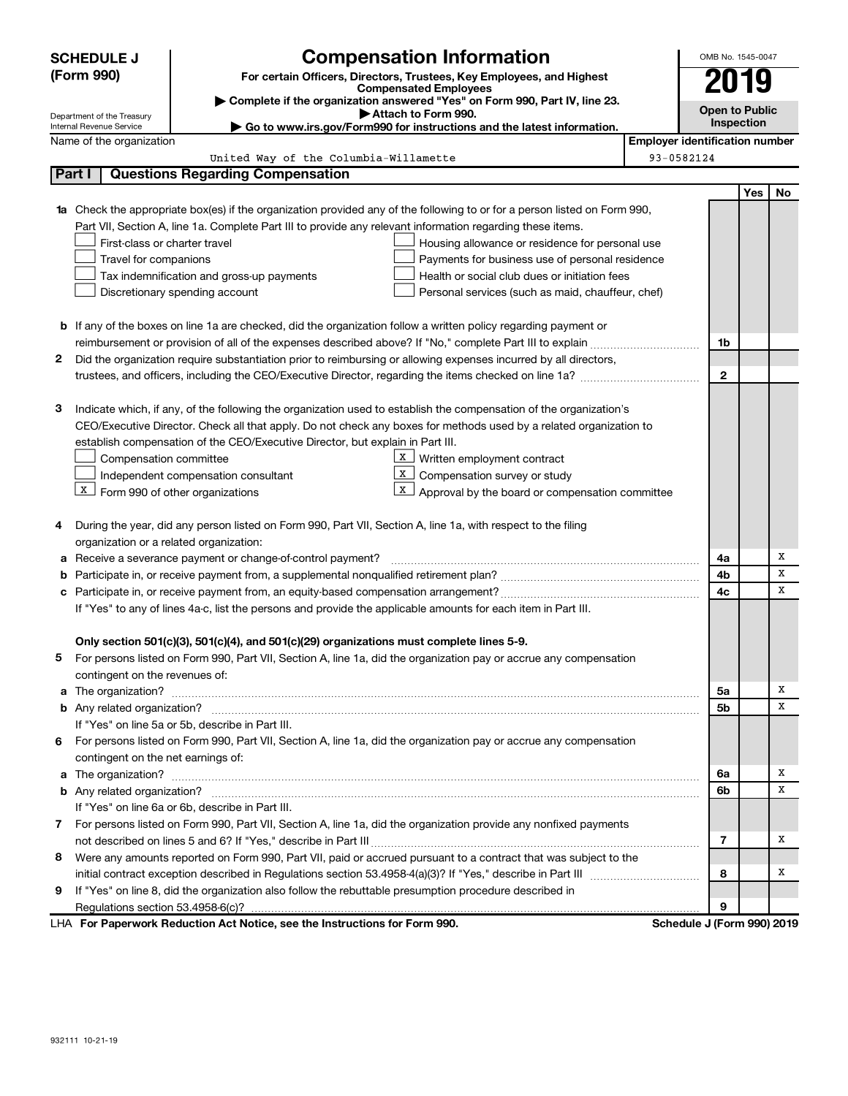|              | <b>Compensation Information</b><br><b>SCHEDULE J</b>                                                                                                            |  | OMB No. 1545-0047                                   |           |                  |
|--------------|-----------------------------------------------------------------------------------------------------------------------------------------------------------------|--|-----------------------------------------------------|-----------|------------------|
|              | (Form 990)<br>For certain Officers, Directors, Trustees, Key Employees, and Highest                                                                             |  |                                                     | <b>19</b> |                  |
|              | <b>Compensated Employees</b><br>Complete if the organization answered "Yes" on Form 990, Part IV, line 23.<br>Attach to Form 990.<br>Department of the Treasury |  |                                                     |           |                  |
|              |                                                                                                                                                                 |  | <b>Open to Public</b>                               |           |                  |
|              | Go to www.irs.gov/Form990 for instructions and the latest information.<br>Internal Revenue Service<br>Name of the organization                                  |  | Inspection<br><b>Employer identification number</b> |           |                  |
|              | United Way of the Columbia-Willamette                                                                                                                           |  | 93-0582124                                          |           |                  |
|              | <b>Questions Regarding Compensation</b><br>Part I                                                                                                               |  |                                                     |           |                  |
|              |                                                                                                                                                                 |  |                                                     | Yes       | No               |
| 1a           | Check the appropriate box(es) if the organization provided any of the following to or for a person listed on Form 990,                                          |  |                                                     |           |                  |
|              | Part VII, Section A, line 1a. Complete Part III to provide any relevant information regarding these items.                                                      |  |                                                     |           |                  |
|              | First-class or charter travel<br>Housing allowance or residence for personal use                                                                                |  |                                                     |           |                  |
|              | Travel for companions<br>Payments for business use of personal residence                                                                                        |  |                                                     |           |                  |
|              | Tax indemnification and gross-up payments<br>Health or social club dues or initiation fees                                                                      |  |                                                     |           |                  |
|              | Discretionary spending account<br>Personal services (such as maid, chauffeur, chef)                                                                             |  |                                                     |           |                  |
|              |                                                                                                                                                                 |  |                                                     |           |                  |
|              | <b>b</b> If any of the boxes on line 1a are checked, did the organization follow a written policy regarding payment or                                          |  |                                                     |           |                  |
|              |                                                                                                                                                                 |  | 1b                                                  |           |                  |
| $\mathbf{2}$ | Did the organization require substantiation prior to reimbursing or allowing expenses incurred by all directors,                                                |  |                                                     |           |                  |
|              |                                                                                                                                                                 |  | $\mathbf{2}$                                        |           |                  |
|              |                                                                                                                                                                 |  |                                                     |           |                  |
| з            | Indicate which, if any, of the following the organization used to establish the compensation of the organization's                                              |  |                                                     |           |                  |
|              | CEO/Executive Director. Check all that apply. Do not check any boxes for methods used by a related organization to                                              |  |                                                     |           |                  |
|              | establish compensation of the CEO/Executive Director, but explain in Part III.                                                                                  |  |                                                     |           |                  |
|              | Compensation committee<br>X  <br>Written employment contract                                                                                                    |  |                                                     |           |                  |
|              | X<br>Compensation survey or study<br>Independent compensation consultant                                                                                        |  |                                                     |           |                  |
|              | $X$ Form 990 of other organizations<br>X<br>Approval by the board or compensation committee                                                                     |  |                                                     |           |                  |
|              |                                                                                                                                                                 |  |                                                     |           |                  |
| 4            | During the year, did any person listed on Form 990, Part VII, Section A, line 1a, with respect to the filing                                                    |  |                                                     |           |                  |
|              | organization or a related organization:                                                                                                                         |  |                                                     |           |                  |
| а            | Receive a severance payment or change-of-control payment?                                                                                                       |  | 4a                                                  |           | Х                |
| b            |                                                                                                                                                                 |  | 4b                                                  |           | $\mathbf X$<br>X |
| c            |                                                                                                                                                                 |  | 4с                                                  |           |                  |
|              | If "Yes" to any of lines 4a-c, list the persons and provide the applicable amounts for each item in Part III.                                                   |  |                                                     |           |                  |
|              | Only section 501(c)(3), 501(c)(4), and 501(c)(29) organizations must complete lines 5-9.                                                                        |  |                                                     |           |                  |
|              |                                                                                                                                                                 |  |                                                     |           |                  |
|              |                                                                                                                                                                 |  |                                                     |           |                  |
|              | For persons listed on Form 990, Part VII, Section A, line 1a, did the organization pay or accrue any compensation                                               |  |                                                     |           |                  |
|              | contingent on the revenues of:                                                                                                                                  |  |                                                     |           | х                |
|              |                                                                                                                                                                 |  | 5a<br>5b                                            |           | X                |
|              | If "Yes" on line 5a or 5b, describe in Part III.                                                                                                                |  |                                                     |           |                  |
| 6.           |                                                                                                                                                                 |  |                                                     |           |                  |
|              | For persons listed on Form 990, Part VII, Section A, line 1a, did the organization pay or accrue any compensation<br>contingent on the net earnings of:         |  |                                                     |           |                  |
|              |                                                                                                                                                                 |  | 6a                                                  |           | х                |
|              |                                                                                                                                                                 |  | 6b                                                  |           | X                |
|              | If "Yes" on line 6a or 6b, describe in Part III.                                                                                                                |  |                                                     |           |                  |
|              | 7 For persons listed on Form 990, Part VII, Section A, line 1a, did the organization provide any nonfixed payments                                              |  |                                                     |           |                  |
|              |                                                                                                                                                                 |  | 7                                                   |           | х                |
| 8            | Were any amounts reported on Form 990, Part VII, paid or accrued pursuant to a contract that was subject to the                                                 |  |                                                     |           |                  |
|              |                                                                                                                                                                 |  | 8                                                   |           | х                |
| 9            | If "Yes" on line 8, did the organization also follow the rebuttable presumption procedure described in                                                          |  |                                                     |           |                  |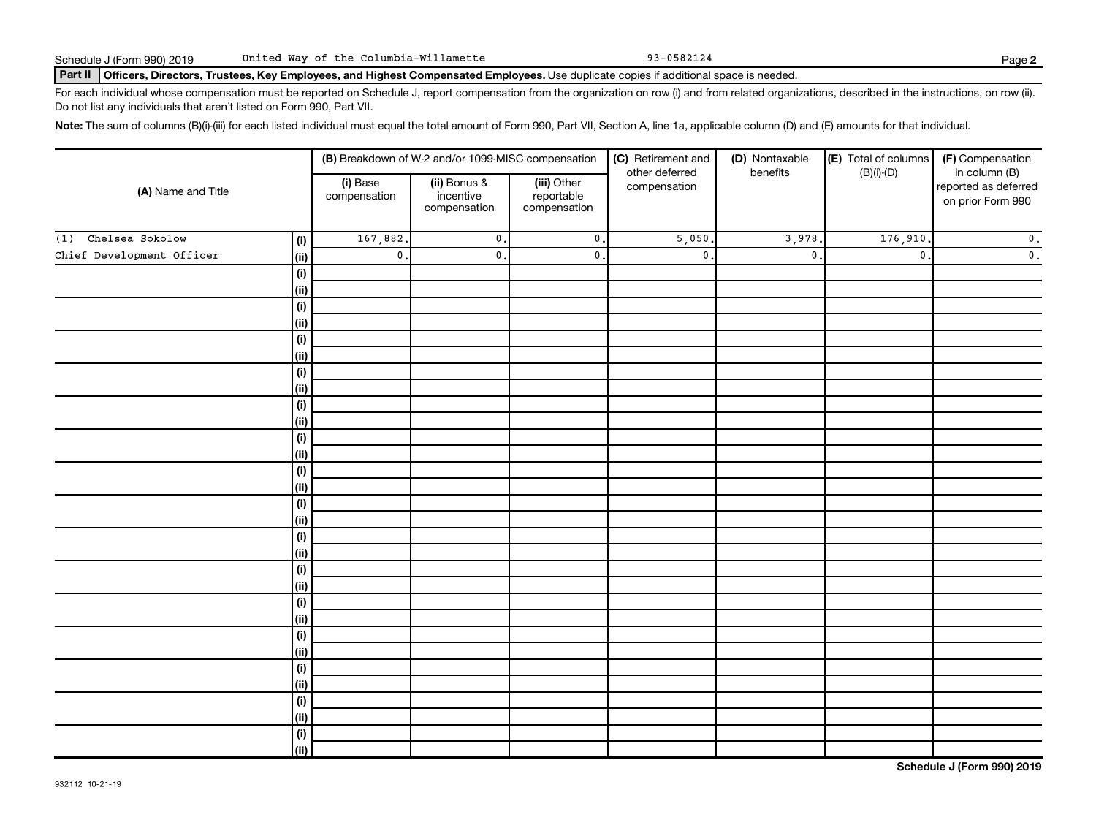#### Part II | Officers, Directors, Trustees, Key Employees, and Highest Compensated Employees. Use duplicate copies if additional space is needed.

For each individual whose compensation must be reported on Schedule J, report compensation from the organization on row (i) and from related organizations, described in the instructions, on row (ii). Do not list any individuals that aren't listed on Form 990, Part VII.

Note: The sum of columns (B)(i)-(iii) for each listed individual must equal the total amount of Form 990, Part VII, Section A, line 1a, applicable column (D) and (E) amounts for that individual.

| (A) Name and Title        |            |                          | (B) Breakdown of W-2 and/or 1099-MISC compensation |                                           | (C) Retirement and             | (D) Nontaxable | (E) Total of columns | (F) Compensation                                           |
|---------------------------|------------|--------------------------|----------------------------------------------------|-------------------------------------------|--------------------------------|----------------|----------------------|------------------------------------------------------------|
|                           |            | (i) Base<br>compensation | (ii) Bonus &<br>incentive<br>compensation          | (iii) Other<br>reportable<br>compensation | other deferred<br>compensation | benefits       | $(B)(i)-(D)$         | in column (B)<br>reported as deferred<br>on prior Form 990 |
| Chelsea Sokolow<br>(1)    | (i)        | 167,882.                 | $\overline{\mathbf{0}}$ .                          | $\overline{\mathbf{0}}$ .                 | 5,050.                         | 3,978.         | 176,910              | $\mathfrak o$ .                                            |
| Chief Development Officer | (ii)       | $\mathbf{0}$ .           | $\mathfrak o$ .                                    | $\mathfrak o$ .                           | $\mathbf 0$ .                  | $\mathbf{0}$ . | $\mathfrak o$ .      | $\mathbf 0$ .                                              |
|                           | (i)        |                          |                                                    |                                           |                                |                |                      |                                                            |
|                           | (ii)       |                          |                                                    |                                           |                                |                |                      |                                                            |
|                           | (i)        |                          |                                                    |                                           |                                |                |                      |                                                            |
|                           | (ii)       |                          |                                                    |                                           |                                |                |                      |                                                            |
|                           | $(\sf{i})$ |                          |                                                    |                                           |                                |                |                      |                                                            |
|                           | (ii)       |                          |                                                    |                                           |                                |                |                      |                                                            |
|                           | $(\sf{i})$ |                          |                                                    |                                           |                                |                |                      |                                                            |
|                           | (ii)       |                          |                                                    |                                           |                                |                |                      |                                                            |
|                           | (i)        |                          |                                                    |                                           |                                |                |                      |                                                            |
|                           | (ii)       |                          |                                                    |                                           |                                |                |                      |                                                            |
|                           | (i)        |                          |                                                    |                                           |                                |                |                      |                                                            |
|                           | (ii)       |                          |                                                    |                                           |                                |                |                      |                                                            |
|                           | (i)        |                          |                                                    |                                           |                                |                |                      |                                                            |
|                           | (ii)       |                          |                                                    |                                           |                                |                |                      |                                                            |
|                           | (i)        |                          |                                                    |                                           |                                |                |                      |                                                            |
|                           | (ii)       |                          |                                                    |                                           |                                |                |                      |                                                            |
|                           | (i)        |                          |                                                    |                                           |                                |                |                      |                                                            |
|                           | (ii)       |                          |                                                    |                                           |                                |                |                      |                                                            |
|                           | (i)        |                          |                                                    |                                           |                                |                |                      |                                                            |
|                           | (ii)       |                          |                                                    |                                           |                                |                |                      |                                                            |
|                           | (i)        |                          |                                                    |                                           |                                |                |                      |                                                            |
|                           | (ii)       |                          |                                                    |                                           |                                |                |                      |                                                            |
|                           | (i)        |                          |                                                    |                                           |                                |                |                      |                                                            |
|                           | (ii)       |                          |                                                    |                                           |                                |                |                      |                                                            |
|                           | (i)        |                          |                                                    |                                           |                                |                |                      |                                                            |
|                           | (i)        |                          |                                                    |                                           |                                |                |                      |                                                            |
|                           | (i)        |                          |                                                    |                                           |                                |                |                      |                                                            |
|                           | (ii)       |                          |                                                    |                                           |                                |                |                      |                                                            |
|                           | $(\sf{i})$ |                          |                                                    |                                           |                                |                |                      |                                                            |
|                           | (ii)       |                          |                                                    |                                           |                                |                |                      |                                                            |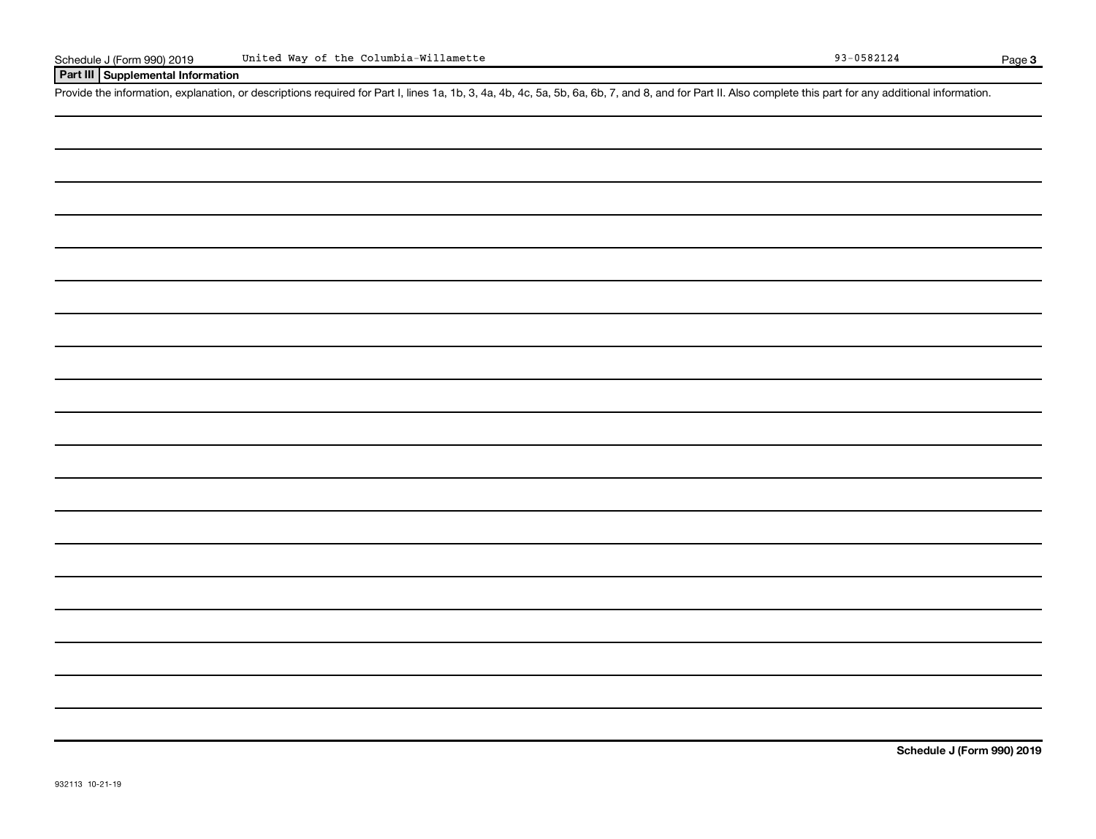### **Part III Supplemental Information**

Provide the information, explanation, or descriptions required for Part I, lines 1a, 1b, 3, 4a, 4b, 4c, 5a, 5b, 6a, 6b, 7, and 8, and for Part II. Also complete this part for any additional information.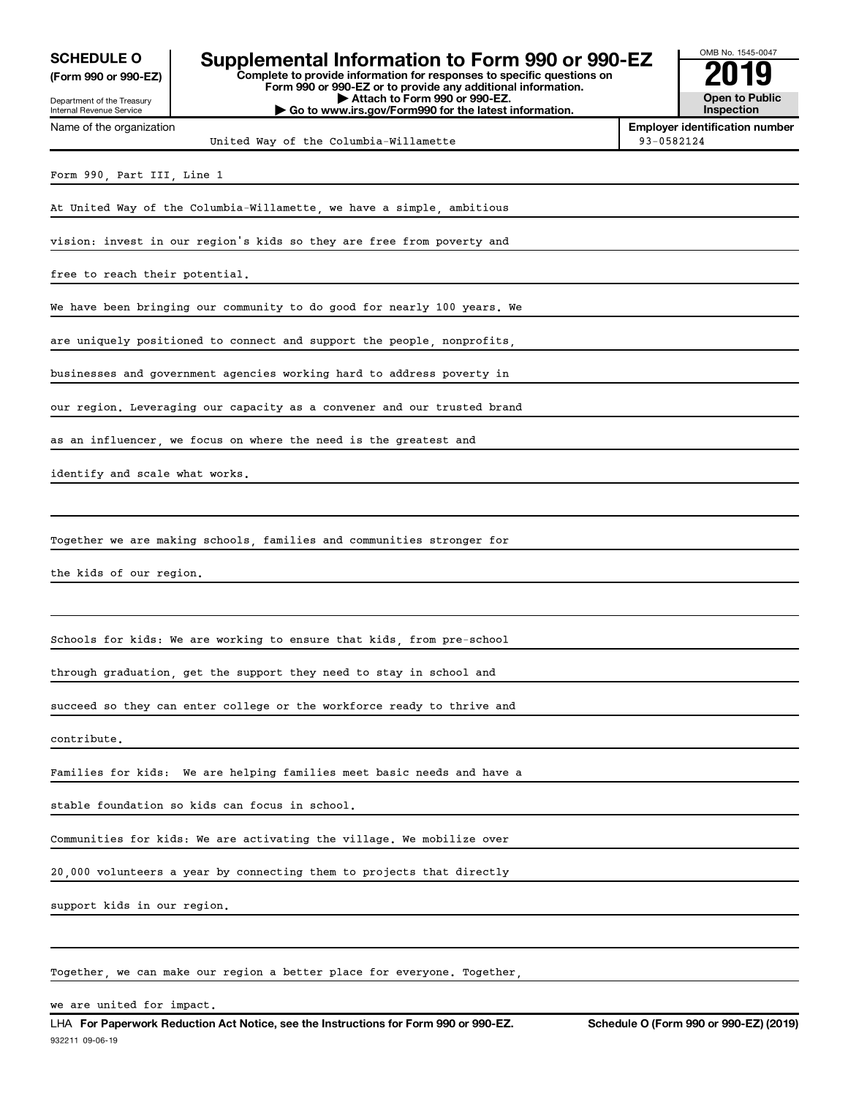**(Form 990 or 990-EZ)**

Department of the Treasury Internal Revenue Service

Name of the organization

## **Complete to provide information for responses to specific questions on** SCHEDULE O **Supplemental Information to Form 990 or 990-EZ** 2019<br>(Form 990 or 990-EZ)

**Form 990 or 990-EZ or to provide any additional information. | Attach to Form 990 or 990-EZ. | Go to www.irs.gov/Form990 for the latest information.**



**Employer identification number** United Way of the Columbia-Willamette 193-0582124

Form 990, Part III, Line 1

At United Way of the Columbia-Willamette, we have a simple, ambitious

vision: invest in our region's kids so they are free from poverty and

free to reach their potential.

We have been bringing our community to do good for nearly 100 years. We

are uniquely positioned to connect and support the people, nonprofits

businesses and government agencies working hard to address poverty in

our region. Leveraging our capacity as a convener and our trusted brand

as an influencer, we focus on where the need is the greatest and

identify and scale what works.

Together we are making schools, families and communities stronger for

the kids of our region.

Schools for kids: We are working to ensure that kids, from pre-school

through graduation, get the support they need to stay in school and

succeed so they can enter college or the workforce ready to thrive and

contribute.

Families for kids: We are helping families meet basic needs and have a

stable foundation so kids can focus in school.

Communities for kids: We are activating the village. We mobilize over

20,000 volunteers a year by connecting them to projects that directly

support kids in our region.

Together, we can make our region a better place for everyone. Together,

we are united for impact.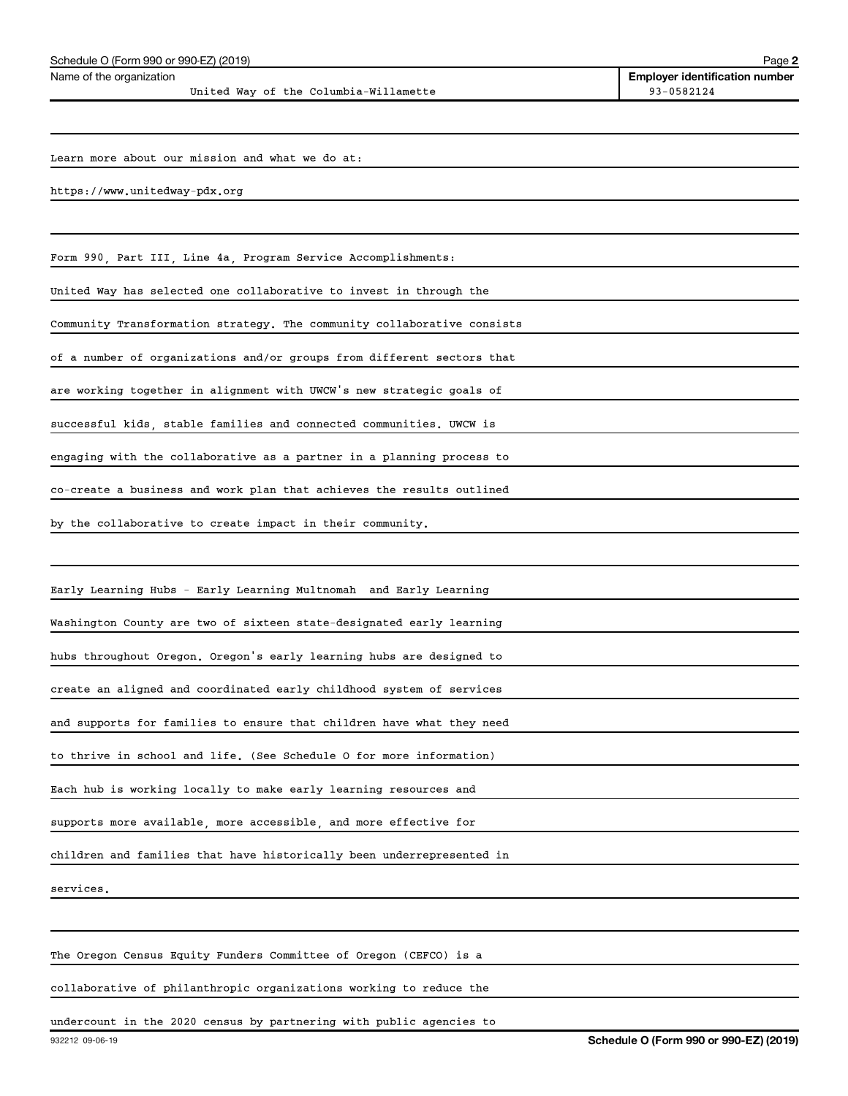| Schedule O (Form 990 or 990-EZ) (2019) | Page 2                                |
|----------------------------------------|---------------------------------------|
| Name of the organization               | <b>Employer identification number</b> |
| United Way of the Columbia-Willamette  | 93-0582124                            |
|                                        |                                       |

Learn more about our mission and what we do at:

https://www.unitedway-pdx.org

Form 990, Part III, Line 4a, Program Service Accomplishments:

United Way has selected one collaborative to invest in through the

Community Transformation strategy. The community collaborative consists

of a number of organizations and/or groups from different sectors that

are working together in alignment with UWCW's new strategic goals of

successful kids, stable families and connected communities. UWCW is

engaging with the collaborative as a partner in a planning process to

co-create a business and work plan that achieves the results outlined

by the collaborative to create impact in their community.

Early Learning Hubs - Early Learning Multnomah and Early Learning

Washington County are two of sixteen state-designated early learning

hubs throughout Oregon. Oregon's early learning hubs are designed to

create an aligned and coordinated early childhood system of services

and supports for families to ensure that children have what they need

to thrive in school and life. (See Schedule O for more information)

Each hub is working locally to make early learning resources and

supports more available, more accessible, and more effective for

children and families that have historically been underrepresented in

services.

The Oregon Census Equity Funders Committee of Oregon (CEFCO) is a

collaborative of philanthropic organizations working to reduce the

undercount in the 2020 census by partnering with public agencies to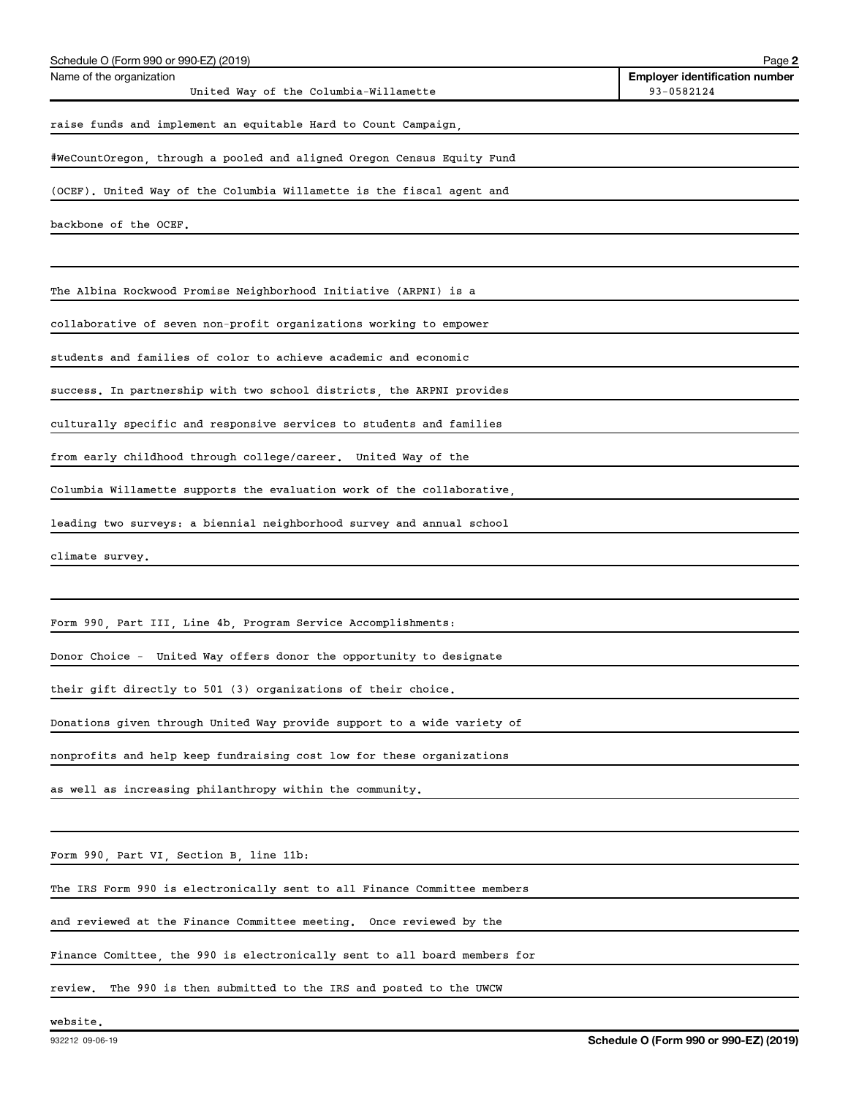| Schedule O (Form 990 or 990-EZ) (2019)                                    | Page 2                                              |
|---------------------------------------------------------------------------|-----------------------------------------------------|
| Name of the organization<br>United Way of the Columbia-Willamette         | <b>Employer identification number</b><br>93-0582124 |
| raise funds and implement an equitable Hard to Count Campaign,            |                                                     |
| #WeCountOregon, through a pooled and aligned Oregon Census Equity Fund    |                                                     |
| (OCEF). United Way of the Columbia Willamette is the fiscal agent and     |                                                     |
| backbone of the OCEF.                                                     |                                                     |
|                                                                           |                                                     |
| The Albina Rockwood Promise Neighborhood Initiative (ARPNI) is a          |                                                     |
| collaborative of seven non-profit organizations working to empower        |                                                     |
| students and families of color to achieve academic and economic           |                                                     |
| success. In partnership with two school districts, the ARPNI provides     |                                                     |
| culturally specific and responsive services to students and families      |                                                     |
| from early childhood through college/career. United Way of the            |                                                     |
| Columbia Willamette supports the evaluation work of the collaborative,    |                                                     |
| leading two surveys: a biennial neighborhood survey and annual school     |                                                     |
| climate survey.                                                           |                                                     |
|                                                                           |                                                     |
| Form 990, Part III, Line 4b, Program Service Accomplishments:             |                                                     |
| Donor Choice - United Way offers donor the opportunity to designate       |                                                     |
| their gift directly to 501 (3) organizations of their choice.             |                                                     |
| Donations given through United Way provide support to a wide variety of   |                                                     |
| nonprofits and help keep fundraising cost low for these organizations     |                                                     |
| as well as increasing philanthropy within the community.                  |                                                     |
|                                                                           |                                                     |
| Form 990, Part VI, Section B, line 11b:                                   |                                                     |
| The IRS Form 990 is electronically sent to all Finance Committee members  |                                                     |
| and reviewed at the Finance Committee meeting.<br>Once reviewed by the    |                                                     |
| Finance Comittee, the 990 is electronically sent to all board members for |                                                     |
| The 990 is then submitted to the IRS and posted to the UWCW<br>review.    |                                                     |
| website.                                                                  |                                                     |